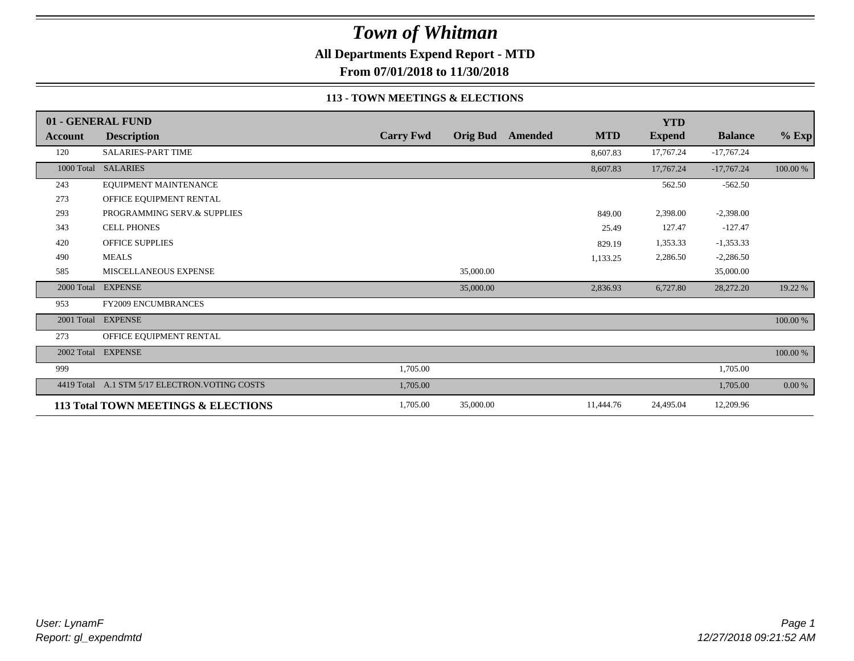**All Departments Expend Report - MTD**

**From 07/01/2018 to 11/30/2018**

### **113 - TOWN MEETINGS & ELECTIONS**

|            | 01 - GENERAL FUND                   |                  |           |                  |            | <b>YTD</b>    |                |          |
|------------|-------------------------------------|------------------|-----------|------------------|------------|---------------|----------------|----------|
| Account    | <b>Description</b>                  | <b>Carry Fwd</b> |           | Orig Bud Amended | <b>MTD</b> | <b>Expend</b> | <b>Balance</b> | $%$ Exp  |
| 120        | SALARIES-PART TIME                  |                  |           |                  | 8,607.83   | 17,767.24     | $-17,767.24$   |          |
|            | 1000 Total SALARIES                 |                  |           |                  | 8,607.83   | 17,767.24     | $-17,767.24$   | 100.00 % |
| 243        | EQUIPMENT MAINTENANCE               |                  |           |                  |            | 562.50        | $-562.50$      |          |
| 273        | OFFICE EQUIPMENT RENTAL             |                  |           |                  |            |               |                |          |
| 293        | PROGRAMMING SERV.& SUPPLIES         |                  |           |                  | 849.00     | 2,398.00      | $-2,398.00$    |          |
| 343        | <b>CELL PHONES</b>                  |                  |           |                  | 25.49      | 127.47        | $-127.47$      |          |
| 420        | <b>OFFICE SUPPLIES</b>              |                  |           |                  | 829.19     | 1,353.33      | $-1,353.33$    |          |
| 490        | <b>MEALS</b>                        |                  |           |                  | 1,133.25   | 2,286.50      | $-2,286.50$    |          |
| 585        | MISCELLANEOUS EXPENSE               |                  | 35,000.00 |                  |            |               | 35,000.00      |          |
| 2000 Total | <b>EXPENSE</b>                      |                  | 35,000.00 |                  | 2,836.93   | 6,727.80      | 28,272.20      | 19.22 %  |
| 953        | <b>FY2009 ENCUMBRANCES</b>          |                  |           |                  |            |               |                |          |
| 2001 Total | <b>EXPENSE</b>                      |                  |           |                  |            |               |                | 100.00 % |
| 273        | OFFICE EQUIPMENT RENTAL             |                  |           |                  |            |               |                |          |
| 2002 Total | <b>EXPENSE</b>                      |                  |           |                  |            |               |                | 100.00 % |
| 999        |                                     | 1,705.00         |           |                  |            |               | 1,705.00       |          |
| 4419 Total | A.1 STM 5/17 ELECTRON. VOTING COSTS | 1,705.00         |           |                  |            |               | 1,705.00       | $0.00\%$ |
|            | 113 Total TOWN MEETINGS & ELECTIONS | 1,705.00         | 35,000.00 |                  | 11,444.76  | 24,495.04     | 12,209.96      |          |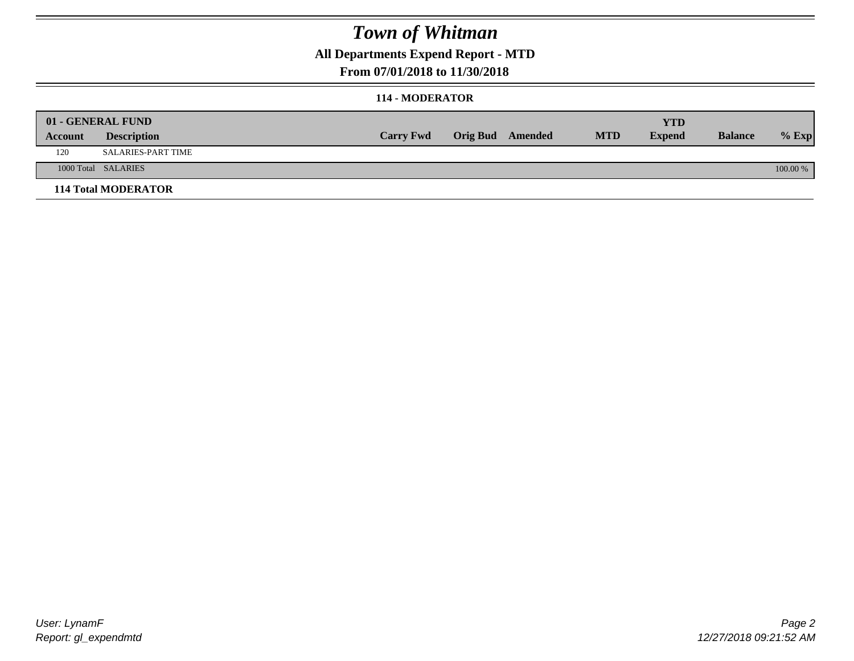## **All Departments Expend Report - MTD**

### **From 07/01/2018 to 11/30/2018**

### **114 - MODERATOR**

|         | 01 - GENERAL FUND          |                  |                  |            | <b>YTD</b>    |                |          |
|---------|----------------------------|------------------|------------------|------------|---------------|----------------|----------|
| Account | <b>Description</b>         | <b>Carry Fwd</b> | Orig Bud Amended | <b>MTD</b> | <b>Expend</b> | <b>Balance</b> | $%$ Exp  |
| 120     | <b>SALARIES-PART TIME</b>  |                  |                  |            |               |                |          |
|         | 1000 Total SALARIES        |                  |                  |            |               |                | 100.00 % |
|         | <b>114 Total MODERATOR</b> |                  |                  |            |               |                |          |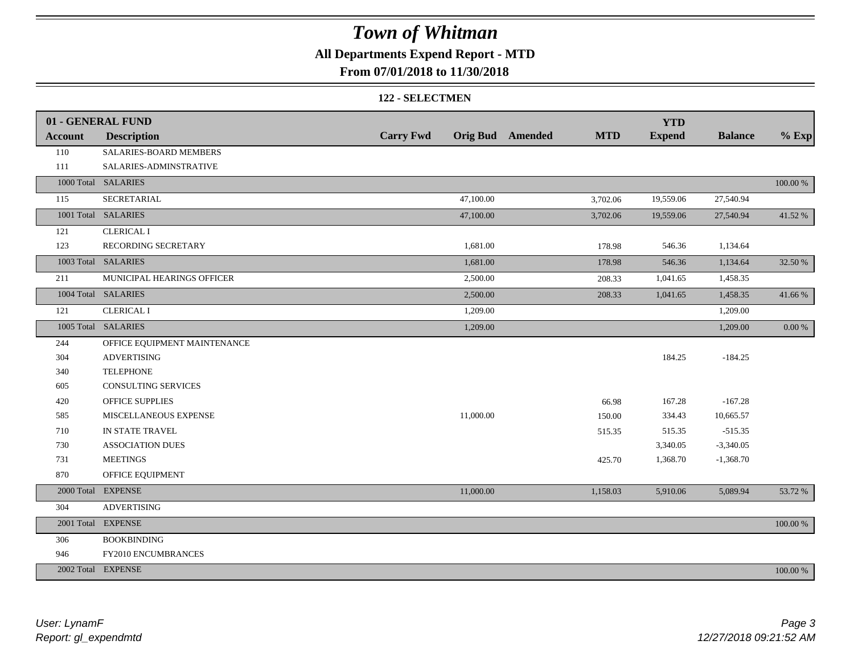## **All Departments Expend Report - MTD**

## **From 07/01/2018 to 11/30/2018**

#### **122 - SELECTMEN**

|                | 01 - GENERAL FUND            |                  |           |                         |            | <b>YTD</b>    |                |             |
|----------------|------------------------------|------------------|-----------|-------------------------|------------|---------------|----------------|-------------|
| <b>Account</b> | <b>Description</b>           | <b>Carry Fwd</b> |           | <b>Orig Bud</b> Amended | <b>MTD</b> | <b>Expend</b> | <b>Balance</b> | $%$ Exp     |
| 110            | SALARIES-BOARD MEMBERS       |                  |           |                         |            |               |                |             |
| 111            | SALARIES-ADMINSTRATIVE       |                  |           |                         |            |               |                |             |
|                | 1000 Total SALARIES          |                  |           |                         |            |               |                | $100.00~\%$ |
| 115            | <b>SECRETARIAL</b>           |                  | 47,100.00 |                         | 3,702.06   | 19,559.06     | 27,540.94      |             |
|                | 1001 Total SALARIES          |                  | 47,100.00 |                         | 3,702.06   | 19,559.06     | 27,540.94      | 41.52%      |
| 121            | <b>CLERICAL I</b>            |                  |           |                         |            |               |                |             |
| 123            | RECORDING SECRETARY          |                  | 1,681.00  |                         | 178.98     | 546.36        | 1,134.64       |             |
|                | 1003 Total SALARIES          |                  | 1,681.00  |                         | 178.98     | 546.36        | 1,134.64       | 32.50 %     |
| 211            | MUNICIPAL HEARINGS OFFICER   |                  | 2,500.00  |                         | 208.33     | 1,041.65      | 1,458.35       |             |
|                | 1004 Total SALARIES          |                  | 2,500.00  |                         | 208.33     | 1,041.65      | 1,458.35       | 41.66%      |
| 121            | <b>CLERICAL I</b>            |                  | 1,209.00  |                         |            |               | 1,209.00       |             |
|                | 1005 Total SALARIES          |                  | 1,209.00  |                         |            |               | 1,209.00       | $0.00~\%$   |
| 244            | OFFICE EQUIPMENT MAINTENANCE |                  |           |                         |            |               |                |             |
| 304            | <b>ADVERTISING</b>           |                  |           |                         |            | 184.25        | $-184.25$      |             |
| 340            | <b>TELEPHONE</b>             |                  |           |                         |            |               |                |             |
| 605            | <b>CONSULTING SERVICES</b>   |                  |           |                         |            |               |                |             |
| 420            | <b>OFFICE SUPPLIES</b>       |                  |           |                         | 66.98      | 167.28        | $-167.28$      |             |
| 585            | MISCELLANEOUS EXPENSE        |                  | 11,000.00 |                         | 150.00     | 334.43        | 10,665.57      |             |
| 710            | IN STATE TRAVEL              |                  |           |                         | 515.35     | 515.35        | $-515.35$      |             |
| 730            | <b>ASSOCIATION DUES</b>      |                  |           |                         |            | 3,340.05      | $-3,340.05$    |             |
| 731            | <b>MEETINGS</b>              |                  |           |                         | 425.70     | 1,368.70      | $-1,368.70$    |             |
| 870            | OFFICE EQUIPMENT             |                  |           |                         |            |               |                |             |
|                | 2000 Total EXPENSE           |                  | 11,000.00 |                         | 1,158.03   | 5,910.06      | 5,089.94       | 53.72 %     |
| 304            | <b>ADVERTISING</b>           |                  |           |                         |            |               |                |             |
|                | 2001 Total EXPENSE           |                  |           |                         |            |               |                | $100.00~\%$ |
| 306            | <b>BOOKBINDING</b>           |                  |           |                         |            |               |                |             |
| 946            | FY2010 ENCUMBRANCES          |                  |           |                         |            |               |                |             |
|                | 2002 Total EXPENSE           |                  |           |                         |            |               |                | 100.00 %    |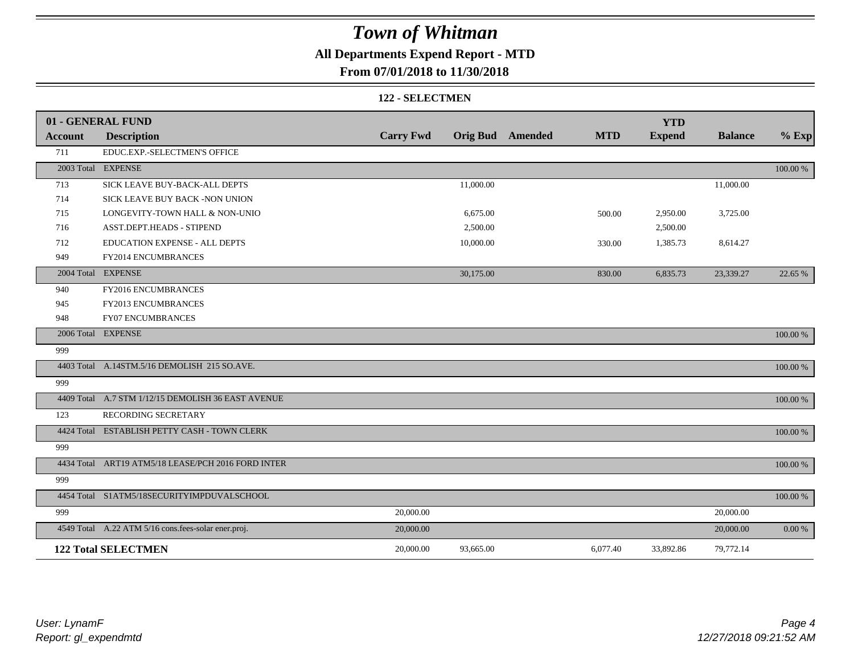## **All Departments Expend Report - MTD**

## **From 07/01/2018 to 11/30/2018**

#### **122 - SELECTMEN**

|         | 01 - GENERAL FUND                                   |                  |                         |            | <b>YTD</b>    |                |             |
|---------|-----------------------------------------------------|------------------|-------------------------|------------|---------------|----------------|-------------|
| Account | <b>Description</b>                                  | <b>Carry Fwd</b> | <b>Orig Bud</b> Amended | <b>MTD</b> | <b>Expend</b> | <b>Balance</b> | $%$ Exp     |
| 711     | EDUC.EXP.-SELECTMEN'S OFFICE                        |                  |                         |            |               |                |             |
|         | 2003 Total EXPENSE                                  |                  |                         |            |               |                | 100.00 %    |
| 713     | SICK LEAVE BUY-BACK-ALL DEPTS                       |                  | 11,000.00               |            |               | 11,000.00      |             |
| 714     | SICK LEAVE BUY BACK -NON UNION                      |                  |                         |            |               |                |             |
| 715     | LONGEVITY-TOWN HALL & NON-UNIO                      |                  | 6,675.00                | 500.00     | 2,950.00      | 3,725.00       |             |
| 716     | ASST.DEPT.HEADS - STIPEND                           |                  | 2,500.00                |            | 2,500.00      |                |             |
| 712     | EDUCATION EXPENSE - ALL DEPTS                       |                  | 10,000.00               | 330.00     | 1,385.73      | 8,614.27       |             |
| 949     | FY2014 ENCUMBRANCES                                 |                  |                         |            |               |                |             |
|         | 2004 Total EXPENSE                                  |                  | 30,175.00               | 830.00     | 6,835.73      | 23,339.27      | 22.65 %     |
| 940     | FY2016 ENCUMBRANCES                                 |                  |                         |            |               |                |             |
| 945     | FY2013 ENCUMBRANCES                                 |                  |                         |            |               |                |             |
| 948     | <b>FY07 ENCUMBRANCES</b>                            |                  |                         |            |               |                |             |
|         | 2006 Total EXPENSE                                  |                  |                         |            |               |                | 100.00 %    |
| 999     |                                                     |                  |                         |            |               |                |             |
|         | 4403 Total A.14STM.5/16 DEMOLISH 215 SO.AVE.        |                  |                         |            |               |                | 100.00 %    |
| 999     |                                                     |                  |                         |            |               |                |             |
|         | 4409 Total A.7 STM 1/12/15 DEMOLISH 36 EAST AVENUE  |                  |                         |            |               |                | 100.00 %    |
| 123     | RECORDING SECRETARY                                 |                  |                         |            |               |                |             |
|         | 4424 Total ESTABLISH PETTY CASH - TOWN CLERK        |                  |                         |            |               |                | 100.00 %    |
| 999     |                                                     |                  |                         |            |               |                |             |
|         | 4434 Total ART19 ATM5/18 LEASE/PCH 2016 FORD INTER  |                  |                         |            |               |                | 100.00 %    |
| 999     |                                                     |                  |                         |            |               |                |             |
|         | 4454 Total S1ATM5/18SECURITYIMPDUVALSCHOOL          |                  |                         |            |               |                | $100.00~\%$ |
| 999     |                                                     | 20,000.00        |                         |            |               | 20,000.00      |             |
|         | 4549 Total A.22 ATM 5/16 cons.fees-solar ener.proj. | 20,000.00        |                         |            |               | 20,000.00      | 0.00 %      |
|         | <b>122 Total SELECTMEN</b>                          | 20,000.00        | 93,665.00               | 6,077.40   | 33,892.86     | 79,772.14      |             |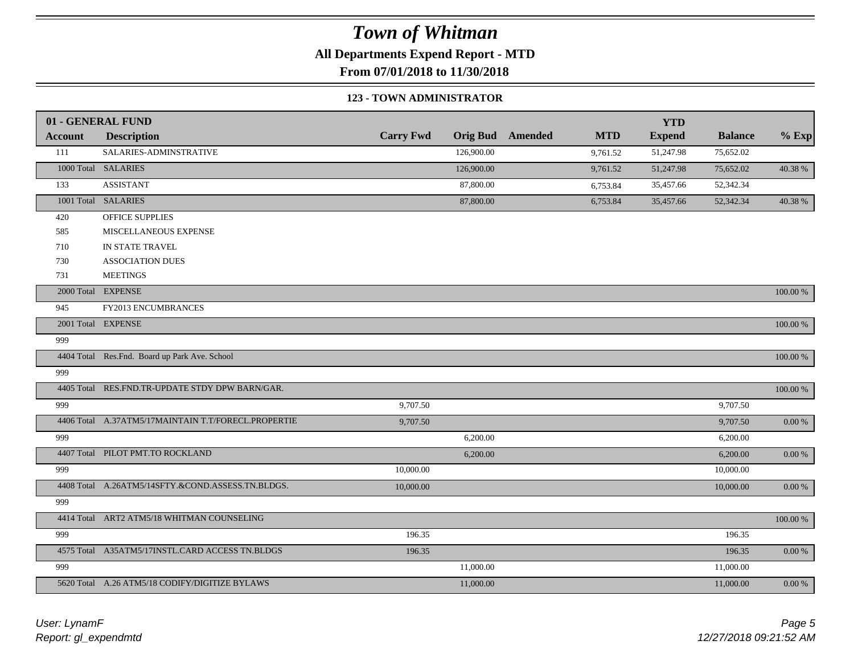**All Departments Expend Report - MTD**

**From 07/01/2018 to 11/30/2018**

### **123 - TOWN ADMINISTRATOR**

|                | 01 - GENERAL FUND                                   |                  |                 |         |            | <b>YTD</b>    |                |             |
|----------------|-----------------------------------------------------|------------------|-----------------|---------|------------|---------------|----------------|-------------|
| <b>Account</b> | <b>Description</b>                                  | <b>Carry Fwd</b> | <b>Orig Bud</b> | Amended | <b>MTD</b> | <b>Expend</b> | <b>Balance</b> | $%$ Exp     |
| 111            | SALARIES-ADMINSTRATIVE                              |                  | 126,900.00      |         | 9,761.52   | 51,247.98     | 75,652.02      |             |
|                | 1000 Total SALARIES                                 |                  | 126,900.00      |         | 9,761.52   | 51,247.98     | 75,652.02      | 40.38 %     |
| 133            | <b>ASSISTANT</b>                                    |                  | 87,800.00       |         | 6,753.84   | 35,457.66     | 52,342.34      |             |
|                | 1001 Total SALARIES                                 |                  | 87,800.00       |         | 6,753.84   | 35,457.66     | 52,342.34      | 40.38 %     |
| 420            | OFFICE SUPPLIES                                     |                  |                 |         |            |               |                |             |
| 585            | MISCELLANEOUS EXPENSE                               |                  |                 |         |            |               |                |             |
| 710            | IN STATE TRAVEL                                     |                  |                 |         |            |               |                |             |
| 730            | <b>ASSOCIATION DUES</b>                             |                  |                 |         |            |               |                |             |
| 731            | <b>MEETINGS</b>                                     |                  |                 |         |            |               |                |             |
|                | 2000 Total EXPENSE                                  |                  |                 |         |            |               |                | 100.00 %    |
| 945            | FY2013 ENCUMBRANCES                                 |                  |                 |         |            |               |                |             |
|                | 2001 Total EXPENSE                                  |                  |                 |         |            |               |                | 100.00 %    |
| 999            |                                                     |                  |                 |         |            |               |                |             |
|                | 4404 Total Res.Fnd. Board up Park Ave. School       |                  |                 |         |            |               |                | 100.00 %    |
| 999            |                                                     |                  |                 |         |            |               |                |             |
|                | 4405 Total RES.FND.TR-UPDATE STDY DPW BARN/GAR.     |                  |                 |         |            |               |                | $100.00~\%$ |
| 999            |                                                     | 9,707.50         |                 |         |            |               | 9,707.50       |             |
|                | 4406 Total A.37ATM5/17MAINTAIN T.T/FORECL.PROPERTIE | 9,707.50         |                 |         |            |               | 9,707.50       | $0.00\ \%$  |
| 999            |                                                     |                  | 6,200.00        |         |            |               | 6,200.00       |             |
|                | 4407 Total PILOT PMT.TO ROCKLAND                    |                  | 6,200.00        |         |            |               | 6,200.00       | $0.00~\%$   |
| 999            |                                                     | 10,000.00        |                 |         |            |               | 10,000.00      |             |
|                | 4408 Total A.26ATM5/14SFTY.&COND.ASSESS.TN.BLDGS.   | 10,000.00        |                 |         |            |               | 10,000.00      | 0.00 %      |
| 999            |                                                     |                  |                 |         |            |               |                |             |
|                | 4414 Total ART2 ATM5/18 WHITMAN COUNSELING          |                  |                 |         |            |               |                | 100.00 %    |
| 999            |                                                     | 196.35           |                 |         |            |               | 196.35         |             |
|                | 4575 Total A35ATM5/17INSTL.CARD ACCESS TN.BLDGS     | 196.35           |                 |         |            |               | 196.35         | $0.00~\%$   |
| 999            |                                                     |                  | 11,000.00       |         |            |               | 11,000.00      |             |
|                | 5620 Total A.26 ATM5/18 CODIFY/DIGITIZE BYLAWS      |                  | 11,000.00       |         |            |               | 11,000.00      | $0.00~\%$   |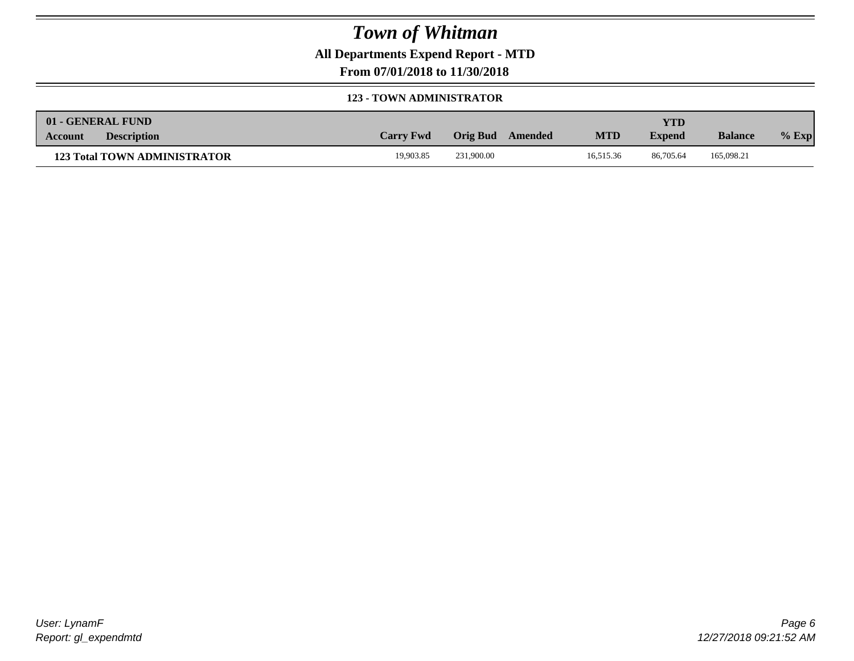**All Departments Expend Report - MTD**

**From 07/01/2018 to 11/30/2018**

### **123 - TOWN ADMINISTRATOR**

|         | 01 - GENERAL FUND                   |                  |                            |            | <b>YTD</b>    |                |         |
|---------|-------------------------------------|------------------|----------------------------|------------|---------------|----------------|---------|
| Account | <b>Description</b>                  | <b>Carry Fwd</b> | Orig Bud<br><b>Amended</b> | <b>MTD</b> | <b>Expend</b> | <b>Balance</b> | $%$ Exp |
|         | <b>123 Total TOWN ADMINISTRATOR</b> | 19.903.85        | 231,900.00                 | 16.515.36  | 86,705.64     | 165,098.21     |         |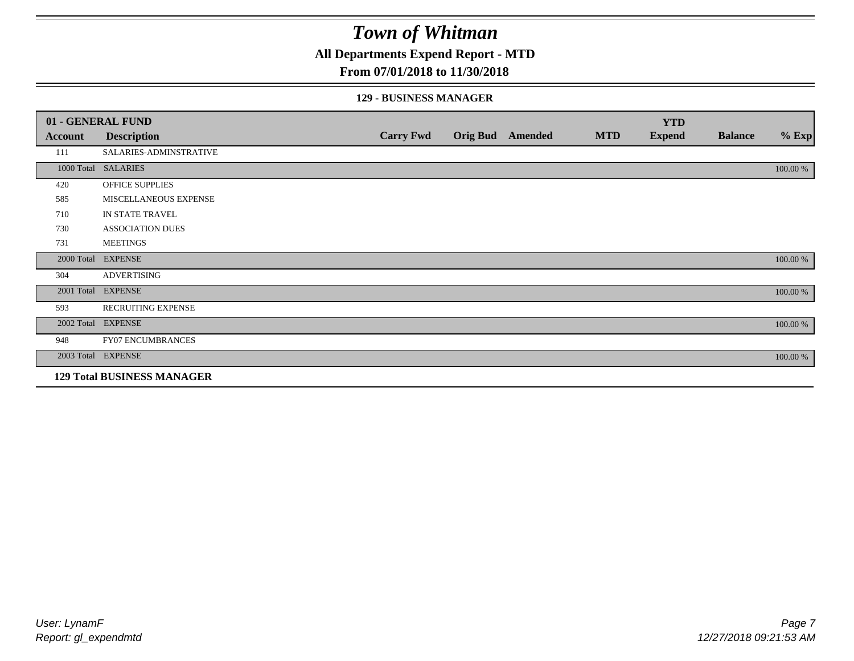**All Departments Expend Report - MTD**

## **From 07/01/2018 to 11/30/2018**

#### **129 - BUSINESS MANAGER**

|            | 01 - GENERAL FUND                 |                  |                 |         |            | <b>YTD</b>    |                |          |
|------------|-----------------------------------|------------------|-----------------|---------|------------|---------------|----------------|----------|
| Account    | <b>Description</b>                | <b>Carry Fwd</b> | <b>Orig Bud</b> | Amended | <b>MTD</b> | <b>Expend</b> | <b>Balance</b> | $%$ Exp  |
| 111        | SALARIES-ADMINSTRATIVE            |                  |                 |         |            |               |                |          |
|            | 1000 Total SALARIES               |                  |                 |         |            |               |                | 100.00 % |
| 420        | OFFICE SUPPLIES                   |                  |                 |         |            |               |                |          |
| 585        | MISCELLANEOUS EXPENSE             |                  |                 |         |            |               |                |          |
| 710        | IN STATE TRAVEL                   |                  |                 |         |            |               |                |          |
| 730        | <b>ASSOCIATION DUES</b>           |                  |                 |         |            |               |                |          |
| 731        | <b>MEETINGS</b>                   |                  |                 |         |            |               |                |          |
| 2000 Total | <b>EXPENSE</b>                    |                  |                 |         |            |               |                | 100.00 % |
| 304        | <b>ADVERTISING</b>                |                  |                 |         |            |               |                |          |
| 2001 Total | <b>EXPENSE</b>                    |                  |                 |         |            |               |                | 100.00 % |
| 593        | <b>RECRUITING EXPENSE</b>         |                  |                 |         |            |               |                |          |
|            | 2002 Total EXPENSE                |                  |                 |         |            |               |                | 100.00 % |
| 948        | <b>FY07 ENCUMBRANCES</b>          |                  |                 |         |            |               |                |          |
|            | 2003 Total EXPENSE                |                  |                 |         |            |               |                | 100.00 % |
|            | <b>129 Total BUSINESS MANAGER</b> |                  |                 |         |            |               |                |          |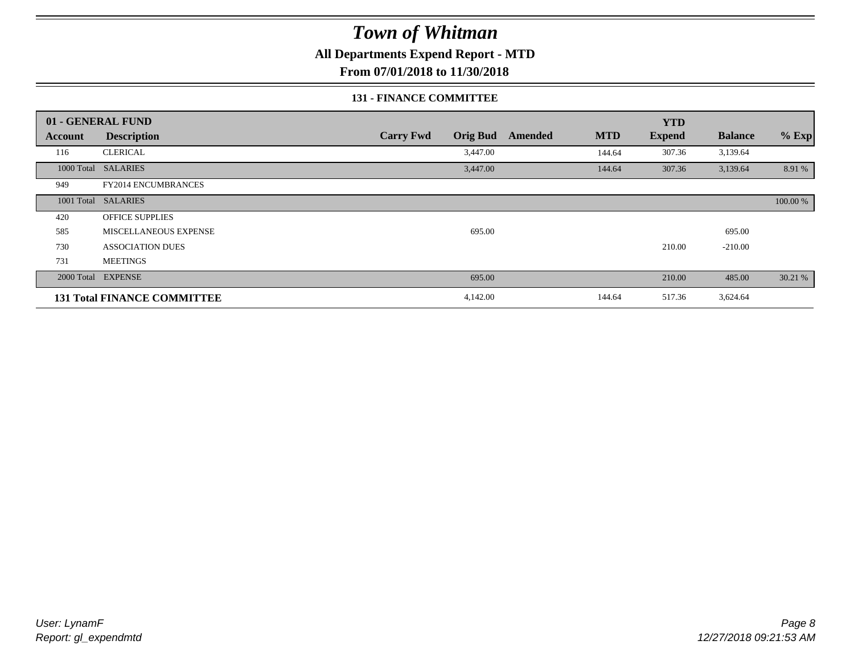**All Departments Expend Report - MTD**

**From 07/01/2018 to 11/30/2018**

### **131 - FINANCE COMMITTEE**

|            | 01 - GENERAL FUND                  |                  |                 |         |            | <b>YTD</b>    |                |          |
|------------|------------------------------------|------------------|-----------------|---------|------------|---------------|----------------|----------|
| Account    | <b>Description</b>                 | <b>Carry Fwd</b> | <b>Orig Bud</b> | Amended | <b>MTD</b> | <b>Expend</b> | <b>Balance</b> | $%$ Exp  |
| 116        | <b>CLERICAL</b>                    |                  | 3,447.00        |         | 144.64     | 307.36        | 3,139.64       |          |
| 1000 Total | <b>SALARIES</b>                    |                  | 3,447.00        |         | 144.64     | 307.36        | 3,139.64       | 8.91 %   |
| 949        | FY2014 ENCUMBRANCES                |                  |                 |         |            |               |                |          |
|            | 1001 Total SALARIES                |                  |                 |         |            |               |                | 100.00 % |
| 420        | <b>OFFICE SUPPLIES</b>             |                  |                 |         |            |               |                |          |
| 585        | MISCELLANEOUS EXPENSE              |                  | 695.00          |         |            |               | 695.00         |          |
| 730        | <b>ASSOCIATION DUES</b>            |                  |                 |         |            | 210.00        | $-210.00$      |          |
| 731        | <b>MEETINGS</b>                    |                  |                 |         |            |               |                |          |
| 2000 Total | <b>EXPENSE</b>                     |                  | 695.00          |         |            | 210.00        | 485.00         | 30.21 %  |
|            | <b>131 Total FINANCE COMMITTEE</b> |                  | 4,142.00        |         | 144.64     | 517.36        | 3,624.64       |          |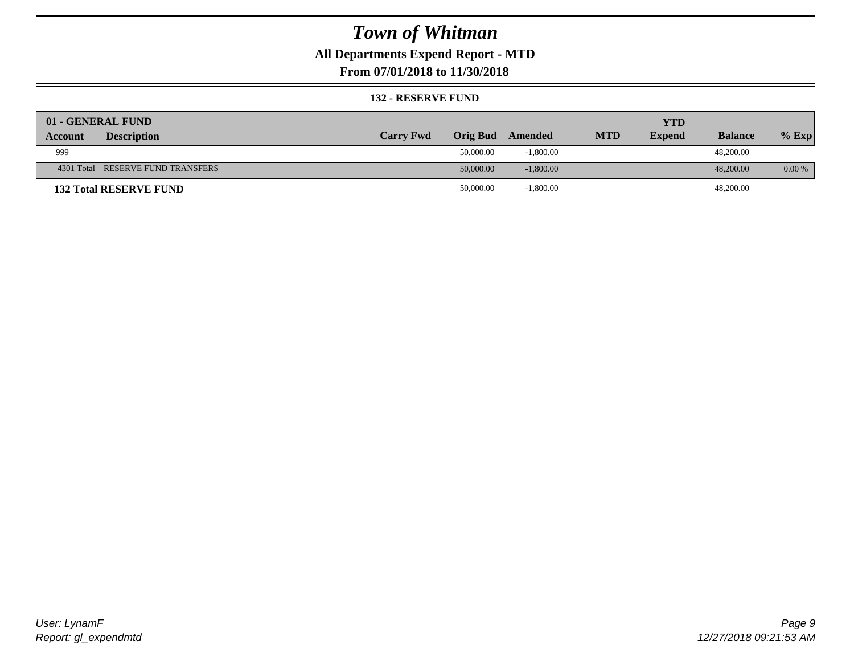## **All Departments Expend Report - MTD**

**From 07/01/2018 to 11/30/2018**

#### **132 - RESERVE FUND**

| 01 - GENERAL FUND                    |                  |                 |             |            | <b>YTD</b>    |                |          |
|--------------------------------------|------------------|-----------------|-------------|------------|---------------|----------------|----------|
| <b>Description</b><br><b>Account</b> | <b>Carry Fwd</b> | <b>Orig Bud</b> | Amended     | <b>MTD</b> | <b>Expend</b> | <b>Balance</b> | $%$ Exp  |
| 999                                  |                  | 50,000.00       | $-1,800.00$ |            |               | 48,200.00      |          |
| 4301 Total RESERVE FUND TRANSFERS    |                  | 50,000.00       | $-1,800.00$ |            |               | 48,200,00      | $0.00\%$ |
| <b>132 Total RESERVE FUND</b>        |                  | 50,000.00       | $-1,800.00$ |            |               | 48,200.00      |          |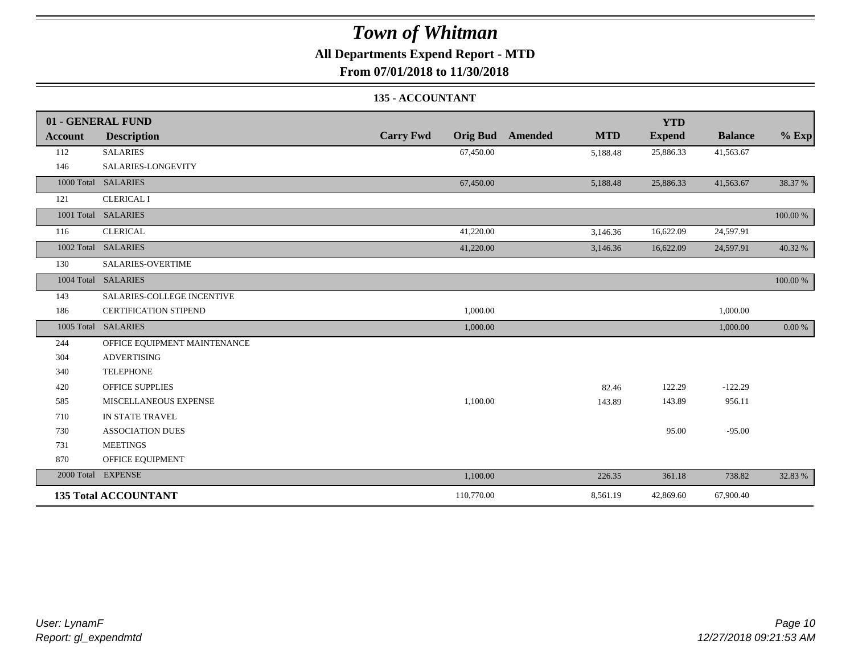## **All Departments Expend Report - MTD**

**From 07/01/2018 to 11/30/2018**

### **135 - ACCOUNTANT**

|         | 01 - GENERAL FUND            |                                     |                       | <b>YTD</b>    |                |          |
|---------|------------------------------|-------------------------------------|-----------------------|---------------|----------------|----------|
| Account | <b>Description</b>           | <b>Carry Fwd</b><br><b>Orig Bud</b> | <b>MTD</b><br>Amended | <b>Expend</b> | <b>Balance</b> | $%$ Exp  |
| 112     | <b>SALARIES</b>              | 67,450.00                           | 5,188.48              | 25,886.33     | 41,563.67      |          |
| 146     | SALARIES-LONGEVITY           |                                     |                       |               |                |          |
|         | 1000 Total SALARIES          | 67,450.00                           | 5,188.48              | 25,886.33     | 41,563.67      | 38.37 %  |
| 121     | <b>CLERICAL I</b>            |                                     |                       |               |                |          |
|         | 1001 Total SALARIES          |                                     |                       |               |                | 100.00 % |
| 116     | <b>CLERICAL</b>              | 41,220.00                           | 3,146.36              | 16,622.09     | 24,597.91      |          |
|         | 1002 Total SALARIES          | 41,220.00                           | 3,146.36              | 16,622.09     | 24,597.91      | 40.32 %  |
| 130     | <b>SALARIES-OVERTIME</b>     |                                     |                       |               |                |          |
|         | 1004 Total SALARIES          |                                     |                       |               |                | 100.00 % |
| 143     | SALARIES-COLLEGE INCENTIVE   |                                     |                       |               |                |          |
| 186     | <b>CERTIFICATION STIPEND</b> | 1,000.00                            |                       |               | 1,000.00       |          |
|         | 1005 Total SALARIES          | 1,000.00                            |                       |               | 1,000.00       | 0.00 %   |
| 244     | OFFICE EQUIPMENT MAINTENANCE |                                     |                       |               |                |          |
| 304     | <b>ADVERTISING</b>           |                                     |                       |               |                |          |
| 340     | <b>TELEPHONE</b>             |                                     |                       |               |                |          |
| 420     | <b>OFFICE SUPPLIES</b>       |                                     | 82.46                 | 122.29        | $-122.29$      |          |
| 585     | MISCELLANEOUS EXPENSE        | 1,100.00                            | 143.89                | 143.89        | 956.11         |          |
| 710     | IN STATE TRAVEL              |                                     |                       |               |                |          |
| 730     | <b>ASSOCIATION DUES</b>      |                                     |                       | 95.00         | $-95.00$       |          |
| 731     | <b>MEETINGS</b>              |                                     |                       |               |                |          |
| 870     | OFFICE EQUIPMENT             |                                     |                       |               |                |          |
|         | 2000 Total EXPENSE           | 1,100.00                            | 226.35                | 361.18        | 738.82         | 32.83 %  |
|         | <b>135 Total ACCOUNTANT</b>  | 110,770.00                          | 8,561.19              | 42,869.60     | 67,900.40      |          |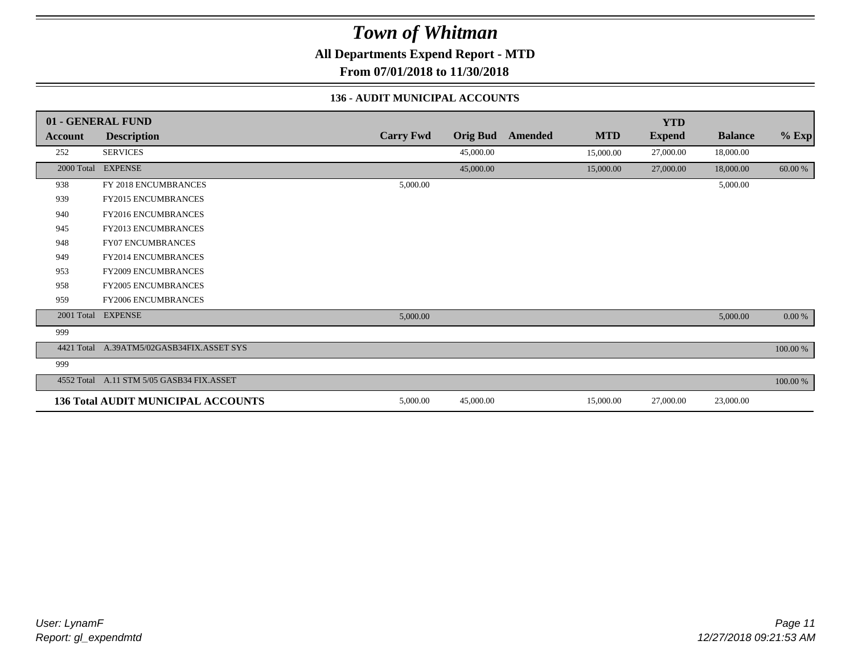**All Departments Expend Report - MTD**

**From 07/01/2018 to 11/30/2018**

### **136 - AUDIT MUNICIPAL ACCOUNTS**

|            | 01 - GENERAL FUND                         |                  |                 |         |            | <b>YTD</b>    |                |             |
|------------|-------------------------------------------|------------------|-----------------|---------|------------|---------------|----------------|-------------|
| Account    | <b>Description</b>                        | <b>Carry Fwd</b> | <b>Orig Bud</b> | Amended | <b>MTD</b> | <b>Expend</b> | <b>Balance</b> | $%$ Exp     |
| 252        | <b>SERVICES</b>                           |                  | 45,000.00       |         | 15,000.00  | 27,000.00     | 18,000.00      |             |
| 2000 Total | <b>EXPENSE</b>                            |                  | 45,000.00       |         | 15,000.00  | 27,000.00     | 18,000.00      | 60.00 %     |
| 938        | FY 2018 ENCUMBRANCES                      | 5,000.00         |                 |         |            |               | 5,000.00       |             |
| 939        | <b>FY2015 ENCUMBRANCES</b>                |                  |                 |         |            |               |                |             |
| 940        | FY2016 ENCUMBRANCES                       |                  |                 |         |            |               |                |             |
| 945        | <b>FY2013 ENCUMBRANCES</b>                |                  |                 |         |            |               |                |             |
| 948        | <b>FY07 ENCUMBRANCES</b>                  |                  |                 |         |            |               |                |             |
| 949        | <b>FY2014 ENCUMBRANCES</b>                |                  |                 |         |            |               |                |             |
| 953        | FY2009 ENCUMBRANCES                       |                  |                 |         |            |               |                |             |
| 958        | <b>FY2005 ENCUMBRANCES</b>                |                  |                 |         |            |               |                |             |
| 959        | <b>FY2006 ENCUMBRANCES</b>                |                  |                 |         |            |               |                |             |
|            | 2001 Total EXPENSE                        | 5,000.00         |                 |         |            |               | 5,000.00       | 0.00 %      |
| 999        |                                           |                  |                 |         |            |               |                |             |
|            | 4421 Total A.39ATM5/02GASB34FIX.ASSET SYS |                  |                 |         |            |               |                | 100.00 %    |
| 999        |                                           |                  |                 |         |            |               |                |             |
|            | 4552 Total A.11 STM 5/05 GASB34 FIX.ASSET |                  |                 |         |            |               |                | $100.00~\%$ |
|            | <b>136 Total AUDIT MUNICIPAL ACCOUNTS</b> | 5,000.00         | 45,000.00       |         | 15,000.00  | 27,000.00     | 23,000.00      |             |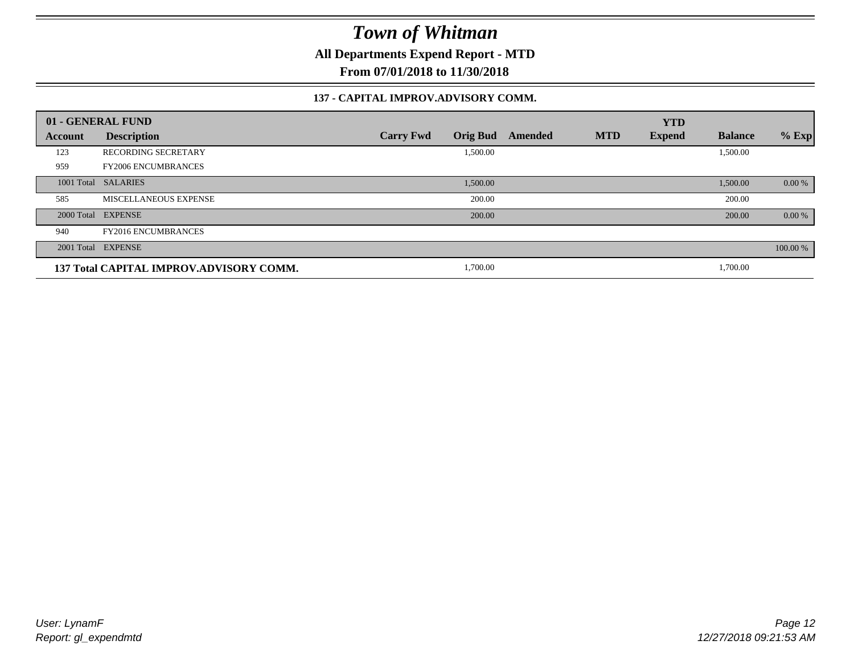**All Departments Expend Report - MTD**

**From 07/01/2018 to 11/30/2018**

#### **137 - CAPITAL IMPROV.ADVISORY COMM.**

|         | 01 - GENERAL FUND                       |                                     |         |            | <b>YTD</b>    |                |          |
|---------|-----------------------------------------|-------------------------------------|---------|------------|---------------|----------------|----------|
| Account | <b>Description</b>                      | <b>Orig Bud</b><br><b>Carry Fwd</b> | Amended | <b>MTD</b> | <b>Expend</b> | <b>Balance</b> | $%$ Exp  |
| 123     | <b>RECORDING SECRETARY</b>              | 1,500.00                            |         |            |               | 1,500.00       |          |
| 959     | <b>FY2006 ENCUMBRANCES</b>              |                                     |         |            |               |                |          |
|         | 1001 Total SALARIES                     | 1,500.00                            |         |            |               | 1,500.00       | 0.00 %   |
| 585     | MISCELLANEOUS EXPENSE                   | 200.00                              |         |            |               | 200.00         |          |
|         | 2000 Total EXPENSE                      | 200.00                              |         |            |               | 200.00         | 0.00 %   |
| 940     | <b>FY2016 ENCUMBRANCES</b>              |                                     |         |            |               |                |          |
|         | 2001 Total EXPENSE                      |                                     |         |            |               |                | 100.00 % |
|         | 137 Total CAPITAL IMPROV.ADVISORY COMM. | 1,700.00                            |         |            |               | 1,700.00       |          |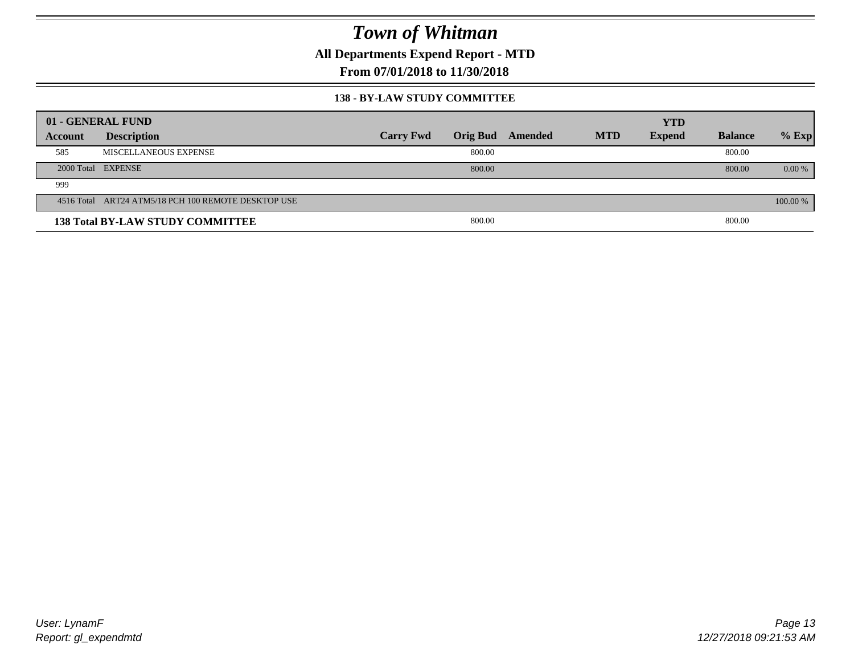**All Departments Expend Report - MTD**

**From 07/01/2018 to 11/30/2018**

#### **138 - BY-LAW STUDY COMMITTEE**

|         | 01 - GENERAL FUND                                   |                  |        |                  |            | <b>YTD</b>    |                |          |
|---------|-----------------------------------------------------|------------------|--------|------------------|------------|---------------|----------------|----------|
| Account | <b>Description</b>                                  | <b>Carry Fwd</b> |        | Orig Bud Amended | <b>MTD</b> | <b>Expend</b> | <b>Balance</b> | $%$ Exp  |
| 585     | MISCELLANEOUS EXPENSE                               |                  | 800.00 |                  |            |               | 800.00         |          |
|         | 2000 Total EXPENSE                                  |                  | 800.00 |                  |            |               | 800.00         | $0.00\%$ |
| 999     |                                                     |                  |        |                  |            |               |                |          |
|         | 4516 Total ART24 ATM5/18 PCH 100 REMOTE DESKTOP USE |                  |        |                  |            |               |                | 100.00 % |
|         | <b>138 Total BY-LAW STUDY COMMITTEE</b>             |                  | 800.00 |                  |            |               | 800.00         |          |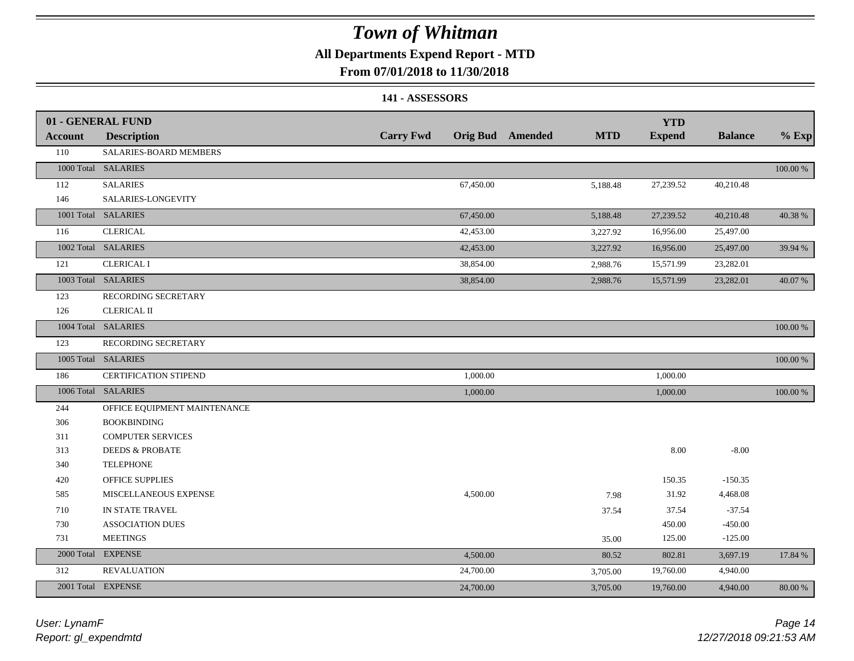## **All Departments Expend Report - MTD**

## **From 07/01/2018 to 11/30/2018**

#### **141 - ASSESSORS**

|                | 01 - GENERAL FUND            |                  |                                       | <b>YTD</b>    |                |          |
|----------------|------------------------------|------------------|---------------------------------------|---------------|----------------|----------|
| <b>Account</b> | <b>Description</b>           | <b>Carry Fwd</b> | <b>MTD</b><br><b>Orig Bud</b> Amended | <b>Expend</b> | <b>Balance</b> | $%$ Exp  |
| 110            | SALARIES-BOARD MEMBERS       |                  |                                       |               |                |          |
|                | 1000 Total SALARIES          |                  |                                       |               |                | 100.00 % |
| 112            | <b>SALARIES</b>              | 67,450.00        | 5,188.48                              | 27,239.52     | 40,210.48      |          |
| 146            | SALARIES-LONGEVITY           |                  |                                       |               |                |          |
|                | 1001 Total SALARIES          | 67,450.00        | 5,188.48                              | 27,239.52     | 40,210.48      | 40.38%   |
| 116            | <b>CLERICAL</b>              | 42,453.00        | 3,227.92                              | 16,956.00     | 25,497.00      |          |
|                | 1002 Total SALARIES          | 42,453.00        | 3,227.92                              | 16,956.00     | 25,497.00      | 39.94 %  |
| 121            | <b>CLERICAL I</b>            | 38,854.00        | 2,988.76                              | 15,571.99     | 23,282.01      |          |
|                | 1003 Total SALARIES          | 38,854.00        | 2,988.76                              | 15,571.99     | 23,282.01      | 40.07%   |
| 123            | RECORDING SECRETARY          |                  |                                       |               |                |          |
| 126            | <b>CLERICAL II</b>           |                  |                                       |               |                |          |
|                | 1004 Total SALARIES          |                  |                                       |               |                | 100.00 % |
| 123            | RECORDING SECRETARY          |                  |                                       |               |                |          |
|                | 1005 Total SALARIES          |                  |                                       |               |                | 100.00 % |
| 186            | CERTIFICATION STIPEND        | 1,000.00         |                                       | 1,000.00      |                |          |
|                | 1006 Total SALARIES          | 1,000.00         |                                       | 1,000.00      |                | 100.00 % |
| 244            | OFFICE EQUIPMENT MAINTENANCE |                  |                                       |               |                |          |
| 306            | <b>BOOKBINDING</b>           |                  |                                       |               |                |          |
| 311            | <b>COMPUTER SERVICES</b>     |                  |                                       |               |                |          |
| 313            | <b>DEEDS &amp; PROBATE</b>   |                  |                                       | 8.00          | $-8.00$        |          |
| 340            | <b>TELEPHONE</b>             |                  |                                       |               |                |          |
| 420            | OFFICE SUPPLIES              |                  |                                       | 150.35        | $-150.35$      |          |
| 585            | MISCELLANEOUS EXPENSE        | 4,500.00         | 7.98                                  | 31.92         | 4,468.08       |          |
| 710            | IN STATE TRAVEL              |                  | 37.54                                 | 37.54         | $-37.54$       |          |
| 730            | <b>ASSOCIATION DUES</b>      |                  |                                       | 450.00        | $-450.00$      |          |
| 731            | <b>MEETINGS</b>              |                  | 35.00                                 | 125.00        | $-125.00$      |          |
|                | 2000 Total EXPENSE           | 4,500.00         | 80.52                                 | 802.81        | 3,697.19       | 17.84 %  |
| 312            | <b>REVALUATION</b>           | 24,700.00        | 3,705.00                              | 19,760.00     | 4,940.00       |          |
|                | 2001 Total EXPENSE           | 24,700.00        | 3,705.00                              | 19,760.00     | 4,940.00       | 80.00 %  |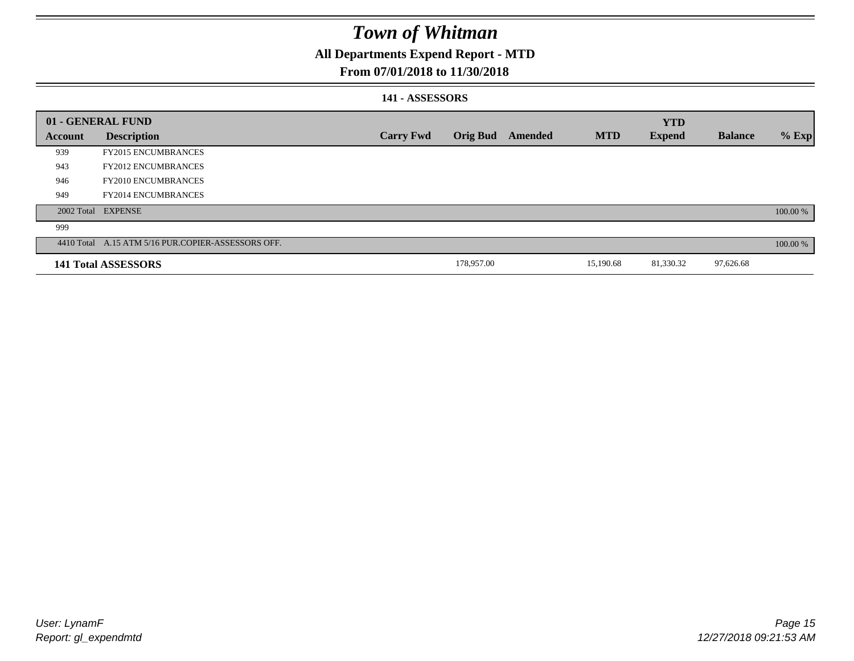## **All Departments Expend Report - MTD**

## **From 07/01/2018 to 11/30/2018**

#### **141 - ASSESSORS**

|         | 01 - GENERAL FUND                                  |                  |                 |         |            | <b>YTD</b>    |                |          |
|---------|----------------------------------------------------|------------------|-----------------|---------|------------|---------------|----------------|----------|
| Account | <b>Description</b>                                 | <b>Carry Fwd</b> | <b>Orig Bud</b> | Amended | <b>MTD</b> | <b>Expend</b> | <b>Balance</b> | $%$ Exp  |
| 939     | <b>FY2015 ENCUMBRANCES</b>                         |                  |                 |         |            |               |                |          |
| 943     | <b>FY2012 ENCUMBRANCES</b>                         |                  |                 |         |            |               |                |          |
| 946     | <b>FY2010 ENCUMBRANCES</b>                         |                  |                 |         |            |               |                |          |
| 949     | <b>FY2014 ENCUMBRANCES</b>                         |                  |                 |         |            |               |                |          |
|         | 2002 Total EXPENSE                                 |                  |                 |         |            |               |                | 100.00 % |
| 999     |                                                    |                  |                 |         |            |               |                |          |
|         | 4410 Total A.15 ATM 5/16 PUR.COPIER-ASSESSORS OFF. |                  |                 |         |            |               |                | 100.00 % |
|         | 141 Total ASSESSORS                                |                  | 178,957.00      |         | 15,190.68  | 81,330.32     | 97,626.68      |          |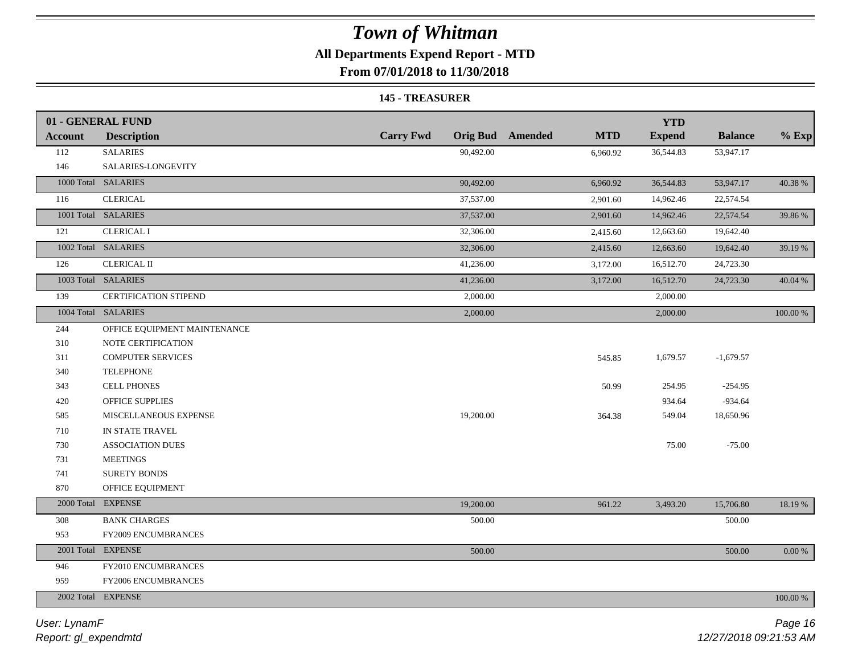## **All Departments Expend Report - MTD**

**From 07/01/2018 to 11/30/2018**

#### **145 - TREASURER**

|                | 01 - GENERAL FUND            |                  |           |                         |            | <b>YTD</b>    |                |           |
|----------------|------------------------------|------------------|-----------|-------------------------|------------|---------------|----------------|-----------|
| <b>Account</b> | <b>Description</b>           | <b>Carry Fwd</b> |           | <b>Orig Bud</b> Amended | <b>MTD</b> | <b>Expend</b> | <b>Balance</b> | $%$ Exp   |
| 112            | <b>SALARIES</b>              |                  | 90,492.00 |                         | 6,960.92   | 36,544.83     | 53,947.17      |           |
| 146            | SALARIES-LONGEVITY           |                  |           |                         |            |               |                |           |
|                | 1000 Total SALARIES          |                  | 90,492.00 |                         | 6,960.92   | 36,544.83     | 53,947.17      | 40.38 %   |
| 116            | <b>CLERICAL</b>              |                  | 37,537.00 |                         | 2,901.60   | 14,962.46     | 22,574.54      |           |
|                | 1001 Total SALARIES          |                  | 37,537.00 |                         | 2,901.60   | 14,962.46     | 22,574.54      | 39.86 %   |
| 121            | <b>CLERICAL I</b>            |                  | 32,306.00 |                         | 2,415.60   | 12,663.60     | 19,642.40      |           |
|                | 1002 Total SALARIES          |                  | 32,306.00 |                         | 2,415.60   | 12,663.60     | 19,642.40      | 39.19 %   |
| 126            | <b>CLERICAL II</b>           |                  | 41,236.00 |                         | 3,172.00   | 16,512.70     | 24,723.30      |           |
|                | 1003 Total SALARIES          |                  | 41,236.00 |                         | 3,172.00   | 16,512.70     | 24,723.30      | 40.04 %   |
| 139            | <b>CERTIFICATION STIPEND</b> |                  | 2,000.00  |                         |            | 2,000.00      |                |           |
|                | 1004 Total SALARIES          |                  | 2,000.00  |                         |            | 2,000.00      |                | 100.00 %  |
| 244            | OFFICE EQUIPMENT MAINTENANCE |                  |           |                         |            |               |                |           |
| 310            | NOTE CERTIFICATION           |                  |           |                         |            |               |                |           |
| 311            | <b>COMPUTER SERVICES</b>     |                  |           |                         | 545.85     | 1,679.57      | $-1,679.57$    |           |
| 340            | <b>TELEPHONE</b>             |                  |           |                         |            |               |                |           |
| 343            | <b>CELL PHONES</b>           |                  |           |                         | 50.99      | 254.95        | $-254.95$      |           |
| 420            | OFFICE SUPPLIES              |                  |           |                         |            | 934.64        | $-934.64$      |           |
| 585            | MISCELLANEOUS EXPENSE        |                  | 19,200.00 |                         | 364.38     | 549.04        | 18,650.96      |           |
| 710            | IN STATE TRAVEL              |                  |           |                         |            |               |                |           |
| 730            | <b>ASSOCIATION DUES</b>      |                  |           |                         |            | 75.00         | $-75.00$       |           |
| 731            | <b>MEETINGS</b>              |                  |           |                         |            |               |                |           |
| 741            | <b>SURETY BONDS</b>          |                  |           |                         |            |               |                |           |
| 870            | OFFICE EQUIPMENT             |                  |           |                         |            |               |                |           |
|                | 2000 Total EXPENSE           |                  | 19,200.00 |                         | 961.22     | 3,493.20      | 15,706.80      | 18.19 %   |
| 308            | <b>BANK CHARGES</b>          |                  | 500.00    |                         |            |               | 500.00         |           |
| 953            | FY2009 ENCUMBRANCES          |                  |           |                         |            |               |                |           |
|                | 2001 Total EXPENSE           |                  | 500.00    |                         |            |               | 500.00         | $0.00~\%$ |
| 946            | FY2010 ENCUMBRANCES          |                  |           |                         |            |               |                |           |
| 959            | FY2006 ENCUMBRANCES          |                  |           |                         |            |               |                |           |
|                | 2002 Total EXPENSE           |                  |           |                         |            |               |                | 100.00 %  |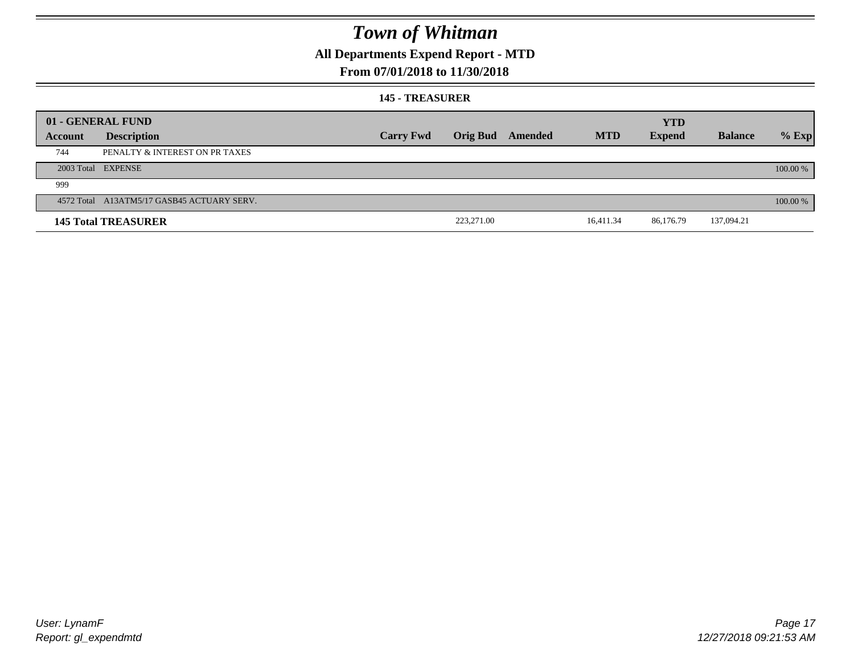## **All Departments Expend Report - MTD**

### **From 07/01/2018 to 11/30/2018**

#### **145 - TREASURER**

|         | 01 - GENERAL FUND                          |                  |            |                         |            | <b>YTD</b>    |                |          |
|---------|--------------------------------------------|------------------|------------|-------------------------|------------|---------------|----------------|----------|
| Account | <b>Description</b>                         | <b>Carry Fwd</b> |            | <b>Orig Bud</b> Amended | <b>MTD</b> | <b>Expend</b> | <b>Balance</b> | $%$ Exp  |
| 744     | PENALTY & INTEREST ON PR TAXES             |                  |            |                         |            |               |                |          |
|         | 2003 Total EXPENSE                         |                  |            |                         |            |               |                | 100.00 % |
| 999     |                                            |                  |            |                         |            |               |                |          |
|         | 4572 Total A13ATM5/17 GASB45 ACTUARY SERV. |                  |            |                         |            |               |                | 100.00 % |
|         | <b>145 Total TREASURER</b>                 |                  | 223,271.00 |                         | 16,411.34  | 86,176.79     | 137,094.21     |          |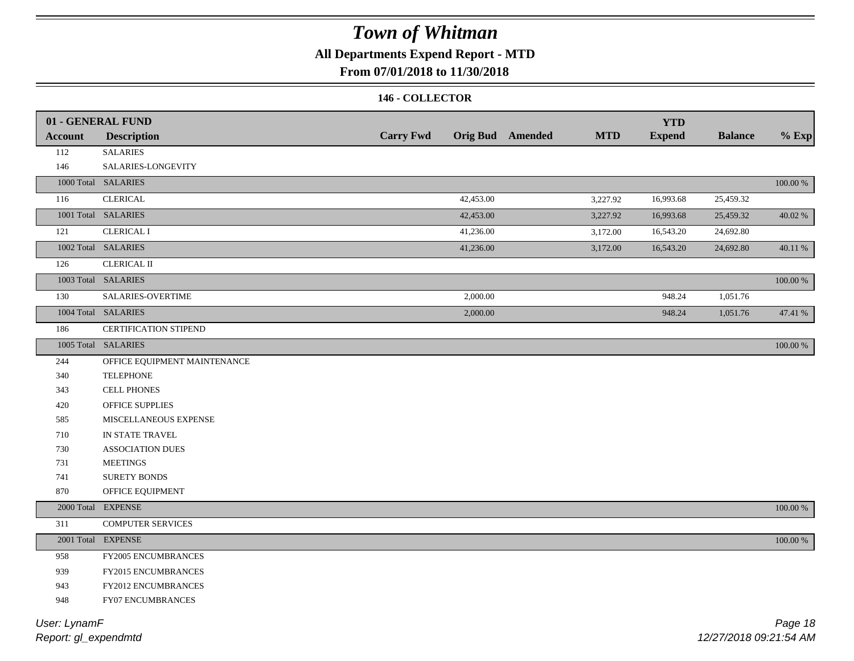## **All Departments Expend Report - MTD**

## **From 07/01/2018 to 11/30/2018**

#### **146 - COLLECTOR**

|                | 01 - GENERAL FUND            |                  |           |                         |            | <b>YTD</b>    |                |             |
|----------------|------------------------------|------------------|-----------|-------------------------|------------|---------------|----------------|-------------|
| <b>Account</b> | <b>Description</b>           | <b>Carry Fwd</b> |           | <b>Orig Bud</b> Amended | <b>MTD</b> | <b>Expend</b> | <b>Balance</b> | $%$ Exp     |
| 112            | <b>SALARIES</b>              |                  |           |                         |            |               |                |             |
| 146            | SALARIES-LONGEVITY           |                  |           |                         |            |               |                |             |
|                | 1000 Total SALARIES          |                  |           |                         |            |               |                | 100.00 %    |
| 116            | <b>CLERICAL</b>              |                  | 42,453.00 |                         | 3,227.92   | 16,993.68     | 25,459.32      |             |
|                | 1001 Total SALARIES          |                  | 42,453.00 |                         | 3,227.92   | 16,993.68     | 25,459.32      | 40.02%      |
| 121            | <b>CLERICAL I</b>            |                  | 41,236.00 |                         | 3,172.00   | 16,543.20     | 24,692.80      |             |
|                | 1002 Total SALARIES          |                  | 41,236.00 |                         | 3,172.00   | 16,543.20     | 24,692.80      | 40.11 %     |
| 126            | <b>CLERICAL II</b>           |                  |           |                         |            |               |                |             |
|                | 1003 Total SALARIES          |                  |           |                         |            |               |                | 100.00 %    |
| 130            | SALARIES-OVERTIME            |                  | 2,000.00  |                         |            | 948.24        | 1,051.76       |             |
|                | 1004 Total SALARIES          |                  | 2,000.00  |                         |            | 948.24        | 1,051.76       | 47.41 %     |
| 186            | CERTIFICATION STIPEND        |                  |           |                         |            |               |                |             |
|                | 1005 Total SALARIES          |                  |           |                         |            |               |                | 100.00 %    |
| 244            | OFFICE EQUIPMENT MAINTENANCE |                  |           |                         |            |               |                |             |
| 340            | <b>TELEPHONE</b>             |                  |           |                         |            |               |                |             |
| 343            | <b>CELL PHONES</b>           |                  |           |                         |            |               |                |             |
| 420            | OFFICE SUPPLIES              |                  |           |                         |            |               |                |             |
| 585            | MISCELLANEOUS EXPENSE        |                  |           |                         |            |               |                |             |
| 710            | IN STATE TRAVEL              |                  |           |                         |            |               |                |             |
| 730            | <b>ASSOCIATION DUES</b>      |                  |           |                         |            |               |                |             |
| 731            | <b>MEETINGS</b>              |                  |           |                         |            |               |                |             |
| 741            | <b>SURETY BONDS</b>          |                  |           |                         |            |               |                |             |
| 870            | OFFICE EQUIPMENT             |                  |           |                         |            |               |                |             |
|                | 2000 Total EXPENSE           |                  |           |                         |            |               |                | $100.00~\%$ |
| 311            | <b>COMPUTER SERVICES</b>     |                  |           |                         |            |               |                |             |
|                | 2001 Total EXPENSE           |                  |           |                         |            |               |                | $100.00~\%$ |
| 958            | FY2005 ENCUMBRANCES          |                  |           |                         |            |               |                |             |
| 939            | FY2015 ENCUMBRANCES          |                  |           |                         |            |               |                |             |
| 943            | FY2012 ENCUMBRANCES          |                  |           |                         |            |               |                |             |
| 948            | FY07 ENCUMBRANCES            |                  |           |                         |            |               |                |             |
|                |                              |                  |           |                         |            |               |                |             |

*Report: gl\_expendmtd User: LynamF*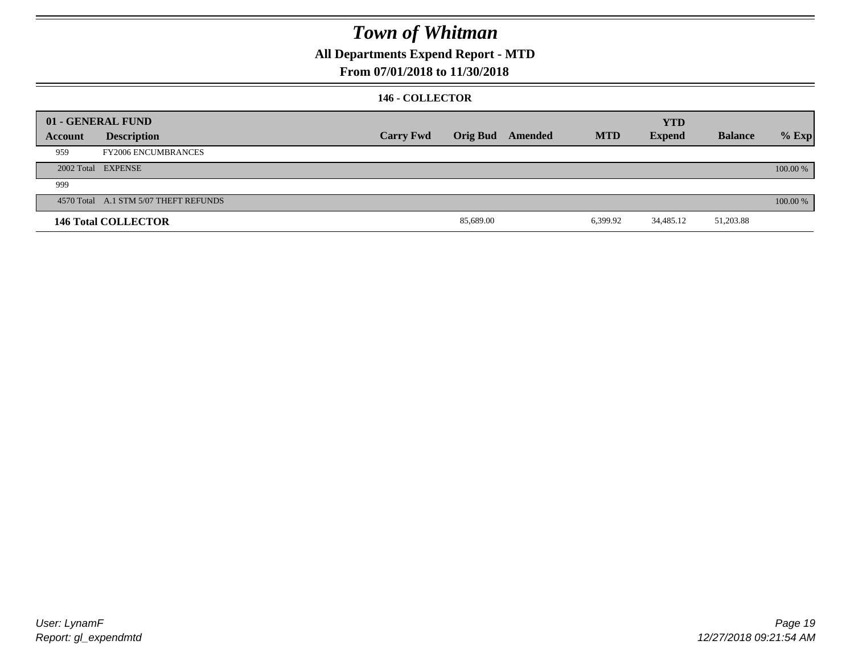## **All Departments Expend Report - MTD**

## **From 07/01/2018 to 11/30/2018**

### **146 - COLLECTOR**

|         | 01 - GENERAL FUND                     |                  |           |                         |            | <b>YTD</b>    |                |          |
|---------|---------------------------------------|------------------|-----------|-------------------------|------------|---------------|----------------|----------|
| Account | <b>Description</b>                    | <b>Carry Fwd</b> |           | <b>Orig Bud</b> Amended | <b>MTD</b> | <b>Expend</b> | <b>Balance</b> | $%$ Exp  |
| 959     | <b>FY2006 ENCUMBRANCES</b>            |                  |           |                         |            |               |                |          |
|         | 2002 Total EXPENSE                    |                  |           |                         |            |               |                | 100.00 % |
| 999     |                                       |                  |           |                         |            |               |                |          |
|         | 4570 Total A.1 STM 5/07 THEFT REFUNDS |                  |           |                         |            |               |                | 100.00 % |
|         | <b>146 Total COLLECTOR</b>            |                  | 85,689.00 |                         | 6,399.92   | 34,485.12     | 51,203.88      |          |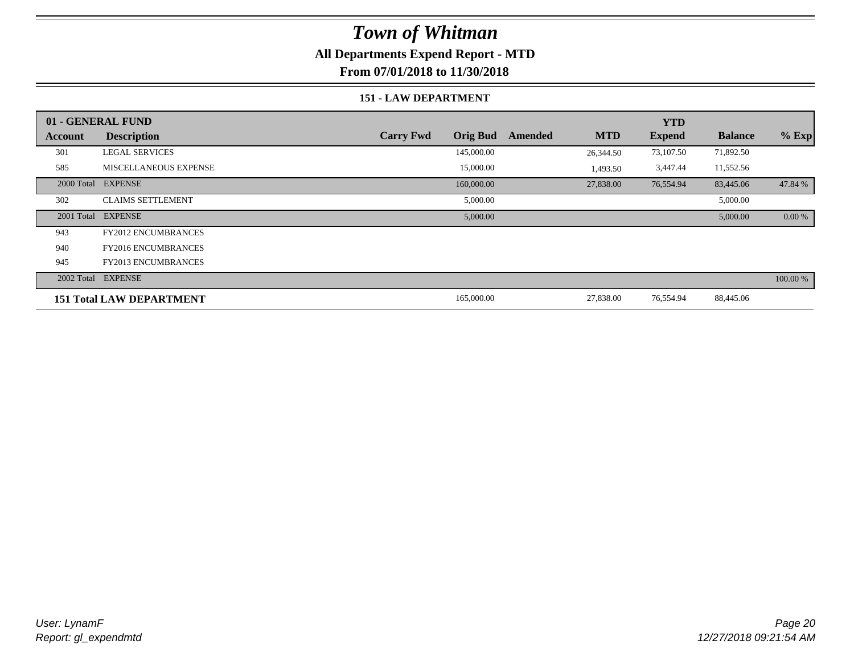## **All Departments Expend Report - MTD**

**From 07/01/2018 to 11/30/2018**

#### **151 - LAW DEPARTMENT**

|         | 01 - GENERAL FUND               |                                     |                       | <b>YTD</b>    |                |          |
|---------|---------------------------------|-------------------------------------|-----------------------|---------------|----------------|----------|
| Account | <b>Description</b>              | <b>Orig Bud</b><br><b>Carry Fwd</b> | <b>MTD</b><br>Amended | <b>Expend</b> | <b>Balance</b> | $%$ Exp  |
| 301     | <b>LEGAL SERVICES</b>           | 145,000.00                          | 26,344.50             | 73,107.50     | 71,892.50      |          |
| 585     | <b>MISCELLANEOUS EXPENSE</b>    | 15,000.00                           | 1,493.50              | 3,447.44      | 11,552.56      |          |
|         | 2000 Total EXPENSE              | 160,000.00                          | 27,838.00             | 76,554.94     | 83,445.06      | 47.84 %  |
| 302     | <b>CLAIMS SETTLEMENT</b>        | 5,000.00                            |                       |               | 5,000.00       |          |
|         | 2001 Total EXPENSE              | 5,000.00                            |                       |               | 5,000.00       | 0.00 %   |
| 943     | <b>FY2012 ENCUMBRANCES</b>      |                                     |                       |               |                |          |
| 940     | <b>FY2016 ENCUMBRANCES</b>      |                                     |                       |               |                |          |
| 945     | <b>FY2013 ENCUMBRANCES</b>      |                                     |                       |               |                |          |
|         | 2002 Total EXPENSE              |                                     |                       |               |                | 100.00 % |
|         | <b>151 Total LAW DEPARTMENT</b> | 165,000.00                          | 27,838.00             | 76,554.94     | 88,445.06      |          |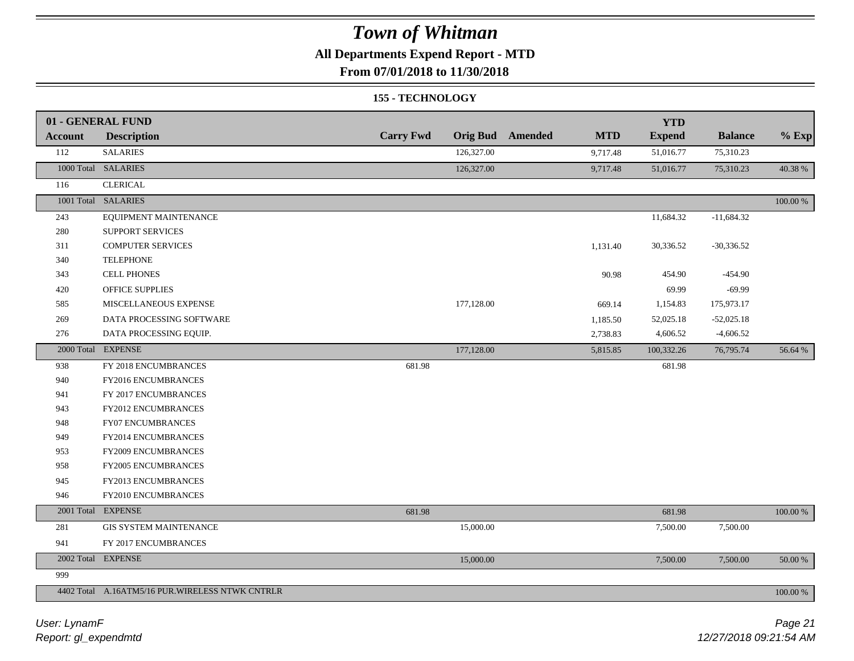## **All Departments Expend Report - MTD**

**From 07/01/2018 to 11/30/2018**

#### **155 - TECHNOLOGY**

|                | 01 - GENERAL FUND                               |                  |            |                         |            | <b>YTD</b>    |                |             |
|----------------|-------------------------------------------------|------------------|------------|-------------------------|------------|---------------|----------------|-------------|
| <b>Account</b> | <b>Description</b>                              | <b>Carry Fwd</b> |            | <b>Orig Bud</b> Amended | <b>MTD</b> | <b>Expend</b> | <b>Balance</b> | $%$ Exp     |
| 112            | <b>SALARIES</b>                                 |                  | 126,327.00 |                         | 9,717.48   | 51,016.77     | 75,310.23      |             |
|                | 1000 Total SALARIES                             |                  | 126,327.00 |                         | 9,717.48   | 51,016.77     | 75,310.23      | 40.38 %     |
| 116            | <b>CLERICAL</b>                                 |                  |            |                         |            |               |                |             |
|                | 1001 Total SALARIES                             |                  |            |                         |            |               |                | $100.00~\%$ |
| 243            | EQUIPMENT MAINTENANCE                           |                  |            |                         |            | 11,684.32     | $-11,684.32$   |             |
| 280            | SUPPORT SERVICES                                |                  |            |                         |            |               |                |             |
| 311            | <b>COMPUTER SERVICES</b>                        |                  |            |                         | 1,131.40   | 30,336.52     | $-30,336.52$   |             |
| 340            | <b>TELEPHONE</b>                                |                  |            |                         |            |               |                |             |
| 343            | <b>CELL PHONES</b>                              |                  |            |                         | 90.98      | 454.90        | $-454.90$      |             |
| 420            | OFFICE SUPPLIES                                 |                  |            |                         |            | 69.99         | $-69.99$       |             |
| 585            | MISCELLANEOUS EXPENSE                           |                  | 177,128.00 |                         | 669.14     | 1,154.83      | 175,973.17     |             |
| 269            | DATA PROCESSING SOFTWARE                        |                  |            |                         | 1,185.50   | 52,025.18     | $-52,025.18$   |             |
| 276            | DATA PROCESSING EQUIP.                          |                  |            |                         | 2,738.83   | 4,606.52      | $-4,606.52$    |             |
|                | 2000 Total EXPENSE                              |                  | 177,128.00 |                         | 5,815.85   | 100,332.26    | 76,795.74      | 56.64 %     |
| 938            | FY 2018 ENCUMBRANCES                            | 681.98           |            |                         |            | 681.98        |                |             |
| 940            | FY2016 ENCUMBRANCES                             |                  |            |                         |            |               |                |             |
| 941            | FY 2017 ENCUMBRANCES                            |                  |            |                         |            |               |                |             |
| 943            | FY2012 ENCUMBRANCES                             |                  |            |                         |            |               |                |             |
| 948            | FY07 ENCUMBRANCES                               |                  |            |                         |            |               |                |             |
| 949            | FY2014 ENCUMBRANCES                             |                  |            |                         |            |               |                |             |
| 953            | FY2009 ENCUMBRANCES                             |                  |            |                         |            |               |                |             |
| 958            | FY2005 ENCUMBRANCES                             |                  |            |                         |            |               |                |             |
| 945            | FY2013 ENCUMBRANCES                             |                  |            |                         |            |               |                |             |
| 946            | FY2010 ENCUMBRANCES                             |                  |            |                         |            |               |                |             |
|                | 2001 Total EXPENSE                              | 681.98           |            |                         |            | 681.98        |                | $100.00~\%$ |
| 281            | <b>GIS SYSTEM MAINTENANCE</b>                   |                  | 15,000.00  |                         |            | 7,500.00      | 7,500.00       |             |
| 941            | FY 2017 ENCUMBRANCES                            |                  |            |                         |            |               |                |             |
|                | 2002 Total EXPENSE                              |                  | 15,000.00  |                         |            | 7,500.00      | 7,500.00       | 50.00 %     |
| 999            |                                                 |                  |            |                         |            |               |                |             |
|                | 4402 Total A.16ATM5/16 PUR.WIRELESS NTWK CNTRLR |                  |            |                         |            |               |                | 100.00 %    |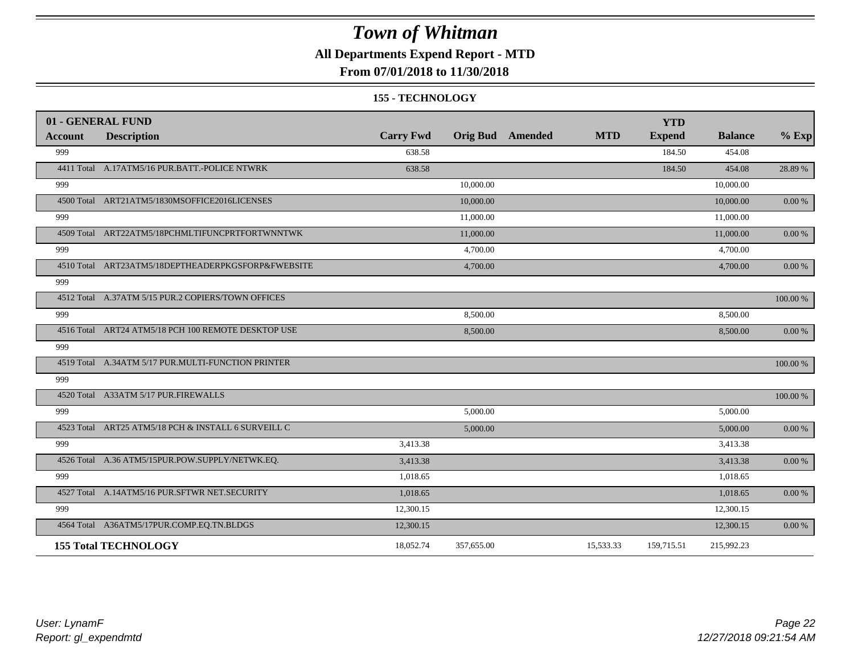## **All Departments Expend Report - MTD**

## **From 07/01/2018 to 11/30/2018**

#### **155 - TECHNOLOGY**

| 01 - GENERAL FUND |                                                     |                  |            |                         |            | <b>YTD</b>    |                |            |
|-------------------|-----------------------------------------------------|------------------|------------|-------------------------|------------|---------------|----------------|------------|
| Account           | <b>Description</b>                                  | <b>Carry Fwd</b> |            | <b>Orig Bud</b> Amended | <b>MTD</b> | <b>Expend</b> | <b>Balance</b> | $%$ Exp    |
| 999               |                                                     | 638.58           |            |                         |            | 184.50        | 454.08         |            |
|                   | 4411 Total A.17ATM5/16 PUR.BATT.-POLICE NTWRK       | 638.58           |            |                         |            | 184.50        | 454.08         | 28.89 %    |
| 999               |                                                     |                  | 10,000.00  |                         |            |               | 10,000.00      |            |
|                   | 4500 Total ART21ATM5/1830MSOFFICE2016LICENSES       |                  | 10,000.00  |                         |            |               | 10,000.00      | 0.00 %     |
| 999               |                                                     |                  | 11,000.00  |                         |            |               | 11,000.00      |            |
|                   | 4509 Total ART22ATM5/18PCHMLTIFUNCPRTFORTWNNTWK     |                  | 11,000.00  |                         |            |               | 11,000.00      | $0.00\ \%$ |
| 999               |                                                     |                  | 4,700.00   |                         |            |               | 4,700.00       |            |
|                   | 4510 Total ART23ATM5/18DEPTHEADERPKGSFORP&FWEBSITE  |                  | 4,700.00   |                         |            |               | 4,700.00       | 0.00 %     |
| 999               |                                                     |                  |            |                         |            |               |                |            |
|                   | 4512 Total A.37ATM 5/15 PUR.2 COPIERS/TOWN OFFICES  |                  |            |                         |            |               |                | 100.00 %   |
| 999               |                                                     |                  | 8,500.00   |                         |            |               | 8,500.00       |            |
|                   | 4516 Total ART24 ATM5/18 PCH 100 REMOTE DESKTOP USE |                  | 8,500.00   |                         |            |               | 8,500.00       | $0.00 \%$  |
| 999               |                                                     |                  |            |                         |            |               |                |            |
|                   | 4519 Total A.34ATM 5/17 PUR.MULTI-FUNCTION PRINTER  |                  |            |                         |            |               |                | 100.00 %   |
| 999               |                                                     |                  |            |                         |            |               |                |            |
|                   | 4520 Total A33ATM 5/17 PUR.FIREWALLS                |                  |            |                         |            |               |                | 100.00 %   |
| 999               |                                                     |                  | 5,000.00   |                         |            |               | 5,000.00       |            |
|                   | 4523 Total ART25 ATM5/18 PCH & INSTALL 6 SURVEILL C |                  | 5,000.00   |                         |            |               | 5,000.00       | $0.00\ \%$ |
| 999               |                                                     | 3,413.38         |            |                         |            |               | 3,413.38       |            |
|                   | 4526 Total A.36 ATM5/15PUR.POW.SUPPLY/NETWK.EQ.     | 3,413.38         |            |                         |            |               | 3,413.38       | 0.00 %     |
| 999               |                                                     | 1,018.65         |            |                         |            |               | 1,018.65       |            |
|                   | 4527 Total A.14ATM5/16 PUR.SFTWR NET.SECURITY       | 1,018.65         |            |                         |            |               | 1,018.65       | $0.00\ \%$ |
| 999               |                                                     | 12,300.15        |            |                         |            |               | 12,300.15      |            |
|                   | 4564 Total A36ATM5/17PUR.COMP.EQ.TN.BLDGS           | 12,300.15        |            |                         |            |               | 12,300.15      | 0.00 %     |
|                   | <b>155 Total TECHNOLOGY</b>                         | 18,052.74        | 357,655.00 |                         | 15,533.33  | 159,715.51    | 215,992.23     |            |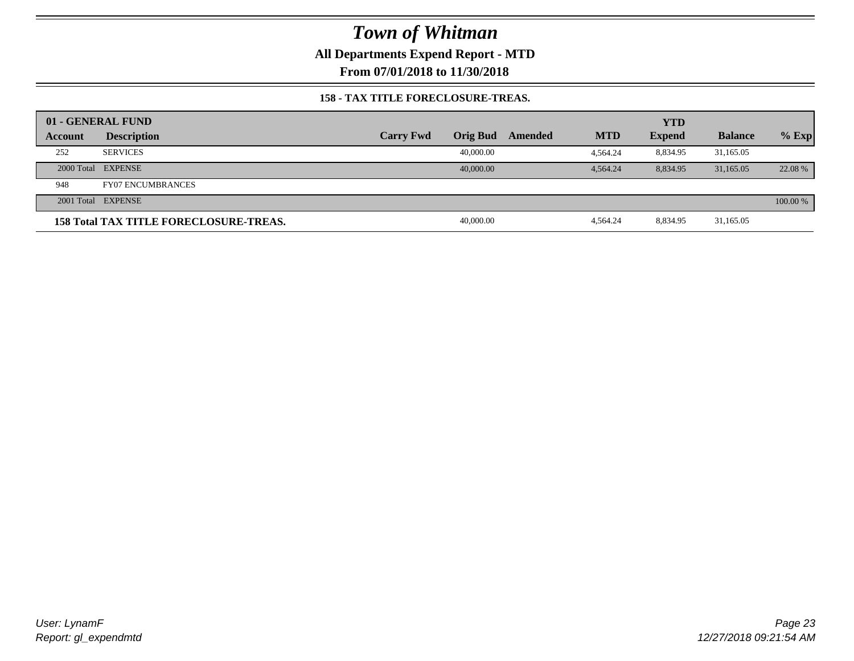**All Departments Expend Report - MTD**

**From 07/01/2018 to 11/30/2018**

#### **158 - TAX TITLE FORECLOSURE-TREAS.**

|         | 01 - GENERAL FUND                             |                  |           |         |            | <b>YTD</b>    |                |          |
|---------|-----------------------------------------------|------------------|-----------|---------|------------|---------------|----------------|----------|
| Account | <b>Description</b>                            | <b>Carry Fwd</b> | Orig Bud  | Amended | <b>MTD</b> | <b>Expend</b> | <b>Balance</b> | $%$ Exp  |
| 252     | <b>SERVICES</b>                               |                  | 40,000.00 |         | 4.564.24   | 8,834.95      | 31,165.05      |          |
|         | 2000 Total EXPENSE                            |                  | 40,000,00 |         | 4.564.24   | 8.834.95      | 31,165,05      | 22.08 %  |
| 948     | <b>FY07 ENCUMBRANCES</b>                      |                  |           |         |            |               |                |          |
|         | 2001 Total EXPENSE                            |                  |           |         |            |               |                | 100.00 % |
|         | <b>158 Total TAX TITLE FORECLOSURE-TREAS.</b> |                  | 40,000.00 |         | 4.564.24   | 8,834.95      | 31,165.05      |          |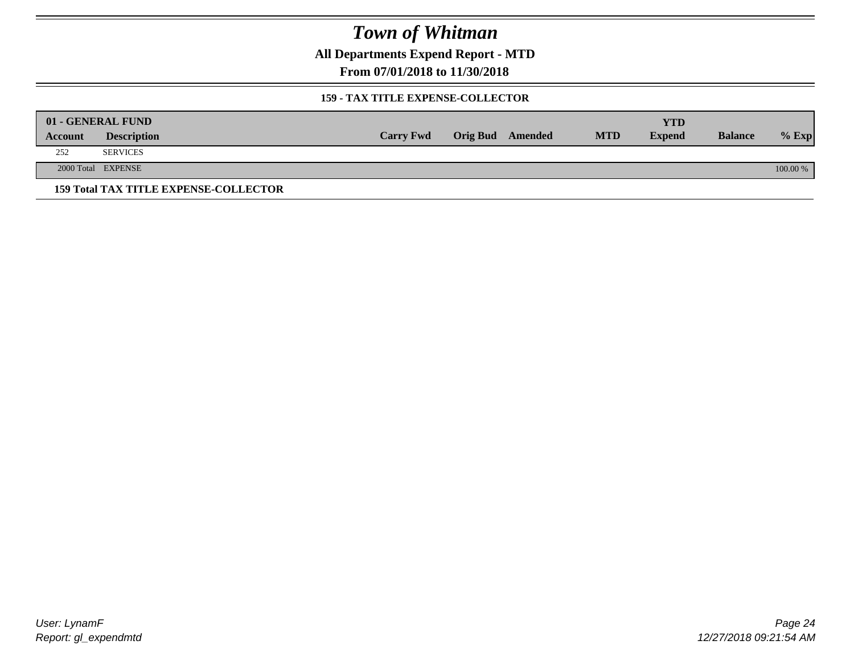**All Departments Expend Report - MTD**

**From 07/01/2018 to 11/30/2018**

#### **159 - TAX TITLE EXPENSE-COLLECTOR**

|         | 01 - GENERAL FUND                            |                  |                         |            | YTD           |                |          |
|---------|----------------------------------------------|------------------|-------------------------|------------|---------------|----------------|----------|
| Account | <b>Description</b>                           | <b>Carry Fwd</b> | <b>Orig Bud</b> Amended | <b>MTD</b> | <b>Expend</b> | <b>Balance</b> | $%$ Exp  |
| 252     | <b>SERVICES</b>                              |                  |                         |            |               |                |          |
|         | 2000 Total EXPENSE                           |                  |                         |            |               |                | 100.00 % |
|         | <b>159 Total TAX TITLE EXPENSE-COLLECTOR</b> |                  |                         |            |               |                |          |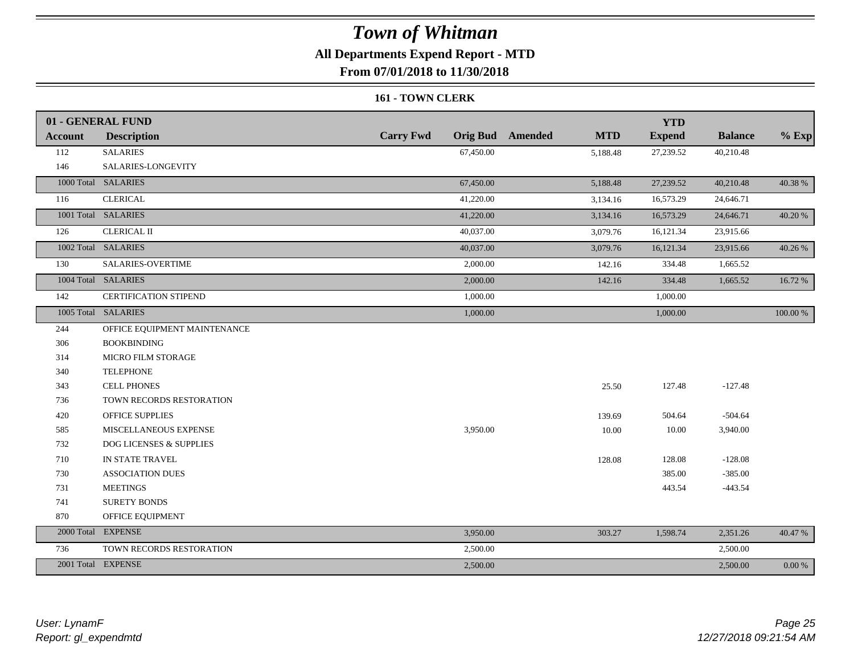## **All Departments Expend Report - MTD**

**From 07/01/2018 to 11/30/2018**

#### **161 - TOWN CLERK**

|                | 01 - GENERAL FUND                  |                  |                                       | <b>YTD</b>    |                |            |
|----------------|------------------------------------|------------------|---------------------------------------|---------------|----------------|------------|
| <b>Account</b> | <b>Description</b>                 | <b>Carry Fwd</b> | <b>Orig Bud</b> Amended<br><b>MTD</b> | <b>Expend</b> | <b>Balance</b> | $%$ Exp    |
| 112            | <b>SALARIES</b>                    | 67,450.00        | 5,188.48                              | 27,239.52     | 40,210.48      |            |
| 146            | SALARIES-LONGEVITY                 |                  |                                       |               |                |            |
|                | 1000 Total SALARIES                | 67,450.00        | 5,188.48                              | 27,239.52     | 40,210.48      | 40.38%     |
| 116            | <b>CLERICAL</b>                    | 41,220.00        | 3,134.16                              | 16,573.29     | 24,646.71      |            |
|                | 1001 Total SALARIES                | 41,220.00        | 3,134.16                              | 16,573.29     | 24,646.71      | 40.20%     |
| 126            | <b>CLERICAL II</b>                 | 40,037.00        | 3,079.76                              | 16,121.34     | 23,915.66      |            |
|                | 1002 Total SALARIES                | 40,037.00        | 3,079.76                              | 16,121.34     | 23,915.66      | 40.26 %    |
| 130            | SALARIES-OVERTIME                  | 2,000.00         | 142.16                                | 334.48        | 1,665.52       |            |
|                | 1004 Total SALARIES                | 2,000.00         | 142.16                                | 334.48        | 1,665.52       | 16.72 %    |
| 142            | CERTIFICATION STIPEND              | 1,000.00         |                                       | 1,000.00      |                |            |
|                | 1005 Total SALARIES                | 1,000.00         |                                       | 1,000.00      |                | 100.00 %   |
| 244            | OFFICE EQUIPMENT MAINTENANCE       |                  |                                       |               |                |            |
| 306            | <b>BOOKBINDING</b>                 |                  |                                       |               |                |            |
| 314            | MICRO FILM STORAGE                 |                  |                                       |               |                |            |
| 340            | <b>TELEPHONE</b>                   |                  |                                       |               |                |            |
| 343            | <b>CELL PHONES</b>                 |                  | 25.50                                 | 127.48        | $-127.48$      |            |
| 736            | TOWN RECORDS RESTORATION           |                  |                                       |               |                |            |
| 420            | <b>OFFICE SUPPLIES</b>             |                  | 139.69                                | 504.64        | $-504.64$      |            |
| 585            | MISCELLANEOUS EXPENSE              | 3,950.00         | 10.00                                 | 10.00         | 3,940.00       |            |
| 732            | <b>DOG LICENSES &amp; SUPPLIES</b> |                  |                                       |               |                |            |
| 710            | IN STATE TRAVEL                    |                  | 128.08                                | 128.08        | $-128.08$      |            |
| 730            | <b>ASSOCIATION DUES</b>            |                  |                                       | 385.00        | $-385.00$      |            |
| 731            | <b>MEETINGS</b>                    |                  |                                       | 443.54        | $-443.54$      |            |
| 741            | <b>SURETY BONDS</b>                |                  |                                       |               |                |            |
| 870            | OFFICE EQUIPMENT                   |                  |                                       |               |                |            |
|                | 2000 Total EXPENSE                 | 3,950.00         | 303.27                                | 1,598.74      | 2,351.26       | 40.47 %    |
| 736            | TOWN RECORDS RESTORATION           | 2,500.00         |                                       |               | 2,500.00       |            |
|                | 2001 Total EXPENSE                 | 2,500.00         |                                       |               | 2,500.00       | $0.00\ \%$ |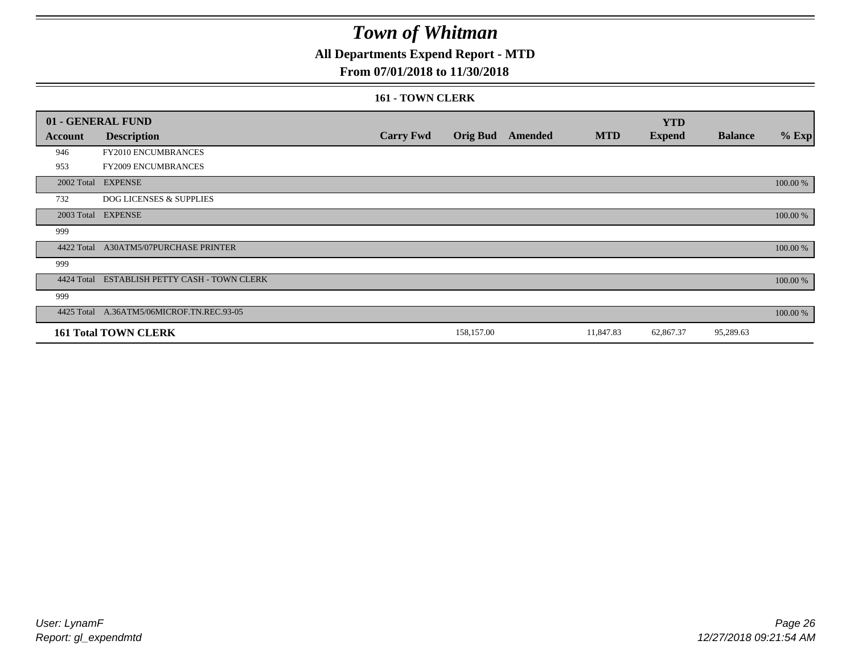## **All Departments Expend Report - MTD**

### **From 07/01/2018 to 11/30/2018**

#### **161 - TOWN CLERK**

|            | 01 - GENERAL FUND                            |                  |                 |         |            | <b>YTD</b>    |                |          |
|------------|----------------------------------------------|------------------|-----------------|---------|------------|---------------|----------------|----------|
| Account    | <b>Description</b>                           | <b>Carry Fwd</b> | <b>Orig Bud</b> | Amended | <b>MTD</b> | <b>Expend</b> | <b>Balance</b> | $%$ Exp  |
| 946        | FY2010 ENCUMBRANCES                          |                  |                 |         |            |               |                |          |
| 953        | FY2009 ENCUMBRANCES                          |                  |                 |         |            |               |                |          |
|            | 2002 Total EXPENSE                           |                  |                 |         |            |               |                | 100.00 % |
| 732        | <b>DOG LICENSES &amp; SUPPLIES</b>           |                  |                 |         |            |               |                |          |
|            | 2003 Total EXPENSE                           |                  |                 |         |            |               |                | 100.00 % |
| 999        |                                              |                  |                 |         |            |               |                |          |
| 4422 Total | <b>A30ATM5/07PURCHASE PRINTER</b>            |                  |                 |         |            |               |                | 100.00 % |
| 999        |                                              |                  |                 |         |            |               |                |          |
|            | 4424 Total ESTABLISH PETTY CASH - TOWN CLERK |                  |                 |         |            |               |                | 100.00 % |
| 999        |                                              |                  |                 |         |            |               |                |          |
|            | 4425 Total A.36ATM5/06MICROF.TN.REC.93-05    |                  |                 |         |            |               |                | 100.00 % |
|            | <b>161 Total TOWN CLERK</b>                  |                  | 158,157.00      |         | 11,847.83  | 62,867.37     | 95,289.63      |          |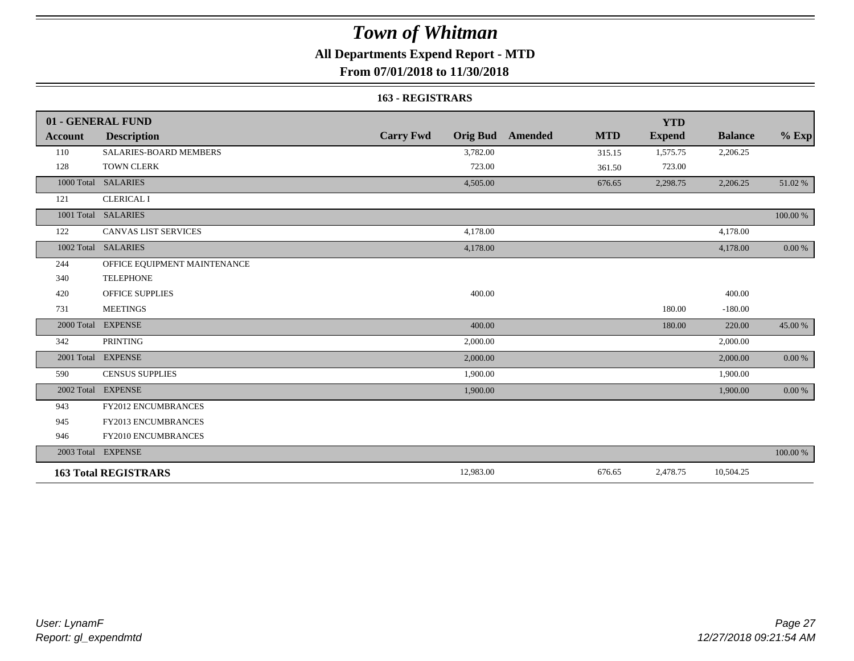## **All Departments Expend Report - MTD**

**From 07/01/2018 to 11/30/2018**

#### **163 - REGISTRARS**

|         | 01 - GENERAL FUND             |                                     |                       | <b>YTD</b>    |                |            |
|---------|-------------------------------|-------------------------------------|-----------------------|---------------|----------------|------------|
| Account | <b>Description</b>            | <b>Carry Fwd</b><br><b>Orig Bud</b> | <b>MTD</b><br>Amended | <b>Expend</b> | <b>Balance</b> | $%$ Exp    |
| 110     | <b>SALARIES-BOARD MEMBERS</b> | 3,782.00                            | 315.15                | 1,575.75      | 2,206.25       |            |
| 128     | <b>TOWN CLERK</b>             | 723.00                              | 361.50                | 723.00        |                |            |
|         | 1000 Total SALARIES           | 4,505.00                            | 676.65                | 2,298.75      | 2,206.25       | 51.02 %    |
| 121     | <b>CLERICAL I</b>             |                                     |                       |               |                |            |
|         | 1001 Total SALARIES           |                                     |                       |               |                | 100.00 %   |
| 122     | <b>CANVAS LIST SERVICES</b>   | 4,178.00                            |                       |               | 4,178.00       |            |
|         | 1002 Total SALARIES           | 4,178.00                            |                       |               | 4,178.00       | $0.00\ \%$ |
| 244     | OFFICE EQUIPMENT MAINTENANCE  |                                     |                       |               |                |            |
| 340     | <b>TELEPHONE</b>              |                                     |                       |               |                |            |
| 420     | <b>OFFICE SUPPLIES</b>        | 400.00                              |                       |               | 400.00         |            |
| 731     | <b>MEETINGS</b>               |                                     |                       | 180.00        | $-180.00$      |            |
|         | 2000 Total EXPENSE            | 400.00                              |                       | 180.00        | 220.00         | 45.00 %    |
| 342     | <b>PRINTING</b>               | 2,000.00                            |                       |               | 2,000.00       |            |
|         | 2001 Total EXPENSE            | 2,000.00                            |                       |               | 2,000.00       | $0.00 \%$  |
| 590     | <b>CENSUS SUPPLIES</b>        | 1,900.00                            |                       |               | 1,900.00       |            |
|         | 2002 Total EXPENSE            | 1,900.00                            |                       |               | 1,900.00       | 0.00 %     |
| 943     | FY2012 ENCUMBRANCES           |                                     |                       |               |                |            |
| 945     | FY2013 ENCUMBRANCES           |                                     |                       |               |                |            |
| 946     | FY2010 ENCUMBRANCES           |                                     |                       |               |                |            |
|         | 2003 Total EXPENSE            |                                     |                       |               |                | 100.00 %   |
|         | <b>163 Total REGISTRARS</b>   | 12,983.00                           | 676.65                | 2,478.75      | 10,504.25      |            |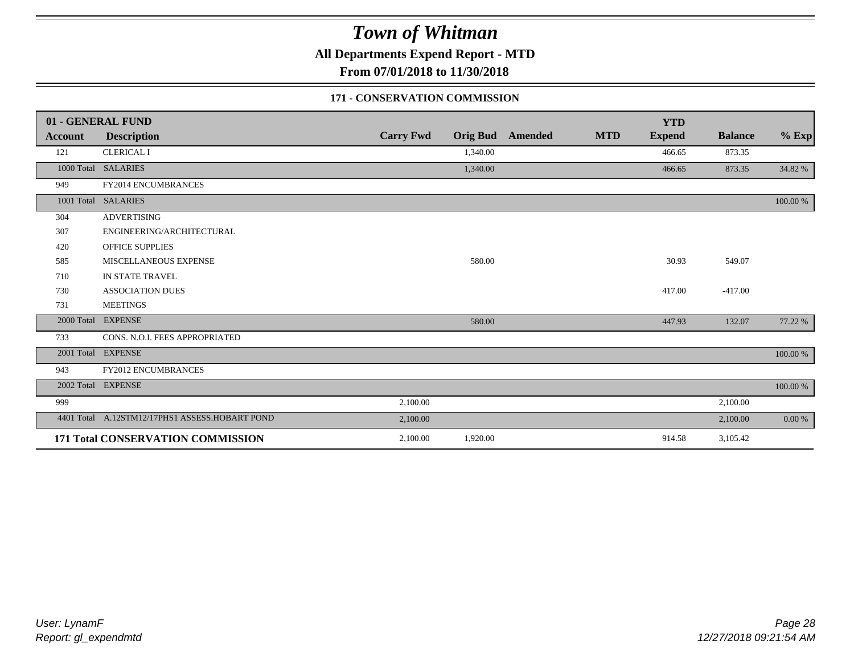**All Departments Expend Report - MTD**

**From 07/01/2018 to 11/30/2018**

### **171 - CONSERVATION COMMISSION**

|                | 01 - GENERAL FUND                              |                  |          |                         |            | <b>YTD</b>    |                |          |
|----------------|------------------------------------------------|------------------|----------|-------------------------|------------|---------------|----------------|----------|
| <b>Account</b> | <b>Description</b>                             | <b>Carry Fwd</b> |          | <b>Orig Bud</b> Amended | <b>MTD</b> | <b>Expend</b> | <b>Balance</b> | $%$ Exp  |
| 121            | <b>CLERICAL I</b>                              |                  | 1,340.00 |                         |            | 466.65        | 873.35         |          |
|                | 1000 Total SALARIES                            |                  | 1,340.00 |                         |            | 466.65        | 873.35         | 34.82 %  |
| 949            | FY2014 ENCUMBRANCES                            |                  |          |                         |            |               |                |          |
|                | 1001 Total SALARIES                            |                  |          |                         |            |               |                | 100.00 % |
| 304            | <b>ADVERTISING</b>                             |                  |          |                         |            |               |                |          |
| 307            | ENGINEERING/ARCHITECTURAL                      |                  |          |                         |            |               |                |          |
| 420            | <b>OFFICE SUPPLIES</b>                         |                  |          |                         |            |               |                |          |
| 585            | MISCELLANEOUS EXPENSE                          |                  | 580.00   |                         |            | 30.93         | 549.07         |          |
| 710            | IN STATE TRAVEL                                |                  |          |                         |            |               |                |          |
| 730            | <b>ASSOCIATION DUES</b>                        |                  |          |                         |            | 417.00        | $-417.00$      |          |
| 731            | <b>MEETINGS</b>                                |                  |          |                         |            |               |                |          |
| 2000 Total     | <b>EXPENSE</b>                                 |                  | 580.00   |                         |            | 447.93        | 132.07         | 77.22 %  |
| 733            | CONS. N.O.I. FEES APPROPRIATED                 |                  |          |                         |            |               |                |          |
|                | 2001 Total EXPENSE                             |                  |          |                         |            |               |                | 100.00 % |
| 943            | <b>FY2012 ENCUMBRANCES</b>                     |                  |          |                         |            |               |                |          |
|                | 2002 Total EXPENSE                             |                  |          |                         |            |               |                | 100.00 % |
| 999            |                                                | 2,100.00         |          |                         |            |               | 2,100.00       |          |
|                | 4401 Total A.12STM12/17PHS1 ASSESS.HOBART POND | 2,100.00         |          |                         |            |               | 2,100.00       | 0.00 %   |
|                | 171 Total CONSERVATION COMMISSION              | 2,100.00         | 1,920.00 |                         |            | 914.58        | 3,105.42       |          |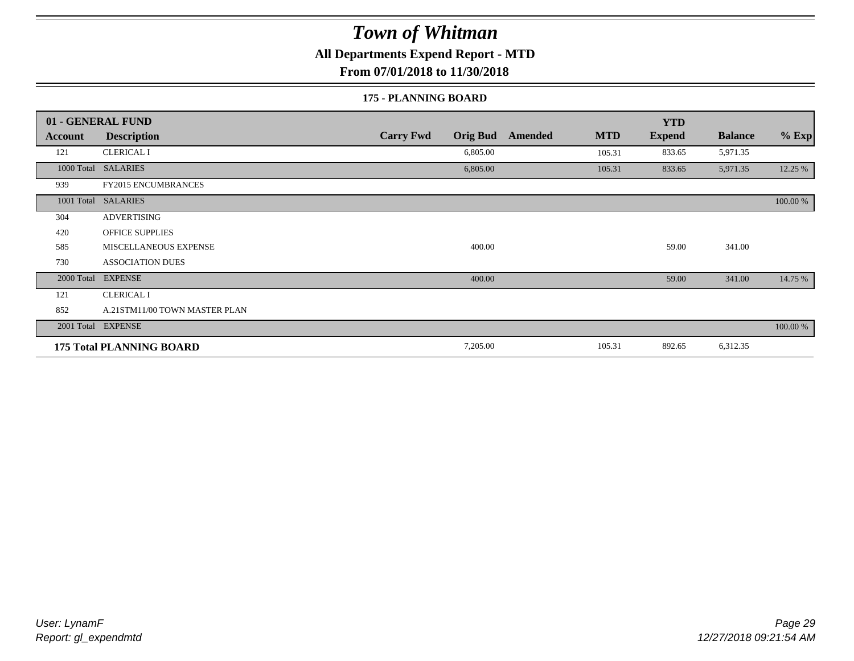**All Departments Expend Report - MTD**

**From 07/01/2018 to 11/30/2018**

#### **175 - PLANNING BOARD**

|                | 01 - GENERAL FUND               |                                     |                       | <b>YTD</b>    |                |          |
|----------------|---------------------------------|-------------------------------------|-----------------------|---------------|----------------|----------|
| <b>Account</b> | <b>Description</b>              | <b>Carry Fwd</b><br><b>Orig Bud</b> | <b>MTD</b><br>Amended | <b>Expend</b> | <b>Balance</b> | $%$ Exp  |
| 121            | <b>CLERICAL I</b>               | 6,805.00                            | 105.31                | 833.65        | 5,971.35       |          |
| 1000 Total     | <b>SALARIES</b>                 | 6,805.00                            | 105.31                | 833.65        | 5,971.35       | 12.25 %  |
| 939            | <b>FY2015 ENCUMBRANCES</b>      |                                     |                       |               |                |          |
| 1001 Total     | <b>SALARIES</b>                 |                                     |                       |               |                | 100.00 % |
| 304            | <b>ADVERTISING</b>              |                                     |                       |               |                |          |
| 420            | <b>OFFICE SUPPLIES</b>          |                                     |                       |               |                |          |
| 585            | MISCELLANEOUS EXPENSE           | 400.00                              |                       | 59.00         | 341.00         |          |
| 730            | <b>ASSOCIATION DUES</b>         |                                     |                       |               |                |          |
| 2000 Total     | <b>EXPENSE</b>                  | 400.00                              |                       | 59.00         | 341.00         | 14.75 %  |
| 121            | <b>CLERICAL I</b>               |                                     |                       |               |                |          |
| 852            | A.21STM11/00 TOWN MASTER PLAN   |                                     |                       |               |                |          |
|                | 2001 Total EXPENSE              |                                     |                       |               |                | 100.00 % |
|                | <b>175 Total PLANNING BOARD</b> | 7,205.00                            | 105.31                | 892.65        | 6,312.35       |          |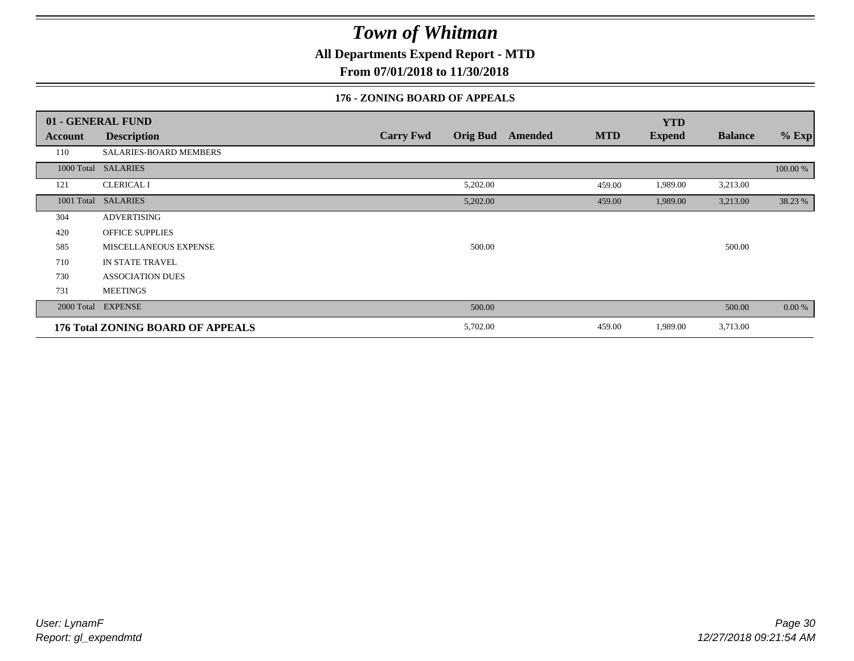**All Departments Expend Report - MTD**

**From 07/01/2018 to 11/30/2018**

### **176 - ZONING BOARD OF APPEALS**

|            | 01 - GENERAL FUND                 |                  |                 |                |            | <b>YTD</b>    |                |          |
|------------|-----------------------------------|------------------|-----------------|----------------|------------|---------------|----------------|----------|
| Account    | <b>Description</b>                | <b>Carry Fwd</b> | <b>Orig Bud</b> | <b>Amended</b> | <b>MTD</b> | <b>Expend</b> | <b>Balance</b> | $%$ Exp  |
| 110        | SALARIES-BOARD MEMBERS            |                  |                 |                |            |               |                |          |
|            | 1000 Total SALARIES               |                  |                 |                |            |               |                | 100.00 % |
| 121        | <b>CLERICAL I</b>                 |                  | 5,202.00        |                | 459.00     | 1,989.00      | 3,213.00       |          |
| 1001 Total | <b>SALARIES</b>                   |                  | 5,202.00        |                | 459.00     | 1,989.00      | 3,213.00       | 38.23 %  |
| 304        | <b>ADVERTISING</b>                |                  |                 |                |            |               |                |          |
| 420        | <b>OFFICE SUPPLIES</b>            |                  |                 |                |            |               |                |          |
| 585        | <b>MISCELLANEOUS EXPENSE</b>      |                  | 500.00          |                |            |               | 500.00         |          |
| 710        | <b>IN STATE TRAVEL</b>            |                  |                 |                |            |               |                |          |
| 730        | <b>ASSOCIATION DUES</b>           |                  |                 |                |            |               |                |          |
| 731        | <b>MEETINGS</b>                   |                  |                 |                |            |               |                |          |
|            | 2000 Total EXPENSE                |                  | 500.00          |                |            |               | 500.00         | $0.00\%$ |
|            | 176 Total ZONING BOARD OF APPEALS |                  | 5,702.00        |                | 459.00     | 1,989.00      | 3,713.00       |          |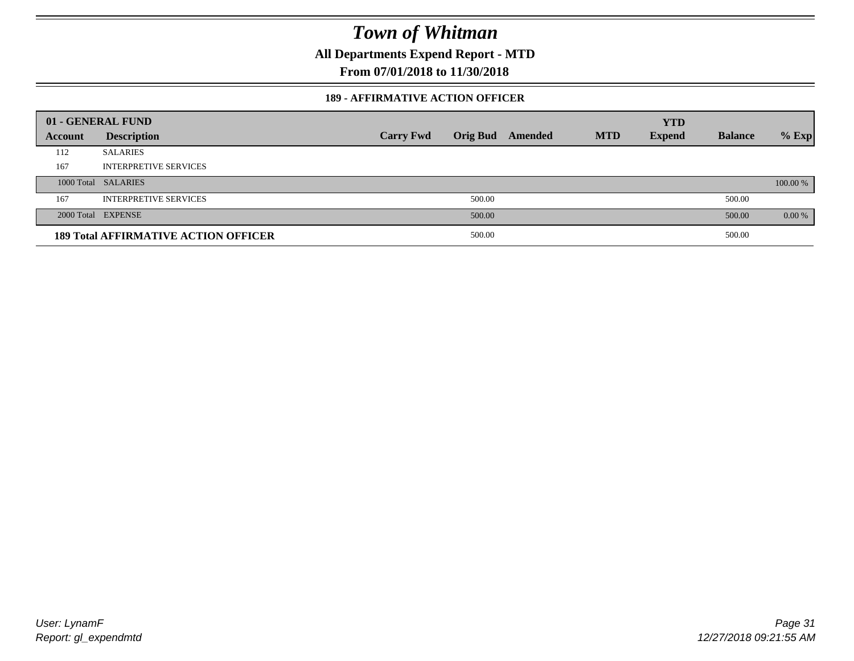**All Departments Expend Report - MTD**

**From 07/01/2018 to 11/30/2018**

#### **189 - AFFIRMATIVE ACTION OFFICER**

|         | 01 - GENERAL FUND                           |                  |        |                         |            | <b>YTD</b>    |                |          |
|---------|---------------------------------------------|------------------|--------|-------------------------|------------|---------------|----------------|----------|
| Account | <b>Description</b>                          | <b>Carry Fwd</b> |        | <b>Orig Bud</b> Amended | <b>MTD</b> | <b>Expend</b> | <b>Balance</b> | $%$ Exp  |
| 112     | <b>SALARIES</b>                             |                  |        |                         |            |               |                |          |
| 167     | <b>INTERPRETIVE SERVICES</b>                |                  |        |                         |            |               |                |          |
|         | 1000 Total SALARIES                         |                  |        |                         |            |               |                | 100.00 % |
| 167     | <b>INTERPRETIVE SERVICES</b>                |                  | 500.00 |                         |            |               | 500.00         |          |
|         | 2000 Total EXPENSE                          |                  | 500.00 |                         |            |               | 500.00         | $0.00\%$ |
|         | <b>189 Total AFFIRMATIVE ACTION OFFICER</b> |                  | 500.00 |                         |            |               | 500.00         |          |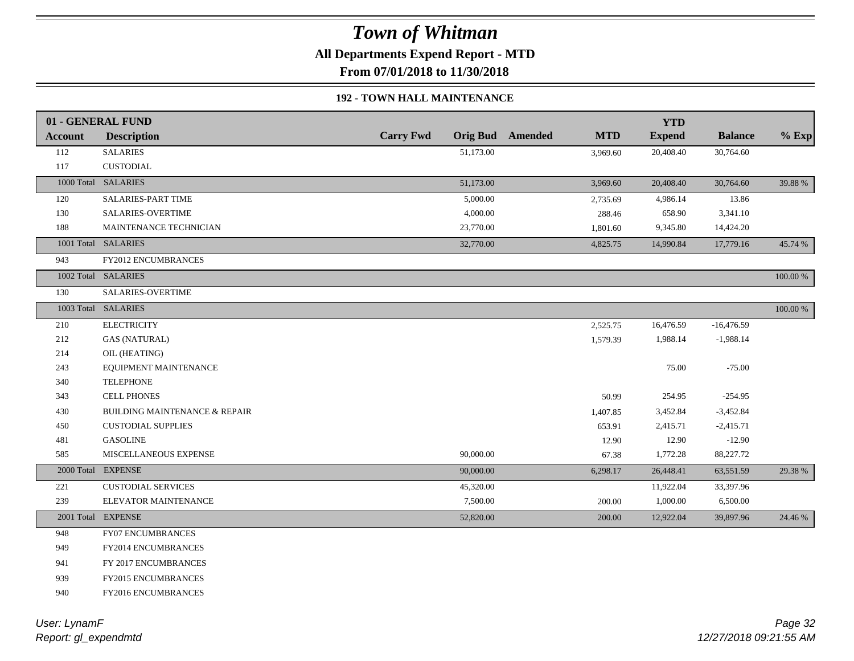**All Departments Expend Report - MTD**

**From 07/01/2018 to 11/30/2018**

### **192 - TOWN HALL MAINTENANCE**

|                | 01 - GENERAL FUND                        |                  |           |                         |            | <b>YTD</b>    |                |             |
|----------------|------------------------------------------|------------------|-----------|-------------------------|------------|---------------|----------------|-------------|
| <b>Account</b> | <b>Description</b>                       | <b>Carry Fwd</b> |           | <b>Orig Bud</b> Amended | <b>MTD</b> | <b>Expend</b> | <b>Balance</b> | $%$ Exp     |
| 112            | <b>SALARIES</b>                          |                  | 51,173.00 |                         | 3,969.60   | 20,408.40     | 30,764.60      |             |
| 117            | <b>CUSTODIAL</b>                         |                  |           |                         |            |               |                |             |
|                | 1000 Total SALARIES                      |                  | 51,173.00 |                         | 3,969.60   | 20,408.40     | 30,764.60      | 39.88 %     |
| 120            | SALARIES-PART TIME                       |                  | 5,000.00  |                         | 2,735.69   | 4,986.14      | 13.86          |             |
| 130            | SALARIES-OVERTIME                        |                  | 4,000.00  |                         | 288.46     | 658.90        | 3,341.10       |             |
| 188            | MAINTENANCE TECHNICIAN                   |                  | 23,770.00 |                         | 1,801.60   | 9,345.80      | 14,424.20      |             |
|                | 1001 Total SALARIES                      |                  | 32,770.00 |                         | 4,825.75   | 14,990.84     | 17,779.16      | 45.74 %     |
| 943            | <b>FY2012 ENCUMBRANCES</b>               |                  |           |                         |            |               |                |             |
|                | 1002 Total SALARIES                      |                  |           |                         |            |               |                | 100.00 %    |
| 130            | SALARIES-OVERTIME                        |                  |           |                         |            |               |                |             |
|                | 1003 Total SALARIES                      |                  |           |                         |            |               |                | $100.00~\%$ |
| 210            | <b>ELECTRICITY</b>                       |                  |           |                         | 2,525.75   | 16,476.59     | $-16,476.59$   |             |
| 212            | <b>GAS (NATURAL)</b>                     |                  |           |                         | 1,579.39   | 1,988.14      | $-1,988.14$    |             |
| 214            | OIL (HEATING)                            |                  |           |                         |            |               |                |             |
| 243            | EQUIPMENT MAINTENANCE                    |                  |           |                         |            | 75.00         | $-75.00$       |             |
| 340            | <b>TELEPHONE</b>                         |                  |           |                         |            |               |                |             |
| 343            | <b>CELL PHONES</b>                       |                  |           |                         | 50.99      | 254.95        | $-254.95$      |             |
| 430            | <b>BUILDING MAINTENANCE &amp; REPAIR</b> |                  |           |                         | 1,407.85   | 3,452.84      | $-3,452.84$    |             |
| 450            | <b>CUSTODIAL SUPPLIES</b>                |                  |           |                         | 653.91     | 2,415.71      | $-2,415.71$    |             |
| 481            | <b>GASOLINE</b>                          |                  |           |                         | 12.90      | 12.90         | $-12.90$       |             |
| 585            | MISCELLANEOUS EXPENSE                    |                  | 90,000.00 |                         | 67.38      | 1,772.28      | 88,227.72      |             |
|                | 2000 Total EXPENSE                       |                  | 90,000.00 |                         | 6,298.17   | 26,448.41     | 63,551.59      | 29.38 %     |
| 221            | <b>CUSTODIAL SERVICES</b>                |                  | 45,320.00 |                         |            | 11,922.04     | 33,397.96      |             |
| 239            | ELEVATOR MAINTENANCE                     |                  | 7,500.00  |                         | 200.00     | 1,000.00      | 6,500.00       |             |
|                | 2001 Total EXPENSE                       |                  | 52,820.00 |                         | 200.00     | 12,922.04     | 39,897.96      | 24.46 %     |
| 948            | <b>FY07 ENCUMBRANCES</b>                 |                  |           |                         |            |               |                |             |
| 949            | FY2014 ENCUMBRANCES                      |                  |           |                         |            |               |                |             |
| 941            | FY 2017 ENCUMBRANCES                     |                  |           |                         |            |               |                |             |
| 939            | <b>FY2015 ENCUMBRANCES</b>               |                  |           |                         |            |               |                |             |
| 940            | FY2016 ENCUMBRANCES                      |                  |           |                         |            |               |                |             |
|                |                                          |                  |           |                         |            |               |                |             |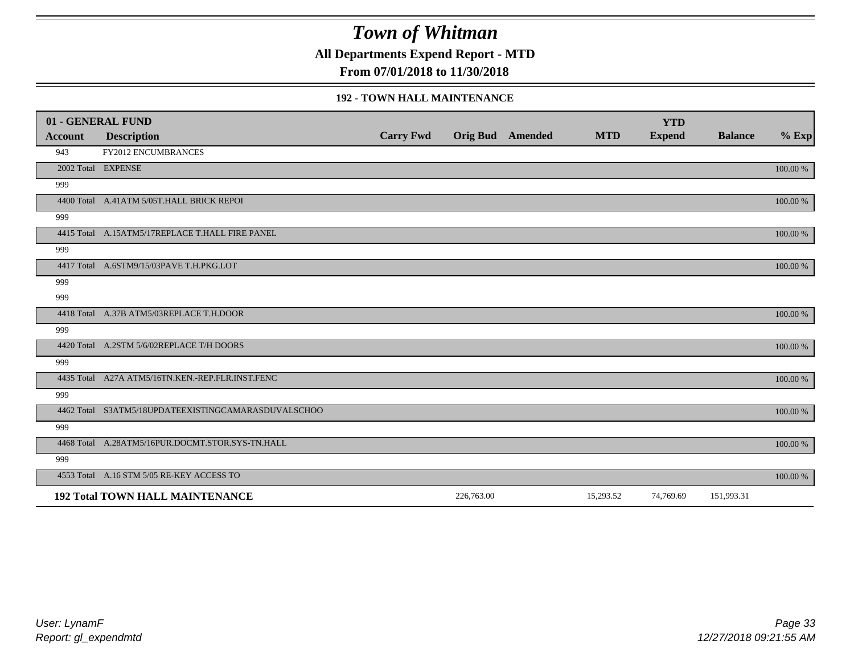**All Departments Expend Report - MTD**

**From 07/01/2018 to 11/30/2018**

#### **192 - TOWN HALL MAINTENANCE**

|         | 01 - GENERAL FUND                                   |                  |                         |            | <b>YTD</b>    |                |          |
|---------|-----------------------------------------------------|------------------|-------------------------|------------|---------------|----------------|----------|
| Account | <b>Description</b>                                  | <b>Carry Fwd</b> | <b>Orig Bud</b> Amended | <b>MTD</b> | <b>Expend</b> | <b>Balance</b> | $%$ Exp  |
| 943     | <b>FY2012 ENCUMBRANCES</b>                          |                  |                         |            |               |                |          |
|         | 2002 Total EXPENSE                                  |                  |                         |            |               |                | 100.00 % |
| 999     |                                                     |                  |                         |            |               |                |          |
|         | 4400 Total A.41ATM 5/05T.HALL BRICK REPOI           |                  |                         |            |               |                | 100.00 % |
| 999     |                                                     |                  |                         |            |               |                |          |
|         | 4415 Total A.15ATM5/17REPLACE T.HALL FIRE PANEL     |                  |                         |            |               |                | 100.00 % |
| 999     |                                                     |                  |                         |            |               |                |          |
|         | 4417 Total A.6STM9/15/03PAVE T.H.PKG.LOT            |                  |                         |            |               |                | 100.00 % |
| 999     |                                                     |                  |                         |            |               |                |          |
| 999     |                                                     |                  |                         |            |               |                |          |
|         | 4418 Total A.37B ATM5/03REPLACE T.H.DOOR            |                  |                         |            |               |                | 100.00 % |
| 999     |                                                     |                  |                         |            |               |                |          |
|         | 4420 Total A.2STM 5/6/02REPLACE T/H DOORS           |                  |                         |            |               |                | 100.00 % |
| 999     |                                                     |                  |                         |            |               |                |          |
|         | 4435 Total A27A ATM5/16TN.KEN.-REP.FLR.INST.FENC    |                  |                         |            |               |                | 100.00 % |
| 999     |                                                     |                  |                         |            |               |                |          |
|         | 4462 Total S3ATM5/18UPDATEEXISTINGCAMARASDUVALSCHOO |                  |                         |            |               |                | 100.00 % |
| 999     |                                                     |                  |                         |            |               |                |          |
|         | 4468 Total A.28ATM5/16PUR.DOCMT.STOR.SYS-TN.HALL    |                  |                         |            |               |                | 100.00 % |
| 999     |                                                     |                  |                         |            |               |                |          |
|         | 4553 Total A.16 STM 5/05 RE-KEY ACCESS TO           |                  |                         |            |               |                | 100.00 % |
|         | <b>192 Total TOWN HALL MAINTENANCE</b>              |                  | 226,763.00              | 15,293.52  | 74,769.69     | 151,993.31     |          |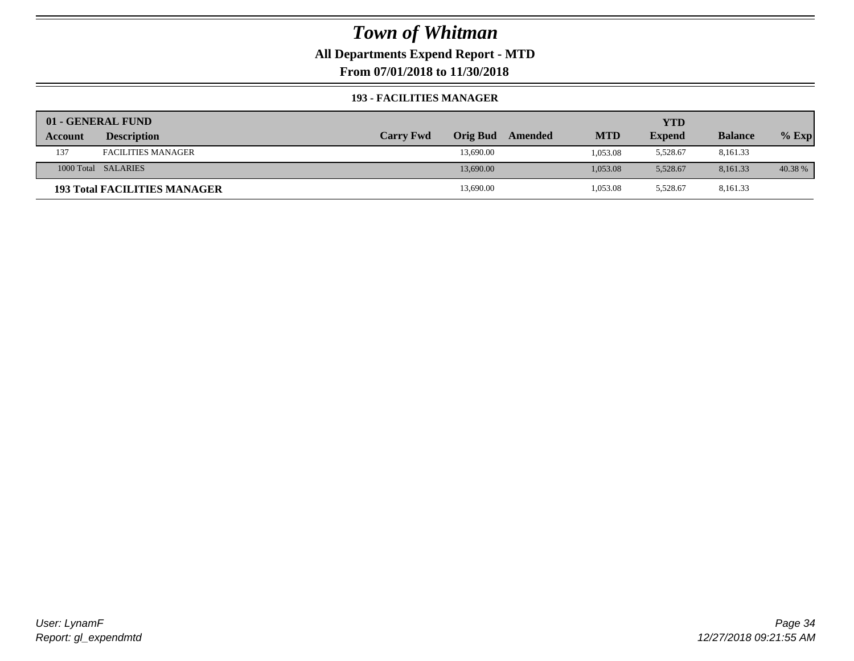**All Departments Expend Report - MTD**

**From 07/01/2018 to 11/30/2018**

#### **193 - FACILITIES MANAGER**

|                | 01 - GENERAL FUND                   |                  |                 |         |            | YTD           |                |         |
|----------------|-------------------------------------|------------------|-----------------|---------|------------|---------------|----------------|---------|
| <b>Account</b> | <b>Description</b>                  | <b>Carry Fwd</b> | <b>Orig Bud</b> | Amended | <b>MTD</b> | <b>Expend</b> | <b>Balance</b> | $%$ Exp |
| 137            | <b>FACILITIES MANAGER</b>           |                  | 13,690.00       |         | 1,053.08   | 5,528.67      | 8,161.33       |         |
|                | 1000 Total SALARIES                 |                  | 13,690.00       |         | 1,053.08   | 5.528.67      | 8.161.33       | 40.38 % |
|                | <b>193 Total FACILITIES MANAGER</b> |                  | 13,690.00       |         | 1,053.08   | 5,528.67      | 8,161.33       |         |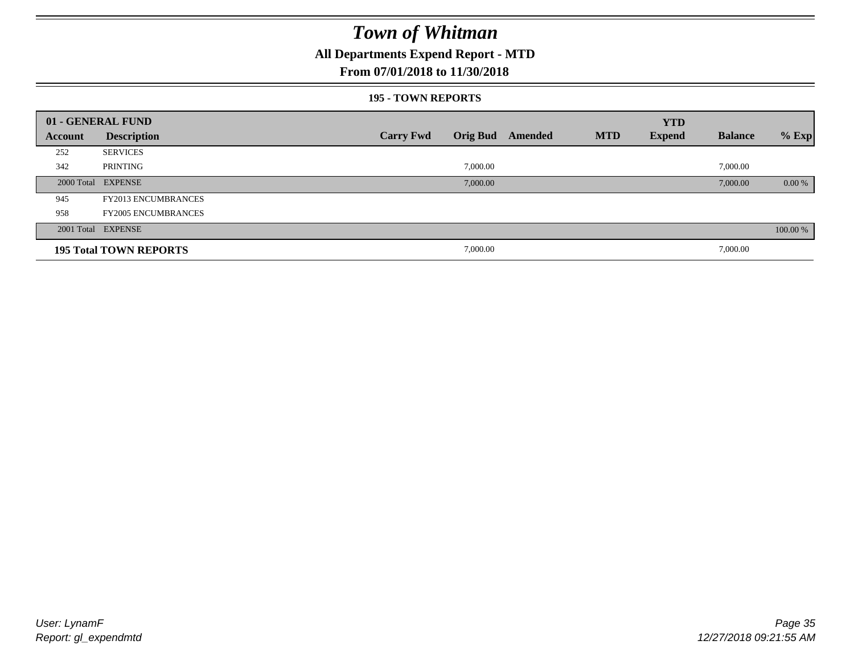## **All Departments Expend Report - MTD**

### **From 07/01/2018 to 11/30/2018**

#### **195 - TOWN REPORTS**

|         | 01 - GENERAL FUND             |                  |          |                         |            | <b>YTD</b>    |                |          |
|---------|-------------------------------|------------------|----------|-------------------------|------------|---------------|----------------|----------|
| Account | <b>Description</b>            | <b>Carry Fwd</b> |          | <b>Orig Bud</b> Amended | <b>MTD</b> | <b>Expend</b> | <b>Balance</b> | $%$ Exp  |
| 252     | <b>SERVICES</b>               |                  |          |                         |            |               |                |          |
| 342     | PRINTING                      |                  | 7,000.00 |                         |            |               | 7,000.00       |          |
|         | 2000 Total EXPENSE            |                  | 7,000.00 |                         |            |               | 7,000.00       | $0.00\%$ |
| 945     | <b>FY2013 ENCUMBRANCES</b>    |                  |          |                         |            |               |                |          |
| 958     | <b>FY2005 ENCUMBRANCES</b>    |                  |          |                         |            |               |                |          |
|         | 2001 Total EXPENSE            |                  |          |                         |            |               |                | 100.00 % |
|         | <b>195 Total TOWN REPORTS</b> |                  | 7,000.00 |                         |            |               | 7,000.00       |          |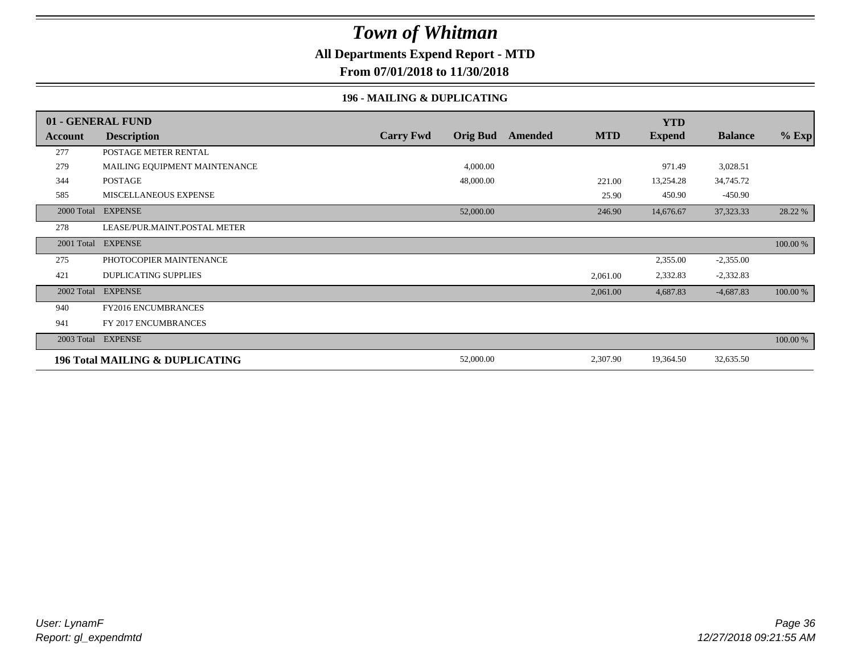## **All Departments Expend Report - MTD**

**From 07/01/2018 to 11/30/2018**

### **196 - MAILING & DUPLICATING**

|            | 01 - GENERAL FUND               |                  |                 |         |            | <b>YTD</b>    |                |          |
|------------|---------------------------------|------------------|-----------------|---------|------------|---------------|----------------|----------|
| Account    | <b>Description</b>              | <b>Carry Fwd</b> | <b>Orig Bud</b> | Amended | <b>MTD</b> | <b>Expend</b> | <b>Balance</b> | $%$ Exp  |
| 277        | POSTAGE METER RENTAL            |                  |                 |         |            |               |                |          |
| 279        | MAILING EQUIPMENT MAINTENANCE   |                  | 4,000.00        |         |            | 971.49        | 3,028.51       |          |
| 344        | <b>POSTAGE</b>                  |                  | 48,000.00       |         | 221.00     | 13,254.28     | 34,745.72      |          |
| 585        | MISCELLANEOUS EXPENSE           |                  |                 |         | 25.90      | 450.90        | $-450.90$      |          |
| 2000 Total | <b>EXPENSE</b>                  |                  | 52,000.00       |         | 246.90     | 14,676.67     | 37, 323. 33    | 28.22 %  |
| 278        | LEASE/PUR.MAINT.POSTAL METER    |                  |                 |         |            |               |                |          |
| 2001 Total | <b>EXPENSE</b>                  |                  |                 |         |            |               |                | 100.00 % |
| 275        | PHOTOCOPIER MAINTENANCE         |                  |                 |         |            | 2,355.00      | $-2,355.00$    |          |
| 421        | <b>DUPLICATING SUPPLIES</b>     |                  |                 |         | 2,061.00   | 2,332.83      | $-2,332.83$    |          |
| 2002 Total | <b>EXPENSE</b>                  |                  |                 |         | 2,061.00   | 4,687.83      | $-4,687.83$    | 100.00 % |
| 940        | FY2016 ENCUMBRANCES             |                  |                 |         |            |               |                |          |
| 941        | FY 2017 ENCUMBRANCES            |                  |                 |         |            |               |                |          |
| 2003 Total | <b>EXPENSE</b>                  |                  |                 |         |            |               |                | 100.00 % |
|            | 196 Total MAILING & DUPLICATING |                  | 52,000.00       |         | 2,307.90   | 19,364.50     | 32,635.50      |          |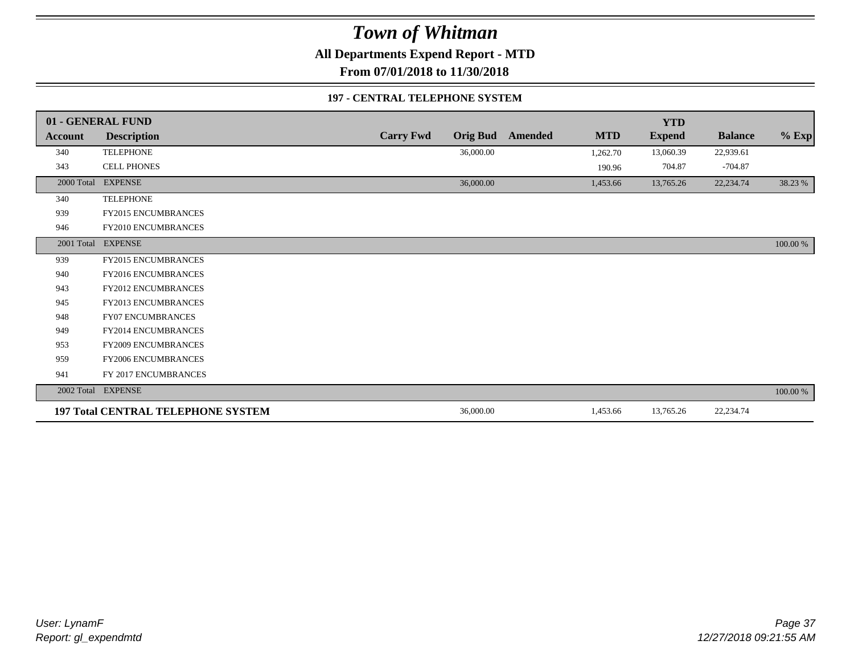**All Departments Expend Report - MTD**

**From 07/01/2018 to 11/30/2018**

#### **197 - CENTRAL TELEPHONE SYSTEM**

|                | 01 - GENERAL FUND                         |                  |                 |         |            | <b>YTD</b>    |                |          |
|----------------|-------------------------------------------|------------------|-----------------|---------|------------|---------------|----------------|----------|
| <b>Account</b> | <b>Description</b>                        | <b>Carry Fwd</b> | <b>Orig Bud</b> | Amended | <b>MTD</b> | <b>Expend</b> | <b>Balance</b> | $%$ Exp  |
| 340            | <b>TELEPHONE</b>                          |                  | 36,000.00       |         | 1,262.70   | 13,060.39     | 22,939.61      |          |
| 343            | <b>CELL PHONES</b>                        |                  |                 |         | 190.96     | 704.87        | $-704.87$      |          |
| 2000 Total     | <b>EXPENSE</b>                            |                  | 36,000.00       |         | 1,453.66   | 13,765.26     | 22,234.74      | 38.23 %  |
| 340            | <b>TELEPHONE</b>                          |                  |                 |         |            |               |                |          |
| 939            | FY2015 ENCUMBRANCES                       |                  |                 |         |            |               |                |          |
| 946            | <b>FY2010 ENCUMBRANCES</b>                |                  |                 |         |            |               |                |          |
| 2001 Total     | <b>EXPENSE</b>                            |                  |                 |         |            |               |                | 100.00 % |
| 939            | <b>FY2015 ENCUMBRANCES</b>                |                  |                 |         |            |               |                |          |
| 940            | <b>FY2016 ENCUMBRANCES</b>                |                  |                 |         |            |               |                |          |
| 943            | FY2012 ENCUMBRANCES                       |                  |                 |         |            |               |                |          |
| 945            | FY2013 ENCUMBRANCES                       |                  |                 |         |            |               |                |          |
| 948            | <b>FY07 ENCUMBRANCES</b>                  |                  |                 |         |            |               |                |          |
| 949            | <b>FY2014 ENCUMBRANCES</b>                |                  |                 |         |            |               |                |          |
| 953            | FY2009 ENCUMBRANCES                       |                  |                 |         |            |               |                |          |
| 959            | FY2006 ENCUMBRANCES                       |                  |                 |         |            |               |                |          |
| 941            | FY 2017 ENCUMBRANCES                      |                  |                 |         |            |               |                |          |
| 2002 Total     | <b>EXPENSE</b>                            |                  |                 |         |            |               |                | 100.00 % |
|                | <b>197 Total CENTRAL TELEPHONE SYSTEM</b> |                  | 36,000.00       |         | 1,453.66   | 13,765.26     | 22,234.74      |          |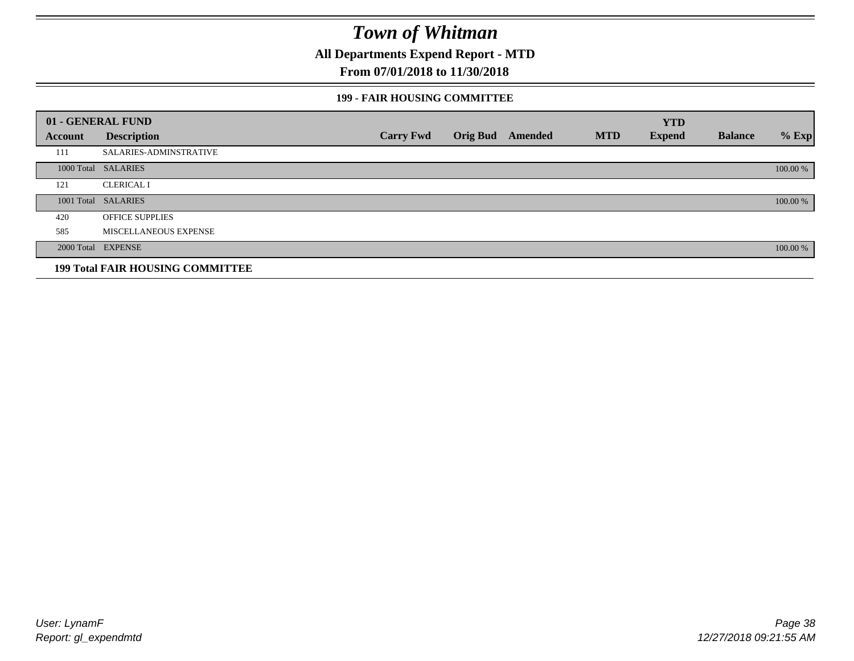**All Departments Expend Report - MTD**

### **From 07/01/2018 to 11/30/2018**

#### **199 - FAIR HOUSING COMMITTEE**

|         | 01 - GENERAL FUND                       |                  |                         |            | <b>YTD</b>    |                |          |
|---------|-----------------------------------------|------------------|-------------------------|------------|---------------|----------------|----------|
| Account | <b>Description</b>                      | <b>Carry Fwd</b> | <b>Orig Bud</b> Amended | <b>MTD</b> | <b>Expend</b> | <b>Balance</b> | $%$ Exp  |
| 111     | <b>SALARIES-ADMINSTRATIVE</b>           |                  |                         |            |               |                |          |
|         | 1000 Total SALARIES                     |                  |                         |            |               |                | 100.00 % |
| 121     | <b>CLERICAL I</b>                       |                  |                         |            |               |                |          |
|         | 1001 Total SALARIES                     |                  |                         |            |               |                | 100.00 % |
| 420     | <b>OFFICE SUPPLIES</b>                  |                  |                         |            |               |                |          |
| 585     | MISCELLANEOUS EXPENSE                   |                  |                         |            |               |                |          |
|         | 2000 Total EXPENSE                      |                  |                         |            |               |                | 100.00 % |
|         | <b>199 Total FAIR HOUSING COMMITTEE</b> |                  |                         |            |               |                |          |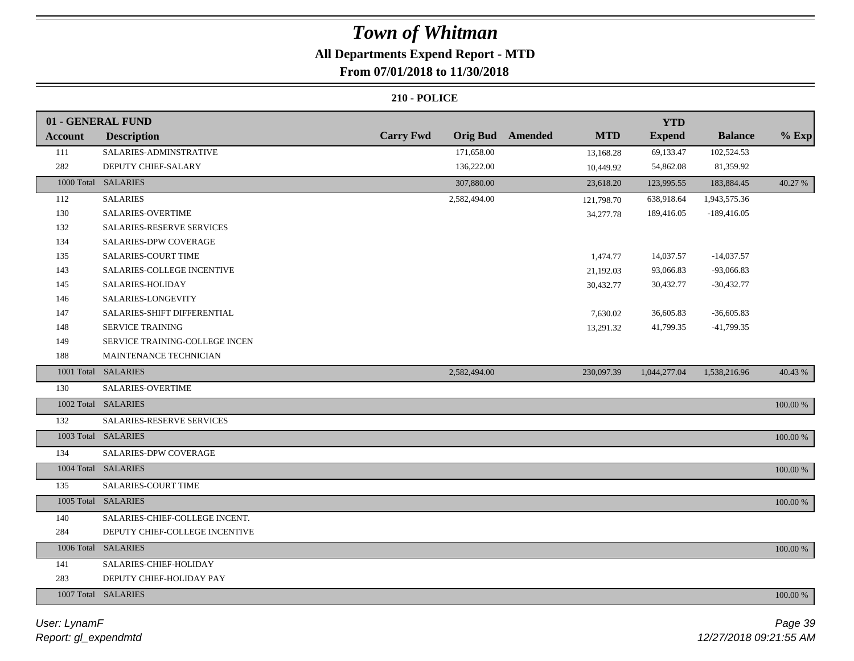## **All Departments Expend Report - MTD**

## **From 07/01/2018 to 11/30/2018**

|                | 01 - GENERAL FUND              |                  |                         |            | <b>YTD</b>    |                |             |
|----------------|--------------------------------|------------------|-------------------------|------------|---------------|----------------|-------------|
| <b>Account</b> | <b>Description</b>             | <b>Carry Fwd</b> | <b>Orig Bud</b> Amended | <b>MTD</b> | <b>Expend</b> | <b>Balance</b> | $%$ Exp     |
| 111            | SALARIES-ADMINSTRATIVE         |                  | 171,658.00              | 13,168.28  | 69,133.47     | 102,524.53     |             |
| 282            | DEPUTY CHIEF-SALARY            |                  | 136,222.00              | 10,449.92  | 54,862.08     | 81,359.92      |             |
|                | 1000 Total SALARIES            |                  | 307,880.00              | 23,618.20  | 123,995.55    | 183,884.45     | 40.27 %     |
| 112            | <b>SALARIES</b>                |                  | 2,582,494.00            | 121,798.70 | 638,918.64    | 1,943,575.36   |             |
| 130            | SALARIES-OVERTIME              |                  |                         | 34,277.78  | 189,416.05    | $-189,416.05$  |             |
| 132            | SALARIES-RESERVE SERVICES      |                  |                         |            |               |                |             |
| 134            | SALARIES-DPW COVERAGE          |                  |                         |            |               |                |             |
| 135            | SALARIES-COURT TIME            |                  |                         | 1,474.77   | 14,037.57     | $-14,037.57$   |             |
| 143            | SALARIES-COLLEGE INCENTIVE     |                  |                         | 21,192.03  | 93,066.83     | -93,066.83     |             |
| 145            | SALARIES-HOLIDAY               |                  |                         | 30,432.77  | 30,432.77     | $-30,432.77$   |             |
| 146            | SALARIES-LONGEVITY             |                  |                         |            |               |                |             |
| 147            | SALARIES-SHIFT DIFFERENTIAL    |                  |                         | 7,630.02   | 36,605.83     | $-36,605.83$   |             |
| 148            | <b>SERVICE TRAINING</b>        |                  |                         | 13,291.32  | 41,799.35     | $-41,799.35$   |             |
| 149            | SERVICE TRAINING-COLLEGE INCEN |                  |                         |            |               |                |             |
| 188            | MAINTENANCE TECHNICIAN         |                  |                         |            |               |                |             |
|                | 1001 Total SALARIES            |                  | 2,582,494.00            | 230,097.39 | 1,044,277.04  | 1,538,216.96   | 40.43 %     |
| 130            | <b>SALARIES-OVERTIME</b>       |                  |                         |            |               |                |             |
|                | 1002 Total SALARIES            |                  |                         |            |               |                | $100.00~\%$ |
| 132            | SALARIES-RESERVE SERVICES      |                  |                         |            |               |                |             |
|                | 1003 Total SALARIES            |                  |                         |            |               |                | $100.00~\%$ |
| 134            | SALARIES-DPW COVERAGE          |                  |                         |            |               |                |             |
|                | 1004 Total SALARIES            |                  |                         |            |               |                | 100.00 %    |
| 135            | SALARIES-COURT TIME            |                  |                         |            |               |                |             |
|                | 1005 Total SALARIES            |                  |                         |            |               |                | 100.00 %    |
| 140            | SALARIES-CHIEF-COLLEGE INCENT. |                  |                         |            |               |                |             |
| 284            | DEPUTY CHIEF-COLLEGE INCENTIVE |                  |                         |            |               |                |             |
|                | 1006 Total SALARIES            |                  |                         |            |               |                | 100.00 %    |
| 141            | SALARIES-CHIEF-HOLIDAY         |                  |                         |            |               |                |             |
| 283            | DEPUTY CHIEF-HOLIDAY PAY       |                  |                         |            |               |                |             |
|                | 1007 Total SALARIES            |                  |                         |            |               |                | 100.00 %    |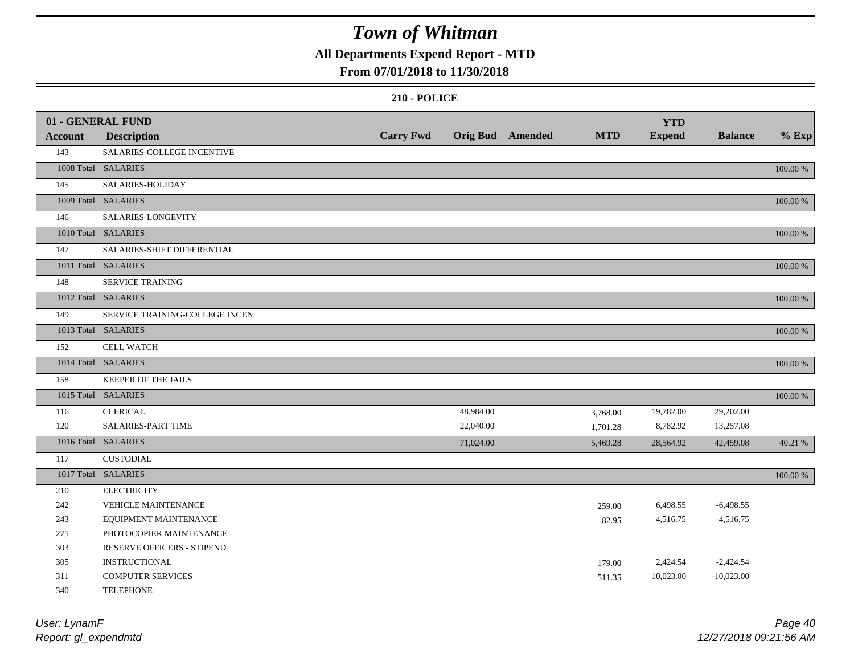## **All Departments Expend Report - MTD**

### **From 07/01/2018 to 11/30/2018**

|                | 01 - GENERAL FUND              |                  |           |                         |            | <b>YTD</b>    |                |             |
|----------------|--------------------------------|------------------|-----------|-------------------------|------------|---------------|----------------|-------------|
| <b>Account</b> | <b>Description</b>             | <b>Carry Fwd</b> |           | <b>Orig Bud</b> Amended | <b>MTD</b> | <b>Expend</b> | <b>Balance</b> | $%$ Exp     |
| 143            | SALARIES-COLLEGE INCENTIVE     |                  |           |                         |            |               |                |             |
|                | 1008 Total SALARIES            |                  |           |                         |            |               |                | 100.00 %    |
| 145            | SALARIES-HOLIDAY               |                  |           |                         |            |               |                |             |
|                | 1009 Total SALARIES            |                  |           |                         |            |               |                | 100.00 %    |
| 146            | SALARIES-LONGEVITY             |                  |           |                         |            |               |                |             |
|                | 1010 Total SALARIES            |                  |           |                         |            |               |                | 100.00 %    |
| 147            | SALARIES-SHIFT DIFFERENTIAL    |                  |           |                         |            |               |                |             |
|                | 1011 Total SALARIES            |                  |           |                         |            |               |                | 100.00 %    |
| 148            | <b>SERVICE TRAINING</b>        |                  |           |                         |            |               |                |             |
|                | 1012 Total SALARIES            |                  |           |                         |            |               |                | 100.00 %    |
| 149            | SERVICE TRAINING-COLLEGE INCEN |                  |           |                         |            |               |                |             |
|                | 1013 Total SALARIES            |                  |           |                         |            |               |                | 100.00 %    |
| 152            | <b>CELL WATCH</b>              |                  |           |                         |            |               |                |             |
|                | 1014 Total SALARIES            |                  |           |                         |            |               |                | 100.00 %    |
| 158            | KEEPER OF THE JAILS            |                  |           |                         |            |               |                |             |
|                | 1015 Total SALARIES            |                  |           |                         |            |               |                | 100.00 %    |
| 116            | <b>CLERICAL</b>                |                  | 48,984.00 |                         | 3,768.00   | 19,782.00     | 29,202.00      |             |
| 120            | <b>SALARIES-PART TIME</b>      |                  | 22,040.00 |                         | 1,701.28   | 8,782.92      | 13,257.08      |             |
|                | 1016 Total SALARIES            |                  | 71,024.00 |                         | 5,469.28   | 28,564.92     | 42,459.08      | 40.21 %     |
| 117            | <b>CUSTODIAL</b>               |                  |           |                         |            |               |                |             |
|                | 1017 Total SALARIES            |                  |           |                         |            |               |                | $100.00~\%$ |
| 210            | <b>ELECTRICITY</b>             |                  |           |                         |            |               |                |             |
| 242            | VEHICLE MAINTENANCE            |                  |           |                         | 259.00     | 6,498.55      | $-6,498.55$    |             |
| 243            | EQUIPMENT MAINTENANCE          |                  |           |                         | 82.95      | 4,516.75      | $-4,516.75$    |             |
| 275            | PHOTOCOPIER MAINTENANCE        |                  |           |                         |            |               |                |             |
| 303            | RESERVE OFFICERS - STIPEND     |                  |           |                         |            |               |                |             |
| 305            | <b>INSTRUCTIONAL</b>           |                  |           |                         | 179.00     | 2,424.54      | $-2,424.54$    |             |
| 311            | <b>COMPUTER SERVICES</b>       |                  |           |                         | 511.35     | 10,023.00     | $-10,023.00$   |             |
| 340            | <b>TELEPHONE</b>               |                  |           |                         |            |               |                |             |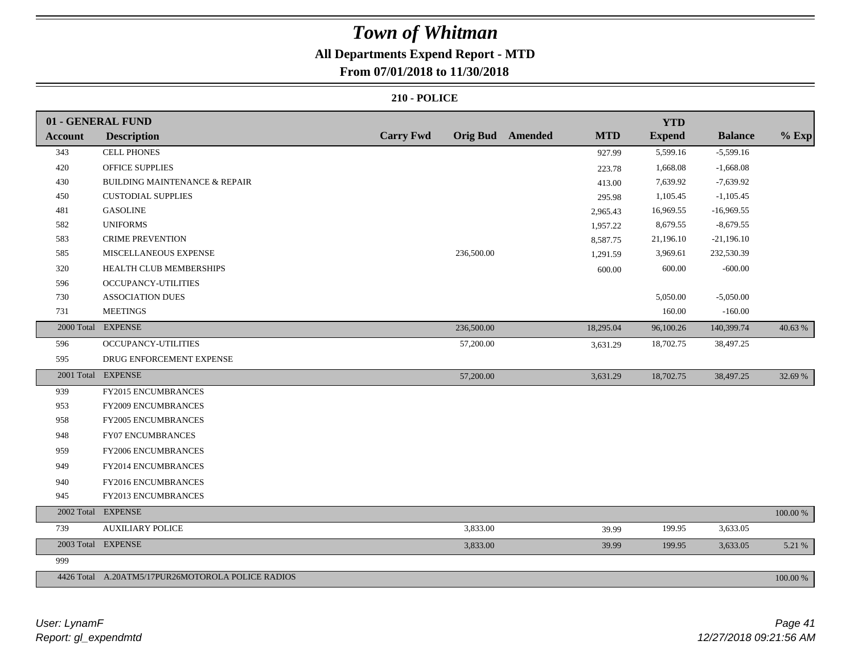## **All Departments Expend Report - MTD**

### **From 07/01/2018 to 11/30/2018**

|                | 01 - GENERAL FUND                                 |                  |            |                         |            | <b>YTD</b>    |                |          |
|----------------|---------------------------------------------------|------------------|------------|-------------------------|------------|---------------|----------------|----------|
| <b>Account</b> | <b>Description</b>                                | <b>Carry Fwd</b> |            | <b>Orig Bud</b> Amended | <b>MTD</b> | <b>Expend</b> | <b>Balance</b> | $%$ Exp  |
| 343            | <b>CELL PHONES</b>                                |                  |            |                         | 927.99     | 5,599.16      | $-5,599.16$    |          |
| 420            | OFFICE SUPPLIES                                   |                  |            |                         | 223.78     | 1,668.08      | $-1,668.08$    |          |
| 430            | <b>BUILDING MAINTENANCE &amp; REPAIR</b>          |                  |            |                         | 413.00     | 7,639.92      | $-7,639.92$    |          |
| 450            | <b>CUSTODIAL SUPPLIES</b>                         |                  |            |                         | 295.98     | 1,105.45      | $-1,105.45$    |          |
| 481            | <b>GASOLINE</b>                                   |                  |            |                         | 2,965.43   | 16,969.55     | $-16,969.55$   |          |
| 582            | <b>UNIFORMS</b>                                   |                  |            |                         | 1,957.22   | 8,679.55      | $-8,679.55$    |          |
| 583            | <b>CRIME PREVENTION</b>                           |                  |            |                         | 8,587.75   | 21,196.10     | $-21,196.10$   |          |
| 585            | MISCELLANEOUS EXPENSE                             |                  | 236,500.00 |                         | 1,291.59   | 3,969.61      | 232,530.39     |          |
| 320            | HEALTH CLUB MEMBERSHIPS                           |                  |            |                         | 600.00     | 600.00        | $-600.00$      |          |
| 596            | OCCUPANCY-UTILITIES                               |                  |            |                         |            |               |                |          |
| 730            | <b>ASSOCIATION DUES</b>                           |                  |            |                         |            | 5,050.00      | $-5,050.00$    |          |
| 731            | <b>MEETINGS</b>                                   |                  |            |                         |            | 160.00        | $-160.00$      |          |
| 2000 Total     | <b>EXPENSE</b>                                    |                  | 236,500.00 |                         | 18,295.04  | 96,100.26     | 140,399.74     | 40.63 %  |
| 596            | OCCUPANCY-UTILITIES                               |                  | 57,200.00  |                         | 3,631.29   | 18,702.75     | 38,497.25      |          |
| 595            | DRUG ENFORCEMENT EXPENSE                          |                  |            |                         |            |               |                |          |
|                | 2001 Total EXPENSE                                |                  | 57,200.00  |                         | 3,631.29   | 18,702.75     | 38,497.25      | 32.69 %  |
| 939            | FY2015 ENCUMBRANCES                               |                  |            |                         |            |               |                |          |
| 953            | FY2009 ENCUMBRANCES                               |                  |            |                         |            |               |                |          |
| 958            | FY2005 ENCUMBRANCES                               |                  |            |                         |            |               |                |          |
| 948            | <b>FY07 ENCUMBRANCES</b>                          |                  |            |                         |            |               |                |          |
| 959            | <b>FY2006 ENCUMBRANCES</b>                        |                  |            |                         |            |               |                |          |
| 949            | FY2014 ENCUMBRANCES                               |                  |            |                         |            |               |                |          |
| 940            | FY2016 ENCUMBRANCES                               |                  |            |                         |            |               |                |          |
| 945            | FY2013 ENCUMBRANCES                               |                  |            |                         |            |               |                |          |
|                | 2002 Total EXPENSE                                |                  |            |                         |            |               |                | 100.00 % |
| 739            | <b>AUXILIARY POLICE</b>                           |                  | 3,833.00   |                         | 39.99      | 199.95        | 3,633.05       |          |
|                | 2003 Total EXPENSE                                |                  | 3,833.00   |                         | 39.99      | 199.95        | 3,633.05       | 5.21 %   |
| 999            |                                                   |                  |            |                         |            |               |                |          |
|                | 4426 Total A.20ATM5/17PUR26MOTOROLA POLICE RADIOS |                  |            |                         |            |               |                | 100.00 % |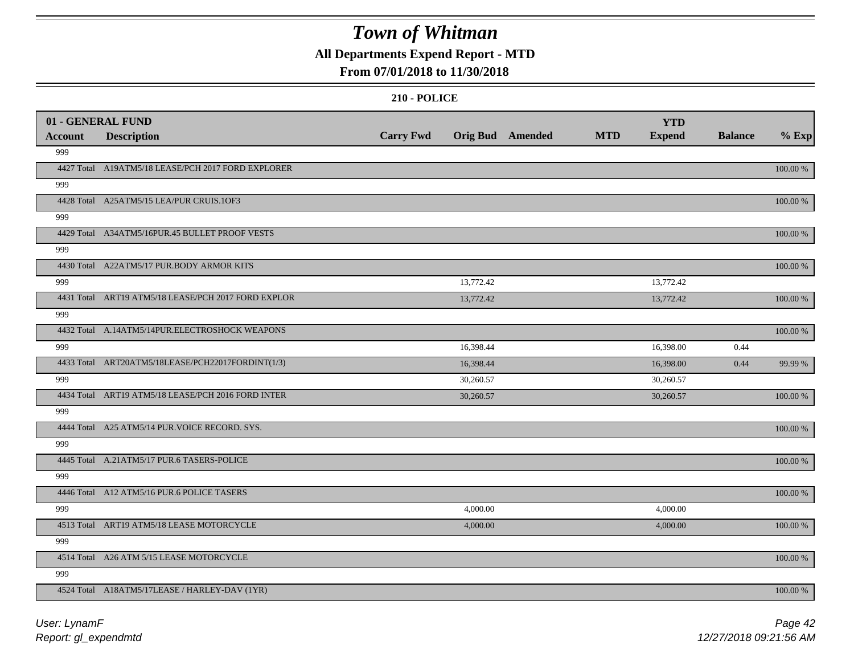## **All Departments Expend Report - MTD**

### **From 07/01/2018 to 11/30/2018**

|                | 01 - GENERAL FUND                                   |                  |                         |            | <b>YTD</b>    |                |             |
|----------------|-----------------------------------------------------|------------------|-------------------------|------------|---------------|----------------|-------------|
| <b>Account</b> | <b>Description</b>                                  | <b>Carry Fwd</b> | <b>Orig Bud</b> Amended | <b>MTD</b> | <b>Expend</b> | <b>Balance</b> | $%$ Exp     |
| 999            |                                                     |                  |                         |            |               |                |             |
|                | 4427 Total A19ATM5/18 LEASE/PCH 2017 FORD EXPLORER  |                  |                         |            |               |                | 100.00 %    |
| 999            |                                                     |                  |                         |            |               |                |             |
|                | 4428 Total A25ATM5/15 LEA/PUR CRUIS.1OF3            |                  |                         |            |               |                | 100.00 %    |
| 999            |                                                     |                  |                         |            |               |                |             |
|                | 4429 Total A34ATM5/16PUR.45 BULLET PROOF VESTS      |                  |                         |            |               |                | 100.00 %    |
| 999            |                                                     |                  |                         |            |               |                |             |
|                | 4430 Total A22ATM5/17 PUR.BODY ARMOR KITS           |                  |                         |            |               |                | 100.00 %    |
| 999            |                                                     |                  | 13,772.42               |            | 13,772.42     |                |             |
|                | 4431 Total ART19 ATM5/18 LEASE/PCH 2017 FORD EXPLOR |                  | 13,772.42               |            | 13,772.42     |                | 100.00 %    |
| 999            |                                                     |                  |                         |            |               |                |             |
|                | 4432 Total A.14ATM5/14PUR.ELECTROSHOCK WEAPONS      |                  |                         |            |               |                | 100.00 %    |
| 999            |                                                     |                  | 16,398.44               |            | 16,398.00     | 0.44           |             |
|                | 4433 Total ART20ATM5/18LEASE/PCH22017FORDINT(1/3)   |                  | 16,398.44               |            | 16,398.00     | 0.44           | 99.99 %     |
| 999            |                                                     |                  | 30,260.57               |            | 30,260.57     |                |             |
|                | 4434 Total ART19 ATM5/18 LEASE/PCH 2016 FORD INTER  |                  | 30,260.57               |            | 30,260.57     |                | 100.00 %    |
| 999            |                                                     |                  |                         |            |               |                |             |
|                | 4444 Total A25 ATM5/14 PUR.VOICE RECORD. SYS.       |                  |                         |            |               |                | 100.00 %    |
| 999            |                                                     |                  |                         |            |               |                |             |
|                | 4445 Total A.21ATM5/17 PUR.6 TASERS-POLICE          |                  |                         |            |               |                | 100.00 %    |
| 999            |                                                     |                  |                         |            |               |                |             |
|                | 4446 Total A12 ATM5/16 PUR.6 POLICE TASERS          |                  |                         |            |               |                | 100.00 %    |
| 999            |                                                     |                  | 4,000.00                |            | 4,000.00      |                |             |
|                | 4513 Total ART19 ATM5/18 LEASE MOTORCYCLE           |                  | 4,000.00                |            | 4,000.00      |                | 100.00 %    |
| 999            |                                                     |                  |                         |            |               |                |             |
|                | 4514 Total A26 ATM 5/15 LEASE MOTORCYCLE            |                  |                         |            |               |                | $100.00~\%$ |
| 999            |                                                     |                  |                         |            |               |                |             |
|                | 4524 Total A18ATM5/17LEASE / HARLEY-DAV (1YR)       |                  |                         |            |               |                | 100.00 %    |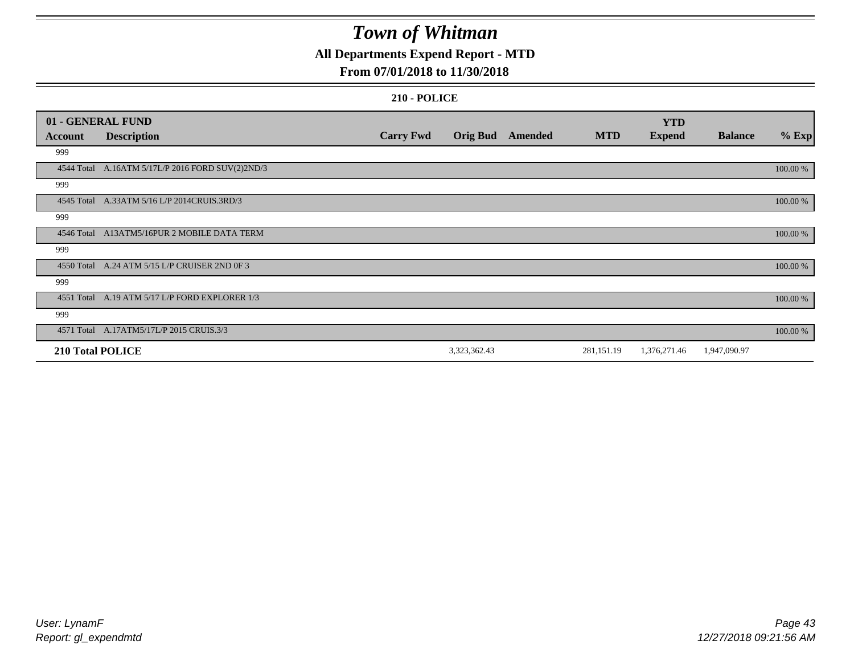## **All Departments Expend Report - MTD**

### **From 07/01/2018 to 11/30/2018**

|                | 01 - GENERAL FUND                                |                  |                 |         |            | <b>YTD</b>    |                |          |
|----------------|--------------------------------------------------|------------------|-----------------|---------|------------|---------------|----------------|----------|
| <b>Account</b> | <b>Description</b>                               | <b>Carry Fwd</b> | <b>Orig Bud</b> | Amended | <b>MTD</b> | <b>Expend</b> | <b>Balance</b> | $%$ Exp  |
| 999            |                                                  |                  |                 |         |            |               |                |          |
|                | 4544 Total A.16ATM 5/17L/P 2016 FORD SUV(2)2ND/3 |                  |                 |         |            |               |                | 100.00 % |
| 999            |                                                  |                  |                 |         |            |               |                |          |
|                | 4545 Total A.33ATM 5/16 L/P 2014CRUIS.3RD/3      |                  |                 |         |            |               |                | 100.00 % |
| 999            |                                                  |                  |                 |         |            |               |                |          |
|                | 4546 Total A13ATM5/16PUR 2 MOBILE DATA TERM      |                  |                 |         |            |               |                | 100.00 % |
| 999            |                                                  |                  |                 |         |            |               |                |          |
|                | 4550 Total A.24 ATM 5/15 L/P CRUISER 2ND 0F 3    |                  |                 |         |            |               |                | 100.00 % |
| 999            |                                                  |                  |                 |         |            |               |                |          |
|                | 4551 Total A.19 ATM 5/17 L/P FORD EXPLORER 1/3   |                  |                 |         |            |               |                | 100.00 % |
| 999            |                                                  |                  |                 |         |            |               |                |          |
|                | 4571 Total A.17ATM5/17L/P 2015 CRUIS.3/3         |                  |                 |         |            |               |                | 100.00 % |
|                | 210 Total POLICE                                 |                  | 3,323,362.43    |         | 281,151.19 | 1,376,271.46  | 1,947,090.97   |          |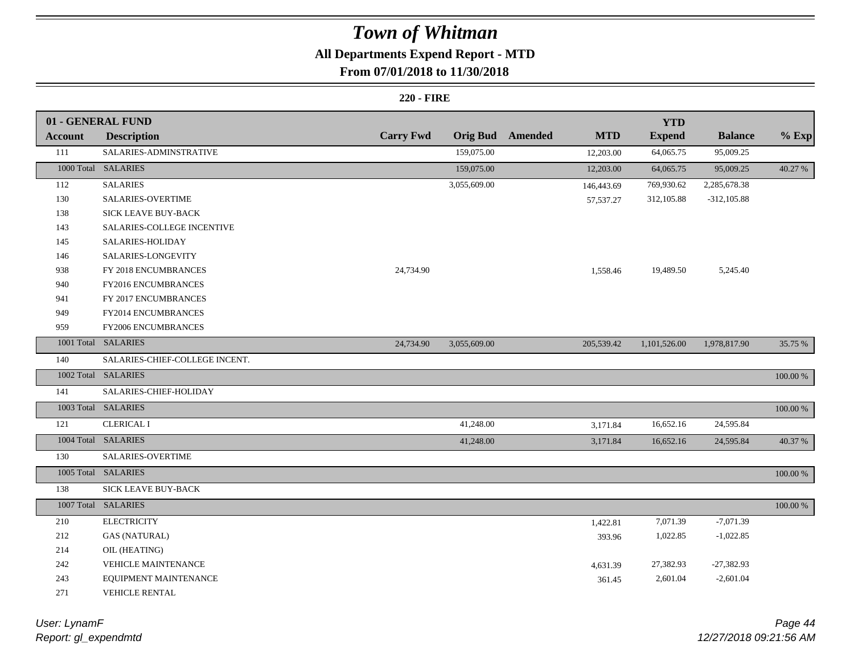## **All Departments Expend Report - MTD**

### **From 07/01/2018 to 11/30/2018**

#### **220 - FIRE**

|         | 01 - GENERAL FUND              |                  |              |                         |             | <b>YTD</b>    |                |             |
|---------|--------------------------------|------------------|--------------|-------------------------|-------------|---------------|----------------|-------------|
| Account | <b>Description</b>             | <b>Carry Fwd</b> |              | <b>Orig Bud</b> Amended | <b>MTD</b>  | <b>Expend</b> | <b>Balance</b> | $%$ Exp     |
| 111     | SALARIES-ADMINSTRATIVE         |                  | 159,075.00   |                         | 12,203.00   | 64,065.75     | 95,009.25      |             |
|         | 1000 Total SALARIES            |                  | 159,075.00   |                         | 12,203.00   | 64,065.75     | 95,009.25      | 40.27 %     |
| 112     | <b>SALARIES</b>                |                  | 3,055,609.00 |                         | 146,443.69  | 769,930.62    | 2,285,678.38   |             |
| 130     | SALARIES-OVERTIME              |                  |              |                         | 57, 537. 27 | 312,105.88    | $-312, 105.88$ |             |
| 138     | SICK LEAVE BUY-BACK            |                  |              |                         |             |               |                |             |
| 143     | SALARIES-COLLEGE INCENTIVE     |                  |              |                         |             |               |                |             |
| 145     | SALARIES-HOLIDAY               |                  |              |                         |             |               |                |             |
| 146     | SALARIES-LONGEVITY             |                  |              |                         |             |               |                |             |
| 938     | FY 2018 ENCUMBRANCES           | 24,734.90        |              |                         | 1,558.46    | 19,489.50     | 5,245.40       |             |
| 940     | FY2016 ENCUMBRANCES            |                  |              |                         |             |               |                |             |
| 941     | FY 2017 ENCUMBRANCES           |                  |              |                         |             |               |                |             |
| 949     | FY2014 ENCUMBRANCES            |                  |              |                         |             |               |                |             |
| 959     | FY2006 ENCUMBRANCES            |                  |              |                         |             |               |                |             |
|         | 1001 Total SALARIES            | 24,734.90        | 3,055,609.00 |                         | 205,539.42  | 1,101,526.00  | 1,978,817.90   | 35.75 %     |
| 140     | SALARIES-CHIEF-COLLEGE INCENT. |                  |              |                         |             |               |                |             |
|         | 1002 Total SALARIES            |                  |              |                         |             |               |                | 100.00 %    |
| 141     | SALARIES-CHIEF-HOLIDAY         |                  |              |                         |             |               |                |             |
|         | 1003 Total SALARIES            |                  |              |                         |             |               |                | $100.00~\%$ |
| 121     | <b>CLERICAL I</b>              |                  | 41,248.00    |                         | 3,171.84    | 16,652.16     | 24,595.84      |             |
|         | 1004 Total SALARIES            |                  | 41,248.00    |                         | 3,171.84    | 16,652.16     | 24,595.84      | 40.37 %     |
| 130     | SALARIES-OVERTIME              |                  |              |                         |             |               |                |             |
|         | 1005 Total SALARIES            |                  |              |                         |             |               |                | $100.00\%$  |
| 138     | <b>SICK LEAVE BUY-BACK</b>     |                  |              |                         |             |               |                |             |
|         | 1007 Total SALARIES            |                  |              |                         |             |               |                | 100.00 %    |
| 210     | <b>ELECTRICITY</b>             |                  |              |                         | 1,422.81    | 7,071.39      | $-7,071.39$    |             |
| 212     | <b>GAS (NATURAL)</b>           |                  |              |                         | 393.96      | 1,022.85      | $-1,022.85$    |             |
| 214     | OIL (HEATING)                  |                  |              |                         |             |               |                |             |
| 242     | <b>VEHICLE MAINTENANCE</b>     |                  |              |                         | 4,631.39    | 27,382.93     | $-27,382.93$   |             |
| 243     | EQUIPMENT MAINTENANCE          |                  |              |                         | 361.45      | 2,601.04      | $-2,601.04$    |             |
| 271     | <b>VEHICLE RENTAL</b>          |                  |              |                         |             |               |                |             |

*Report: gl\_expendmtd User: LynamF*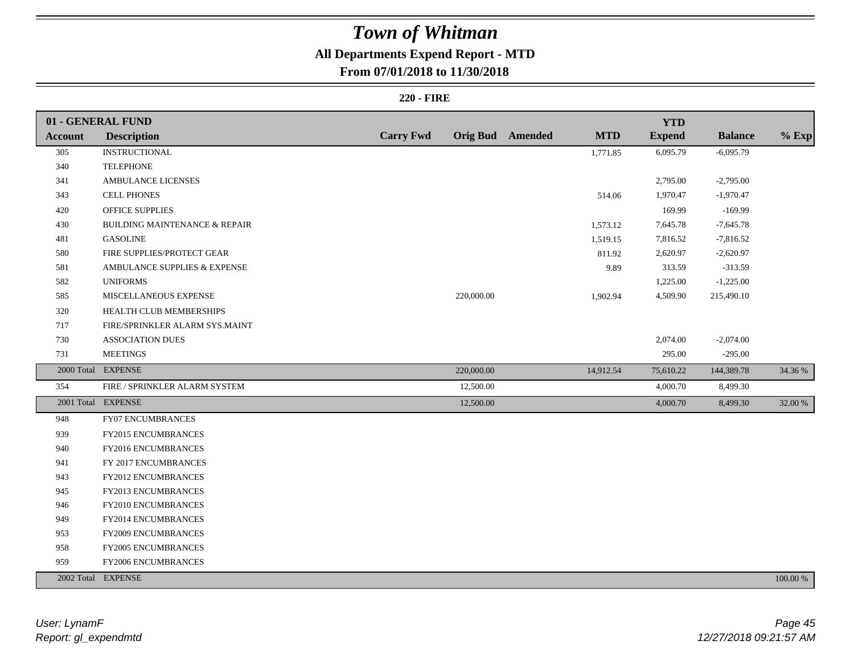## **All Departments Expend Report - MTD**

### **From 07/01/2018 to 11/30/2018**

#### **220 - FIRE**

|                | 01 - GENERAL FUND                        |                  |            |                         |            | <b>YTD</b>    |                |          |
|----------------|------------------------------------------|------------------|------------|-------------------------|------------|---------------|----------------|----------|
| <b>Account</b> | <b>Description</b>                       | <b>Carry Fwd</b> |            | <b>Orig Bud</b> Amended | <b>MTD</b> | <b>Expend</b> | <b>Balance</b> | $%$ Exp  |
| 305            | <b>INSTRUCTIONAL</b>                     |                  |            |                         | 1,771.85   | 6,095.79      | $-6,095.79$    |          |
| 340            | <b>TELEPHONE</b>                         |                  |            |                         |            |               |                |          |
| 341            | AMBULANCE LICENSES                       |                  |            |                         |            | 2,795.00      | $-2,795.00$    |          |
| 343            | <b>CELL PHONES</b>                       |                  |            |                         | 514.06     | 1,970.47      | $-1,970.47$    |          |
| 420            | OFFICE SUPPLIES                          |                  |            |                         |            | 169.99        | $-169.99$      |          |
| 430            | <b>BUILDING MAINTENANCE &amp; REPAIR</b> |                  |            |                         | 1,573.12   | 7,645.78      | $-7,645.78$    |          |
| 481            | <b>GASOLINE</b>                          |                  |            |                         | 1,519.15   | 7,816.52      | $-7,816.52$    |          |
| 580            | FIRE SUPPLIES/PROTECT GEAR               |                  |            |                         | 811.92     | 2,620.97      | $-2,620.97$    |          |
| 581            | AMBULANCE SUPPLIES & EXPENSE             |                  |            |                         | 9.89       | 313.59        | $-313.59$      |          |
| 582            | <b>UNIFORMS</b>                          |                  |            |                         |            | 1,225.00      | $-1,225.00$    |          |
| 585            | MISCELLANEOUS EXPENSE                    |                  | 220,000.00 |                         | 1,902.94   | 4,509.90      | 215,490.10     |          |
| 320            | HEALTH CLUB MEMBERSHIPS                  |                  |            |                         |            |               |                |          |
| 717            | FIRE/SPRINKLER ALARM SYS.MAINT           |                  |            |                         |            |               |                |          |
| 730            | <b>ASSOCIATION DUES</b>                  |                  |            |                         |            | 2,074.00      | $-2,074.00$    |          |
| 731            | <b>MEETINGS</b>                          |                  |            |                         |            | 295.00        | $-295.00$      |          |
|                | 2000 Total EXPENSE                       |                  | 220,000.00 |                         | 14,912.54  | 75,610.22     | 144,389.78     | 34.36 %  |
| 354            | FIRE / SPRINKLER ALARM SYSTEM            |                  | 12,500.00  |                         |            | 4,000.70      | 8,499.30       |          |
|                | 2001 Total EXPENSE                       |                  | 12,500.00  |                         |            | 4,000.70      | 8,499.30       | 32.00 %  |
| 948            | FY07 ENCUMBRANCES                        |                  |            |                         |            |               |                |          |
| 939            | <b>FY2015 ENCUMBRANCES</b>               |                  |            |                         |            |               |                |          |
| 940            | FY2016 ENCUMBRANCES                      |                  |            |                         |            |               |                |          |
| 941            | FY 2017 ENCUMBRANCES                     |                  |            |                         |            |               |                |          |
| 943            | FY2012 ENCUMBRANCES                      |                  |            |                         |            |               |                |          |
| 945            | FY2013 ENCUMBRANCES                      |                  |            |                         |            |               |                |          |
| 946            | FY2010 ENCUMBRANCES                      |                  |            |                         |            |               |                |          |
| 949            | FY2014 ENCUMBRANCES                      |                  |            |                         |            |               |                |          |
| 953            | <b>FY2009 ENCUMBRANCES</b>               |                  |            |                         |            |               |                |          |
| 958            | FY2005 ENCUMBRANCES                      |                  |            |                         |            |               |                |          |
| 959            | FY2006 ENCUMBRANCES                      |                  |            |                         |            |               |                |          |
|                | 2002 Total EXPENSE                       |                  |            |                         |            |               |                | 100.00 % |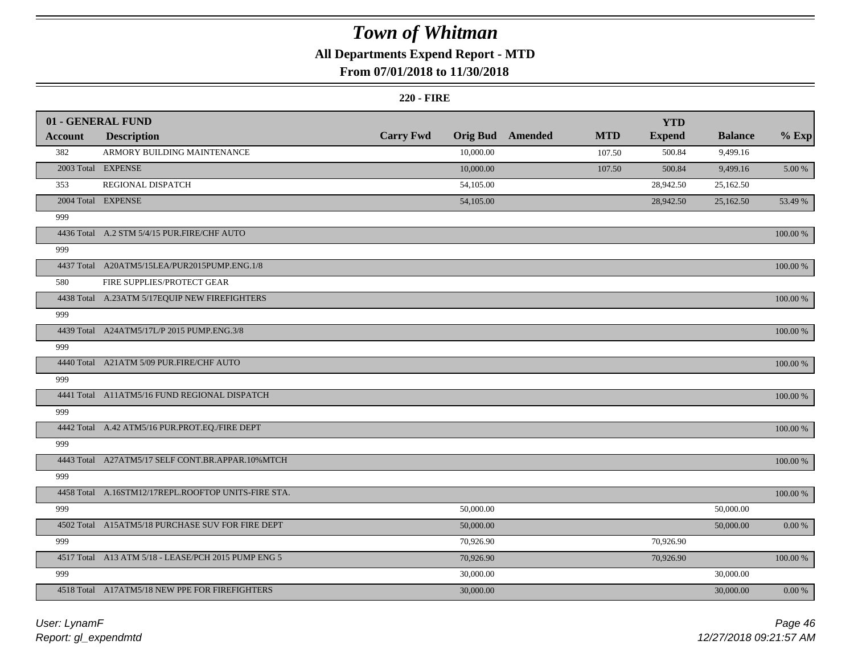## **All Departments Expend Report - MTD**

### **From 07/01/2018 to 11/30/2018**

#### **220 - FIRE**

|                | 01 - GENERAL FUND                                   |                  |                 |         |            | <b>YTD</b>    |                |            |
|----------------|-----------------------------------------------------|------------------|-----------------|---------|------------|---------------|----------------|------------|
| <b>Account</b> | <b>Description</b>                                  | <b>Carry Fwd</b> | <b>Orig Bud</b> | Amended | <b>MTD</b> | <b>Expend</b> | <b>Balance</b> | $%$ Exp    |
| 382            | ARMORY BUILDING MAINTENANCE                         |                  | 10,000.00       |         | 107.50     | 500.84        | 9,499.16       |            |
|                | 2003 Total EXPENSE                                  |                  | 10,000.00       |         | 107.50     | 500.84        | 9,499.16       | 5.00 %     |
| 353            | REGIONAL DISPATCH                                   |                  | 54,105.00       |         |            | 28,942.50     | 25,162.50      |            |
|                | 2004 Total EXPENSE                                  |                  | 54,105.00       |         |            | 28,942.50     | 25,162.50      | 53.49 %    |
| 999            |                                                     |                  |                 |         |            |               |                |            |
|                | 4436 Total A.2 STM 5/4/15 PUR.FIRE/CHF AUTO         |                  |                 |         |            |               |                | 100.00 %   |
| 999            |                                                     |                  |                 |         |            |               |                |            |
|                | 4437 Total A20ATM5/15LEA/PUR2015PUMP.ENG.1/8        |                  |                 |         |            |               |                | 100.00 %   |
| 580            | FIRE SUPPLIES/PROTECT GEAR                          |                  |                 |         |            |               |                |            |
|                | 4438 Total A.23ATM 5/17EQUIP NEW FIREFIGHTERS       |                  |                 |         |            |               |                | 100.00 %   |
| 999            |                                                     |                  |                 |         |            |               |                |            |
|                | 4439 Total A24ATM5/17L/P 2015 PUMP.ENG.3/8          |                  |                 |         |            |               |                | 100.00 %   |
| 999            |                                                     |                  |                 |         |            |               |                |            |
|                | 4440 Total A21ATM 5/09 PUR.FIRE/CHF AUTO            |                  |                 |         |            |               |                | 100.00 %   |
| 999            |                                                     |                  |                 |         |            |               |                |            |
|                | 4441 Total A11ATM5/16 FUND REGIONAL DISPATCH        |                  |                 |         |            |               |                | 100.00 %   |
| 999            |                                                     |                  |                 |         |            |               |                |            |
|                | 4442 Total A.42 ATM5/16 PUR.PROT.EQ./FIRE DEPT      |                  |                 |         |            |               |                | 100.00 %   |
| 999            |                                                     |                  |                 |         |            |               |                |            |
|                | 4443 Total A27ATM5/17 SELF CONT.BR.APPAR.10%MTCH    |                  |                 |         |            |               |                | 100.00 %   |
| 999            |                                                     |                  |                 |         |            |               |                |            |
|                | 4458 Total A.16STM12/17REPL.ROOFTOP UNITS-FIRE STA. |                  |                 |         |            |               |                | 100.00 %   |
| 999            |                                                     |                  | 50,000.00       |         |            |               | 50,000.00      |            |
|                | 4502 Total A15ATM5/18 PURCHASE SUV FOR FIRE DEPT    |                  | 50,000.00       |         |            |               | 50,000.00      | $0.00\ \%$ |
| 999            |                                                     |                  | 70,926.90       |         |            | 70,926.90     |                |            |
|                | 4517 Total A13 ATM 5/18 - LEASE/PCH 2015 PUMP ENG 5 |                  | 70,926.90       |         |            | 70,926.90     |                | 100.00 %   |
| 999            |                                                     |                  | 30,000.00       |         |            |               | 30,000.00      |            |
|                | 4518 Total A17ATM5/18 NEW PPE FOR FIREFIGHTERS      |                  | 30,000.00       |         |            |               | 30,000.00      | $0.00 \%$  |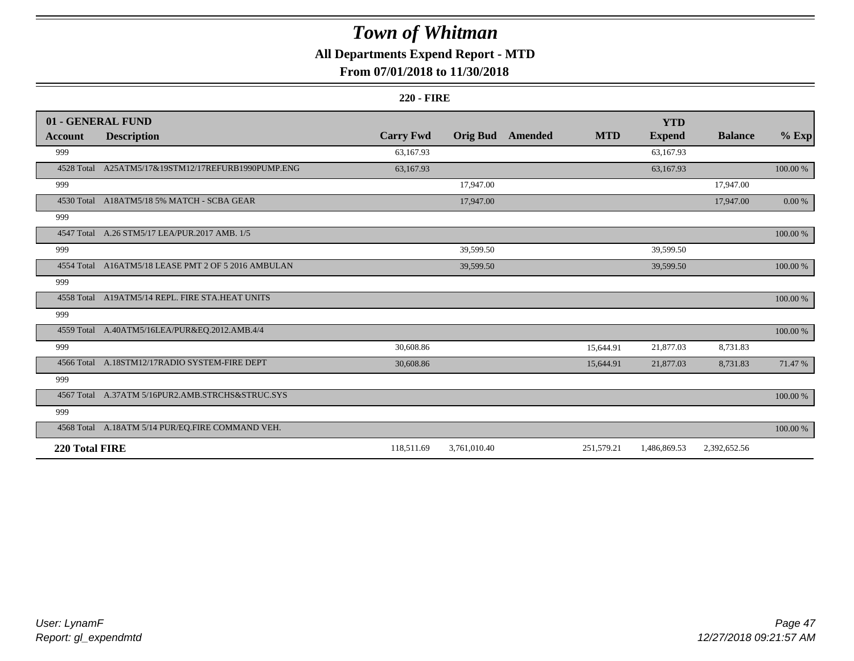## **All Departments Expend Report - MTD**

### **From 07/01/2018 to 11/30/2018**

#### **220 - FIRE**

|                | 01 - GENERAL FUND                                   |                  |                 |         |            | <b>YTD</b>    |                |             |
|----------------|-----------------------------------------------------|------------------|-----------------|---------|------------|---------------|----------------|-------------|
| <b>Account</b> | <b>Description</b>                                  | <b>Carry Fwd</b> | <b>Orig Bud</b> | Amended | <b>MTD</b> | <b>Expend</b> | <b>Balance</b> | $%$ Exp     |
| 999            |                                                     | 63,167.93        |                 |         |            | 63,167.93     |                |             |
| 4528 Total     | A25ATM5/17&19STM12/17REFURB1990PUMP.ENG             | 63,167.93        |                 |         |            | 63,167.93     |                | $100.00~\%$ |
| 999            |                                                     |                  | 17,947.00       |         |            |               | 17,947.00      |             |
|                | 4530 Total A18ATM5/18 5% MATCH - SCBA GEAR          |                  | 17,947.00       |         |            |               | 17,947.00      | 0.00 %      |
| 999            |                                                     |                  |                 |         |            |               |                |             |
|                | 4547 Total A.26 STM5/17 LEA/PUR.2017 AMB. 1/5       |                  |                 |         |            |               |                | $100.00~\%$ |
| 999            |                                                     |                  | 39,599.50       |         |            | 39,599.50     |                |             |
|                | 4554 Total A16ATM5/18 LEASE PMT 2 OF 5 2016 AMBULAN |                  | 39,599.50       |         |            | 39,599.50     |                | 100.00 %    |
| 999            |                                                     |                  |                 |         |            |               |                |             |
|                | 4558 Total A19ATM5/14 REPL. FIRE STA.HEAT UNITS     |                  |                 |         |            |               |                | 100.00 %    |
| 999            |                                                     |                  |                 |         |            |               |                |             |
|                | 4559 Total A.40ATM5/16LEA/PUR&EQ.2012.AMB.4/4       |                  |                 |         |            |               |                | 100.00 %    |
| 999            |                                                     | 30,608.86        |                 |         | 15,644.91  | 21,877.03     | 8,731.83       |             |
|                | 4566 Total A.18STM12/17RADIO SYSTEM-FIRE DEPT       | 30,608.86        |                 |         | 15,644.91  | 21,877.03     | 8,731.83       | 71.47 %     |
| 999            |                                                     |                  |                 |         |            |               |                |             |
|                | 4567 Total A.37ATM 5/16PUR2.AMB.STRCHS&STRUC.SYS    |                  |                 |         |            |               |                | 100.00 %    |
| 999            |                                                     |                  |                 |         |            |               |                |             |
|                | 4568 Total A.18ATM 5/14 PUR/EQ.FIRE COMMAND VEH.    |                  |                 |         |            |               |                | 100.00 %    |
| 220 Total FIRE |                                                     | 118,511.69       | 3,761,010.40    |         | 251,579.21 | 1,486,869.53  | 2,392,652.56   |             |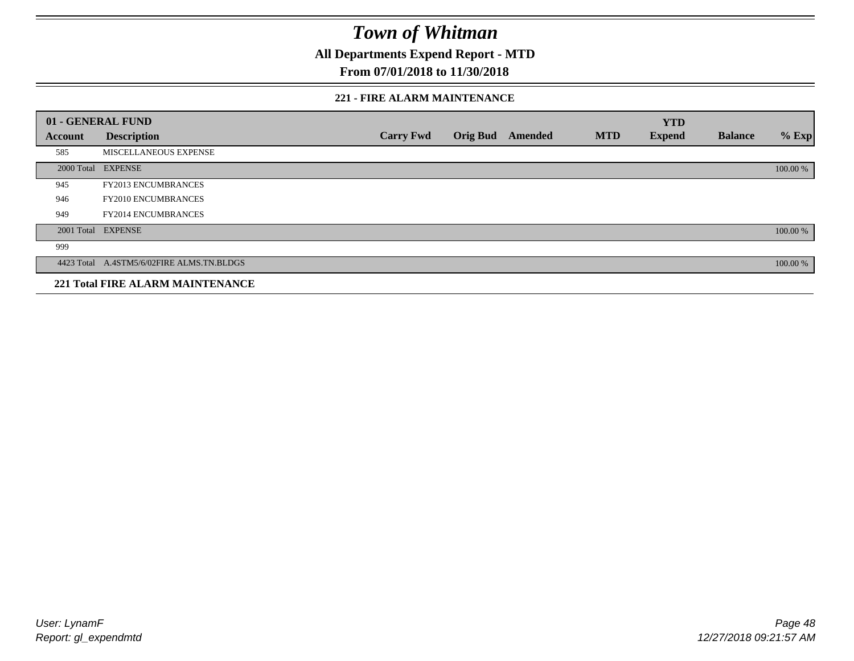**All Departments Expend Report - MTD**

### **From 07/01/2018 to 11/30/2018**

#### **221 - FIRE ALARM MAINTENANCE**

|         | 01 - GENERAL FUND                         |                  |                 |         |            | <b>YTD</b>    |                |          |
|---------|-------------------------------------------|------------------|-----------------|---------|------------|---------------|----------------|----------|
| Account | <b>Description</b>                        | <b>Carry Fwd</b> | <b>Orig Bud</b> | Amended | <b>MTD</b> | <b>Expend</b> | <b>Balance</b> | $%$ Exp  |
| 585     | MISCELLANEOUS EXPENSE                     |                  |                 |         |            |               |                |          |
|         | 2000 Total EXPENSE                        |                  |                 |         |            |               |                | 100.00 % |
| 945     | <b>FY2013 ENCUMBRANCES</b>                |                  |                 |         |            |               |                |          |
| 946     | <b>FY2010 ENCUMBRANCES</b>                |                  |                 |         |            |               |                |          |
| 949     | <b>FY2014 ENCUMBRANCES</b>                |                  |                 |         |            |               |                |          |
|         | 2001 Total EXPENSE                        |                  |                 |         |            |               |                | 100.00 % |
| 999     |                                           |                  |                 |         |            |               |                |          |
|         | 4423 Total A.4STM5/6/02FIRE ALMS.TN.BLDGS |                  |                 |         |            |               |                | 100.00 % |
|         | <b>221 Total FIRE ALARM MAINTENANCE</b>   |                  |                 |         |            |               |                |          |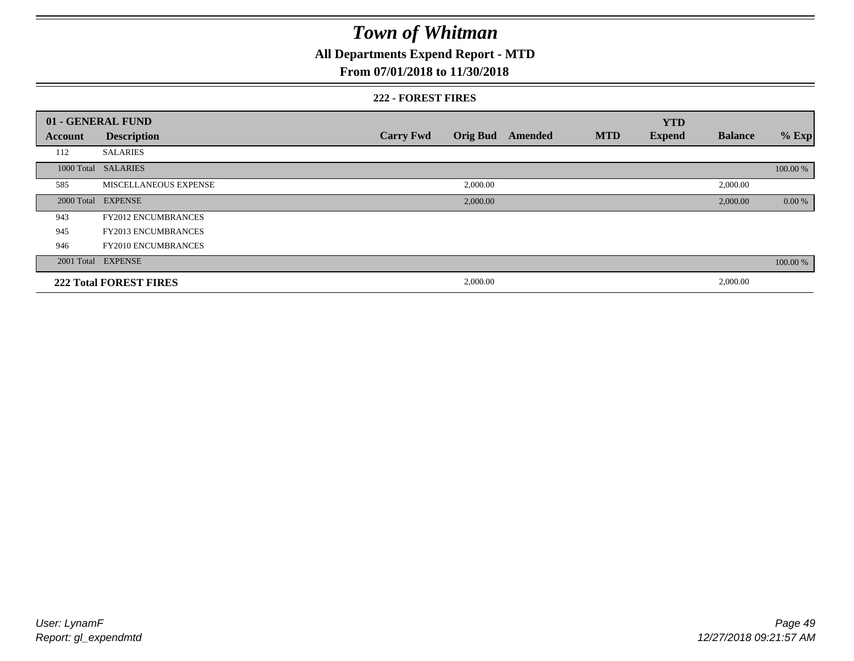## **All Departments Expend Report - MTD**

### **From 07/01/2018 to 11/30/2018**

#### **222 - FOREST FIRES**

|         | 01 - GENERAL FUND             |                  |                 |         |            | <b>YTD</b>    |                |          |
|---------|-------------------------------|------------------|-----------------|---------|------------|---------------|----------------|----------|
| Account | <b>Description</b>            | <b>Carry Fwd</b> | <b>Orig Bud</b> | Amended | <b>MTD</b> | <b>Expend</b> | <b>Balance</b> | $%$ Exp  |
| 112     | <b>SALARIES</b>               |                  |                 |         |            |               |                |          |
|         | 1000 Total SALARIES           |                  |                 |         |            |               |                | 100.00 % |
| 585     | <b>MISCELLANEOUS EXPENSE</b>  |                  | 2,000.00        |         |            |               | 2,000.00       |          |
|         | 2000 Total EXPENSE            |                  | 2,000.00        |         |            |               | 2,000.00       | 0.00 %   |
| 943     | <b>FY2012 ENCUMBRANCES</b>    |                  |                 |         |            |               |                |          |
| 945     | <b>FY2013 ENCUMBRANCES</b>    |                  |                 |         |            |               |                |          |
| 946     | <b>FY2010 ENCUMBRANCES</b>    |                  |                 |         |            |               |                |          |
|         | 2001 Total EXPENSE            |                  |                 |         |            |               |                | 100.00 % |
|         | <b>222 Total FOREST FIRES</b> |                  | 2,000.00        |         |            |               | 2,000.00       |          |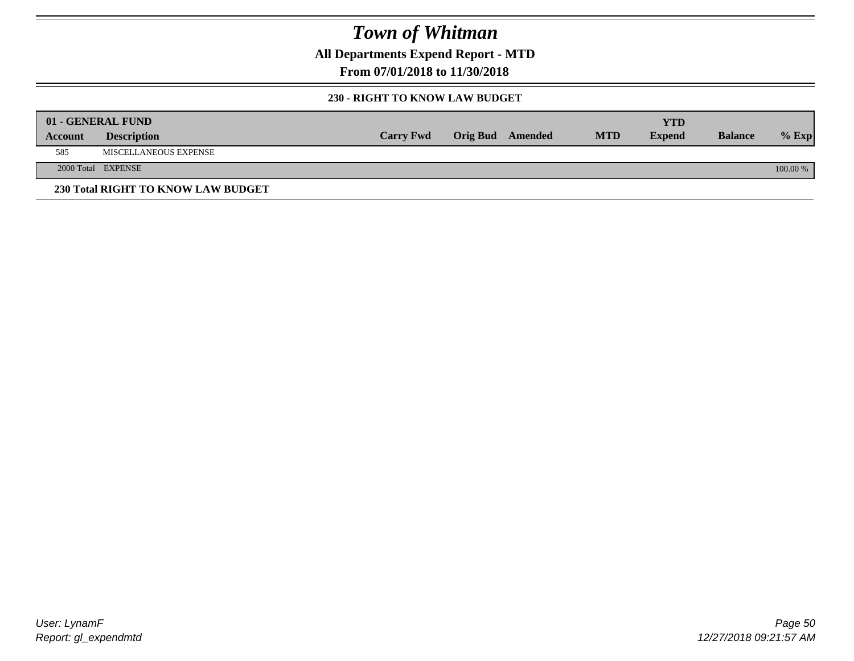**All Departments Expend Report - MTD**

**From 07/01/2018 to 11/30/2018**

#### **230 - RIGHT TO KNOW LAW BUDGET**

|         | 01 - GENERAL FUND                  |                  |                         |            | YTD           |                |          |
|---------|------------------------------------|------------------|-------------------------|------------|---------------|----------------|----------|
| Account | <b>Description</b>                 | <b>Carry Fwd</b> | <b>Orig Bud</b> Amended | <b>MTD</b> | <b>Expend</b> | <b>Balance</b> | $%$ Exp  |
| 585     | <b>MISCELLANEOUS EXPENSE</b>       |                  |                         |            |               |                |          |
|         | 2000 Total EXPENSE                 |                  |                         |            |               |                | 100.00 % |
|         | 230 Total RIGHT TO KNOW LAW BUDGET |                  |                         |            |               |                |          |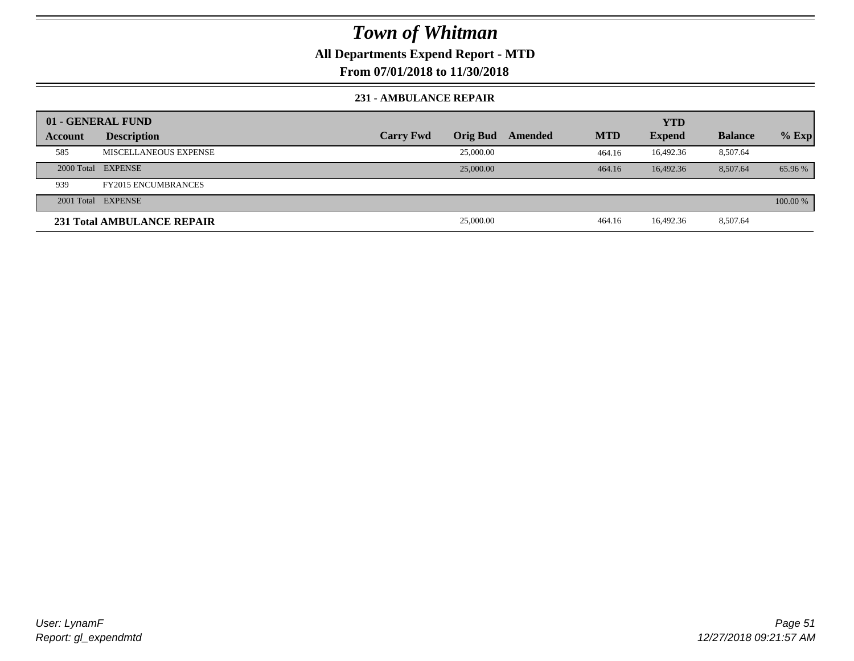## **All Departments Expend Report - MTD**

**From 07/01/2018 to 11/30/2018**

#### **231 - AMBULANCE REPAIR**

|                | 01 - GENERAL FUND          |                  |                 |         |            | <b>YTD</b>    |                |          |
|----------------|----------------------------|------------------|-----------------|---------|------------|---------------|----------------|----------|
| <b>Account</b> | <b>Description</b>         | <b>Carry Fwd</b> | <b>Orig Bud</b> | Amended | <b>MTD</b> | <b>Expend</b> | <b>Balance</b> | $%$ Exp  |
| 585            | MISCELLANEOUS EXPENSE      |                  | 25,000.00       |         | 464.16     | 16.492.36     | 8,507.64       |          |
|                | 2000 Total EXPENSE         |                  | 25,000.00       |         | 464.16     | 16.492.36     | 8.507.64       | 65.96 %  |
| 939            | <b>FY2015 ENCUMBRANCES</b> |                  |                 |         |            |               |                |          |
|                | 2001 Total EXPENSE         |                  |                 |         |            |               |                | 100.00 % |
|                | 231 Total AMBULANCE REPAIR |                  | 25,000.00       |         | 464.16     | 16.492.36     | 8,507.64       |          |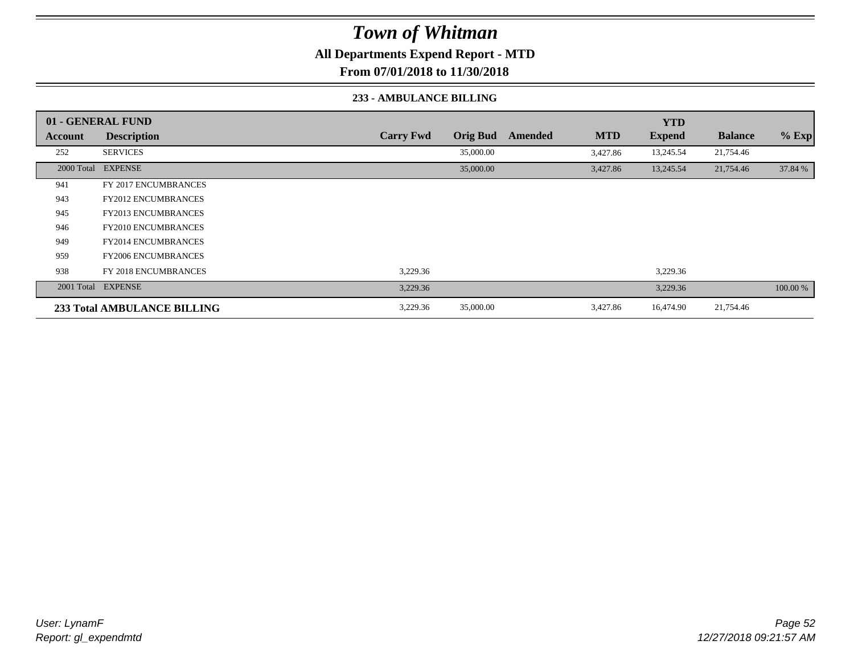**All Departments Expend Report - MTD**

**From 07/01/2018 to 11/30/2018**

#### **233 - AMBULANCE BILLING**

|         | 01 - GENERAL FUND                  |                  |                 |         |            | <b>YTD</b>    |                |          |
|---------|------------------------------------|------------------|-----------------|---------|------------|---------------|----------------|----------|
| Account | <b>Description</b>                 | <b>Carry Fwd</b> | <b>Orig Bud</b> | Amended | <b>MTD</b> | <b>Expend</b> | <b>Balance</b> | % Exp    |
| 252     | <b>SERVICES</b>                    |                  | 35,000.00       |         | 3,427.86   | 13,245.54     | 21,754.46      |          |
|         | 2000 Total EXPENSE                 |                  | 35,000.00       |         | 3,427.86   | 13,245.54     | 21,754.46      | 37.84 %  |
| 941     | <b>FY 2017 ENCUMBRANCES</b>        |                  |                 |         |            |               |                |          |
| 943     | <b>FY2012 ENCUMBRANCES</b>         |                  |                 |         |            |               |                |          |
| 945     | <b>FY2013 ENCUMBRANCES</b>         |                  |                 |         |            |               |                |          |
| 946     | <b>FY2010 ENCUMBRANCES</b>         |                  |                 |         |            |               |                |          |
| 949     | <b>FY2014 ENCUMBRANCES</b>         |                  |                 |         |            |               |                |          |
| 959     | <b>FY2006 ENCUMBRANCES</b>         |                  |                 |         |            |               |                |          |
| 938     | <b>FY 2018 ENCUMBRANCES</b>        | 3,229.36         |                 |         |            | 3,229.36      |                |          |
|         | 2001 Total EXPENSE                 | 3,229.36         |                 |         |            | 3,229.36      |                | 100.00 % |
|         | <b>233 Total AMBULANCE BILLING</b> | 3,229.36         | 35,000.00       |         | 3,427.86   | 16,474.90     | 21,754.46      |          |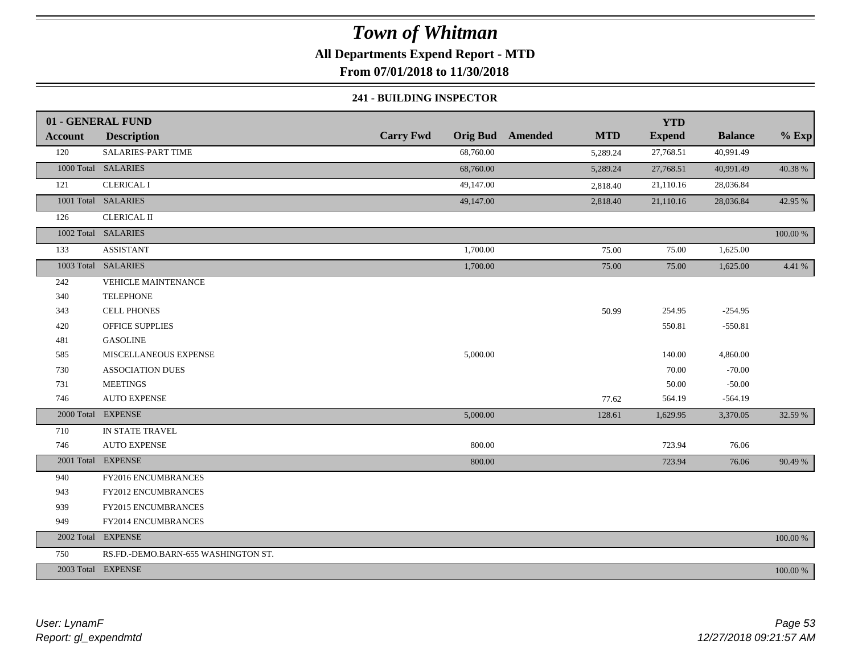## **All Departments Expend Report - MTD**

**From 07/01/2018 to 11/30/2018**

#### **241 - BUILDING INSPECTOR**

|            | 01 - GENERAL FUND                   |                  |                                       | <b>YTD</b>    |                |             |
|------------|-------------------------------------|------------------|---------------------------------------|---------------|----------------|-------------|
| Account    | <b>Description</b>                  | <b>Carry Fwd</b> | <b>Orig Bud</b> Amended<br><b>MTD</b> | <b>Expend</b> | <b>Balance</b> | $%$ Exp     |
| 120        | SALARIES-PART TIME                  | 68,760.00        | 5,289.24                              | 27,768.51     | 40,991.49      |             |
|            | 1000 Total SALARIES                 | 68,760.00        | 5,289.24                              | 27,768.51     | 40,991.49      | 40.38%      |
| 121        | <b>CLERICAL I</b>                   | 49,147.00        | 2,818.40                              | 21,110.16     | 28,036.84      |             |
|            | 1001 Total SALARIES                 | 49,147.00        | 2,818.40                              | 21,110.16     | 28,036.84      | 42.95 %     |
| 126        | <b>CLERICAL II</b>                  |                  |                                       |               |                |             |
|            | 1002 Total SALARIES                 |                  |                                       |               |                | $100.00~\%$ |
| 133        | <b>ASSISTANT</b>                    | 1,700.00         | 75.00                                 | 75.00         | 1,625.00       |             |
|            | 1003 Total SALARIES                 | 1,700.00         | 75.00                                 | 75.00         | 1,625.00       | 4.41 %      |
| 242        | <b>VEHICLE MAINTENANCE</b>          |                  |                                       |               |                |             |
| 340        | <b>TELEPHONE</b>                    |                  |                                       |               |                |             |
| 343        | <b>CELL PHONES</b>                  |                  | 50.99                                 | 254.95        | $-254.95$      |             |
| 420        | <b>OFFICE SUPPLIES</b>              |                  |                                       | 550.81        | $-550.81$      |             |
| 481        | <b>GASOLINE</b>                     |                  |                                       |               |                |             |
| 585        | MISCELLANEOUS EXPENSE               | 5,000.00         |                                       | 140.00        | 4,860.00       |             |
| 730        | <b>ASSOCIATION DUES</b>             |                  |                                       | 70.00         | $-70.00$       |             |
| 731        | <b>MEETINGS</b>                     |                  |                                       | 50.00         | $-50.00$       |             |
| 746        | <b>AUTO EXPENSE</b>                 |                  | 77.62                                 | 564.19        | $-564.19$      |             |
| 2000 Total | <b>EXPENSE</b>                      | 5,000.00         | 128.61                                | 1,629.95      | 3,370.05       | 32.59 %     |
| 710        | IN STATE TRAVEL                     |                  |                                       |               |                |             |
| 746        | <b>AUTO EXPENSE</b>                 | 800.00           |                                       | 723.94        | 76.06          |             |
|            | 2001 Total EXPENSE                  | 800.00           |                                       | 723.94        | 76.06          | 90.49 %     |
| 940        | FY2016 ENCUMBRANCES                 |                  |                                       |               |                |             |
| 943        | FY2012 ENCUMBRANCES                 |                  |                                       |               |                |             |
| 939        | FY2015 ENCUMBRANCES                 |                  |                                       |               |                |             |
| 949        | FY2014 ENCUMBRANCES                 |                  |                                       |               |                |             |
|            | 2002 Total EXPENSE                  |                  |                                       |               |                | 100.00 %    |
| 750        | RS.FD.-DEMO.BARN-655 WASHINGTON ST. |                  |                                       |               |                |             |
|            | 2003 Total EXPENSE                  |                  |                                       |               |                | 100.00 %    |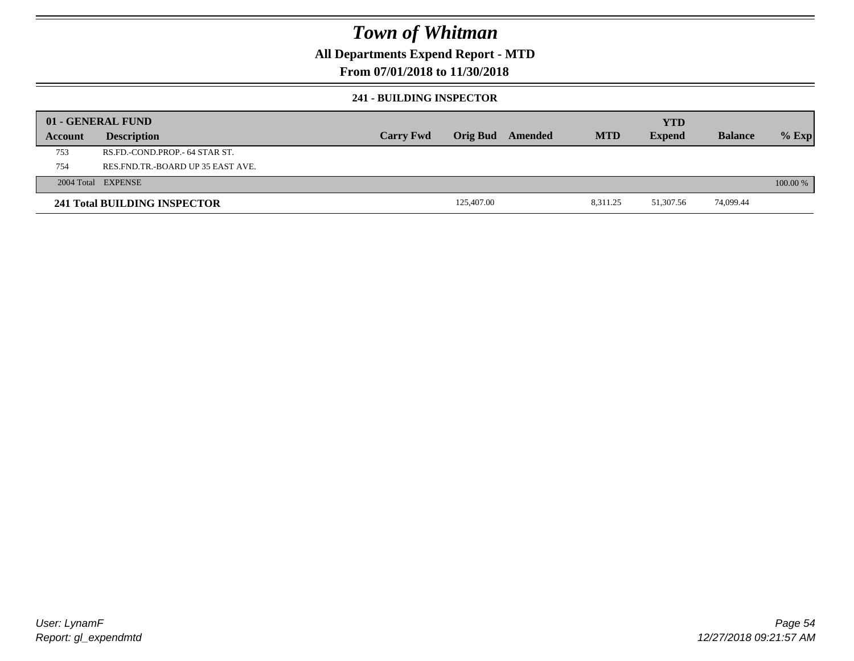### **All Departments Expend Report - MTD**

### **From 07/01/2018 to 11/30/2018**

#### **241 - BUILDING INSPECTOR**

|         | 01 - GENERAL FUND                     |                  |            |         |            | <b>YTD</b>    |                |            |
|---------|---------------------------------------|------------------|------------|---------|------------|---------------|----------------|------------|
| Account | <b>Description</b>                    | <b>Carry Fwd</b> | Orig Bud   | Amended | <b>MTD</b> | <b>Expend</b> | <b>Balance</b> | $%$ Exp    |
| 753     | RS.FD.-COND.PROP.- 64 STAR ST.        |                  |            |         |            |               |                |            |
| 754     | RES. FND. TR. - BOARD UP 35 EAST AVE. |                  |            |         |            |               |                |            |
|         | 2004 Total EXPENSE                    |                  |            |         |            |               |                | $100.00\%$ |
|         | 241 Total BUILDING INSPECTOR          |                  | 125,407.00 |         | 8,311.25   | 51,307.56     | 74,099.44      |            |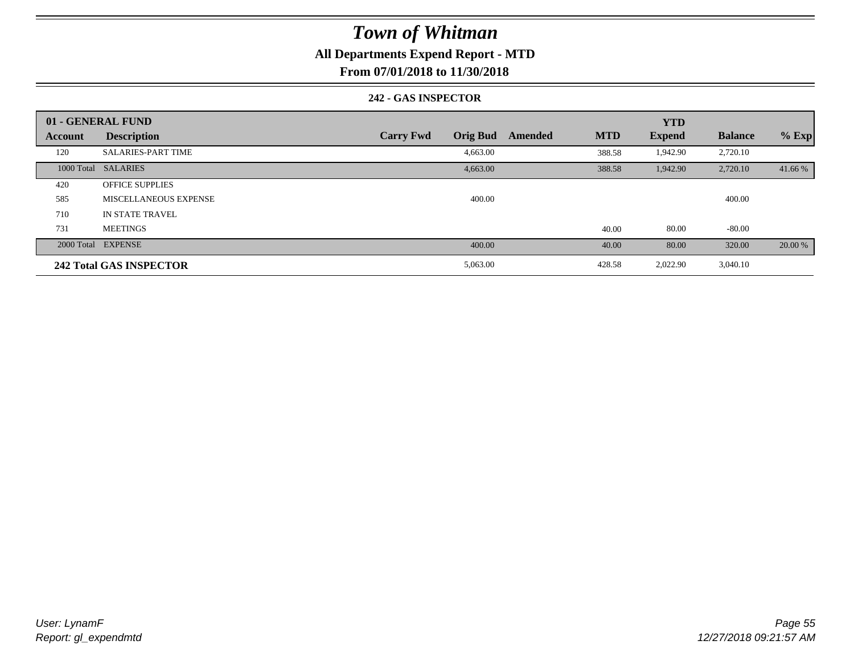### **All Departments Expend Report - MTD**

**From 07/01/2018 to 11/30/2018**

#### **242 - GAS INSPECTOR**

|                | 01 - GENERAL FUND              |                                     |                       | <b>YTD</b>    |                |         |
|----------------|--------------------------------|-------------------------------------|-----------------------|---------------|----------------|---------|
| <b>Account</b> | <b>Description</b>             | <b>Orig Bud</b><br><b>Carry Fwd</b> | <b>MTD</b><br>Amended | <b>Expend</b> | <b>Balance</b> | $%$ Exp |
| 120            | <b>SALARIES-PART TIME</b>      | 4,663.00                            | 388.58                | 1,942.90      | 2,720.10       |         |
|                | 1000 Total SALARIES            | 4,663.00                            | 388.58                | 1,942.90      | 2,720.10       | 41.66 % |
| 420            | <b>OFFICE SUPPLIES</b>         |                                     |                       |               |                |         |
| 585            | MISCELLANEOUS EXPENSE          | 400.00                              |                       |               | 400.00         |         |
| 710            | IN STATE TRAVEL                |                                     |                       |               |                |         |
| 731            | <b>MEETINGS</b>                |                                     | 40.00                 | 80.00         | $-80.00$       |         |
|                | 2000 Total EXPENSE             | 400.00                              | 40.00                 | 80.00         | 320.00         | 20.00 % |
|                | <b>242 Total GAS INSPECTOR</b> | 5,063.00                            | 428.58                | 2,022.90      | 3,040.10       |         |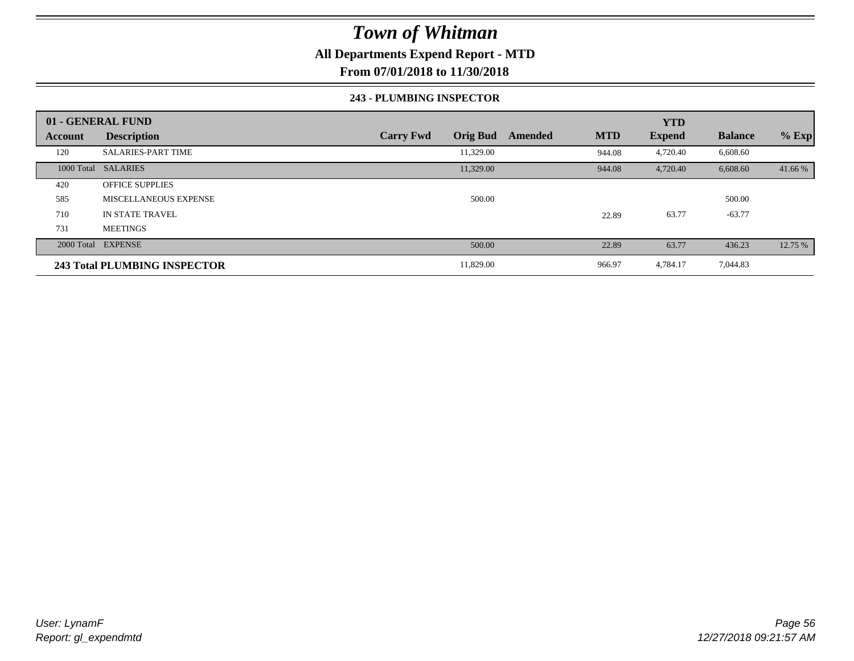### **All Departments Expend Report - MTD**

**From 07/01/2018 to 11/30/2018**

#### **243 - PLUMBING INSPECTOR**

|                | 01 - GENERAL FUND                   |                                     |                       | <b>YTD</b>    |                |         |
|----------------|-------------------------------------|-------------------------------------|-----------------------|---------------|----------------|---------|
| <b>Account</b> | <b>Description</b>                  | <b>Orig Bud</b><br><b>Carry Fwd</b> | <b>MTD</b><br>Amended | <b>Expend</b> | <b>Balance</b> | $%$ Exp |
| 120            | <b>SALARIES-PART TIME</b>           | 11,329.00                           | 944.08                | 4,720.40      | 6,608.60       |         |
|                | 1000 Total SALARIES                 | 11,329.00                           | 944.08                | 4,720.40      | 6,608.60       | 41.66 % |
| 420            | <b>OFFICE SUPPLIES</b>              |                                     |                       |               |                |         |
| 585            | MISCELLANEOUS EXPENSE               | 500.00                              |                       |               | 500.00         |         |
| 710            | IN STATE TRAVEL                     |                                     | 22.89                 | 63.77         | $-63.77$       |         |
| 731            | <b>MEETINGS</b>                     |                                     |                       |               |                |         |
|                | 2000 Total EXPENSE                  | 500.00                              | 22.89                 | 63.77         | 436.23         | 12.75 % |
|                | <b>243 Total PLUMBING INSPECTOR</b> | 11,829.00                           | 966.97                | 4,784.17      | 7,044.83       |         |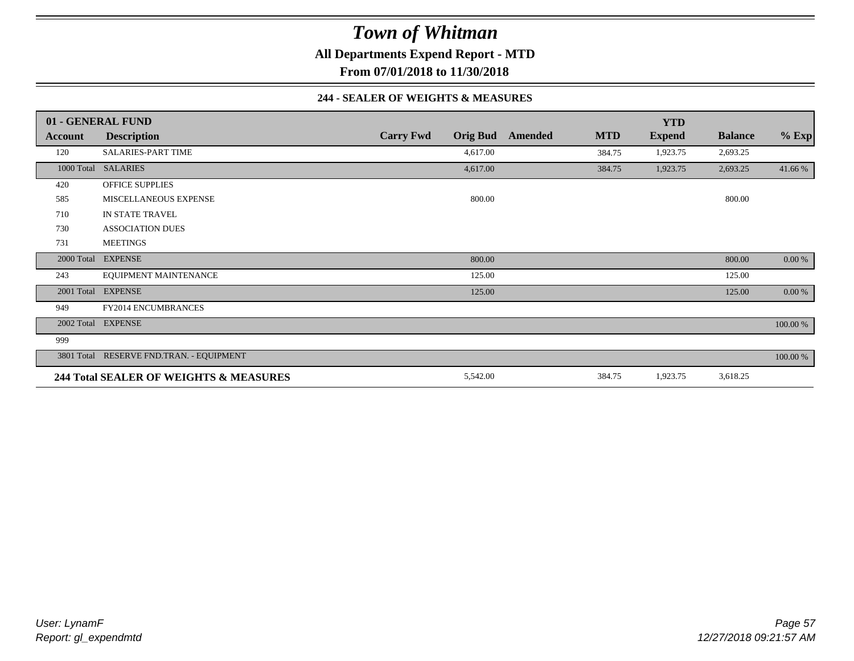**All Departments Expend Report - MTD**

**From 07/01/2018 to 11/30/2018**

#### **244 - SEALER OF WEIGHTS & MEASURES**

|                | 01 - GENERAL FUND                        |                  |                 |         |            | <b>YTD</b>    |                |          |
|----------------|------------------------------------------|------------------|-----------------|---------|------------|---------------|----------------|----------|
| <b>Account</b> | <b>Description</b>                       | <b>Carry Fwd</b> | <b>Orig Bud</b> | Amended | <b>MTD</b> | <b>Expend</b> | <b>Balance</b> | $%$ Exp  |
| 120            | <b>SALARIES-PART TIME</b>                |                  | 4,617.00        |         | 384.75     | 1,923.75      | 2,693.25       |          |
|                | 1000 Total SALARIES                      |                  | 4,617.00        |         | 384.75     | 1,923.75      | 2,693.25       | 41.66 %  |
| 420            | <b>OFFICE SUPPLIES</b>                   |                  |                 |         |            |               |                |          |
| 585            | MISCELLANEOUS EXPENSE                    |                  | 800.00          |         |            |               | 800.00         |          |
| 710            | IN STATE TRAVEL                          |                  |                 |         |            |               |                |          |
| 730            | <b>ASSOCIATION DUES</b>                  |                  |                 |         |            |               |                |          |
| 731            | <b>MEETINGS</b>                          |                  |                 |         |            |               |                |          |
|                | 2000 Total EXPENSE                       |                  | 800.00          |         |            |               | 800.00         | 0.00 %   |
| 243            | EQUIPMENT MAINTENANCE                    |                  | 125.00          |         |            |               | 125.00         |          |
|                | 2001 Total EXPENSE                       |                  | 125.00          |         |            |               | 125.00         | 0.00 %   |
| 949            | <b>FY2014 ENCUMBRANCES</b>               |                  |                 |         |            |               |                |          |
|                | 2002 Total EXPENSE                       |                  |                 |         |            |               |                | 100.00 % |
| 999            |                                          |                  |                 |         |            |               |                |          |
|                | 3801 Total RESERVE FND.TRAN. - EQUIPMENT |                  |                 |         |            |               |                | 100.00 % |
|                | 244 Total SEALER OF WEIGHTS & MEASURES   |                  | 5,542.00        |         | 384.75     | 1,923.75      | 3,618.25       |          |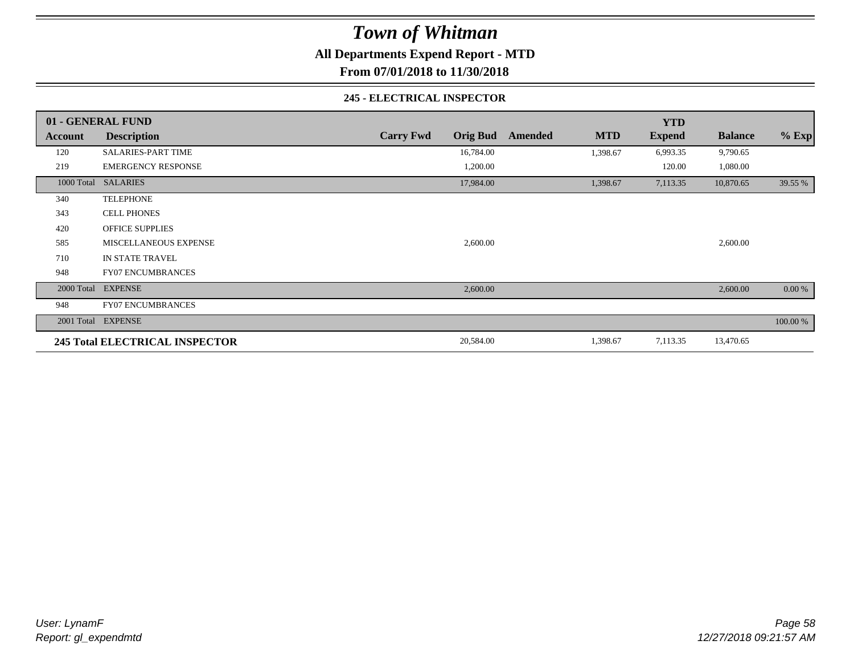**All Departments Expend Report - MTD**

**From 07/01/2018 to 11/30/2018**

#### **245 - ELECTRICAL INSPECTOR**

|         | 01 - GENERAL FUND                     |                                     |                              | <b>YTD</b>    |                |          |
|---------|---------------------------------------|-------------------------------------|------------------------------|---------------|----------------|----------|
| Account | <b>Description</b>                    | <b>Orig Bud</b><br><b>Carry Fwd</b> | <b>MTD</b><br><b>Amended</b> | <b>Expend</b> | <b>Balance</b> | $%$ Exp  |
| 120     | <b>SALARIES-PART TIME</b>             | 16,784.00                           | 1,398.67                     | 6,993.35      | 9,790.65       |          |
| 219     | <b>EMERGENCY RESPONSE</b>             | 1,200.00                            |                              | 120.00        | 1,080.00       |          |
|         | 1000 Total SALARIES                   | 17,984.00                           | 1,398.67                     | 7,113.35      | 10,870.65      | 39.55 %  |
| 340     | <b>TELEPHONE</b>                      |                                     |                              |               |                |          |
| 343     | <b>CELL PHONES</b>                    |                                     |                              |               |                |          |
| 420     | <b>OFFICE SUPPLIES</b>                |                                     |                              |               |                |          |
| 585     | MISCELLANEOUS EXPENSE                 | 2,600.00                            |                              |               | 2,600.00       |          |
| 710     | IN STATE TRAVEL                       |                                     |                              |               |                |          |
| 948     | <b>FY07 ENCUMBRANCES</b>              |                                     |                              |               |                |          |
|         | 2000 Total EXPENSE                    | 2,600.00                            |                              |               | 2,600.00       | 0.00 %   |
| 948     | <b>FY07 ENCUMBRANCES</b>              |                                     |                              |               |                |          |
|         | 2001 Total EXPENSE                    |                                     |                              |               |                | 100.00 % |
|         | <b>245 Total ELECTRICAL INSPECTOR</b> | 20,584.00                           | 1,398.67                     | 7,113.35      | 13,470.65      |          |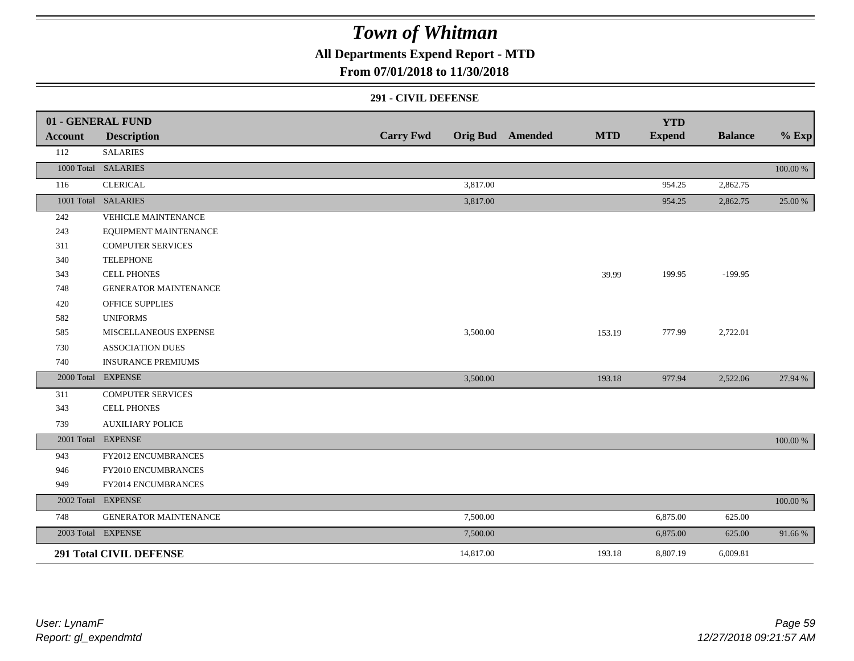## **All Departments Expend Report - MTD**

### **From 07/01/2018 to 11/30/2018**

#### **291 - CIVIL DEFENSE**

|         | 01 - GENERAL FUND              |                  |           |                         |            | <b>YTD</b>    |                |          |
|---------|--------------------------------|------------------|-----------|-------------------------|------------|---------------|----------------|----------|
| Account | <b>Description</b>             | <b>Carry Fwd</b> |           | <b>Orig Bud</b> Amended | <b>MTD</b> | <b>Expend</b> | <b>Balance</b> | $%$ Exp  |
| 112     | <b>SALARIES</b>                |                  |           |                         |            |               |                |          |
|         | 1000 Total SALARIES            |                  |           |                         |            |               |                | 100.00 % |
| 116     | <b>CLERICAL</b>                |                  | 3,817.00  |                         |            | 954.25        | 2,862.75       |          |
|         | 1001 Total SALARIES            |                  | 3,817.00  |                         |            | 954.25        | 2,862.75       | 25.00 %  |
| 242     | <b>VEHICLE MAINTENANCE</b>     |                  |           |                         |            |               |                |          |
| 243     | EQUIPMENT MAINTENANCE          |                  |           |                         |            |               |                |          |
| 311     | <b>COMPUTER SERVICES</b>       |                  |           |                         |            |               |                |          |
| 340     | <b>TELEPHONE</b>               |                  |           |                         |            |               |                |          |
| 343     | <b>CELL PHONES</b>             |                  |           |                         | 39.99      | 199.95        | $-199.95$      |          |
| 748     | <b>GENERATOR MAINTENANCE</b>   |                  |           |                         |            |               |                |          |
| 420     | <b>OFFICE SUPPLIES</b>         |                  |           |                         |            |               |                |          |
| 582     | <b>UNIFORMS</b>                |                  |           |                         |            |               |                |          |
| 585     | MISCELLANEOUS EXPENSE          |                  | 3,500.00  |                         | 153.19     | 777.99        | 2,722.01       |          |
| 730     | <b>ASSOCIATION DUES</b>        |                  |           |                         |            |               |                |          |
| 740     | <b>INSURANCE PREMIUMS</b>      |                  |           |                         |            |               |                |          |
|         | 2000 Total EXPENSE             |                  | 3,500.00  |                         | 193.18     | 977.94        | 2,522.06       | 27.94 %  |
| 311     | <b>COMPUTER SERVICES</b>       |                  |           |                         |            |               |                |          |
| 343     | <b>CELL PHONES</b>             |                  |           |                         |            |               |                |          |
| 739     | <b>AUXILIARY POLICE</b>        |                  |           |                         |            |               |                |          |
|         | 2001 Total EXPENSE             |                  |           |                         |            |               |                | 100.00 % |
| 943     | FY2012 ENCUMBRANCES            |                  |           |                         |            |               |                |          |
| 946     | FY2010 ENCUMBRANCES            |                  |           |                         |            |               |                |          |
| 949     | FY2014 ENCUMBRANCES            |                  |           |                         |            |               |                |          |
|         | 2002 Total EXPENSE             |                  |           |                         |            |               |                | 100.00 % |
| 748     | <b>GENERATOR MAINTENANCE</b>   |                  | 7,500.00  |                         |            | 6,875.00      | 625.00         |          |
|         | 2003 Total EXPENSE             |                  | 7,500.00  |                         |            | 6,875.00      | 625.00         | 91.66%   |
|         | <b>291 Total CIVIL DEFENSE</b> |                  | 14,817.00 |                         | 193.18     | 8,807.19      | 6,009.81       |          |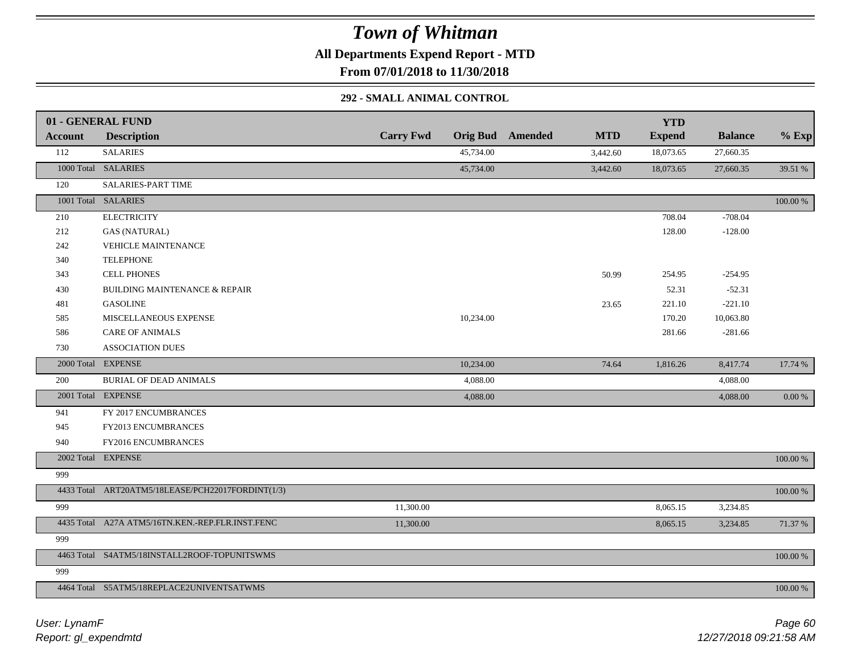**All Departments Expend Report - MTD**

**From 07/01/2018 to 11/30/2018**

#### **292 - SMALL ANIMAL CONTROL**

|                | 01 - GENERAL FUND                                 |                  |           |                         |            | <b>YTD</b>    |                |            |
|----------------|---------------------------------------------------|------------------|-----------|-------------------------|------------|---------------|----------------|------------|
| <b>Account</b> | <b>Description</b>                                | <b>Carry Fwd</b> |           | <b>Orig Bud</b> Amended | <b>MTD</b> | <b>Expend</b> | <b>Balance</b> | $%$ Exp    |
| 112            | <b>SALARIES</b>                                   |                  | 45,734.00 |                         | 3,442.60   | 18,073.65     | 27,660.35      |            |
|                | 1000 Total SALARIES                               |                  | 45,734.00 |                         | 3,442.60   | 18,073.65     | 27,660.35      | 39.51 %    |
| 120            | <b>SALARIES-PART TIME</b>                         |                  |           |                         |            |               |                |            |
|                | 1001 Total SALARIES                               |                  |           |                         |            |               |                | 100.00 %   |
| 210            | <b>ELECTRICITY</b>                                |                  |           |                         |            | 708.04        | $-708.04$      |            |
| 212            | <b>GAS (NATURAL)</b>                              |                  |           |                         |            | 128.00        | $-128.00$      |            |
| 242            | <b>VEHICLE MAINTENANCE</b>                        |                  |           |                         |            |               |                |            |
| 340            | <b>TELEPHONE</b>                                  |                  |           |                         |            |               |                |            |
| 343            | <b>CELL PHONES</b>                                |                  |           |                         | 50.99      | 254.95        | $-254.95$      |            |
| 430            | <b>BUILDING MAINTENANCE &amp; REPAIR</b>          |                  |           |                         |            | 52.31         | $-52.31$       |            |
| 481            | <b>GASOLINE</b>                                   |                  |           |                         | 23.65      | 221.10        | $-221.10$      |            |
| 585            | MISCELLANEOUS EXPENSE                             |                  | 10,234.00 |                         |            | 170.20        | 10,063.80      |            |
| 586            | <b>CARE OF ANIMALS</b>                            |                  |           |                         |            | 281.66        | $-281.66$      |            |
| 730            | <b>ASSOCIATION DUES</b>                           |                  |           |                         |            |               |                |            |
|                | 2000 Total EXPENSE                                |                  | 10,234.00 |                         | 74.64      | 1,816.26      | 8,417.74       | 17.74 %    |
| 200            | <b>BURIAL OF DEAD ANIMALS</b>                     |                  | 4,088.00  |                         |            |               | 4,088.00       |            |
|                | 2001 Total EXPENSE                                |                  | 4,088.00  |                         |            |               | 4,088.00       | $0.00\ \%$ |
| 941            | FY 2017 ENCUMBRANCES                              |                  |           |                         |            |               |                |            |
| 945            | FY2013 ENCUMBRANCES                               |                  |           |                         |            |               |                |            |
| 940            | FY2016 ENCUMBRANCES                               |                  |           |                         |            |               |                |            |
|                | 2002 Total EXPENSE                                |                  |           |                         |            |               |                | 100.00 %   |
| 999            |                                                   |                  |           |                         |            |               |                |            |
|                | 4433 Total ART20ATM5/18LEASE/PCH22017FORDINT(1/3) |                  |           |                         |            |               |                | 100.00 %   |
| 999            |                                                   | 11,300.00        |           |                         |            | 8,065.15      | 3,234.85       |            |
|                | 4435 Total A27A ATM5/16TN.KEN.-REP.FLR.INST.FENC  | 11,300.00        |           |                         |            | 8,065.15      | 3,234.85       | 71.37 %    |
| 999            |                                                   |                  |           |                         |            |               |                |            |
|                | 4463 Total S4ATM5/18INSTALL2ROOF-TOPUNITSWMS      |                  |           |                         |            |               |                | 100.00 %   |
| 999            |                                                   |                  |           |                         |            |               |                |            |
|                | 4464 Total S5ATM5/18REPLACE2UNIVENTSATWMS         |                  |           |                         |            |               |                | 100.00 %   |
|                |                                                   |                  |           |                         |            |               |                |            |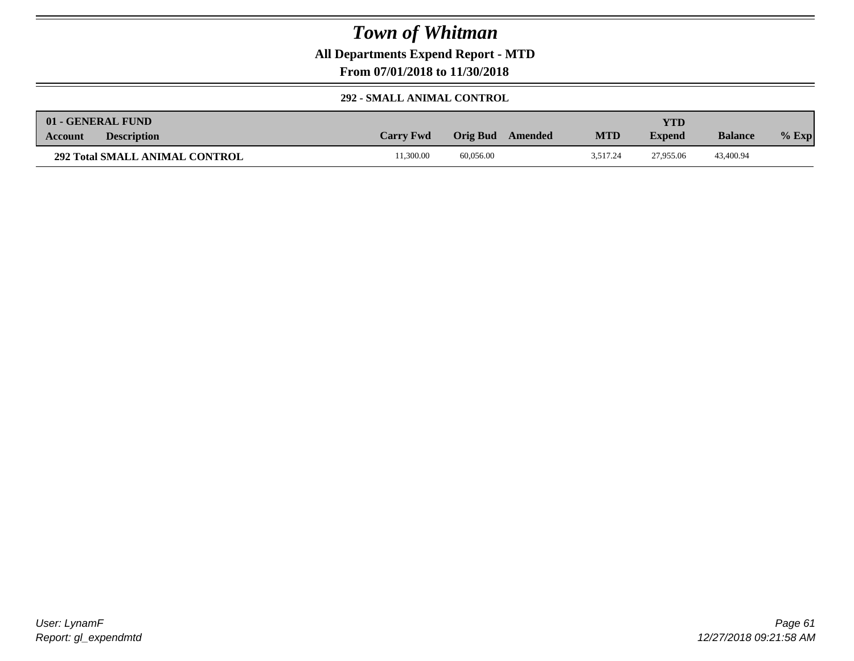**All Departments Expend Report - MTD**

**From 07/01/2018 to 11/30/2018**

#### **292 - SMALL ANIMAL CONTROL**

| 01 - GENERAL FUND                     |                  |                     |            | YTD           |                |         |
|---------------------------------------|------------------|---------------------|------------|---------------|----------------|---------|
| <b>Description</b><br><b>Account</b>  | <b>Carry Fwd</b> | Orig Bud<br>Amended | <b>MTD</b> | <b>Expend</b> | <b>Balance</b> | $%$ Exp |
| <b>292 Total SMALL ANIMAL CONTROL</b> | 1.300.00         | 60.056.00           | 3.517.24   | 27,955.06     | 43,400.94      |         |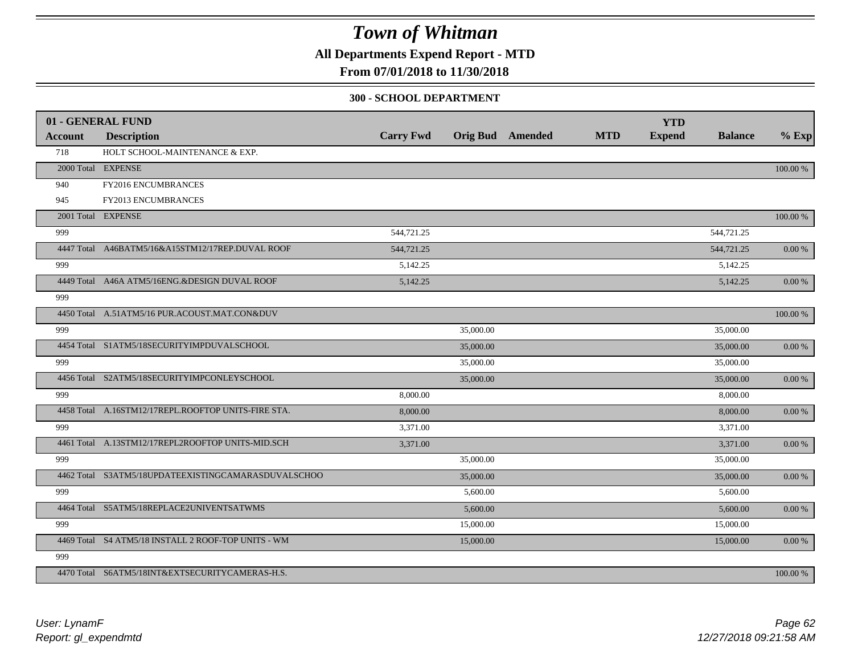**All Departments Expend Report - MTD**

### **From 07/01/2018 to 11/30/2018**

#### **300 - SCHOOL DEPARTMENT**

| <b>Account</b> | 01 - GENERAL FUND<br><b>Description</b>             | <b>Carry Fwd</b> |           | <b>Orig Bud</b> Amended | <b>MTD</b> | <b>YTD</b><br><b>Expend</b> | <b>Balance</b> | $%$ Exp    |
|----------------|-----------------------------------------------------|------------------|-----------|-------------------------|------------|-----------------------------|----------------|------------|
| 718            | HOLT SCHOOL-MAINTENANCE & EXP.                      |                  |           |                         |            |                             |                |            |
|                | 2000 Total EXPENSE                                  |                  |           |                         |            |                             |                | 100.00 %   |
| 940            | FY2016 ENCUMBRANCES                                 |                  |           |                         |            |                             |                |            |
| 945            | FY2013 ENCUMBRANCES                                 |                  |           |                         |            |                             |                |            |
|                | 2001 Total EXPENSE                                  |                  |           |                         |            |                             |                | 100.00 %   |
| 999            |                                                     | 544,721.25       |           |                         |            |                             | 544,721.25     |            |
|                | 4447 Total A46BATM5/16&A15STM12/17REP.DUVAL ROOF    | 544,721.25       |           |                         |            |                             | 544,721.25     | 0.00 %     |
| 999            |                                                     | 5,142.25         |           |                         |            |                             | 5,142.25       |            |
|                | 4449 Total A46A ATM5/16ENG.&DESIGN DUVAL ROOF       | 5,142.25         |           |                         |            |                             | 5,142.25       | $0.00\ \%$ |
| 999            |                                                     |                  |           |                         |            |                             |                |            |
|                | 4450 Total A.51ATM5/16 PUR.ACOUST.MAT.CON&DUV       |                  |           |                         |            |                             |                | 100.00 %   |
| 999            |                                                     |                  | 35,000.00 |                         |            |                             | 35,000.00      |            |
|                | 4454 Total S1ATM5/18SECURITYIMPDUVALSCHOOL          |                  | 35,000.00 |                         |            |                             | 35,000.00      | 0.00 %     |
| 999            |                                                     |                  | 35,000.00 |                         |            |                             | 35,000.00      |            |
|                | 4456 Total S2ATM5/18SECURITYIMPCONLEYSCHOOL         |                  | 35,000.00 |                         |            |                             | 35,000.00      | $0.00\ \%$ |
| 999            |                                                     | 8,000.00         |           |                         |            |                             | 8,000.00       |            |
|                | 4458 Total A.16STM12/17REPL.ROOFTOP UNITS-FIRE STA. | 8,000.00         |           |                         |            |                             | 8,000.00       | 0.00 %     |
| 999            |                                                     | 3,371.00         |           |                         |            |                             | 3,371.00       |            |
|                | 4461 Total A.13STM12/17REPL2ROOFTOP UNITS-MID.SCH   | 3,371.00         |           |                         |            |                             | 3,371.00       | $0.00\ \%$ |
| 999            |                                                     |                  | 35,000.00 |                         |            |                             | 35,000.00      |            |
|                | 4462 Total S3ATM5/18UPDATEEXISTINGCAMARASDUVALSCHOO |                  | 35,000.00 |                         |            |                             | 35,000.00      | $0.00\,\%$ |
| 999            |                                                     |                  | 5,600.00  |                         |            |                             | 5,600.00       |            |
|                | 4464 Total S5ATM5/18REPLACE2UNIVENTSATWMS           |                  | 5,600.00  |                         |            |                             | 5,600.00       | $0.00\ \%$ |
| 999            |                                                     |                  | 15,000.00 |                         |            |                             | 15,000.00      |            |
|                | 4469 Total S4 ATM5/18 INSTALL 2 ROOF-TOP UNITS - WM |                  | 15,000.00 |                         |            |                             | 15,000.00      | $0.00\ \%$ |
| 999            |                                                     |                  |           |                         |            |                             |                |            |
|                | 4470 Total S6ATM5/18INT&EXTSECURITYCAMERAS-H.S.     |                  |           |                         |            |                             |                | 100.00 %   |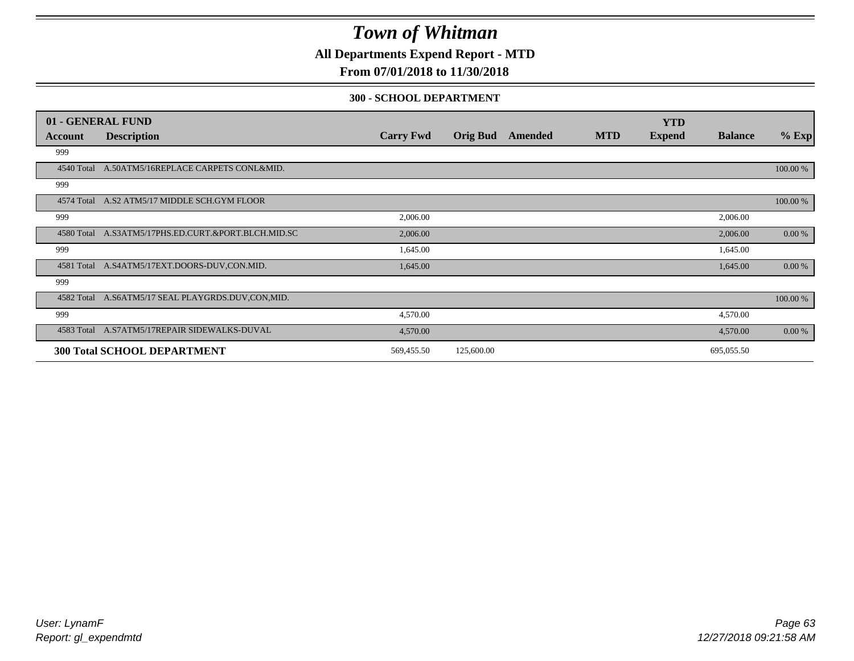**All Departments Expend Report - MTD**

### **From 07/01/2018 to 11/30/2018**

#### **300 - SCHOOL DEPARTMENT**

|            | 01 - GENERAL FUND                                   |                  |                 |         |            | <b>YTD</b>    |                |          |
|------------|-----------------------------------------------------|------------------|-----------------|---------|------------|---------------|----------------|----------|
| Account    | <b>Description</b>                                  | <b>Carry Fwd</b> | <b>Orig Bud</b> | Amended | <b>MTD</b> | <b>Expend</b> | <b>Balance</b> | $%$ Exp  |
| 999        |                                                     |                  |                 |         |            |               |                |          |
| 4540 Total | A.50ATM5/16REPLACE CARPETS CONL&MID.                |                  |                 |         |            |               |                | 100.00 % |
| 999        |                                                     |                  |                 |         |            |               |                |          |
|            | 4574 Total A.S2 ATM5/17 MIDDLE SCH.GYM FLOOR        |                  |                 |         |            |               |                | 100.00 % |
| 999        |                                                     | 2,006.00         |                 |         |            |               | 2,006.00       |          |
|            | 4580 Total A.S3ATM5/17PHS.ED.CURT.&PORT.BLCH.MID.SC | 2,006.00         |                 |         |            |               | 2,006.00       | 0.00 %   |
| 999        |                                                     | 1,645.00         |                 |         |            |               | 1,645.00       |          |
| 4581 Total | A.S4ATM5/17EXT.DOORS-DUV.CON.MID.                   | 1,645.00         |                 |         |            |               | 1,645.00       | 0.00 %   |
| 999        |                                                     |                  |                 |         |            |               |                |          |
|            | 4582 Total A.S6ATM5/17 SEAL PLAYGRDS.DUV,CON,MID.   |                  |                 |         |            |               |                | 100.00 % |
| 999        |                                                     | 4,570.00         |                 |         |            |               | 4,570.00       |          |
|            | 4583 Total A.S7ATM5/17REPAIR SIDEWALKS-DUVAL        | 4,570.00         |                 |         |            |               | 4,570.00       | 0.00 %   |
|            | <b>300 Total SCHOOL DEPARTMENT</b>                  | 569,455.50       | 125,600.00      |         |            |               | 695,055.50     |          |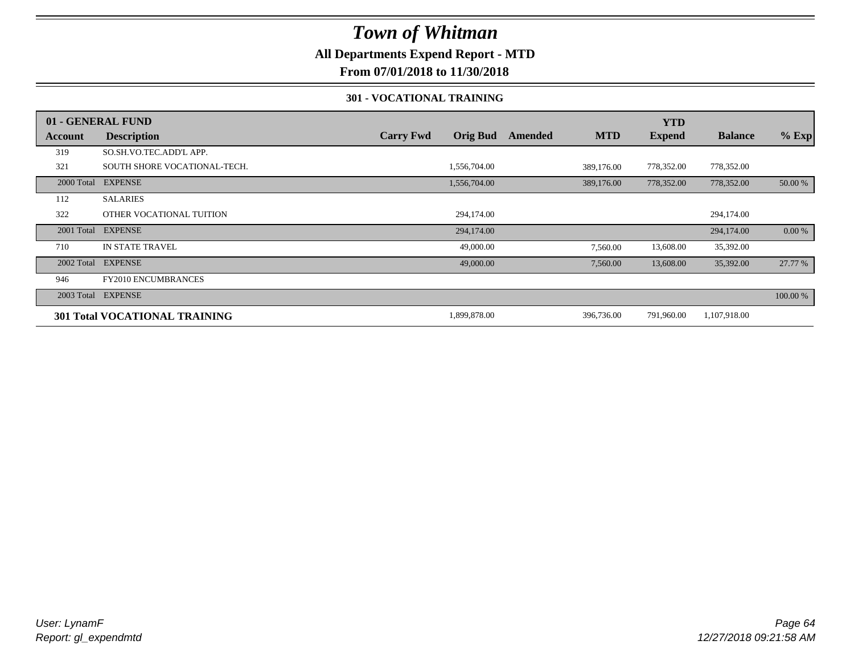### **All Departments Expend Report - MTD**

### **From 07/01/2018 to 11/30/2018**

#### **301 - VOCATIONAL TRAINING**

|         | 01 - GENERAL FUND                    |                  |                 |         |            | <b>YTD</b>    |                |          |
|---------|--------------------------------------|------------------|-----------------|---------|------------|---------------|----------------|----------|
| Account | <b>Description</b>                   | <b>Carry Fwd</b> | <b>Orig Bud</b> | Amended | <b>MTD</b> | <b>Expend</b> | <b>Balance</b> | $%$ Exp  |
| 319     | SO.SH.VO.TEC.ADD'L APP.              |                  |                 |         |            |               |                |          |
| 321     | SOUTH SHORE VOCATIONAL-TECH.         |                  | 1,556,704.00    |         | 389,176.00 | 778,352.00    | 778,352.00     |          |
|         | 2000 Total EXPENSE                   |                  | 1,556,704.00    |         | 389,176.00 | 778,352.00    | 778,352.00     | 50.00 %  |
| 112     | <b>SALARIES</b>                      |                  |                 |         |            |               |                |          |
| 322     | OTHER VOCATIONAL TUITION             |                  | 294,174.00      |         |            |               | 294,174.00     |          |
|         | 2001 Total EXPENSE                   |                  | 294,174.00      |         |            |               | 294,174.00     | 0.00 %   |
| 710     | <b>IN STATE TRAVEL</b>               |                  | 49,000.00       |         | 7,560.00   | 13,608.00     | 35,392.00      |          |
|         | 2002 Total EXPENSE                   |                  | 49,000.00       |         | 7,560.00   | 13,608.00     | 35,392.00      | 27.77 %  |
| 946     | <b>FY2010 ENCUMBRANCES</b>           |                  |                 |         |            |               |                |          |
|         | 2003 Total EXPENSE                   |                  |                 |         |            |               |                | 100.00 % |
|         | <b>301 Total VOCATIONAL TRAINING</b> |                  | 1,899,878.00    |         | 396,736.00 | 791,960.00    | 1,107,918.00   |          |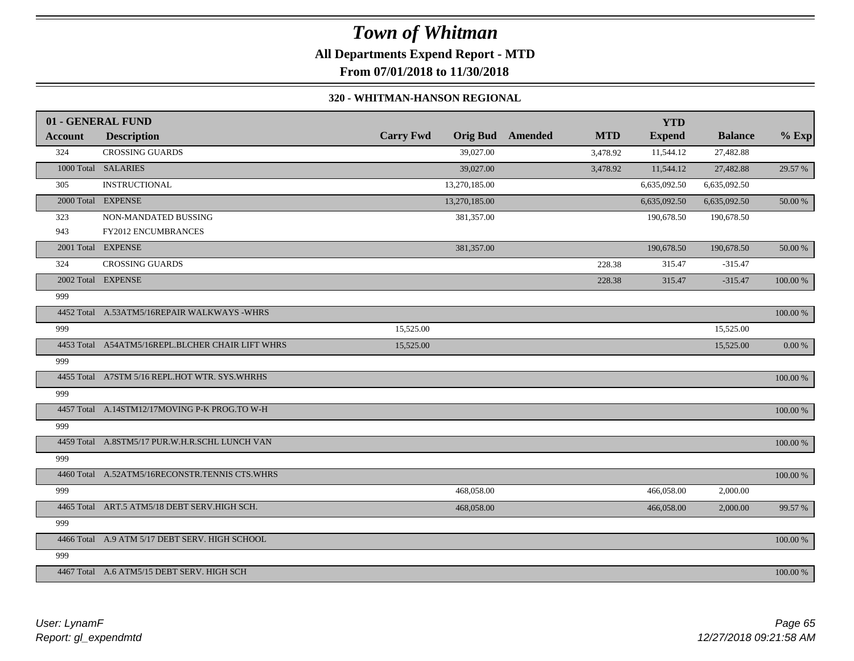## *Town of Whitman* **All Departments Expend Report - MTD**

**From 07/01/2018 to 11/30/2018**

#### **320 - WHITMAN-HANSON REGIONAL**

|         | 01 - GENERAL FUND                                |                  |                 |         |            | <b>YTD</b>    |                |             |
|---------|--------------------------------------------------|------------------|-----------------|---------|------------|---------------|----------------|-------------|
| Account | <b>Description</b>                               | <b>Carry Fwd</b> | <b>Orig Bud</b> | Amended | <b>MTD</b> | <b>Expend</b> | <b>Balance</b> | $%$ Exp     |
| 324     | <b>CROSSING GUARDS</b>                           |                  | 39,027.00       |         | 3,478.92   | 11,544.12     | 27,482.88      |             |
|         | 1000 Total SALARIES                              |                  | 39,027.00       |         | 3,478.92   | 11,544.12     | 27,482.88      | 29.57 %     |
| 305     | <b>INSTRUCTIONAL</b>                             |                  | 13,270,185.00   |         |            | 6,635,092.50  | 6,635,092.50   |             |
|         | 2000 Total EXPENSE                               |                  | 13,270,185.00   |         |            | 6,635,092.50  | 6,635,092.50   | 50.00 %     |
| 323     | NON-MANDATED BUSSING                             |                  | 381,357.00      |         |            | 190,678.50    | 190,678.50     |             |
| 943     | <b>FY2012 ENCUMBRANCES</b>                       |                  |                 |         |            |               |                |             |
|         | 2001 Total EXPENSE                               |                  | 381,357.00      |         |            | 190,678.50    | 190,678.50     | 50.00 %     |
| 324     | <b>CROSSING GUARDS</b>                           |                  |                 |         | 228.38     | 315.47        | $-315.47$      |             |
|         | 2002 Total EXPENSE                               |                  |                 |         | 228.38     | 315.47        | $-315.47$      | 100.00 %    |
| 999     |                                                  |                  |                 |         |            |               |                |             |
|         | 4452 Total A.53ATM5/16REPAIR WALKWAYS -WHRS      |                  |                 |         |            |               |                | 100.00 %    |
| 999     |                                                  | 15,525.00        |                 |         |            |               | 15,525.00      |             |
|         | 4453 Total A54ATM5/16REPL.BLCHER CHAIR LIFT WHRS | 15,525.00        |                 |         |            |               | 15,525.00      | 0.00 %      |
| 999     |                                                  |                  |                 |         |            |               |                |             |
|         | 4455 Total A7STM 5/16 REPL.HOT WTR. SYS.WHRHS    |                  |                 |         |            |               |                | 100.00 %    |
| 999     |                                                  |                  |                 |         |            |               |                |             |
|         | 4457 Total A.14STM12/17MOVING P-K PROG.TO W-H    |                  |                 |         |            |               |                | 100.00 %    |
| 999     |                                                  |                  |                 |         |            |               |                |             |
|         | 4459 Total A.8STM5/17 PUR.W.H.R.SCHL LUNCH VAN   |                  |                 |         |            |               |                | 100.00 %    |
| 999     |                                                  |                  |                 |         |            |               |                |             |
|         | 4460 Total A.52ATM5/16RECONSTR.TENNIS CTS.WHRS   |                  |                 |         |            |               |                | $100.00~\%$ |
| 999     |                                                  |                  | 468,058.00      |         |            | 466,058.00    | 2,000.00       |             |
|         | 4465 Total ART.5 ATM5/18 DEBT SERV.HIGH SCH.     |                  | 468,058.00      |         |            | 466,058.00    | 2,000.00       | 99.57 %     |
| 999     |                                                  |                  |                 |         |            |               |                |             |
|         | 4466 Total A.9 ATM 5/17 DEBT SERV. HIGH SCHOOL   |                  |                 |         |            |               |                | 100.00 %    |
| 999     |                                                  |                  |                 |         |            |               |                |             |
|         | 4467 Total A.6 ATM5/15 DEBT SERV. HIGH SCH       |                  |                 |         |            |               |                | 100.00 %    |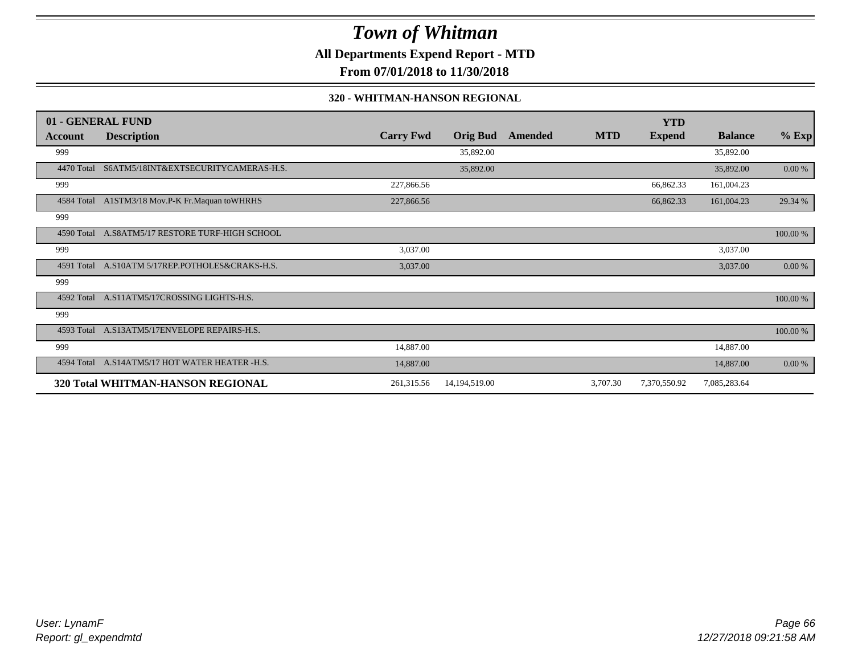**All Departments Expend Report - MTD**

**From 07/01/2018 to 11/30/2018**

#### **320 - WHITMAN-HANSON REGIONAL**

|            | 01 - GENERAL FUND                               |                  |                 |         |            | <b>YTD</b>    |                |          |
|------------|-------------------------------------------------|------------------|-----------------|---------|------------|---------------|----------------|----------|
| Account    | <b>Description</b>                              | <b>Carry Fwd</b> | <b>Orig Bud</b> | Amended | <b>MTD</b> | <b>Expend</b> | <b>Balance</b> | $%$ Exp  |
| 999        |                                                 |                  | 35,892.00       |         |            |               | 35,892.00      |          |
| 4470 Total | S6ATM5/18INT&EXTSECURITYCAMERAS-H.S.            |                  | 35,892.00       |         |            |               | 35,892.00      | 0.00 %   |
| 999        |                                                 | 227,866.56       |                 |         |            | 66,862.33     | 161,004.23     |          |
|            | 4584 Total A1STM3/18 Mov.P-K Fr.Maquan toWHRHS  | 227,866.56       |                 |         |            | 66,862.33     | 161,004.23     | 29.34 %  |
| 999        |                                                 |                  |                 |         |            |               |                |          |
| 4590 Total | A.S8ATM5/17 RESTORE TURF-HIGH SCHOOL            |                  |                 |         |            |               |                | 100.00 % |
| 999        |                                                 | 3,037.00         |                 |         |            |               | 3,037.00       |          |
|            | 4591 Total A.S10ATM 5/17REP.POTHOLES&CRAKS-H.S. | 3,037.00         |                 |         |            |               | 3,037.00       | 0.00 %   |
| 999        |                                                 |                  |                 |         |            |               |                |          |
| 4592 Total | A.S11ATM5/17CROSSING LIGHTS-H.S.                |                  |                 |         |            |               |                | 100.00 % |
| 999        |                                                 |                  |                 |         |            |               |                |          |
| 4593 Total | A.S13ATM5/17ENVELOPE REPAIRS-H.S.               |                  |                 |         |            |               |                | 100.00 % |
| 999        |                                                 | 14,887.00        |                 |         |            |               | 14,887.00      |          |
| 4594 Total | A.S14ATM5/17 HOT WATER HEATER -H.S.             | 14,887.00        |                 |         |            |               | 14,887.00      | 0.00 %   |
|            | 320 Total WHITMAN-HANSON REGIONAL               | 261,315.56       | 14,194,519.00   |         | 3,707.30   | 7,370,550.92  | 7,085,283.64   |          |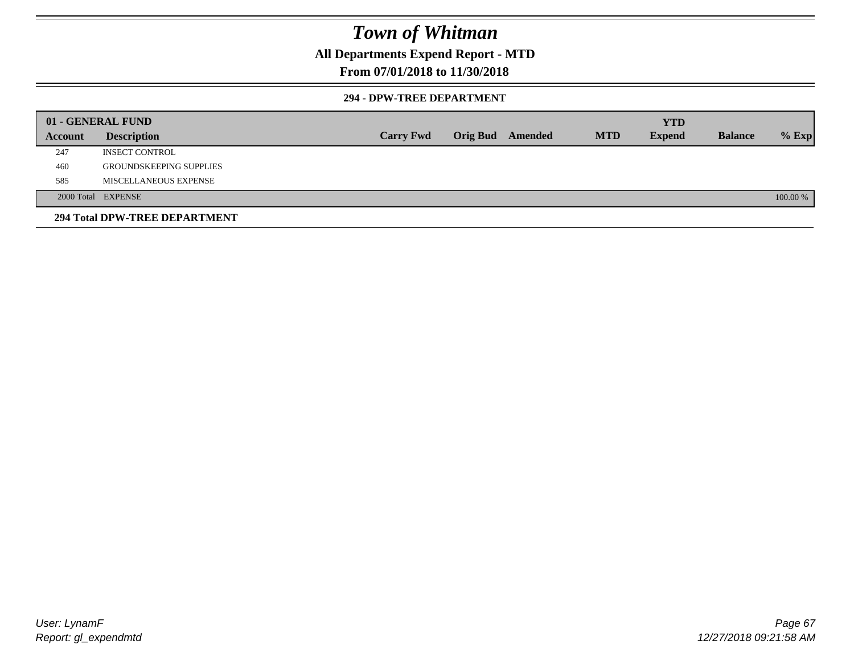### **All Departments Expend Report - MTD**

### **From 07/01/2018 to 11/30/2018**

#### **294 - DPW-TREE DEPARTMENT**

|         | 01 - GENERAL FUND              |                  |                         |            | <b>YTD</b>    |                |          |
|---------|--------------------------------|------------------|-------------------------|------------|---------------|----------------|----------|
| Account | <b>Description</b>             | <b>Carry Fwd</b> | <b>Orig Bud</b> Amended | <b>MTD</b> | <b>Expend</b> | <b>Balance</b> | $%$ Exp  |
| 247     | <b>INSECT CONTROL</b>          |                  |                         |            |               |                |          |
| 460     | <b>GROUNDSKEEPING SUPPLIES</b> |                  |                         |            |               |                |          |
| 585     | MISCELLANEOUS EXPENSE          |                  |                         |            |               |                |          |
|         | 2000 Total EXPENSE             |                  |                         |            |               |                | 100.00 % |
|         | 294 Total DPW-TREE DEPARTMENT  |                  |                         |            |               |                |          |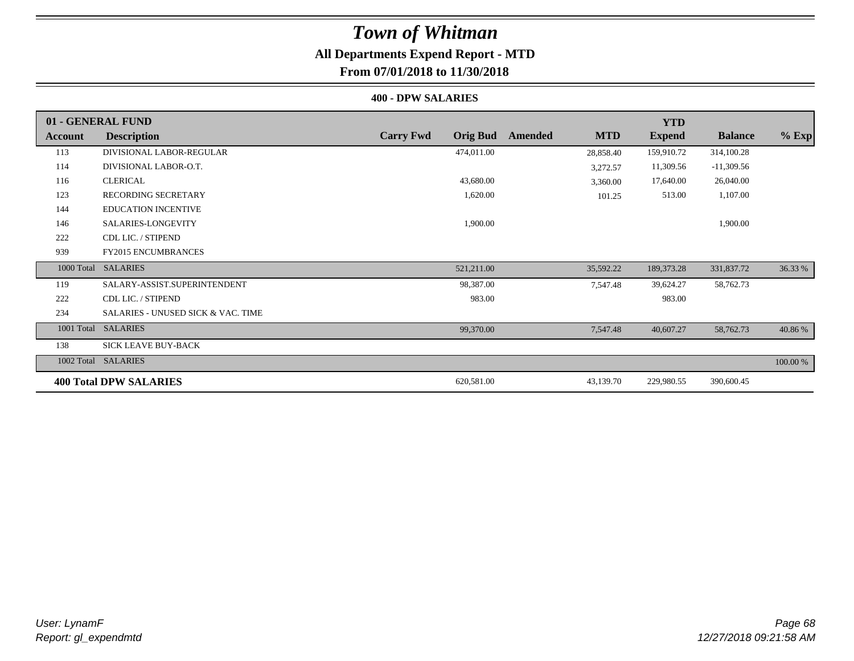# **All Departments Expend Report - MTD**

## **From 07/01/2018 to 11/30/2018**

#### **400 - DPW SALARIES**

|            | 01 - GENERAL FUND                  |                                     |                       | <b>YTD</b>    |                |          |
|------------|------------------------------------|-------------------------------------|-----------------------|---------------|----------------|----------|
| Account    | <b>Description</b>                 | <b>Carry Fwd</b><br><b>Orig Bud</b> | <b>MTD</b><br>Amended | <b>Expend</b> | <b>Balance</b> | $%$ Exp  |
| 113        | DIVISIONAL LABOR-REGULAR           | 474,011.00                          | 28,858.40             | 159,910.72    | 314,100.28     |          |
| 114        | DIVISIONAL LABOR-O.T.              |                                     | 3,272.57              | 11,309.56     | $-11,309.56$   |          |
| 116        | <b>CLERICAL</b>                    | 43,680.00                           | 3,360.00              | 17,640.00     | 26,040.00      |          |
| 123        | <b>RECORDING SECRETARY</b>         | 1,620.00                            | 101.25                | 513.00        | 1,107.00       |          |
| 144        | <b>EDUCATION INCENTIVE</b>         |                                     |                       |               |                |          |
| 146        | SALARIES-LONGEVITY                 | 1,900.00                            |                       |               | 1,900.00       |          |
| 222        | CDL LIC. / STIPEND                 |                                     |                       |               |                |          |
| 939        | <b>FY2015 ENCUMBRANCES</b>         |                                     |                       |               |                |          |
| 1000 Total | <b>SALARIES</b>                    | 521,211.00                          | 35,592.22             | 189,373.28    | 331,837.72     | 36.33 %  |
| 119        | SALARY-ASSIST.SUPERINTENDENT       | 98,387.00                           | 7,547.48              | 39,624.27     | 58,762.73      |          |
| 222        | CDL LIC. / STIPEND                 | 983.00                              |                       | 983.00        |                |          |
| 234        | SALARIES - UNUSED SICK & VAC. TIME |                                     |                       |               |                |          |
| 1001 Total | <b>SALARIES</b>                    | 99,370.00                           | 7,547.48              | 40,607.27     | 58,762.73      | 40.86 %  |
| 138        | <b>SICK LEAVE BUY-BACK</b>         |                                     |                       |               |                |          |
| 1002 Total | <b>SALARIES</b>                    |                                     |                       |               |                | 100.00 % |
|            | <b>400 Total DPW SALARIES</b>      | 620,581.00                          | 43,139.70             | 229,980.55    | 390,600.45     |          |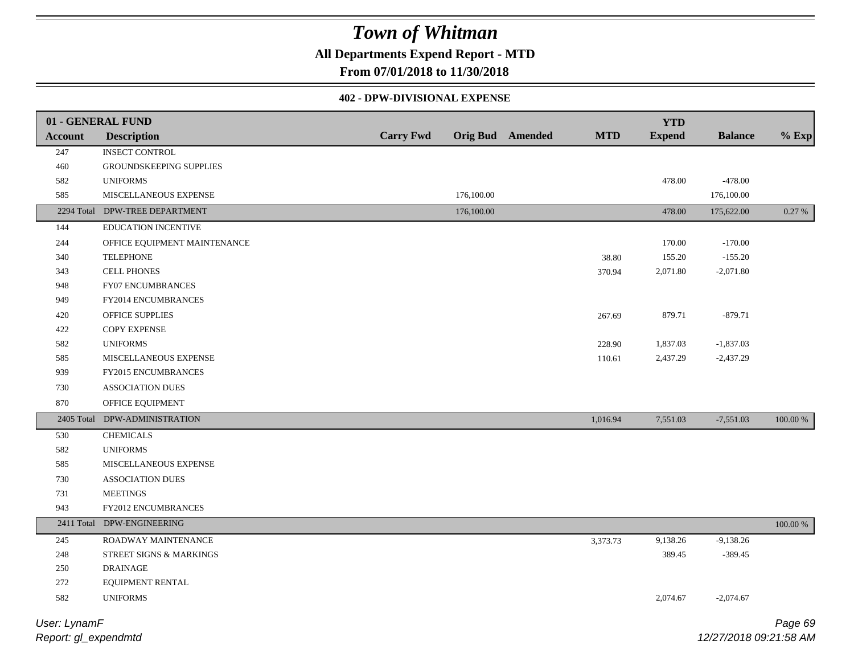## **All Departments Expend Report - MTD**

**From 07/01/2018 to 11/30/2018**

#### **402 - DPW-DIVISIONAL EXPENSE**

|                | 01 - GENERAL FUND              |                  |            |                         |            | <b>YTD</b>    |                |          |
|----------------|--------------------------------|------------------|------------|-------------------------|------------|---------------|----------------|----------|
| <b>Account</b> | <b>Description</b>             | <b>Carry Fwd</b> |            | <b>Orig Bud</b> Amended | <b>MTD</b> | <b>Expend</b> | <b>Balance</b> | $%$ Exp  |
| 247            | <b>INSECT CONTROL</b>          |                  |            |                         |            |               |                |          |
| $460\,$        | GROUNDSKEEPING SUPPLIES        |                  |            |                         |            |               |                |          |
| 582            | <b>UNIFORMS</b>                |                  |            |                         |            | 478.00        | $-478.00$      |          |
| 585            | MISCELLANEOUS EXPENSE          |                  | 176,100.00 |                         |            |               | 176,100.00     |          |
|                | 2294 Total DPW-TREE DEPARTMENT |                  | 176,100.00 |                         |            | 478.00        | 175,622.00     | 0.27 %   |
| 144            | <b>EDUCATION INCENTIVE</b>     |                  |            |                         |            |               |                |          |
| 244            | OFFICE EQUIPMENT MAINTENANCE   |                  |            |                         |            | 170.00        | $-170.00$      |          |
| 340            | <b>TELEPHONE</b>               |                  |            |                         | 38.80      | 155.20        | $-155.20$      |          |
| 343            | <b>CELL PHONES</b>             |                  |            |                         | 370.94     | 2,071.80      | $-2,071.80$    |          |
| 948            | FY07 ENCUMBRANCES              |                  |            |                         |            |               |                |          |
| 949            | FY2014 ENCUMBRANCES            |                  |            |                         |            |               |                |          |
| 420            | OFFICE SUPPLIES                |                  |            |                         | 267.69     | 879.71        | $-879.71$      |          |
| 422            | COPY EXPENSE                   |                  |            |                         |            |               |                |          |
| 582            | <b>UNIFORMS</b>                |                  |            |                         | 228.90     | 1,837.03      | $-1,837.03$    |          |
| 585            | MISCELLANEOUS EXPENSE          |                  |            |                         | 110.61     | 2,437.29      | $-2,437.29$    |          |
| 939            | FY2015 ENCUMBRANCES            |                  |            |                         |            |               |                |          |
| 730            | ASSOCIATION DUES               |                  |            |                         |            |               |                |          |
| 870            | OFFICE EQUIPMENT               |                  |            |                         |            |               |                |          |
| 2405 Total     | DPW-ADMINISTRATION             |                  |            |                         | 1,016.94   | 7,551.03      | $-7,551.03$    | 100.00 % |
| 530            | <b>CHEMICALS</b>               |                  |            |                         |            |               |                |          |
| 582            | <b>UNIFORMS</b>                |                  |            |                         |            |               |                |          |
| 585            | MISCELLANEOUS EXPENSE          |                  |            |                         |            |               |                |          |
| 730            | <b>ASSOCIATION DUES</b>        |                  |            |                         |            |               |                |          |
| 731            | <b>MEETINGS</b>                |                  |            |                         |            |               |                |          |
| 943            | FY2012 ENCUMBRANCES            |                  |            |                         |            |               |                |          |
| 2411 Total     | DPW-ENGINEERING                |                  |            |                         |            |               |                | 100.00 % |
| 245            | ROADWAY MAINTENANCE            |                  |            |                         | 3,373.73   | 9,138.26      | $-9,138.26$    |          |
| 248            | STREET SIGNS & MARKINGS        |                  |            |                         |            | 389.45        | $-389.45$      |          |
| 250            | <b>DRAINAGE</b>                |                  |            |                         |            |               |                |          |
| 272            | EQUIPMENT RENTAL               |                  |            |                         |            |               |                |          |
| 582            | <b>UNIFORMS</b>                |                  |            |                         |            | 2,074.67      | $-2,074.67$    |          |
| User: LynamF   |                                |                  |            |                         |            |               |                | Page 69  |

*Report: gl\_expendmtd*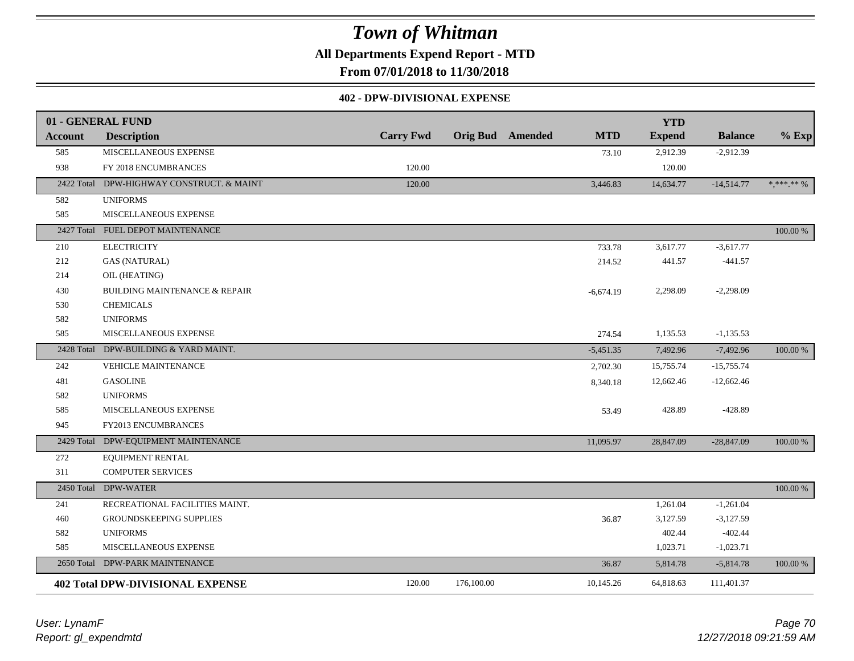**All Departments Expend Report - MTD**

**From 07/01/2018 to 11/30/2018**

#### **402 - DPW-DIVISIONAL EXPENSE**

|                | 01 - GENERAL FUND                        |                  |                         |             | <b>YTD</b>    |                |            |
|----------------|------------------------------------------|------------------|-------------------------|-------------|---------------|----------------|------------|
| <b>Account</b> | <b>Description</b>                       | <b>Carry Fwd</b> | <b>Orig Bud</b> Amended | <b>MTD</b>  | <b>Expend</b> | <b>Balance</b> | $%$ Exp    |
| 585            | MISCELLANEOUS EXPENSE                    |                  |                         | 73.10       | 2,912.39      | $-2,912.39$    |            |
| 938            | FY 2018 ENCUMBRANCES                     | 120.00           |                         |             | 120.00        |                |            |
| 2422 Total     | DPW-HIGHWAY CONSTRUCT. & MAINT           | 120.00           |                         | 3,446.83    | 14,634.77     | $-14,514.77$   | * *** ** % |
| 582            | <b>UNIFORMS</b>                          |                  |                         |             |               |                |            |
| 585            | MISCELLANEOUS EXPENSE                    |                  |                         |             |               |                |            |
|                | 2427 Total FUEL DEPOT MAINTENANCE        |                  |                         |             |               |                | 100.00 %   |
| 210            | <b>ELECTRICITY</b>                       |                  |                         | 733.78      | 3,617.77      | $-3,617.77$    |            |
| 212            | <b>GAS (NATURAL)</b>                     |                  |                         | 214.52      | 441.57        | $-441.57$      |            |
| 214            | OIL (HEATING)                            |                  |                         |             |               |                |            |
| 430            | <b>BUILDING MAINTENANCE &amp; REPAIR</b> |                  |                         | $-6,674.19$ | 2,298.09      | $-2,298.09$    |            |
| 530            | <b>CHEMICALS</b>                         |                  |                         |             |               |                |            |
| 582            | <b>UNIFORMS</b>                          |                  |                         |             |               |                |            |
| 585            | MISCELLANEOUS EXPENSE                    |                  |                         | 274.54      | 1,135.53      | $-1,135.53$    |            |
|                | 2428 Total DPW-BUILDING & YARD MAINT.    |                  |                         | $-5,451.35$ | 7,492.96      | $-7,492.96$    | 100.00 %   |
| 242            | VEHICLE MAINTENANCE                      |                  |                         | 2,702.30    | 15,755.74     | $-15,755.74$   |            |
| 481            | <b>GASOLINE</b>                          |                  |                         | 8,340.18    | 12,662.46     | $-12,662.46$   |            |
| 582            | <b>UNIFORMS</b>                          |                  |                         |             |               |                |            |
| 585            | MISCELLANEOUS EXPENSE                    |                  |                         | 53.49       | 428.89        | $-428.89$      |            |
| 945            | FY2013 ENCUMBRANCES                      |                  |                         |             |               |                |            |
| 2429 Total     | DPW-EQUIPMENT MAINTENANCE                |                  |                         | 11,095.97   | 28,847.09     | $-28,847.09$   | 100.00 %   |
| 272            | <b>EQUIPMENT RENTAL</b>                  |                  |                         |             |               |                |            |
| 311            | <b>COMPUTER SERVICES</b>                 |                  |                         |             |               |                |            |
|                | 2450 Total DPW-WATER                     |                  |                         |             |               |                | 100.00 %   |
| 241            | RECREATIONAL FACILITIES MAINT.           |                  |                         |             | 1,261.04      | $-1,261.04$    |            |
| 460            | GROUNDSKEEPING SUPPLIES                  |                  |                         | 36.87       | 3,127.59      | $-3,127.59$    |            |
| 582            | <b>UNIFORMS</b>                          |                  |                         |             | 402.44        | $-402.44$      |            |
| 585            | MISCELLANEOUS EXPENSE                    |                  |                         |             | 1,023.71      | $-1,023.71$    |            |
| 2650 Total     | DPW-PARK MAINTENANCE                     |                  |                         | 36.87       | 5,814.78      | $-5,814.78$    | 100.00 %   |
|                | <b>402 Total DPW-DIVISIONAL EXPENSE</b>  | 120.00           | 176,100.00              | 10,145.26   | 64,818.63     | 111,401.37     |            |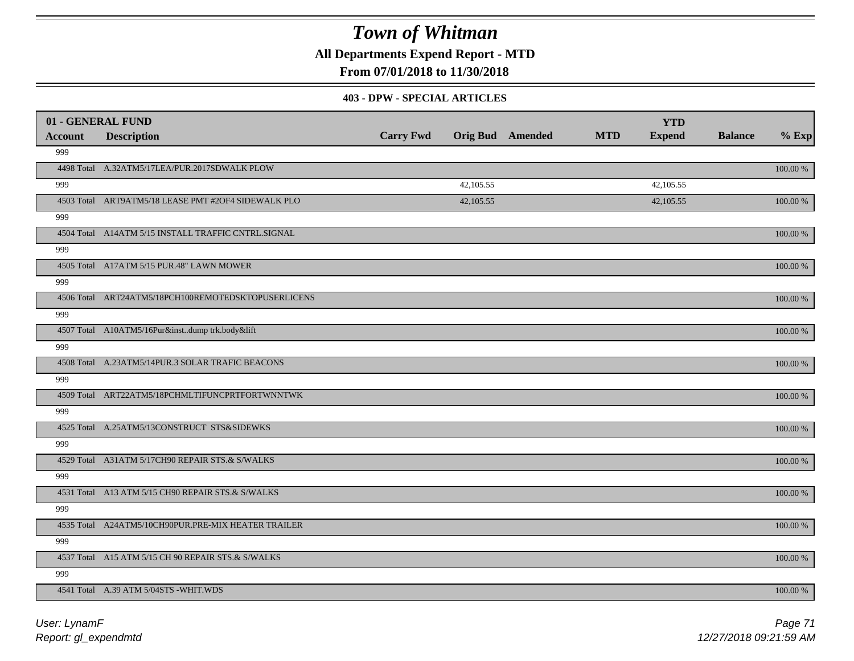**All Departments Expend Report - MTD**

### **From 07/01/2018 to 11/30/2018**

#### **403 - DPW - SPECIAL ARTICLES**

| 01 - GENERAL FUND |                                                     |                  |           |                         |            | <b>YTD</b>    |                |          |
|-------------------|-----------------------------------------------------|------------------|-----------|-------------------------|------------|---------------|----------------|----------|
| <b>Account</b>    | <b>Description</b>                                  | <b>Carry Fwd</b> |           | <b>Orig Bud</b> Amended | <b>MTD</b> | <b>Expend</b> | <b>Balance</b> | $%$ Exp  |
| 999               |                                                     |                  |           |                         |            |               |                |          |
|                   | 4498 Total A.32ATM5/17LEA/PUR.2017SDWALK PLOW       |                  |           |                         |            |               |                | 100.00 % |
| 999               |                                                     |                  | 42,105.55 |                         |            | 42,105.55     |                |          |
|                   | 4503 Total ART9ATM5/18 LEASE PMT #2OF4 SIDEWALK PLO |                  | 42,105.55 |                         |            | 42,105.55     |                | 100.00 % |
| 999               |                                                     |                  |           |                         |            |               |                |          |
|                   | 4504 Total A14ATM 5/15 INSTALL TRAFFIC CNTRL.SIGNAL |                  |           |                         |            |               |                | 100.00 % |
| 999               |                                                     |                  |           |                         |            |               |                |          |
|                   | 4505 Total A17ATM 5/15 PUR.48" LAWN MOWER           |                  |           |                         |            |               |                | 100.00 % |
| 999               |                                                     |                  |           |                         |            |               |                |          |
|                   | 4506 Total ART24ATM5/18PCH100REMOTEDSKTOPUSERLICENS |                  |           |                         |            |               |                | 100.00 % |
| 999               |                                                     |                  |           |                         |            |               |                |          |
|                   | 4507 Total A10ATM5/16Pur&instdump trk.body&lift     |                  |           |                         |            |               |                | 100.00 % |
| 999               |                                                     |                  |           |                         |            |               |                |          |
|                   | 4508 Total A.23ATM5/14PUR.3 SOLAR TRAFIC BEACONS    |                  |           |                         |            |               |                | 100.00 % |
| 999               |                                                     |                  |           |                         |            |               |                |          |
|                   | 4509 Total ART22ATM5/18PCHMLTIFUNCPRTFORTWNNTWK     |                  |           |                         |            |               |                | 100.00 % |
| 999               |                                                     |                  |           |                         |            |               |                |          |
|                   | 4525 Total A.25ATM5/13CONSTRUCT STS&SIDEWKS         |                  |           |                         |            |               |                | 100.00 % |
| 999               |                                                     |                  |           |                         |            |               |                |          |
|                   | 4529 Total A31ATM 5/17CH90 REPAIR STS.& S/WALKS     |                  |           |                         |            |               |                | 100.00 % |
| 999               |                                                     |                  |           |                         |            |               |                |          |
|                   | 4531 Total A13 ATM 5/15 CH90 REPAIR STS.& S/WALKS   |                  |           |                         |            |               |                | 100.00 % |
| 999               |                                                     |                  |           |                         |            |               |                |          |
|                   | 4535 Total A24ATM5/10CH90PUR.PRE-MIX HEATER TRAILER |                  |           |                         |            |               |                | 100.00 % |
| 999               |                                                     |                  |           |                         |            |               |                |          |
|                   | 4537 Total A15 ATM 5/15 CH 90 REPAIR STS.& S/WALKS  |                  |           |                         |            |               |                | 100.00 % |
| 999               |                                                     |                  |           |                         |            |               |                |          |
|                   | 4541 Total A.39 ATM 5/04STS - WHIT.WDS              |                  |           |                         |            |               |                | 100.00 % |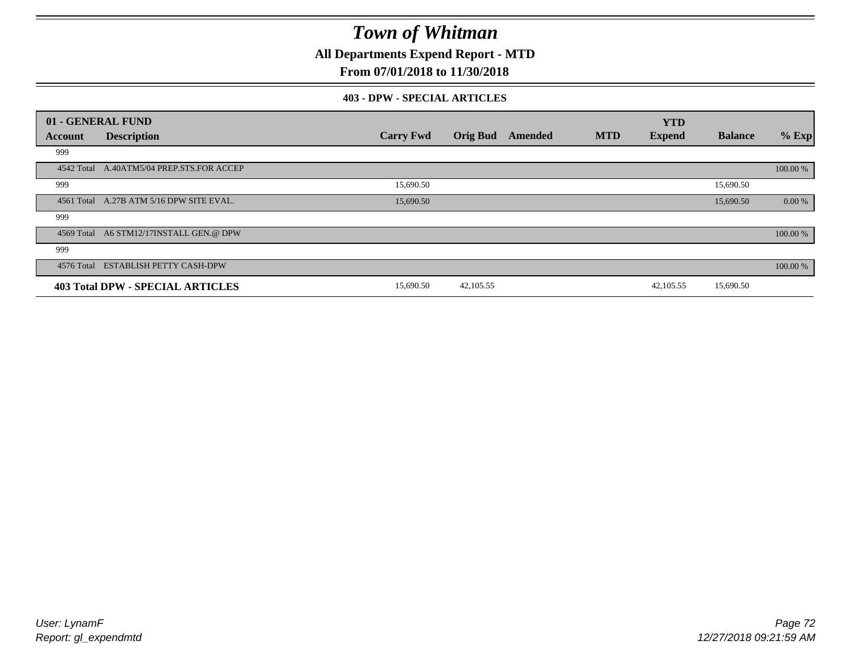**All Departments Expend Report - MTD**

### **From 07/01/2018 to 11/30/2018**

#### **403 - DPW - SPECIAL ARTICLES**

|         | 01 - GENERAL FUND                         |                  |                 |         |            | <b>YTD</b>    |                |          |
|---------|-------------------------------------------|------------------|-----------------|---------|------------|---------------|----------------|----------|
| Account | <b>Description</b>                        | <b>Carry Fwd</b> | <b>Orig Bud</b> | Amended | <b>MTD</b> | <b>Expend</b> | <b>Balance</b> | $%$ Exp  |
| 999     |                                           |                  |                 |         |            |               |                |          |
|         | 4542 Total A.40ATM5/04 PREP.STS.FOR ACCEP |                  |                 |         |            |               |                | 100.00 % |
| 999     |                                           | 15,690.50        |                 |         |            |               | 15,690.50      |          |
|         | 4561 Total A.27B ATM 5/16 DPW SITE EVAL.  | 15,690.50        |                 |         |            |               | 15,690.50      | 0.00 %   |
| 999     |                                           |                  |                 |         |            |               |                |          |
|         | 4569 Total A6 STM12/17INSTALL GEN.@ DPW   |                  |                 |         |            |               |                | 100.00 % |
| 999     |                                           |                  |                 |         |            |               |                |          |
|         | 4576 Total ESTABLISH PETTY CASH-DPW       |                  |                 |         |            |               |                | 100.00 % |
|         | 403 Total DPW - SPECIAL ARTICLES          | 15,690.50        | 42, 105.55      |         |            | 42,105.55     | 15,690.50      |          |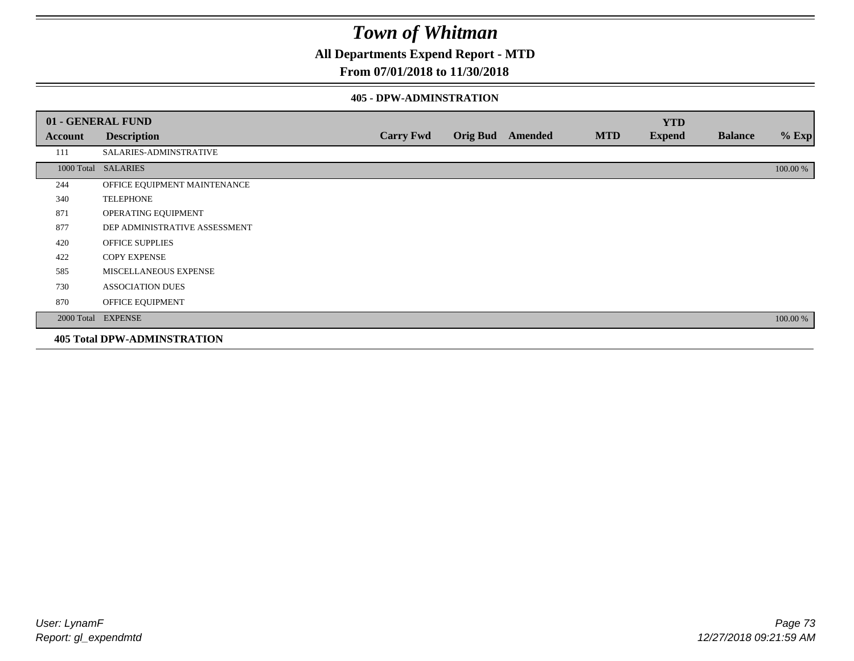**All Departments Expend Report - MTD**

## **From 07/01/2018 to 11/30/2018**

### **405 - DPW-ADMINSTRATION**

|         | 01 - GENERAL FUND                  |                  |                  |            | <b>YTD</b>    |                |          |
|---------|------------------------------------|------------------|------------------|------------|---------------|----------------|----------|
| Account | <b>Description</b>                 | <b>Carry Fwd</b> | Orig Bud Amended | <b>MTD</b> | <b>Expend</b> | <b>Balance</b> | $%$ Exp  |
| 111     | SALARIES-ADMINSTRATIVE             |                  |                  |            |               |                |          |
|         | 1000 Total SALARIES                |                  |                  |            |               |                | 100.00 % |
| 244     | OFFICE EQUIPMENT MAINTENANCE       |                  |                  |            |               |                |          |
| 340     | <b>TELEPHONE</b>                   |                  |                  |            |               |                |          |
| 871     | OPERATING EQUIPMENT                |                  |                  |            |               |                |          |
| 877     | DEP ADMINISTRATIVE ASSESSMENT      |                  |                  |            |               |                |          |
| 420     | <b>OFFICE SUPPLIES</b>             |                  |                  |            |               |                |          |
| 422     | <b>COPY EXPENSE</b>                |                  |                  |            |               |                |          |
| 585     | MISCELLANEOUS EXPENSE              |                  |                  |            |               |                |          |
| 730     | <b>ASSOCIATION DUES</b>            |                  |                  |            |               |                |          |
| 870     | OFFICE EQUIPMENT                   |                  |                  |            |               |                |          |
|         | 2000 Total EXPENSE                 |                  |                  |            |               |                | 100.00 % |
|         | <b>405 Total DPW-ADMINSTRATION</b> |                  |                  |            |               |                |          |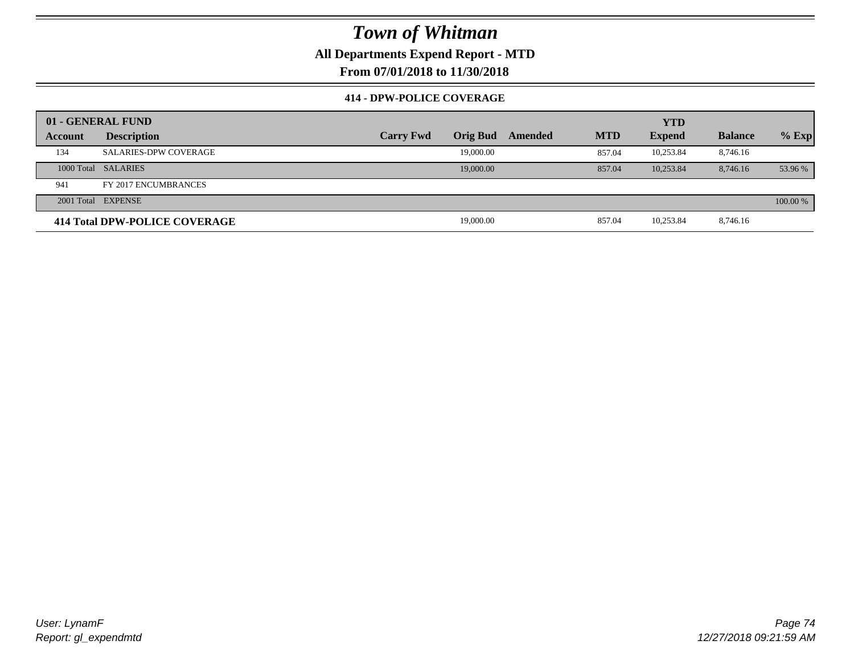**All Departments Expend Report - MTD**

**From 07/01/2018 to 11/30/2018**

### **414 - DPW-POLICE COVERAGE**

|         | 01 - GENERAL FUND             |                  |                 |         | <b>YTD</b> |               |                |          |
|---------|-------------------------------|------------------|-----------------|---------|------------|---------------|----------------|----------|
| Account | <b>Description</b>            | <b>Carry Fwd</b> | <b>Orig Bud</b> | Amended | <b>MTD</b> | <b>Expend</b> | <b>Balance</b> | $%$ Exp  |
| 134     | <b>SALARIES-DPW COVERAGE</b>  |                  | 19,000.00       |         | 857.04     | 10,253.84     | 8,746.16       |          |
|         | 1000 Total SALARIES           |                  | 19,000.00       |         | 857.04     | 10,253.84     | 8,746.16       | 53.96 %  |
| 941     | FY 2017 ENCUMBRANCES          |                  |                 |         |            |               |                |          |
|         | 2001 Total EXPENSE            |                  |                 |         |            |               |                | 100.00 % |
|         | 414 Total DPW-POLICE COVERAGE |                  | 19,000.00       |         | 857.04     | 10,253.84     | 8,746.16       |          |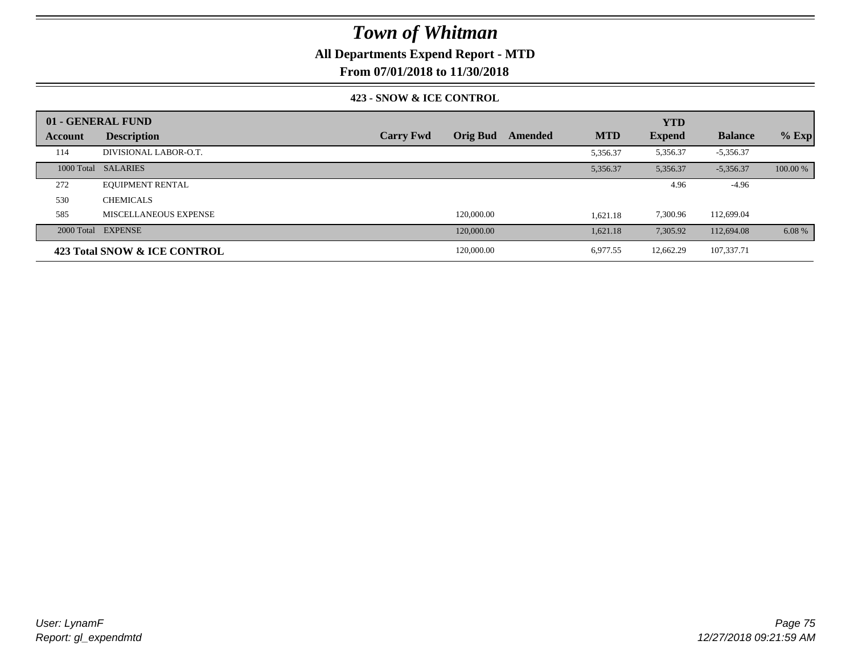## **All Departments Expend Report - MTD**

**From 07/01/2018 to 11/30/2018**

### **423 - SNOW & ICE CONTROL**

|         | 01 - GENERAL FUND            |                  |                 |         |            | <b>YTD</b>    |                |          |
|---------|------------------------------|------------------|-----------------|---------|------------|---------------|----------------|----------|
| Account | <b>Description</b>           | <b>Carry Fwd</b> | <b>Orig Bud</b> | Amended | <b>MTD</b> | <b>Expend</b> | <b>Balance</b> | $%$ Exp  |
| 114     | DIVISIONAL LABOR-O.T.        |                  |                 |         | 5,356.37   | 5,356.37      | $-5,356.37$    |          |
|         | 1000 Total SALARIES          |                  |                 |         | 5,356.37   | 5,356.37      | $-5,356.37$    | 100.00 % |
| 272     | <b>EQUIPMENT RENTAL</b>      |                  |                 |         |            | 4.96          | $-4.96$        |          |
| 530     | <b>CHEMICALS</b>             |                  |                 |         |            |               |                |          |
| 585     | MISCELLANEOUS EXPENSE        |                  | 120,000.00      |         | 1,621.18   | 7,300.96      | 112,699.04     |          |
|         | 2000 Total EXPENSE           |                  | 120,000.00      |         | 1,621.18   | 7,305.92      | 112,694.08     | 6.08 %   |
|         | 423 Total SNOW & ICE CONTROL |                  | 120,000.00      |         | 6,977.55   | 12,662.29     | 107,337.71     |          |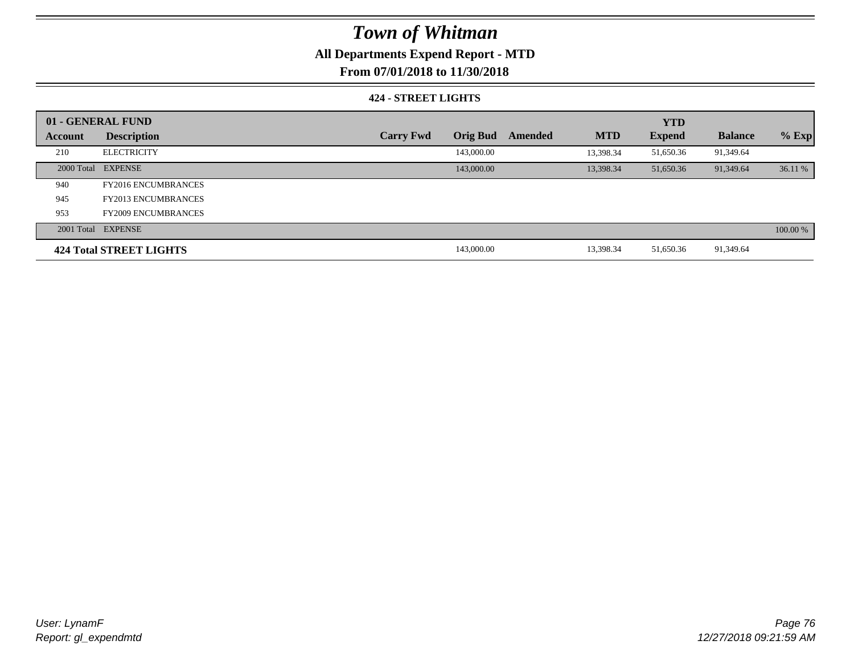## **All Departments Expend Report - MTD**

**From 07/01/2018 to 11/30/2018**

### **424 - STREET LIGHTS**

|         | 01 - GENERAL FUND          |                  |                 |         |            | <b>YTD</b>    |                |          |
|---------|----------------------------|------------------|-----------------|---------|------------|---------------|----------------|----------|
| Account | <b>Description</b>         | <b>Carry Fwd</b> | <b>Orig Bud</b> | Amended | <b>MTD</b> | <b>Expend</b> | <b>Balance</b> | $%$ Exp  |
| 210     | <b>ELECTRICITY</b>         |                  | 143,000.00      |         | 13.398.34  | 51,650.36     | 91,349.64      |          |
|         | 2000 Total EXPENSE         |                  | 143,000.00      |         | 13.398.34  | 51,650.36     | 91,349.64      | 36.11 %  |
| 940     | <b>FY2016 ENCUMBRANCES</b> |                  |                 |         |            |               |                |          |
| 945     | <b>FY2013 ENCUMBRANCES</b> |                  |                 |         |            |               |                |          |
| 953     | <b>FY2009 ENCUMBRANCES</b> |                  |                 |         |            |               |                |          |
|         | 2001 Total EXPENSE         |                  |                 |         |            |               |                | 100.00 % |
|         | 424 Total STREET LIGHTS    |                  | 143,000.00      |         | 13,398.34  | 51,650.36     | 91,349.64      |          |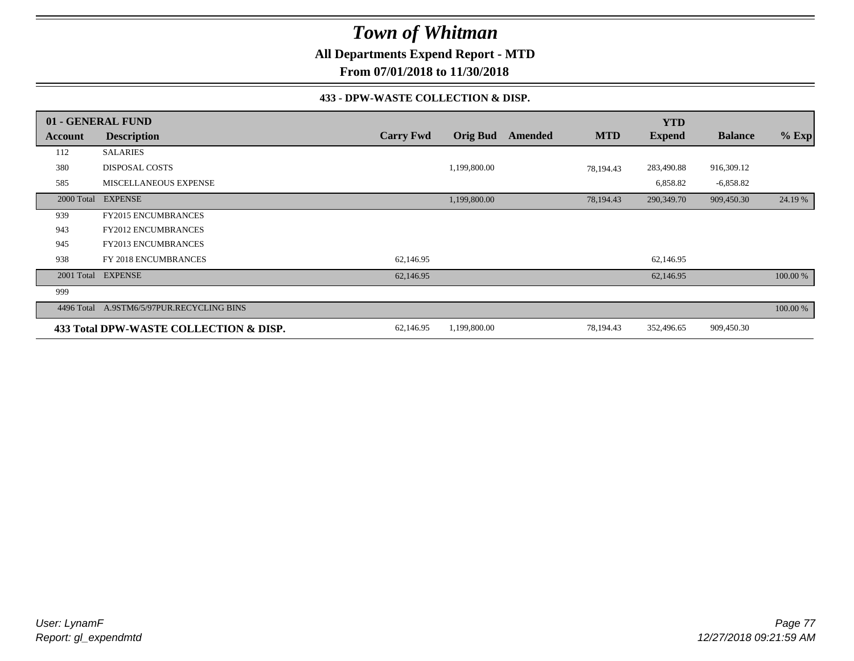**All Departments Expend Report - MTD**

**From 07/01/2018 to 11/30/2018**

### **433 - DPW-WASTE COLLECTION & DISP.**

|            | 01 - GENERAL FUND                      |                  |                 |         |            | <b>YTD</b>    |                |          |
|------------|----------------------------------------|------------------|-----------------|---------|------------|---------------|----------------|----------|
| Account    | <b>Description</b>                     | <b>Carry Fwd</b> | <b>Orig Bud</b> | Amended | <b>MTD</b> | <b>Expend</b> | <b>Balance</b> | $%$ Exp  |
| 112        | <b>SALARIES</b>                        |                  |                 |         |            |               |                |          |
| 380        | <b>DISPOSAL COSTS</b>                  |                  | 1,199,800.00    |         | 78,194.43  | 283,490.88    | 916,309.12     |          |
| 585        | MISCELLANEOUS EXPENSE                  |                  |                 |         |            | 6,858.82      | $-6,858.82$    |          |
| 2000 Total | <b>EXPENSE</b>                         |                  | 1,199,800.00    |         | 78,194.43  | 290,349.70    | 909,450.30     | 24.19 %  |
| 939        | <b>FY2015 ENCUMBRANCES</b>             |                  |                 |         |            |               |                |          |
| 943        | <b>FY2012 ENCUMBRANCES</b>             |                  |                 |         |            |               |                |          |
| 945        | <b>FY2013 ENCUMBRANCES</b>             |                  |                 |         |            |               |                |          |
| 938        | FY 2018 ENCUMBRANCES                   | 62,146.95        |                 |         |            | 62,146.95     |                |          |
|            | 2001 Total EXPENSE                     | 62,146.95        |                 |         |            | 62,146.95     |                | 100.00 % |
| 999        |                                        |                  |                 |         |            |               |                |          |
| 4496 Total | A.9STM6/5/97PUR.RECYCLING BINS         |                  |                 |         |            |               |                | 100.00 % |
|            | 433 Total DPW-WASTE COLLECTION & DISP. | 62,146.95        | 1,199,800.00    |         | 78,194.43  | 352,496.65    | 909,450.30     |          |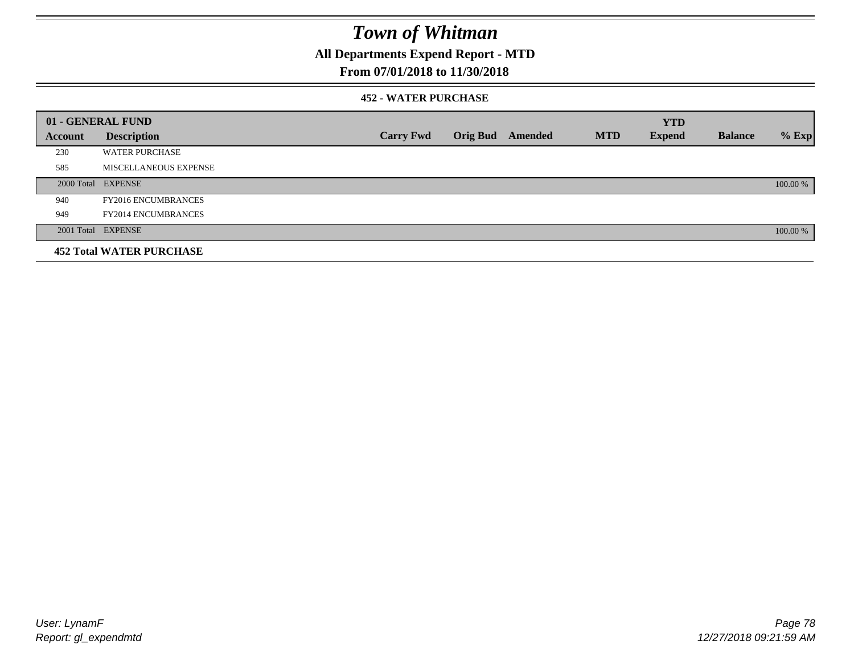**All Departments Expend Report - MTD**

## **From 07/01/2018 to 11/30/2018**

### **452 - WATER PURCHASE**

|                | 01 - GENERAL FUND               |                  |                  |            | <b>YTD</b>    |                |          |
|----------------|---------------------------------|------------------|------------------|------------|---------------|----------------|----------|
| <b>Account</b> | <b>Description</b>              | <b>Carry Fwd</b> | Orig Bud Amended | <b>MTD</b> | <b>Expend</b> | <b>Balance</b> | $%$ Exp  |
| 230            | <b>WATER PURCHASE</b>           |                  |                  |            |               |                |          |
| 585            | MISCELLANEOUS EXPENSE           |                  |                  |            |               |                |          |
|                | 2000 Total EXPENSE              |                  |                  |            |               |                | 100.00 % |
| 940            | <b>FY2016 ENCUMBRANCES</b>      |                  |                  |            |               |                |          |
| 949            | <b>FY2014 ENCUMBRANCES</b>      |                  |                  |            |               |                |          |
|                | 2001 Total EXPENSE              |                  |                  |            |               |                | 100.00 % |
|                | <b>452 Total WATER PURCHASE</b> |                  |                  |            |               |                |          |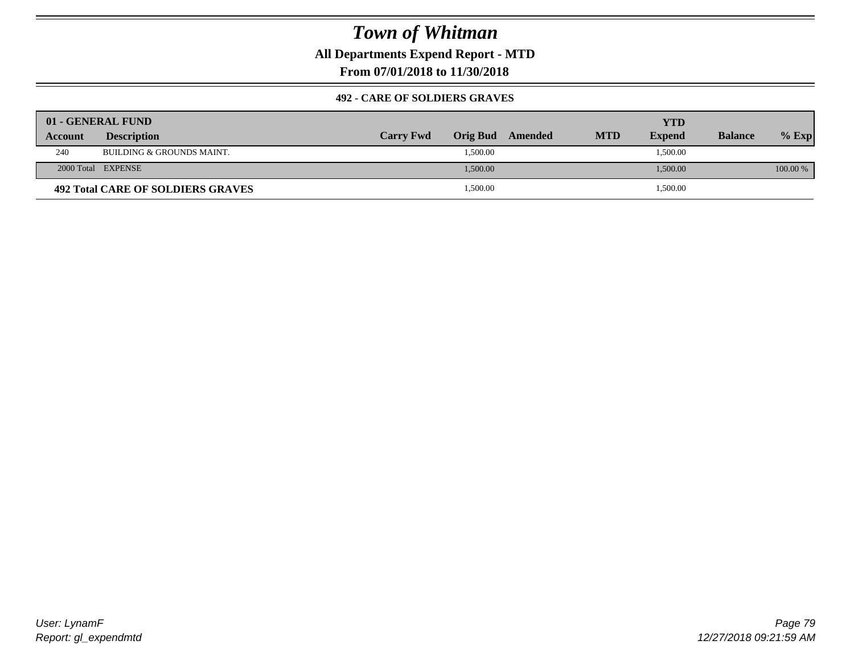**All Departments Expend Report - MTD**

**From 07/01/2018 to 11/30/2018**

### **492 - CARE OF SOLDIERS GRAVES**

|         | 01 - GENERAL FUND                        |                  |          |         |            | YTD           |                |          |
|---------|------------------------------------------|------------------|----------|---------|------------|---------------|----------------|----------|
| Account | <b>Description</b>                       | <b>Carry Fwd</b> | Orig Bud | Amended | <b>MTD</b> | <b>Expend</b> | <b>Balance</b> | $%$ Exp  |
| 240     | BUILDING & GROUNDS MAINT.                |                  | 1,500.00 |         |            | 1,500.00      |                |          |
|         | 2000 Total EXPENSE                       |                  | 1,500.00 |         |            | 1,500.00      |                | 100.00 % |
|         | <b>492 Total CARE OF SOLDIERS GRAVES</b> |                  | 1,500.00 |         |            | 1,500.00      |                |          |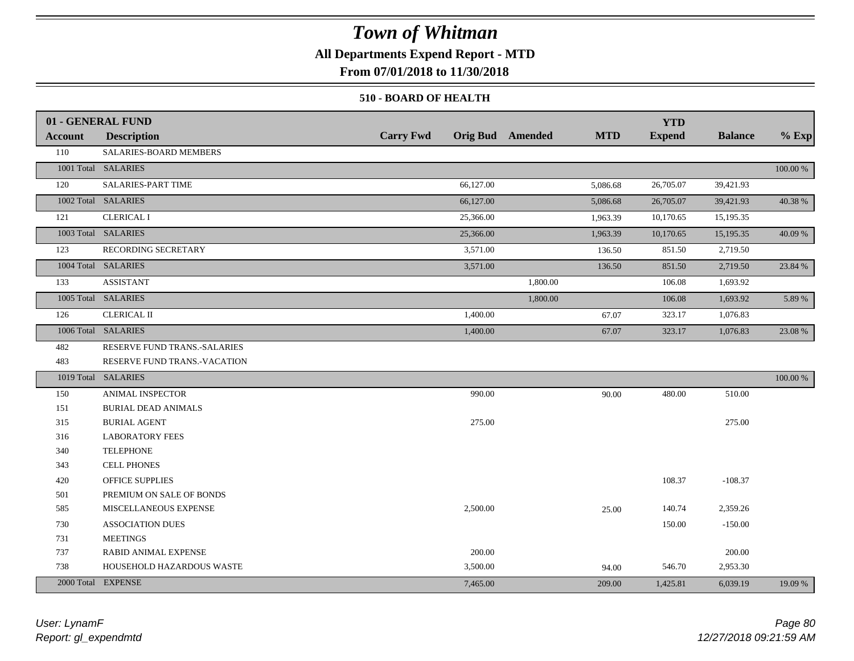## **All Departments Expend Report - MTD**

**From 07/01/2018 to 11/30/2018**

### **510 - BOARD OF HEALTH**

|         | 01 - GENERAL FUND            |                  |                         | <b>YTD</b>                  |                |             |
|---------|------------------------------|------------------|-------------------------|-----------------------------|----------------|-------------|
| Account | <b>Description</b>           | <b>Carry Fwd</b> | <b>Orig Bud</b> Amended | <b>MTD</b><br><b>Expend</b> | <b>Balance</b> | $%$ Exp     |
| 110     | SALARIES-BOARD MEMBERS       |                  |                         |                             |                |             |
|         | 1001 Total SALARIES          |                  |                         |                             |                | 100.00 %    |
| 120     | SALARIES-PART TIME           | 66,127.00        |                         | 26,705.07<br>5,086.68       | 39,421.93      |             |
|         | 1002 Total SALARIES          | 66,127.00        |                         | 26,705.07<br>5,086.68       | 39,421.93      | 40.38 %     |
| 121     | <b>CLERICAL I</b>            | 25,366.00        |                         | 10,170.65<br>1,963.39       | 15,195.35      |             |
|         | 1003 Total SALARIES          | 25,366.00        |                         | 10,170.65<br>1,963.39       | 15,195.35      | 40.09 %     |
| 123     | RECORDING SECRETARY          | 3,571.00         |                         | 851.50<br>136.50            | 2,719.50       |             |
|         | 1004 Total SALARIES          | 3,571.00         |                         | 136.50<br>851.50            | 2,719.50       | 23.84 %     |
| 133     | <b>ASSISTANT</b>             |                  | 1,800.00                | 106.08                      | 1,693.92       |             |
|         | 1005 Total SALARIES          |                  | 1,800.00                | 106.08                      | 1,693.92       | 5.89 %      |
| 126     | <b>CLERICAL II</b>           | 1,400.00         |                         | 323.17<br>67.07             | 1,076.83       |             |
|         | 1006 Total SALARIES          | 1,400.00         |                         | 67.07<br>323.17             | 1,076.83       | 23.08 %     |
| 482     | RESERVE FUND TRANS.-SALARIES |                  |                         |                             |                |             |
| 483     | RESERVE FUND TRANS.-VACATION |                  |                         |                             |                |             |
|         | 1019 Total SALARIES          |                  |                         |                             |                | $100.00~\%$ |
| 150     | <b>ANIMAL INSPECTOR</b>      | 990.00           |                         | 480.00<br>90.00             | 510.00         |             |
| 151     | <b>BURIAL DEAD ANIMALS</b>   |                  |                         |                             |                |             |
| 315     | <b>BURIAL AGENT</b>          | 275.00           |                         |                             | 275.00         |             |
| 316     | <b>LABORATORY FEES</b>       |                  |                         |                             |                |             |
| 340     | <b>TELEPHONE</b>             |                  |                         |                             |                |             |
| 343     | <b>CELL PHONES</b>           |                  |                         |                             |                |             |
| 420     | <b>OFFICE SUPPLIES</b>       |                  |                         | 108.37                      | $-108.37$      |             |
| 501     | PREMIUM ON SALE OF BONDS     |                  |                         |                             |                |             |
| 585     | MISCELLANEOUS EXPENSE        | 2,500.00         |                         | 140.74<br>25.00             | 2,359.26       |             |
| 730     | <b>ASSOCIATION DUES</b>      |                  |                         | 150.00                      | $-150.00$      |             |
| 731     | <b>MEETINGS</b>              |                  |                         |                             |                |             |
| 737     | <b>RABID ANIMAL EXPENSE</b>  | 200.00           |                         |                             | 200.00         |             |
| 738     | HOUSEHOLD HAZARDOUS WASTE    | 3,500.00         |                         | 546.70<br>94.00             | 2,953.30       |             |
|         | 2000 Total EXPENSE           | 7,465.00         |                         | 209.00<br>1,425.81          | 6,039.19       | 19.09 %     |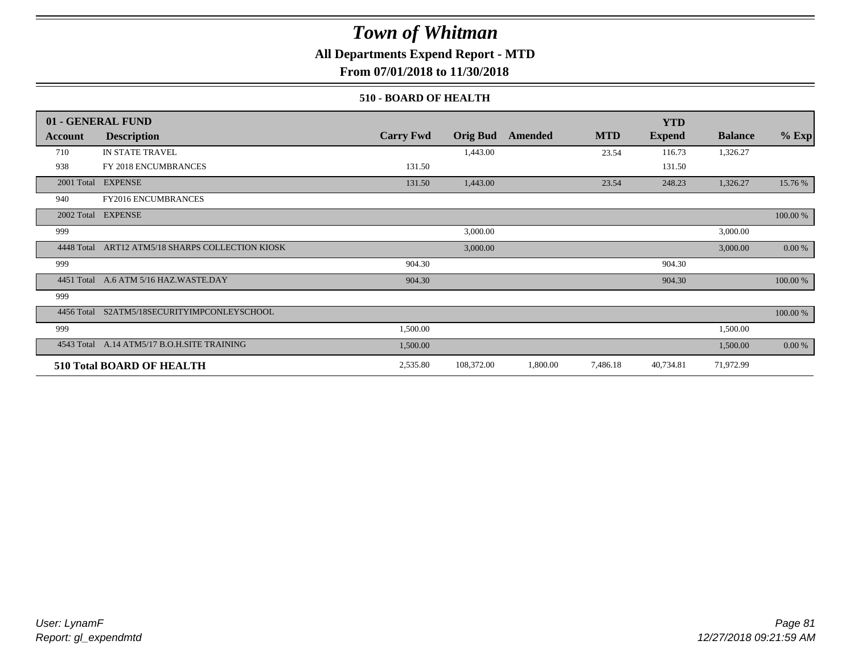## **All Departments Expend Report - MTD**

**From 07/01/2018 to 11/30/2018**

### **510 - BOARD OF HEALTH**

|            | 01 - GENERAL FUND                           |                  |                 |          |            | <b>YTD</b>    |                |             |
|------------|---------------------------------------------|------------------|-----------------|----------|------------|---------------|----------------|-------------|
| Account    | <b>Description</b>                          | <b>Carry Fwd</b> | <b>Orig Bud</b> | Amended  | <b>MTD</b> | <b>Expend</b> | <b>Balance</b> | $%$ Exp     |
| 710        | IN STATE TRAVEL                             |                  | 1,443.00        |          | 23.54      | 116.73        | 1,326.27       |             |
| 938        | FY 2018 ENCUMBRANCES                        | 131.50           |                 |          |            | 131.50        |                |             |
| 2001 Total | <b>EXPENSE</b>                              | 131.50           | 1,443.00        |          | 23.54      | 248.23        | 1,326.27       | 15.76 %     |
| 940        | <b>FY2016 ENCUMBRANCES</b>                  |                  |                 |          |            |               |                |             |
| 2002 Total | <b>EXPENSE</b>                              |                  |                 |          |            |               |                | $100.00~\%$ |
| 999        |                                             |                  | 3,000.00        |          |            |               | 3,000.00       |             |
| 4448 Total | ART12 ATM5/18 SHARPS COLLECTION KIOSK       |                  | 3,000.00        |          |            |               | 3,000.00       | 0.00 %      |
| 999        |                                             | 904.30           |                 |          |            | 904.30        |                |             |
|            | 4451 Total A.6 ATM 5/16 HAZ.WASTE.DAY       | 904.30           |                 |          |            | 904.30        |                | 100.00 %    |
| 999        |                                             |                  |                 |          |            |               |                |             |
|            | 4456 Total S2ATM5/18SECURITYIMPCONLEYSCHOOL |                  |                 |          |            |               |                | 100.00 %    |
| 999        |                                             | 1,500.00         |                 |          |            |               | 1,500.00       |             |
|            | 4543 Total A.14 ATM5/17 B.O.H.SITE TRAINING | 1,500.00         |                 |          |            |               | 1,500.00       | 0.00 %      |
|            | 510 Total BOARD OF HEALTH                   | 2,535.80         | 108,372.00      | 1,800.00 | 7,486.18   | 40,734.81     | 71,972.99      |             |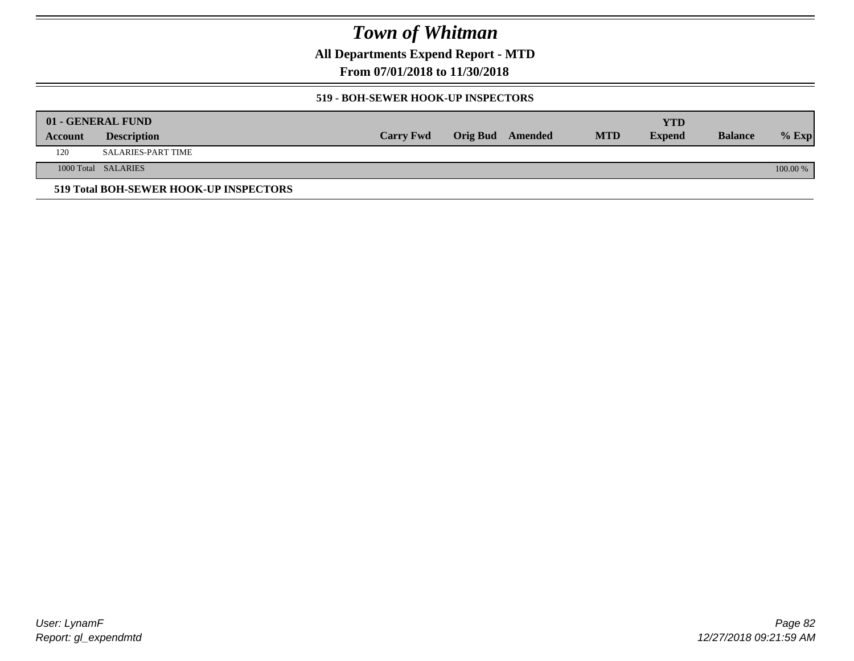**All Departments Expend Report - MTD**

**From 07/01/2018 to 11/30/2018**

### **519 - BOH-SEWER HOOK-UP INSPECTORS**

|         | 01 - GENERAL FUND                      |                  |                  |            | YTD           |                |          |
|---------|----------------------------------------|------------------|------------------|------------|---------------|----------------|----------|
| Account | <b>Description</b>                     | <b>Carry Fwd</b> | Orig Bud Amended | <b>MTD</b> | <b>Expend</b> | <b>Balance</b> | $%$ Exp  |
| 120     | <b>SALARIES-PART TIME</b>              |                  |                  |            |               |                |          |
|         | 1000 Total SALARIES                    |                  |                  |            |               |                | 100.00 % |
|         | 519 Total BOH-SEWER HOOK-UP INSPECTORS |                  |                  |            |               |                |          |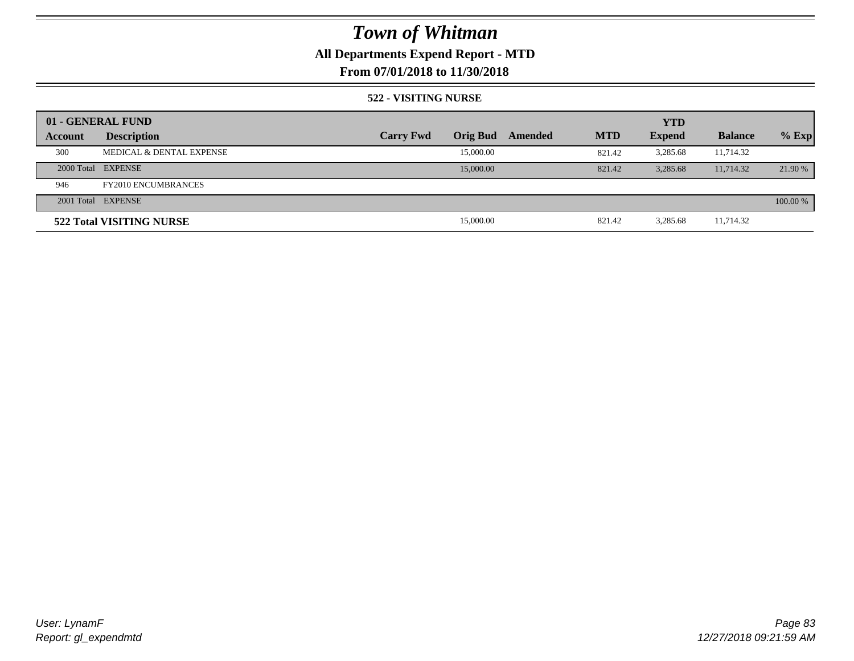## **All Departments Expend Report - MTD**

## **From 07/01/2018 to 11/30/2018**

### **522 - VISITING NURSE**

| 01 - GENERAL FUND |                            |                  |                 |         |            | <b>YTD</b>    |                |          |
|-------------------|----------------------------|------------------|-----------------|---------|------------|---------------|----------------|----------|
| Account           | <b>Description</b>         | <b>Carry Fwd</b> | <b>Orig Bud</b> | Amended | <b>MTD</b> | <b>Expend</b> | <b>Balance</b> | $%$ Exp  |
| 300               | MEDICAL & DENTAL EXPENSE   |                  | 15,000.00       |         | 821.42     | 3.285.68      | 11,714.32      |          |
|                   | 2000 Total EXPENSE         |                  | 15,000.00       |         | 821.42     | 3.285.68      | 11,714.32      | 21.90 %  |
| 946               | <b>FY2010 ENCUMBRANCES</b> |                  |                 |         |            |               |                |          |
|                   | 2001 Total EXPENSE         |                  |                 |         |            |               |                | 100.00 % |
|                   | 522 Total VISITING NURSE   |                  | 15,000.00       |         | 821.42     | 3,285.68      | 11,714.32      |          |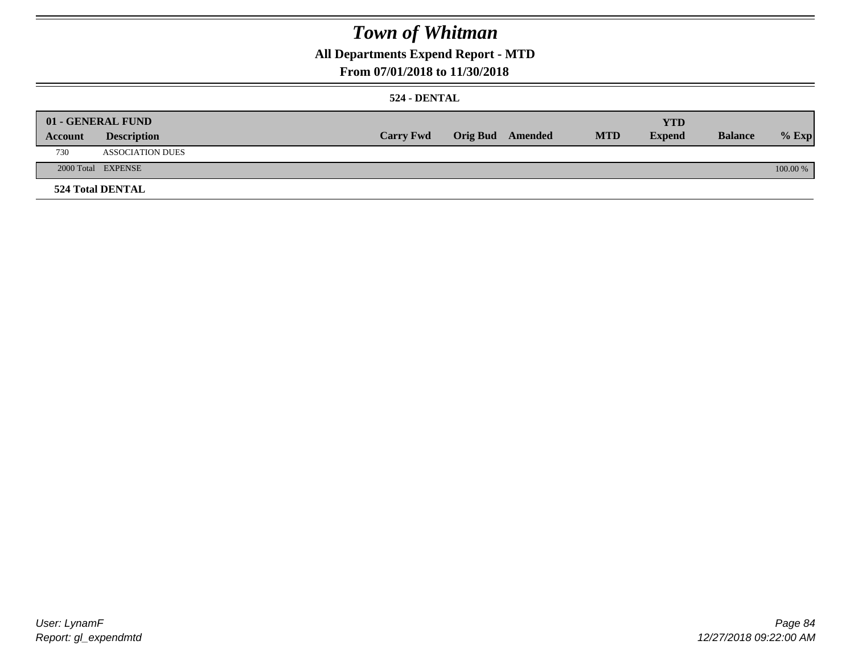## **All Departments Expend Report - MTD**

## **From 07/01/2018 to 11/30/2018**

### **524 - DENTAL**

|         | 01 - GENERAL FUND       |                  |                  |            | <b>YTD</b>    |                |          |
|---------|-------------------------|------------------|------------------|------------|---------------|----------------|----------|
| Account | <b>Description</b>      | <b>Carry Fwd</b> | Orig Bud Amended | <b>MTD</b> | <b>Expend</b> | <b>Balance</b> | $%$ Exp  |
| 730     | <b>ASSOCIATION DUES</b> |                  |                  |            |               |                |          |
|         | 2000 Total EXPENSE      |                  |                  |            |               |                | 100.00 % |
|         | <b>524 Total DENTAL</b> |                  |                  |            |               |                |          |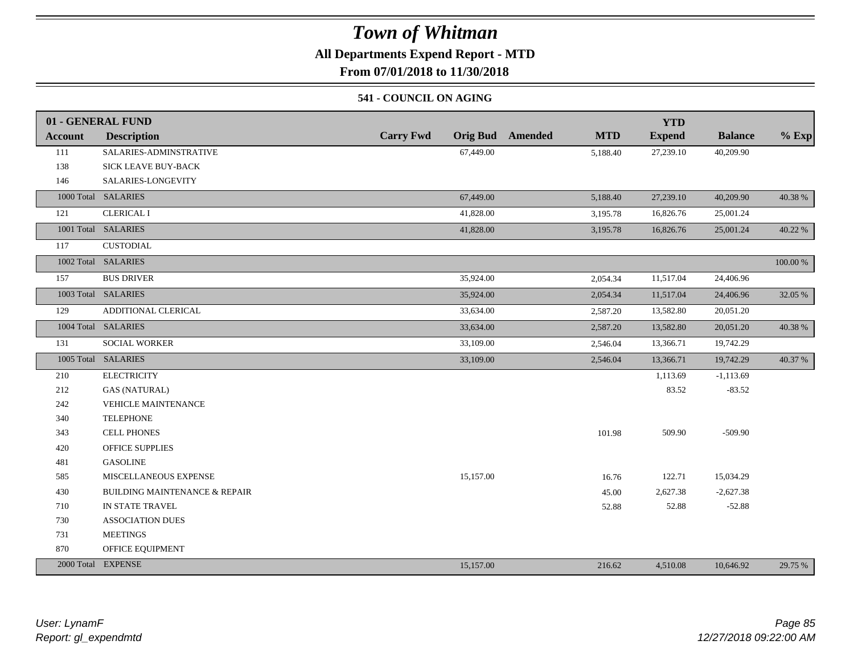## **All Departments Expend Report - MTD**

**From 07/01/2018 to 11/30/2018**

### **541 - COUNCIL ON AGING**

|                | 01 - GENERAL FUND                        |                  |                                       | <b>YTD</b>    |                |          |
|----------------|------------------------------------------|------------------|---------------------------------------|---------------|----------------|----------|
| <b>Account</b> | <b>Description</b>                       | <b>Carry Fwd</b> | <b>Orig Bud</b> Amended<br><b>MTD</b> | <b>Expend</b> | <b>Balance</b> | $%$ Exp  |
| 111            | SALARIES-ADMINSTRATIVE                   | 67,449.00        | 5,188.40                              | 27,239.10     | 40,209.90      |          |
| 138            | SICK LEAVE BUY-BACK                      |                  |                                       |               |                |          |
| 146            | SALARIES-LONGEVITY                       |                  |                                       |               |                |          |
|                | 1000 Total SALARIES                      | 67,449.00        | 5,188.40                              | 27,239.10     | 40,209.90      | 40.38 %  |
| 121            | <b>CLERICAL I</b>                        | 41,828.00        | 3,195.78                              | 16,826.76     | 25,001.24      |          |
|                | 1001 Total SALARIES                      | 41,828.00        | 3,195.78                              | 16,826.76     | 25,001.24      | 40.22 %  |
| 117            | <b>CUSTODIAL</b>                         |                  |                                       |               |                |          |
|                | 1002 Total SALARIES                      |                  |                                       |               |                | 100.00 % |
| 157            | <b>BUS DRIVER</b>                        | 35,924.00        | 2,054.34                              | 11,517.04     | 24,406.96      |          |
|                | 1003 Total SALARIES                      | 35,924.00        | 2,054.34                              | 11,517.04     | 24,406.96      | 32.05 %  |
| 129            | ADDITIONAL CLERICAL                      | 33,634.00        | 2,587.20                              | 13,582.80     | 20,051.20      |          |
|                | 1004 Total SALARIES                      | 33,634.00        | 2,587.20                              | 13,582.80     | 20,051.20      | 40.38 %  |
| 131            | <b>SOCIAL WORKER</b>                     | 33,109.00        | 2,546.04                              | 13,366.71     | 19,742.29      |          |
|                | 1005 Total SALARIES                      | 33,109.00        | 2,546.04                              | 13,366.71     | 19,742.29      | 40.37 %  |
| 210            | <b>ELECTRICITY</b>                       |                  |                                       | 1,113.69      | $-1,113.69$    |          |
| 212            | <b>GAS (NATURAL)</b>                     |                  |                                       | 83.52         | $-83.52$       |          |
| 242            | <b>VEHICLE MAINTENANCE</b>               |                  |                                       |               |                |          |
| 340            | <b>TELEPHONE</b>                         |                  |                                       |               |                |          |
| 343            | <b>CELL PHONES</b>                       |                  | 101.98                                | 509.90        | $-509.90$      |          |
| 420            | <b>OFFICE SUPPLIES</b>                   |                  |                                       |               |                |          |
| 481            | <b>GASOLINE</b>                          |                  |                                       |               |                |          |
| 585            | MISCELLANEOUS EXPENSE                    | 15,157.00        | 16.76                                 | 122.71        | 15,034.29      |          |
| 430            | <b>BUILDING MAINTENANCE &amp; REPAIR</b> |                  | 45.00                                 | 2,627.38      | $-2,627.38$    |          |
| 710            | IN STATE TRAVEL                          |                  | 52.88                                 | 52.88         | $-52.88$       |          |
| 730            | <b>ASSOCIATION DUES</b>                  |                  |                                       |               |                |          |
| 731            | <b>MEETINGS</b>                          |                  |                                       |               |                |          |
| 870            | OFFICE EQUIPMENT                         |                  |                                       |               |                |          |
|                | 2000 Total EXPENSE                       | 15,157.00        | 216.62                                | 4,510.08      | 10,646.92      | 29.75 %  |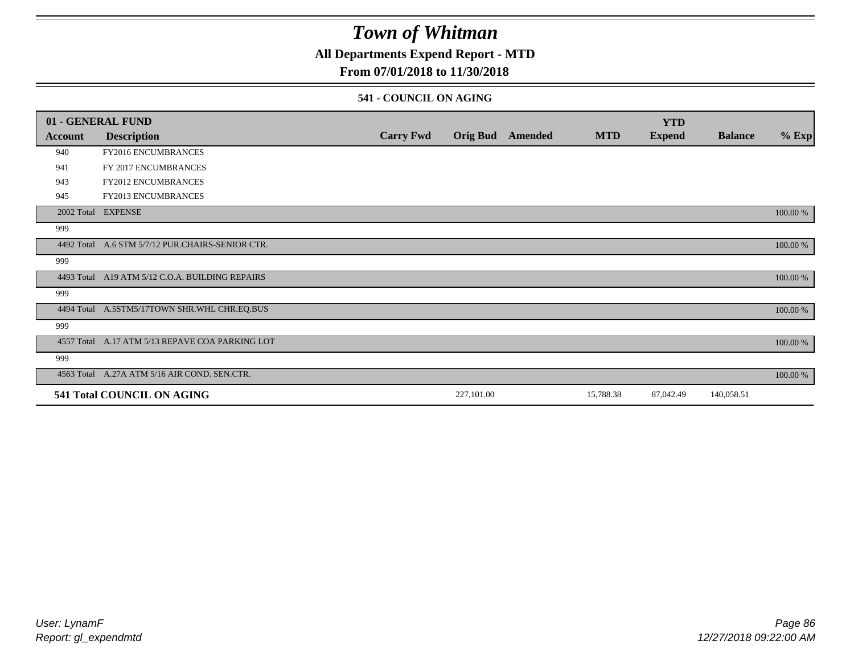## **All Departments Expend Report - MTD**

## **From 07/01/2018 to 11/30/2018**

### **541 - COUNCIL ON AGING**

|         | 01 - GENERAL FUND                                |                  |                 |                |            | <b>YTD</b>    |                |          |
|---------|--------------------------------------------------|------------------|-----------------|----------------|------------|---------------|----------------|----------|
| Account | <b>Description</b>                               | <b>Carry Fwd</b> | <b>Orig Bud</b> | <b>Amended</b> | <b>MTD</b> | <b>Expend</b> | <b>Balance</b> | $%$ Exp  |
| 940     | <b>FY2016 ENCUMBRANCES</b>                       |                  |                 |                |            |               |                |          |
| 941     | FY 2017 ENCUMBRANCES                             |                  |                 |                |            |               |                |          |
| 943     | FY2012 ENCUMBRANCES                              |                  |                 |                |            |               |                |          |
| 945     | <b>FY2013 ENCUMBRANCES</b>                       |                  |                 |                |            |               |                |          |
|         | 2002 Total EXPENSE                               |                  |                 |                |            |               |                | 100.00 % |
| 999     |                                                  |                  |                 |                |            |               |                |          |
|         | 4492 Total A.6 STM 5/7/12 PUR.CHAIRS-SENIOR CTR. |                  |                 |                |            |               |                | 100.00 % |
| 999     |                                                  |                  |                 |                |            |               |                |          |
|         | 4493 Total A19 ATM 5/12 C.O.A. BUILDING REPAIRS  |                  |                 |                |            |               |                | 100.00 % |
| 999     |                                                  |                  |                 |                |            |               |                |          |
|         | 4494 Total A.5STM5/17TOWN SHR.WHL CHR.EQ.BUS     |                  |                 |                |            |               |                | 100.00 % |
| 999     |                                                  |                  |                 |                |            |               |                |          |
|         | 4557 Total A.17 ATM 5/13 REPAVE COA PARKING LOT  |                  |                 |                |            |               |                | 100.00 % |
| 999     |                                                  |                  |                 |                |            |               |                |          |
|         | 4563 Total A.27A ATM 5/16 AIR COND. SEN.CTR.     |                  |                 |                |            |               |                | 100.00 % |
|         | 541 Total COUNCIL ON AGING                       |                  | 227,101.00      |                | 15,788.38  | 87,042.49     | 140,058.51     |          |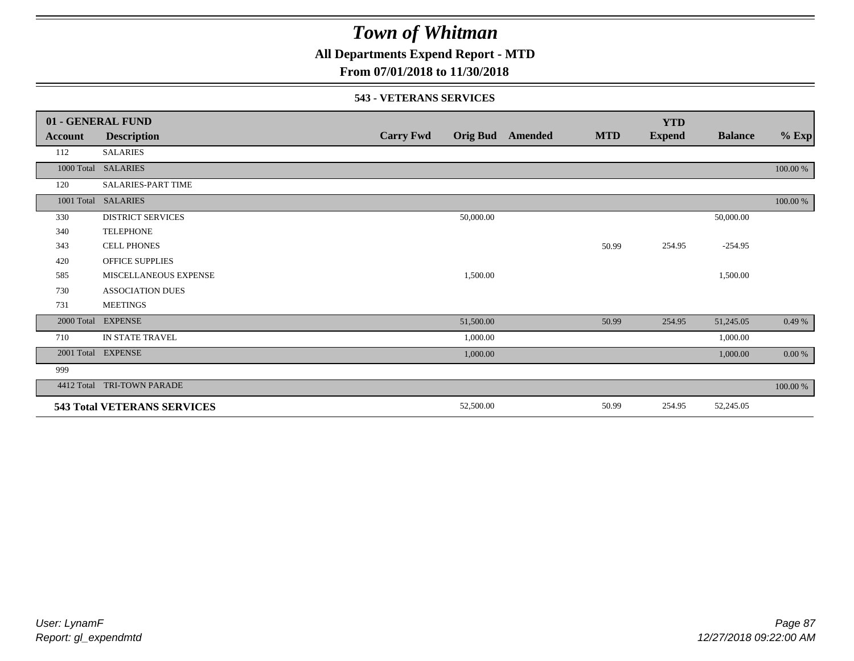**All Departments Expend Report - MTD**

## **From 07/01/2018 to 11/30/2018**

### **543 - VETERANS SERVICES**

|            | 01 - GENERAL FUND                  |                  |           |                         |            | <b>YTD</b>    |                |          |
|------------|------------------------------------|------------------|-----------|-------------------------|------------|---------------|----------------|----------|
| Account    | <b>Description</b>                 | <b>Carry Fwd</b> |           | <b>Orig Bud</b> Amended | <b>MTD</b> | <b>Expend</b> | <b>Balance</b> | $%$ Exp  |
| 112        | <b>SALARIES</b>                    |                  |           |                         |            |               |                |          |
| 1000 Total | <b>SALARIES</b>                    |                  |           |                         |            |               |                | 100.00 % |
| 120        | <b>SALARIES-PART TIME</b>          |                  |           |                         |            |               |                |          |
| 1001 Total | <b>SALARIES</b>                    |                  |           |                         |            |               |                | 100.00 % |
| 330        | <b>DISTRICT SERVICES</b>           |                  | 50,000.00 |                         |            |               | 50,000.00      |          |
| 340        | <b>TELEPHONE</b>                   |                  |           |                         |            |               |                |          |
| 343        | <b>CELL PHONES</b>                 |                  |           |                         | 50.99      | 254.95        | $-254.95$      |          |
| 420        | <b>OFFICE SUPPLIES</b>             |                  |           |                         |            |               |                |          |
| 585        | MISCELLANEOUS EXPENSE              |                  | 1,500.00  |                         |            |               | 1,500.00       |          |
| 730        | <b>ASSOCIATION DUES</b>            |                  |           |                         |            |               |                |          |
| 731        | <b>MEETINGS</b>                    |                  |           |                         |            |               |                |          |
| 2000 Total | <b>EXPENSE</b>                     |                  | 51,500.00 |                         | 50.99      | 254.95        | 51,245.05      | 0.49%    |
| 710        | IN STATE TRAVEL                    |                  | 1,000.00  |                         |            |               | 1,000.00       |          |
| 2001 Total | <b>EXPENSE</b>                     |                  | 1,000.00  |                         |            |               | 1,000.00       | $0.00\%$ |
| 999        |                                    |                  |           |                         |            |               |                |          |
| 4412 Total | TRI-TOWN PARADE                    |                  |           |                         |            |               |                | 100.00 % |
|            | <b>543 Total VETERANS SERVICES</b> |                  | 52,500.00 |                         | 50.99      | 254.95        | 52,245.05      |          |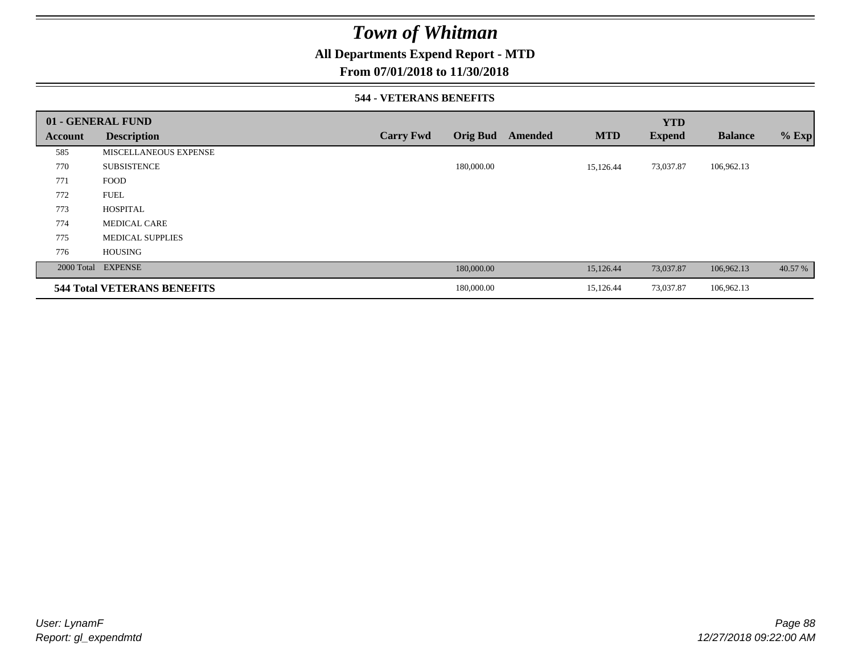## **All Departments Expend Report - MTD**

### **From 07/01/2018 to 11/30/2018**

### **544 - VETERANS BENEFITS**

|         | 01 - GENERAL FUND                  |                  |                            |            | <b>YTD</b>    |                |         |
|---------|------------------------------------|------------------|----------------------------|------------|---------------|----------------|---------|
| Account | <b>Description</b>                 | <b>Carry Fwd</b> | <b>Orig Bud</b><br>Amended | <b>MTD</b> | <b>Expend</b> | <b>Balance</b> | $%$ Exp |
| 585     | <b>MISCELLANEOUS EXPENSE</b>       |                  |                            |            |               |                |         |
| 770     | <b>SUBSISTENCE</b>                 |                  | 180,000.00                 | 15,126.44  | 73,037.87     | 106,962.13     |         |
| 771     | <b>FOOD</b>                        |                  |                            |            |               |                |         |
| 772     | <b>FUEL</b>                        |                  |                            |            |               |                |         |
| 773     | <b>HOSPITAL</b>                    |                  |                            |            |               |                |         |
| 774     | <b>MEDICAL CARE</b>                |                  |                            |            |               |                |         |
| 775     | <b>MEDICAL SUPPLIES</b>            |                  |                            |            |               |                |         |
| 776     | <b>HOUSING</b>                     |                  |                            |            |               |                |         |
|         | 2000 Total EXPENSE                 |                  | 180,000.00                 | 15,126.44  | 73,037.87     | 106,962.13     | 40.57 % |
|         | <b>544 Total VETERANS BENEFITS</b> |                  | 180,000.00                 | 15,126.44  | 73,037.87     | 106,962.13     |         |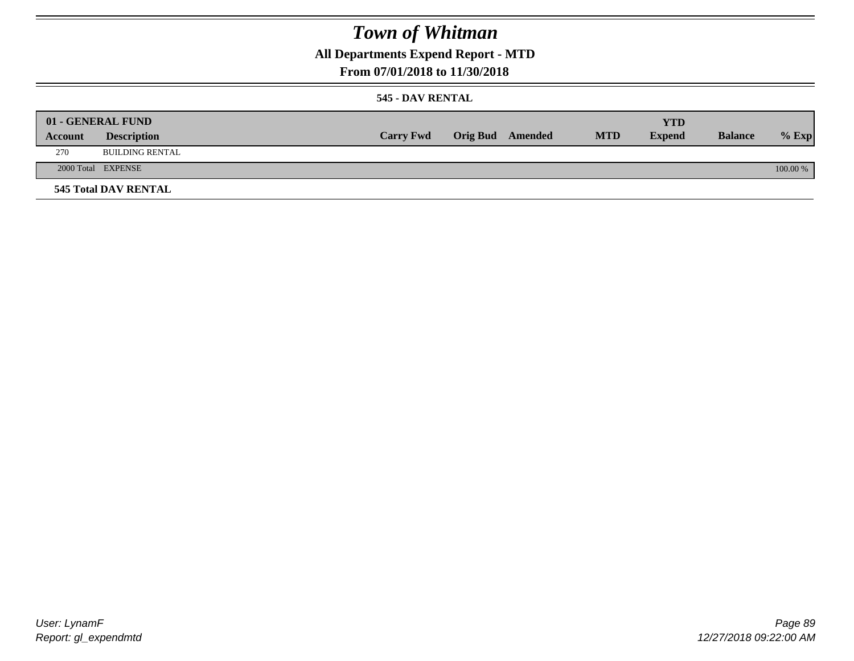## **All Departments Expend Report - MTD**

### **From 07/01/2018 to 11/30/2018**

### **545 - DAV RENTAL**

| Account | 01 - GENERAL FUND<br><b>Description</b> | <b>Carry Fwd</b> | <b>Orig Bud</b> Amended | <b>MTD</b> | <b>YTD</b><br><b>Expend</b> | <b>Balance</b> | $%$ Exp  |
|---------|-----------------------------------------|------------------|-------------------------|------------|-----------------------------|----------------|----------|
| 270     | BUILDING RENTAL                         |                  |                         |            |                             |                |          |
|         | 2000 Total EXPENSE                      |                  |                         |            |                             |                | 100.00 % |
|         | <b>545 Total DAV RENTAL</b>             |                  |                         |            |                             |                |          |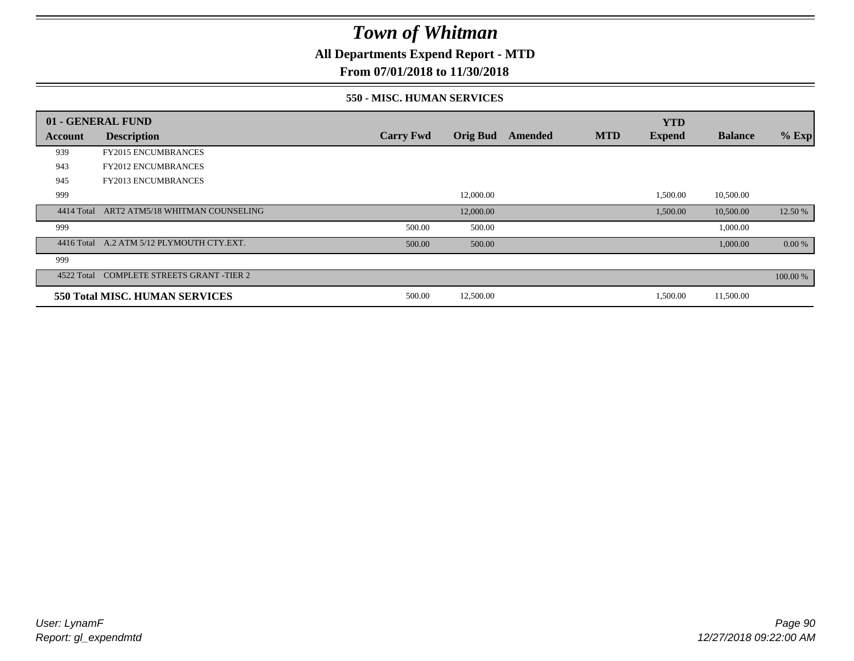**All Departments Expend Report - MTD**

## **From 07/01/2018 to 11/30/2018**

### **550 - MISC. HUMAN SERVICES**

|         | 01 - GENERAL FUND                          |                  |                 |         |            | <b>YTD</b>    |                |          |
|---------|--------------------------------------------|------------------|-----------------|---------|------------|---------------|----------------|----------|
| Account | <b>Description</b>                         | <b>Carry Fwd</b> | <b>Orig Bud</b> | Amended | <b>MTD</b> | <b>Expend</b> | <b>Balance</b> | $%$ Exp  |
| 939     | <b>FY2015 ENCUMBRANCES</b>                 |                  |                 |         |            |               |                |          |
| 943     | <b>FY2012 ENCUMBRANCES</b>                 |                  |                 |         |            |               |                |          |
| 945     | <b>FY2013 ENCUMBRANCES</b>                 |                  |                 |         |            |               |                |          |
| 999     |                                            |                  | 12,000.00       |         |            | 1,500.00      | 10,500.00      |          |
|         | 4414 Total ART2 ATM5/18 WHITMAN COUNSELING |                  | 12,000.00       |         |            | 1,500.00      | 10,500.00      | 12.50 %  |
| 999     |                                            | 500.00           | 500.00          |         |            |               | 1,000.00       |          |
|         | 4416 Total A.2 ATM 5/12 PLYMOUTH CTY.EXT.  | 500.00           | 500.00          |         |            |               | 1,000.00       | 0.00 %   |
| 999     |                                            |                  |                 |         |            |               |                |          |
|         | 4522 Total COMPLETE STREETS GRANT -TIER 2  |                  |                 |         |            |               |                | 100.00 % |
|         | <b>550 Total MISC. HUMAN SERVICES</b>      | 500.00           | 12,500.00       |         |            | 1,500.00      | 11,500.00      |          |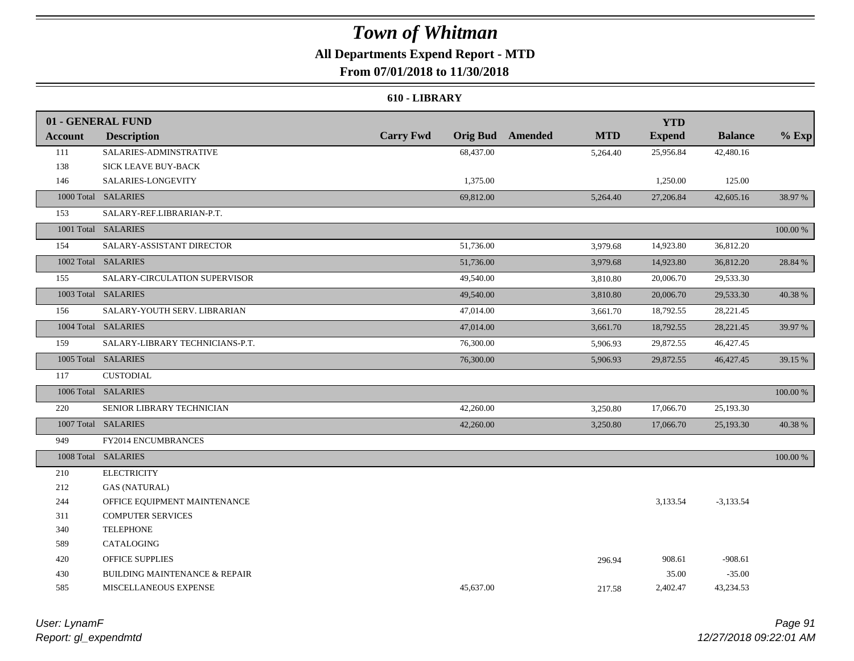## **All Departments Expend Report - MTD**

**From 07/01/2018 to 11/30/2018**

### **610 - LIBRARY**

|                | 01 - GENERAL FUND                        |                  |           |                         |            | <b>YTD</b>    |                |          |
|----------------|------------------------------------------|------------------|-----------|-------------------------|------------|---------------|----------------|----------|
| <b>Account</b> | <b>Description</b>                       | <b>Carry Fwd</b> |           | <b>Orig Bud</b> Amended | <b>MTD</b> | <b>Expend</b> | <b>Balance</b> | $%$ Exp  |
| 111            | SALARIES-ADMINSTRATIVE                   |                  | 68,437.00 |                         | 5,264.40   | 25,956.84     | 42,480.16      |          |
| 138            | SICK LEAVE BUY-BACK                      |                  |           |                         |            |               |                |          |
| 146            | SALARIES-LONGEVITY                       |                  | 1,375.00  |                         |            | 1,250.00      | 125.00         |          |
|                | 1000 Total SALARIES                      |                  | 69,812.00 |                         | 5,264.40   | 27,206.84     | 42,605.16      | 38.97%   |
| 153            | SALARY-REF.LIBRARIAN-P.T.                |                  |           |                         |            |               |                |          |
|                | 1001 Total SALARIES                      |                  |           |                         |            |               |                | 100.00 % |
| 154            | SALARY-ASSISTANT DIRECTOR                |                  | 51,736.00 |                         | 3,979.68   | 14,923.80     | 36,812.20      |          |
|                | 1002 Total SALARIES                      |                  | 51,736.00 |                         | 3,979.68   | 14,923.80     | 36,812.20      | 28.84 %  |
| 155            | SALARY-CIRCULATION SUPERVISOR            |                  | 49,540.00 |                         | 3,810.80   | 20,006.70     | 29,533.30      |          |
|                | 1003 Total SALARIES                      |                  | 49,540.00 |                         | 3,810.80   | 20,006.70     | 29,533.30      | 40.38%   |
| 156            | SALARY-YOUTH SERV. LIBRARIAN             |                  | 47,014.00 |                         | 3,661.70   | 18,792.55     | 28,221.45      |          |
|                | 1004 Total SALARIES                      |                  | 47,014.00 |                         | 3,661.70   | 18,792.55     | 28,221.45      | 39.97 %  |
| 159            | SALARY-LIBRARY TECHNICIANS-P.T.          |                  | 76,300.00 |                         | 5,906.93   | 29,872.55     | 46,427.45      |          |
|                | 1005 Total SALARIES                      |                  | 76,300.00 |                         | 5,906.93   | 29,872.55     | 46,427.45      | 39.15 %  |
| 117            | <b>CUSTODIAL</b>                         |                  |           |                         |            |               |                |          |
|                | 1006 Total SALARIES                      |                  |           |                         |            |               |                | 100.00 % |
| 220            | SENIOR LIBRARY TECHNICIAN                |                  | 42,260.00 |                         | 3,250.80   | 17,066.70     | 25,193.30      |          |
|                | 1007 Total SALARIES                      |                  | 42,260.00 |                         | 3,250.80   | 17,066.70     | 25,193.30      | 40.38%   |
| 949            | FY2014 ENCUMBRANCES                      |                  |           |                         |            |               |                |          |
|                | 1008 Total SALARIES                      |                  |           |                         |            |               |                | 100.00 % |
| 210            | <b>ELECTRICITY</b>                       |                  |           |                         |            |               |                |          |
| 212            | <b>GAS (NATURAL)</b>                     |                  |           |                         |            |               |                |          |
| 244            | OFFICE EQUIPMENT MAINTENANCE             |                  |           |                         |            | 3,133.54      | $-3,133.54$    |          |
| 311            | <b>COMPUTER SERVICES</b>                 |                  |           |                         |            |               |                |          |
| 340            | <b>TELEPHONE</b>                         |                  |           |                         |            |               |                |          |
| 589            | CATALOGING                               |                  |           |                         |            |               |                |          |
| 420            | <b>OFFICE SUPPLIES</b>                   |                  |           |                         | 296.94     | 908.61        | $-908.61$      |          |
| 430            | <b>BUILDING MAINTENANCE &amp; REPAIR</b> |                  |           |                         |            | 35.00         | $-35.00$       |          |
| 585            | MISCELLANEOUS EXPENSE                    |                  | 45,637.00 |                         | 217.58     | 2,402.47      | 43,234.53      |          |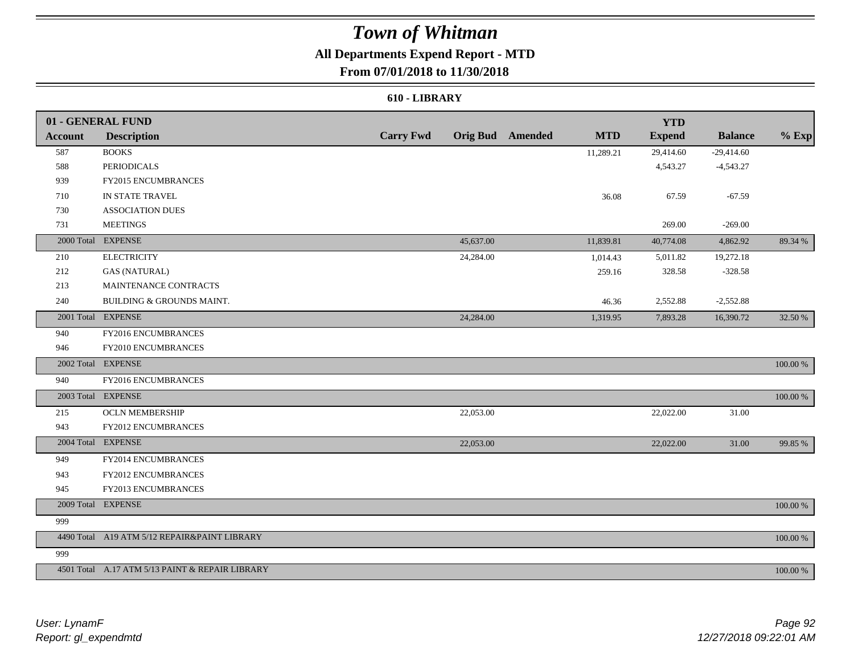## **All Departments Expend Report - MTD**

## **From 07/01/2018 to 11/30/2018**

### **610 - LIBRARY**

|         | 01 - GENERAL FUND                               |                  |           |                         |            | <b>YTD</b>    |                |          |
|---------|-------------------------------------------------|------------------|-----------|-------------------------|------------|---------------|----------------|----------|
| Account | <b>Description</b>                              | <b>Carry Fwd</b> |           | <b>Orig Bud</b> Amended | <b>MTD</b> | <b>Expend</b> | <b>Balance</b> | $%$ Exp  |
| 587     | <b>BOOKS</b>                                    |                  |           |                         | 11,289.21  | 29,414.60     | $-29,414.60$   |          |
| 588     | <b>PERIODICALS</b>                              |                  |           |                         |            | 4,543.27      | $-4,543.27$    |          |
| 939     | FY2015 ENCUMBRANCES                             |                  |           |                         |            |               |                |          |
| 710     | IN STATE TRAVEL                                 |                  |           |                         | 36.08      | 67.59         | $-67.59$       |          |
| 730     | <b>ASSOCIATION DUES</b>                         |                  |           |                         |            |               |                |          |
| 731     | <b>MEETINGS</b>                                 |                  |           |                         |            | 269.00        | $-269.00$      |          |
|         | 2000 Total EXPENSE                              |                  | 45,637.00 |                         | 11,839.81  | 40,774.08     | 4,862.92       | 89.34 %  |
| 210     | <b>ELECTRICITY</b>                              |                  | 24,284.00 |                         | 1,014.43   | 5,011.82      | 19,272.18      |          |
| 212     | <b>GAS (NATURAL)</b>                            |                  |           |                         | 259.16     | 328.58        | $-328.58$      |          |
| 213     | MAINTENANCE CONTRACTS                           |                  |           |                         |            |               |                |          |
| 240     | BUILDING & GROUNDS MAINT.                       |                  |           |                         | 46.36      | 2,552.88      | $-2,552.88$    |          |
|         | 2001 Total EXPENSE                              |                  | 24,284.00 |                         | 1,319.95   | 7,893.28      | 16,390.72      | 32.50 %  |
| 940     | FY2016 ENCUMBRANCES                             |                  |           |                         |            |               |                |          |
| 946     | FY2010 ENCUMBRANCES                             |                  |           |                         |            |               |                |          |
|         | 2002 Total EXPENSE                              |                  |           |                         |            |               |                | 100.00 % |
| 940     | FY2016 ENCUMBRANCES                             |                  |           |                         |            |               |                |          |
|         | 2003 Total EXPENSE                              |                  |           |                         |            |               |                | 100.00 % |
| 215     | <b>OCLN MEMBERSHIP</b>                          |                  | 22,053.00 |                         |            | 22,022.00     | 31.00          |          |
| 943     | FY2012 ENCUMBRANCES                             |                  |           |                         |            |               |                |          |
|         | 2004 Total EXPENSE                              |                  | 22,053.00 |                         |            | 22,022.00     | 31.00          | 99.85 %  |
| 949     | FY2014 ENCUMBRANCES                             |                  |           |                         |            |               |                |          |
| 943     | <b>FY2012 ENCUMBRANCES</b>                      |                  |           |                         |            |               |                |          |
| 945     | FY2013 ENCUMBRANCES                             |                  |           |                         |            |               |                |          |
|         | 2009 Total EXPENSE                              |                  |           |                         |            |               |                | 100.00 % |
| 999     |                                                 |                  |           |                         |            |               |                |          |
|         | 4490 Total A19 ATM 5/12 REPAIR&PAINT LIBRARY    |                  |           |                         |            |               |                | 100.00 % |
| 999     |                                                 |                  |           |                         |            |               |                |          |
|         | 4501 Total A.17 ATM 5/13 PAINT & REPAIR LIBRARY |                  |           |                         |            |               |                | 100.00 % |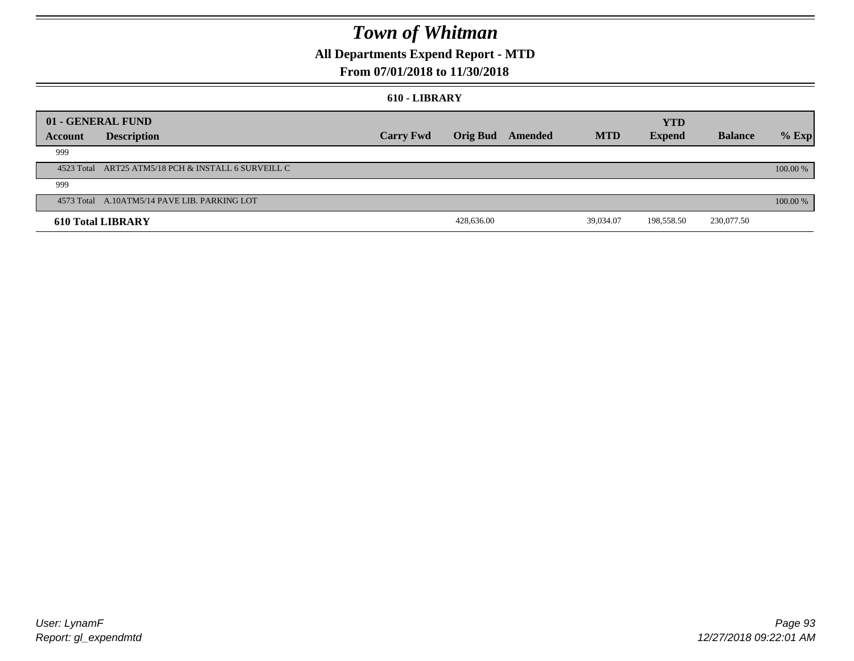## **All Departments Expend Report - MTD**

## **From 07/01/2018 to 11/30/2018**

#### **610 - LIBRARY**

|         | 01 - GENERAL FUND<br><b>YTD</b>                     |                  |                 |         |            |               |                |          |
|---------|-----------------------------------------------------|------------------|-----------------|---------|------------|---------------|----------------|----------|
| Account | <b>Description</b>                                  | <b>Carry Fwd</b> | <b>Orig Bud</b> | Amended | <b>MTD</b> | <b>Expend</b> | <b>Balance</b> | $%$ Exp  |
| 999     |                                                     |                  |                 |         |            |               |                |          |
|         | 4523 Total ART25 ATM5/18 PCH & INSTALL 6 SURVEILL C |                  |                 |         |            |               |                | 100.00 % |
| 999     |                                                     |                  |                 |         |            |               |                |          |
|         | 4573 Total A.10ATM5/14 PAVE LIB. PARKING LOT        |                  |                 |         |            |               |                | 100.00 % |
|         | <b>610 Total LIBRARY</b>                            |                  | 428,636.00      |         | 39,034.07  | 198,558.50    | 230,077.50     |          |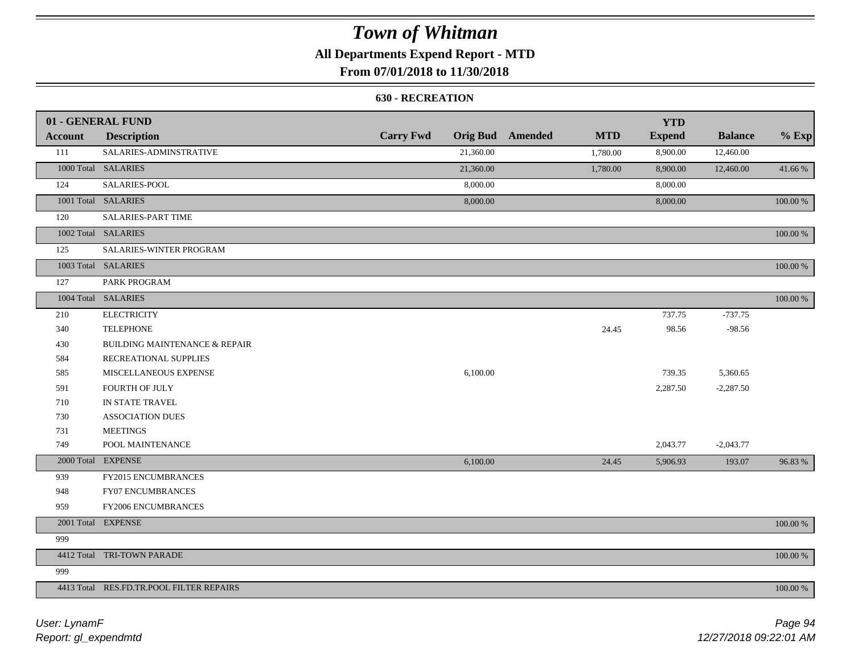## **All Departments Expend Report - MTD**

## **From 07/01/2018 to 11/30/2018**

### **630 - RECREATION**

|         | 01 - GENERAL FUND                        |                  |           |                         |            | <b>YTD</b>    |                |             |
|---------|------------------------------------------|------------------|-----------|-------------------------|------------|---------------|----------------|-------------|
| Account | <b>Description</b>                       | <b>Carry Fwd</b> |           | <b>Orig Bud</b> Amended | <b>MTD</b> | <b>Expend</b> | <b>Balance</b> | $%$ Exp     |
| 111     | SALARIES-ADMINSTRATIVE                   |                  | 21,360.00 |                         | 1,780.00   | 8,900.00      | 12,460.00      |             |
|         | 1000 Total SALARIES                      |                  | 21,360.00 |                         | 1,780.00   | 8,900.00      | 12,460.00      | 41.66 %     |
| 124     | SALARIES-POOL                            |                  | 8,000.00  |                         |            | 8,000.00      |                |             |
|         | 1001 Total SALARIES                      |                  | 8,000.00  |                         |            | 8,000.00      |                | 100.00 %    |
| 120     | SALARIES-PART TIME                       |                  |           |                         |            |               |                |             |
|         | 1002 Total SALARIES                      |                  |           |                         |            |               |                | $100.00~\%$ |
| 125     | SALARIES-WINTER PROGRAM                  |                  |           |                         |            |               |                |             |
|         | 1003 Total SALARIES                      |                  |           |                         |            |               |                | 100.00 %    |
| 127     | PARK PROGRAM                             |                  |           |                         |            |               |                |             |
|         | 1004 Total SALARIES                      |                  |           |                         |            |               |                | 100.00 %    |
| 210     | <b>ELECTRICITY</b>                       |                  |           |                         |            | 737.75        | $-737.75$      |             |
| 340     | <b>TELEPHONE</b>                         |                  |           |                         | 24.45      | 98.56         | $-98.56$       |             |
| 430     | <b>BUILDING MAINTENANCE &amp; REPAIR</b> |                  |           |                         |            |               |                |             |
| 584     | RECREATIONAL SUPPLIES                    |                  |           |                         |            |               |                |             |
| 585     | MISCELLANEOUS EXPENSE                    |                  | 6,100.00  |                         |            | 739.35        | 5,360.65       |             |
| 591     | FOURTH OF JULY                           |                  |           |                         |            | 2,287.50      | $-2,287.50$    |             |
| 710     | IN STATE TRAVEL                          |                  |           |                         |            |               |                |             |
| 730     | <b>ASSOCIATION DUES</b>                  |                  |           |                         |            |               |                |             |
| 731     | <b>MEETINGS</b>                          |                  |           |                         |            |               |                |             |
| 749     | POOL MAINTENANCE                         |                  |           |                         |            | 2,043.77      | $-2,043.77$    |             |
|         | 2000 Total EXPENSE                       |                  | 6,100.00  |                         | 24.45      | 5,906.93      | 193.07         | 96.83%      |
| 939     | FY2015 ENCUMBRANCES                      |                  |           |                         |            |               |                |             |
| 948     | FY07 ENCUMBRANCES                        |                  |           |                         |            |               |                |             |
| 959     | FY2006 ENCUMBRANCES                      |                  |           |                         |            |               |                |             |
|         | 2001 Total EXPENSE                       |                  |           |                         |            |               |                | $100.00~\%$ |
| 999     |                                          |                  |           |                         |            |               |                |             |
|         | 4412 Total TRI-TOWN PARADE               |                  |           |                         |            |               |                | 100.00 %    |
| 999     |                                          |                  |           |                         |            |               |                |             |
|         | 4413 Total RES.FD.TR.POOL FILTER REPAIRS |                  |           |                         |            |               |                | 100.00 %    |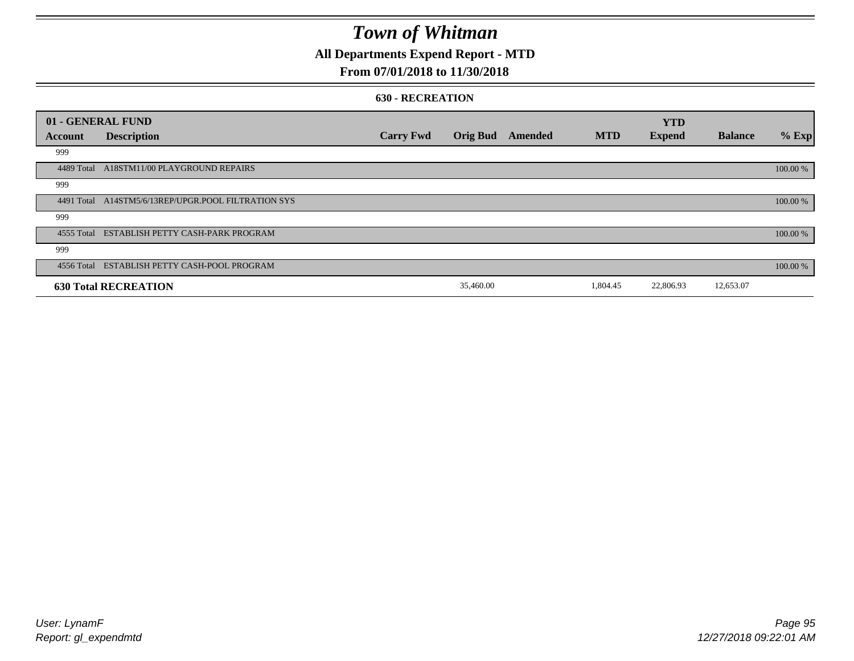## **All Departments Expend Report - MTD**

## **From 07/01/2018 to 11/30/2018**

### **630 - RECREATION**

| 01 - GENERAL FUND |                                                     |                  |                 |         |            | <b>YTD</b>    |                |          |
|-------------------|-----------------------------------------------------|------------------|-----------------|---------|------------|---------------|----------------|----------|
| Account           | <b>Description</b>                                  | <b>Carry Fwd</b> | <b>Orig Bud</b> | Amended | <b>MTD</b> | <b>Expend</b> | <b>Balance</b> | $%$ Exp  |
| 999               |                                                     |                  |                 |         |            |               |                |          |
| 4489 Total        | A18STM11/00 PLAYGROUND REPAIRS                      |                  |                 |         |            |               |                | 100.00 % |
| 999               |                                                     |                  |                 |         |            |               |                |          |
|                   | 4491 Total A14STM5/6/13REP/UPGR.POOL FILTRATION SYS |                  |                 |         |            |               |                | 100.00 % |
| 999               |                                                     |                  |                 |         |            |               |                |          |
|                   | 4555 Total ESTABLISH PETTY CASH-PARK PROGRAM        |                  |                 |         |            |               |                | 100.00 % |
| 999               |                                                     |                  |                 |         |            |               |                |          |
|                   | 4556 Total ESTABLISH PETTY CASH-POOL PROGRAM        |                  |                 |         |            |               |                | 100.00 % |
|                   | <b>630 Total RECREATION</b>                         |                  | 35,460.00       |         | 1,804.45   | 22,806.93     | 12,653.07      |          |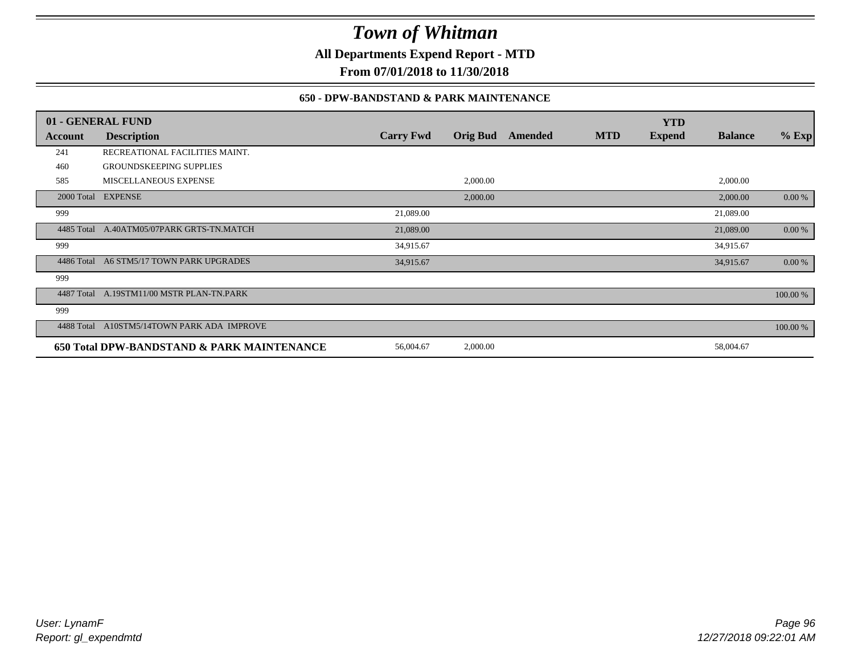**All Departments Expend Report - MTD**

**From 07/01/2018 to 11/30/2018**

### **650 - DPW-BANDSTAND & PARK MAINTENANCE**

|            | 01 - GENERAL FUND                          |                  |                 |         |            | <b>YTD</b>    |                |          |
|------------|--------------------------------------------|------------------|-----------------|---------|------------|---------------|----------------|----------|
| Account    | <b>Description</b>                         | <b>Carry Fwd</b> | <b>Orig Bud</b> | Amended | <b>MTD</b> | <b>Expend</b> | <b>Balance</b> | $%$ Exp  |
| 241        | RECREATIONAL FACILITIES MAINT.             |                  |                 |         |            |               |                |          |
| 460        | <b>GROUNDSKEEPING SUPPLIES</b>             |                  |                 |         |            |               |                |          |
| 585        | MISCELLANEOUS EXPENSE                      |                  | 2,000.00        |         |            |               | 2,000.00       |          |
|            | 2000 Total EXPENSE                         |                  | 2,000.00        |         |            |               | 2,000.00       | 0.00 %   |
| 999        |                                            | 21,089.00        |                 |         |            |               | 21,089.00      |          |
|            | 4485 Total A.40ATM05/07PARK GRTS-TN.MATCH  | 21,089.00        |                 |         |            |               | 21,089.00      | 0.00 %   |
| 999        |                                            | 34,915.67        |                 |         |            |               | 34,915.67      |          |
| 4486 Total | A6 STM5/17 TOWN PARK UPGRADES              | 34,915.67        |                 |         |            |               | 34,915.67      | 0.00 %   |
| 999        |                                            |                  |                 |         |            |               |                |          |
| 4487 Total | A.19STM11/00 MSTR PLAN-TN.PARK             |                  |                 |         |            |               |                | 100.00 % |
| 999        |                                            |                  |                 |         |            |               |                |          |
| 4488 Total | A10STM5/14TOWN PARK ADA IMPROVE            |                  |                 |         |            |               |                | 100.00 % |
|            | 650 Total DPW-BANDSTAND & PARK MAINTENANCE | 56,004.67        | 2,000.00        |         |            |               | 58,004.67      |          |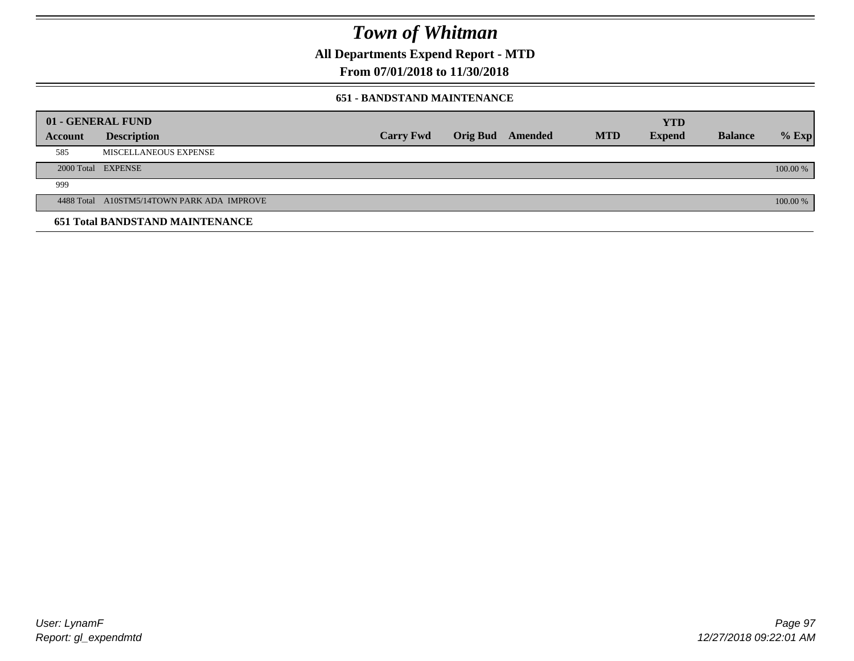**All Departments Expend Report - MTD**

## **From 07/01/2018 to 11/30/2018**

### **651 - BANDSTAND MAINTENANCE**

|         | 01 - GENERAL FUND                          |                  |                         |            | <b>YTD</b>    |                |          |
|---------|--------------------------------------------|------------------|-------------------------|------------|---------------|----------------|----------|
| Account | <b>Description</b>                         | <b>Carry Fwd</b> | <b>Orig Bud</b> Amended | <b>MTD</b> | <b>Expend</b> | <b>Balance</b> | $%$ Exp  |
| 585     | MISCELLANEOUS EXPENSE                      |                  |                         |            |               |                |          |
|         | 2000 Total EXPENSE                         |                  |                         |            |               |                | 100.00 % |
| 999     |                                            |                  |                         |            |               |                |          |
|         | 4488 Total A10STM5/14TOWN PARK ADA IMPROVE |                  |                         |            |               |                | 100.00 % |
|         | <b>651 Total BANDSTAND MAINTENANCE</b>     |                  |                         |            |               |                |          |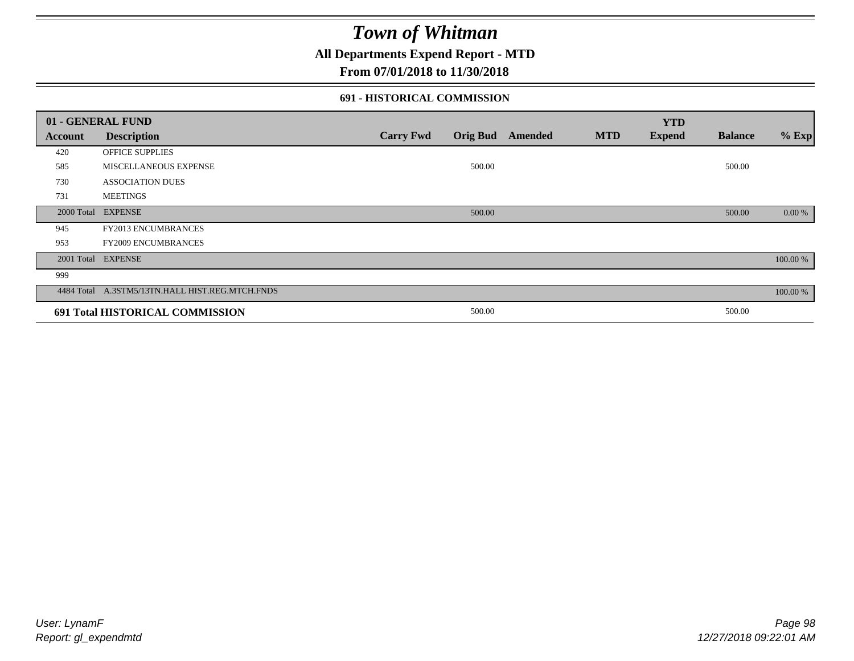**All Departments Expend Report - MTD**

## **From 07/01/2018 to 11/30/2018**

### **691 - HISTORICAL COMMISSION**

|         | 01 - GENERAL FUND                               |                  |        |                         |            | <b>YTD</b>    |                |          |
|---------|-------------------------------------------------|------------------|--------|-------------------------|------------|---------------|----------------|----------|
| Account | <b>Description</b>                              | <b>Carry Fwd</b> |        | <b>Orig Bud</b> Amended | <b>MTD</b> | <b>Expend</b> | <b>Balance</b> | $%$ Exp  |
| 420     | OFFICE SUPPLIES                                 |                  |        |                         |            |               |                |          |
| 585     | MISCELLANEOUS EXPENSE                           |                  | 500.00 |                         |            |               | 500.00         |          |
| 730     | <b>ASSOCIATION DUES</b>                         |                  |        |                         |            |               |                |          |
| 731     | <b>MEETINGS</b>                                 |                  |        |                         |            |               |                |          |
|         | 2000 Total EXPENSE                              |                  | 500.00 |                         |            |               | 500.00         | 0.00 %   |
| 945     | FY2013 ENCUMBRANCES                             |                  |        |                         |            |               |                |          |
| 953     | <b>FY2009 ENCUMBRANCES</b>                      |                  |        |                         |            |               |                |          |
|         | 2001 Total EXPENSE                              |                  |        |                         |            |               |                | 100.00 % |
| 999     |                                                 |                  |        |                         |            |               |                |          |
|         | 4484 Total A.3STM5/13TN.HALL HIST.REG.MTCH.FNDS |                  |        |                         |            |               |                | 100.00 % |
|         | 691 Total HISTORICAL COMMISSION                 |                  | 500.00 |                         |            |               | 500.00         |          |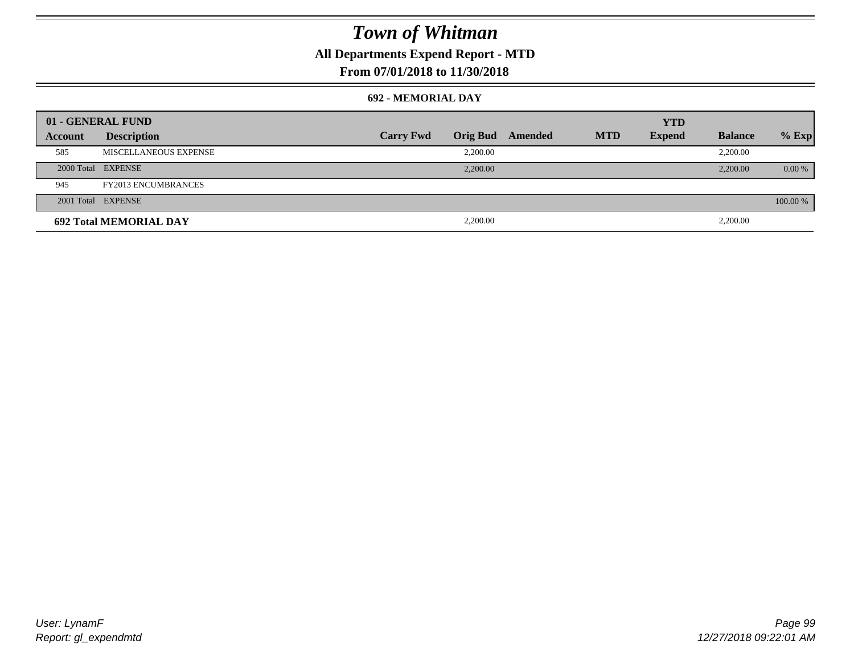## **All Departments Expend Report - MTD**

## **From 07/01/2018 to 11/30/2018**

### **692 - MEMORIAL DAY**

| 01 - GENERAL FUND |                               |                  |                 |         |            | <b>YTD</b>    |                |           |
|-------------------|-------------------------------|------------------|-----------------|---------|------------|---------------|----------------|-----------|
| Account           | <b>Description</b>            | <b>Carry Fwd</b> | <b>Orig Bud</b> | Amended | <b>MTD</b> | <b>Expend</b> | <b>Balance</b> | $%$ Exp   |
| 585               | MISCELLANEOUS EXPENSE         |                  | 2,200.00        |         |            |               | 2,200.00       |           |
|                   | 2000 Total EXPENSE            |                  | 2,200.00        |         |            |               | 2,200.00       | $0.00 \%$ |
| 945               | <b>FY2013 ENCUMBRANCES</b>    |                  |                 |         |            |               |                |           |
|                   | 2001 Total EXPENSE            |                  |                 |         |            |               |                | 100.00 %  |
|                   | <b>692 Total MEMORIAL DAY</b> |                  | 2,200.00        |         |            |               | 2,200.00       |           |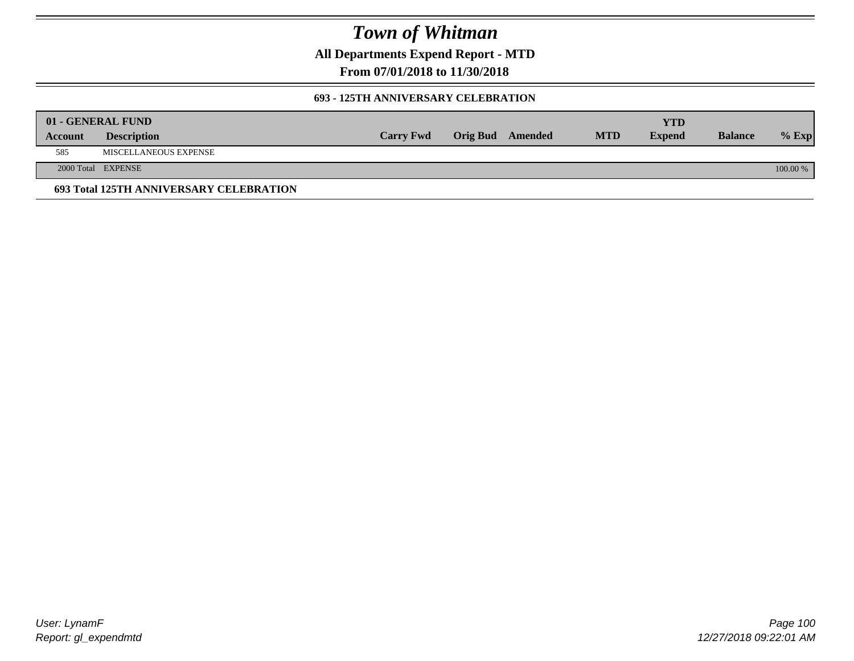**All Departments Expend Report - MTD**

**From 07/01/2018 to 11/30/2018**

### **693 - 125TH ANNIVERSARY CELEBRATION**

|         | 01 - GENERAL FUND                       |                  |                         |            | YTD           |                |          |
|---------|-----------------------------------------|------------------|-------------------------|------------|---------------|----------------|----------|
| Account | <b>Description</b>                      | <b>Carry Fwd</b> | <b>Orig Bud</b> Amended | <b>MTD</b> | <b>Expend</b> | <b>Balance</b> | $%$ Exp  |
| 585     | MISCELLANEOUS EXPENSE                   |                  |                         |            |               |                |          |
|         | 2000 Total EXPENSE                      |                  |                         |            |               |                | 100.00 % |
|         | 693 Total 125TH ANNIVERSARY CELEBRATION |                  |                         |            |               |                |          |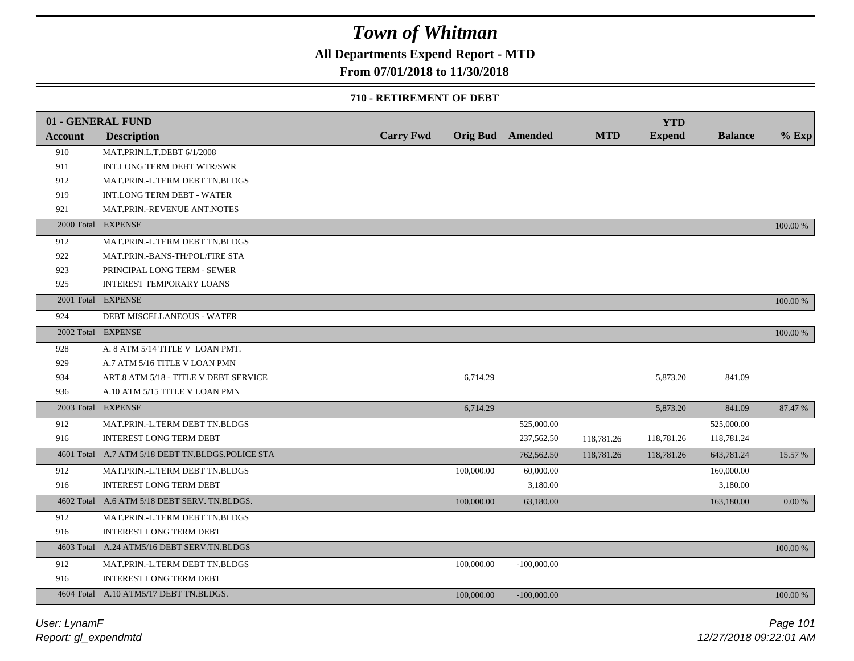## **All Departments Expend Report - MTD**

### **From 07/01/2018 to 11/30/2018**

### **710 - RETIREMENT OF DEBT**

|                | 01 - GENERAL FUND                                |                  |            |                         |            | <b>YTD</b>    |                |          |
|----------------|--------------------------------------------------|------------------|------------|-------------------------|------------|---------------|----------------|----------|
| <b>Account</b> | <b>Description</b>                               | <b>Carry Fwd</b> |            | <b>Orig Bud</b> Amended | <b>MTD</b> | <b>Expend</b> | <b>Balance</b> | $%$ Exp  |
| 910            | MAT.PRIN.L.T.DEBT 6/1/2008                       |                  |            |                         |            |               |                |          |
| 911            | INT.LONG TERM DEBT WTR/SWR                       |                  |            |                         |            |               |                |          |
| 912            | MAT.PRIN.-L.TERM DEBT TN.BLDGS                   |                  |            |                         |            |               |                |          |
| 919            | <b>INT.LONG TERM DEBT - WATER</b>                |                  |            |                         |            |               |                |          |
| 921            | MAT.PRIN.-REVENUE ANT.NOTES                      |                  |            |                         |            |               |                |          |
| 2000 Total     | <b>EXPENSE</b>                                   |                  |            |                         |            |               |                | 100.00 % |
| 912            | MAT.PRIN.-L.TERM DEBT TN.BLDGS                   |                  |            |                         |            |               |                |          |
| 922            | MAT.PRIN.-BANS-TH/POL/FIRE STA                   |                  |            |                         |            |               |                |          |
| 923            | PRINCIPAL LONG TERM - SEWER                      |                  |            |                         |            |               |                |          |
| 925            | <b>INTEREST TEMPORARY LOANS</b>                  |                  |            |                         |            |               |                |          |
|                | 2001 Total EXPENSE                               |                  |            |                         |            |               |                | 100.00 % |
| 924            | DEBT MISCELLANEOUS - WATER                       |                  |            |                         |            |               |                |          |
|                | 2002 Total EXPENSE                               |                  |            |                         |            |               |                | 100.00 % |
| 928            | A. 8 ATM 5/14 TITLE V LOAN PMT.                  |                  |            |                         |            |               |                |          |
| 929            | A.7 ATM 5/16 TITLE V LOAN PMN                    |                  |            |                         |            |               |                |          |
| 934            | ART.8 ATM 5/18 - TITLE V DEBT SERVICE            |                  | 6,714.29   |                         |            | 5,873.20      | 841.09         |          |
| 936            | A.10 ATM 5/15 TITLE V LOAN PMN                   |                  |            |                         |            |               |                |          |
|                | 2003 Total EXPENSE                               |                  | 6,714.29   |                         |            | 5,873.20      | 841.09         | 87.47 %  |
| 912            | MAT.PRIN.-L.TERM DEBT TN.BLDGS                   |                  |            | 525,000.00              |            |               | 525,000.00     |          |
| 916            | <b>INTEREST LONG TERM DEBT</b>                   |                  |            | 237,562.50              | 118,781.26 | 118,781.26    | 118,781.24     |          |
|                | 4601 Total A.7 ATM 5/18 DEBT TN.BLDGS.POLICE STA |                  |            | 762,562.50              | 118,781.26 | 118,781.26    | 643,781.24     | 15.57 %  |
| 912            | MAT.PRIN.-L.TERM DEBT TN.BLDGS                   |                  | 100,000.00 | 60,000.00               |            |               | 160,000.00     |          |
| 916            | <b>INTEREST LONG TERM DEBT</b>                   |                  |            | 3,180.00                |            |               | 3,180.00       |          |
|                | 4602 Total A.6 ATM 5/18 DEBT SERV. TN.BLDGS.     |                  | 100,000.00 | 63,180.00               |            |               | 163,180.00     | 0.00 %   |
| 912            | MAT.PRIN.-L.TERM DEBT TN.BLDGS                   |                  |            |                         |            |               |                |          |
| 916            | INTEREST LONG TERM DEBT                          |                  |            |                         |            |               |                |          |
|                | 4603 Total A.24 ATM5/16 DEBT SERV.TN.BLDGS       |                  |            |                         |            |               |                | 100.00 % |
| 912            | MAT.PRIN.-L.TERM DEBT TN.BLDGS                   |                  | 100,000.00 | $-100,000.00$           |            |               |                |          |
| 916            | <b>INTEREST LONG TERM DEBT</b>                   |                  |            |                         |            |               |                |          |
|                | 4604 Total A.10 ATM5/17 DEBT TN.BLDGS.           |                  | 100,000.00 | $-100,000.00$           |            |               |                | 100.00 % |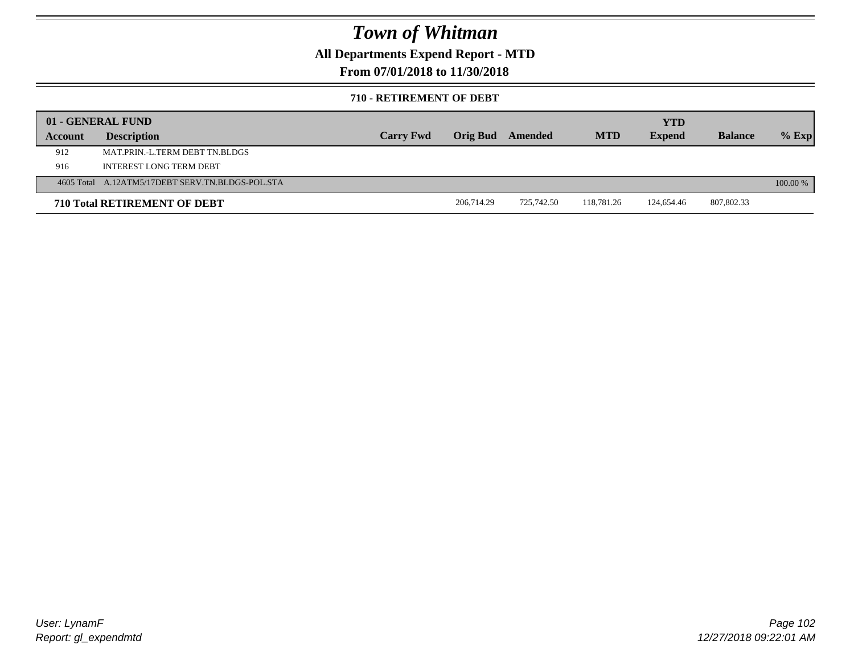**All Departments Expend Report - MTD**

**From 07/01/2018 to 11/30/2018**

### **710 - RETIREMENT OF DEBT**

|         | 01 - GENERAL FUND                                |                  |                 |            |            | <b>YTD</b>    |                |          |
|---------|--------------------------------------------------|------------------|-----------------|------------|------------|---------------|----------------|----------|
| Account | <b>Description</b>                               | <b>Carry Fwd</b> | <b>Orig Bud</b> | Amended    | <b>MTD</b> | <b>Expend</b> | <b>Balance</b> | $%$ Exp  |
| 912     | MAT PRIN -L TERM DEBT TN BLDGS                   |                  |                 |            |            |               |                |          |
| 916     | INTEREST LONG TERM DEBT                          |                  |                 |            |            |               |                |          |
|         | 4605 Total A.12ATM5/17DEBT SERV.TN.BLDGS-POL.STA |                  |                 |            |            |               |                | 100.00 % |
|         | <b>710 Total RETIREMENT OF DEBT</b>              |                  | 206,714.29      | 725,742.50 | 118.781.26 | 124,654.46    | 807,802.33     |          |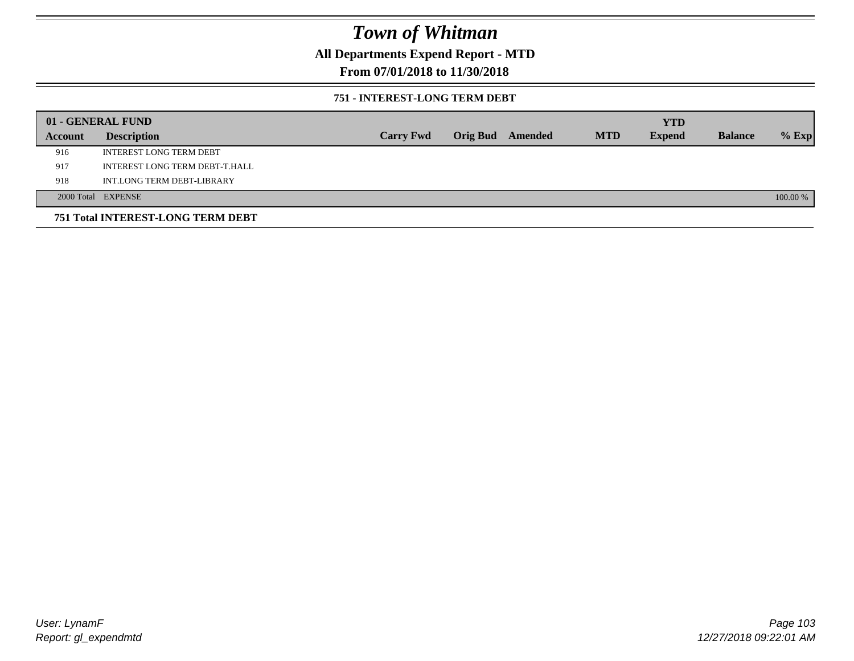## **All Departments Expend Report - MTD**

## **From 07/01/2018 to 11/30/2018**

### **751 - INTEREST-LONG TERM DEBT**

|         | 01 - GENERAL FUND                 |                  |  |                  |            | <b>YTD</b>    |                |          |
|---------|-----------------------------------|------------------|--|------------------|------------|---------------|----------------|----------|
| Account | <b>Description</b>                | <b>Carry Fwd</b> |  | Orig Bud Amended | <b>MTD</b> | <b>Expend</b> | <b>Balance</b> | $%$ Exp  |
| 916     | <b>INTEREST LONG TERM DEBT</b>    |                  |  |                  |            |               |                |          |
| 917     | INTEREST LONG TERM DEBT-T.HALL    |                  |  |                  |            |               |                |          |
| 918     | INT.LONG TERM DEBT-LIBRARY        |                  |  |                  |            |               |                |          |
|         | 2000 Total EXPENSE                |                  |  |                  |            |               |                | 100.00 % |
|         | 751 Total INTEREST-LONG TERM DEBT |                  |  |                  |            |               |                |          |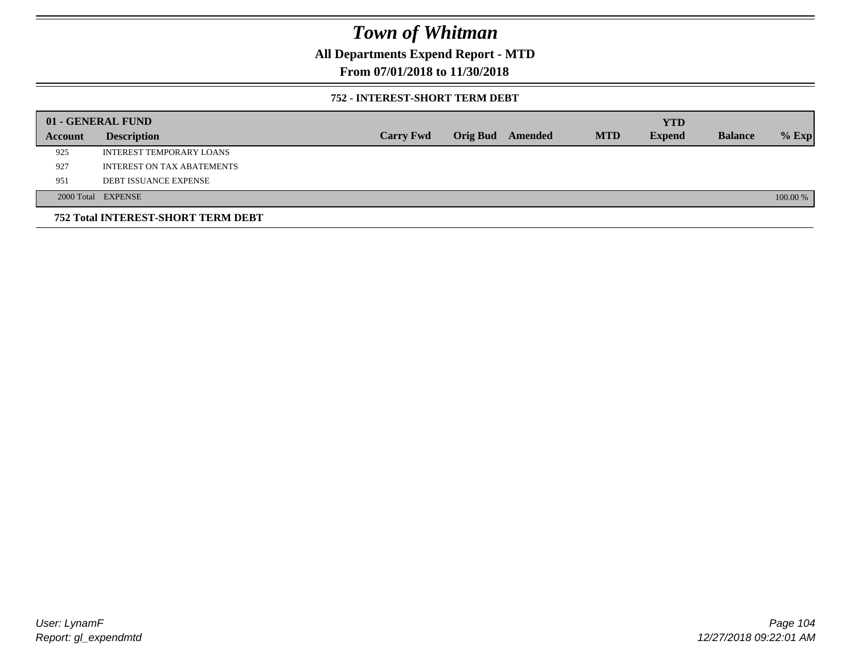## **All Departments Expend Report - MTD**

## **From 07/01/2018 to 11/30/2018**

### **752 - INTEREST-SHORT TERM DEBT**

|         | 01 - GENERAL FUND                  |                  |                 |         |            | <b>YTD</b>    |                |          |
|---------|------------------------------------|------------------|-----------------|---------|------------|---------------|----------------|----------|
| Account | <b>Description</b>                 | <b>Carry Fwd</b> | <b>Orig Bud</b> | Amended | <b>MTD</b> | <b>Expend</b> | <b>Balance</b> | $%$ Exp  |
| 925     | INTEREST TEMPORARY LOANS           |                  |                 |         |            |               |                |          |
| 927     | <b>INTEREST ON TAX ABATEMENTS</b>  |                  |                 |         |            |               |                |          |
| 951     | <b>DEBT ISSUANCE EXPENSE</b>       |                  |                 |         |            |               |                |          |
|         | 2000 Total EXPENSE                 |                  |                 |         |            |               |                | 100.00 % |
|         | 752 Total INTEREST-SHORT TERM DEBT |                  |                 |         |            |               |                |          |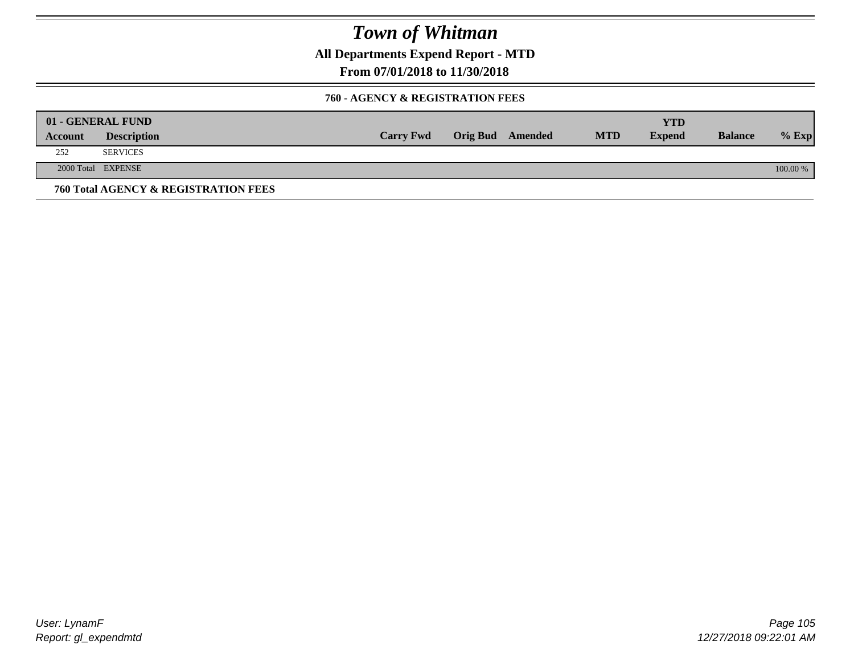**All Departments Expend Report - MTD**

**From 07/01/2018 to 11/30/2018**

### **760 - AGENCY & REGISTRATION FEES**

|         | 01 - GENERAL FUND                    |                  |                         |            | YTD           |                |          |
|---------|--------------------------------------|------------------|-------------------------|------------|---------------|----------------|----------|
| Account | <b>Description</b>                   | <b>Carry Fwd</b> | <b>Orig Bud</b> Amended | <b>MTD</b> | <b>Expend</b> | <b>Balance</b> | $%$ Exp  |
| 252     | <b>SERVICES</b>                      |                  |                         |            |               |                |          |
|         | 2000 Total EXPENSE                   |                  |                         |            |               |                | 100.00 % |
|         | 760 Total AGENCY & REGISTRATION FEES |                  |                         |            |               |                |          |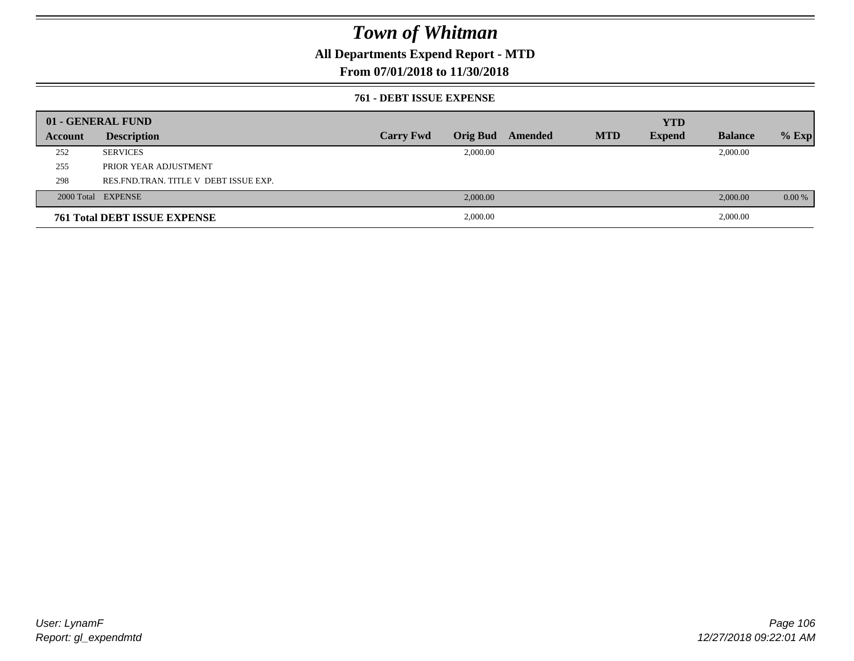## **All Departments Expend Report - MTD**

## **From 07/01/2018 to 11/30/2018**

### **761 - DEBT ISSUE EXPENSE**

|         | 01 - GENERAL FUND                       |                  |          |                  |            | <b>YTD</b>    |                |          |
|---------|-----------------------------------------|------------------|----------|------------------|------------|---------------|----------------|----------|
| Account | <b>Description</b>                      | <b>Carry Fwd</b> |          | Orig Bud Amended | <b>MTD</b> | <b>Expend</b> | <b>Balance</b> | $%$ Exp  |
| 252     | <b>SERVICES</b>                         |                  | 2,000.00 |                  |            |               | 2,000.00       |          |
| 255     | PRIOR YEAR ADJUSTMENT                   |                  |          |                  |            |               |                |          |
| 298     | RES. FND. TRAN. TITLE V DEBT ISSUE EXP. |                  |          |                  |            |               |                |          |
|         | 2000 Total EXPENSE                      |                  | 2,000.00 |                  |            |               | 2,000.00       | $0.00\%$ |
|         | <b>761 Total DEBT ISSUE EXPENSE</b>     |                  | 2,000.00 |                  |            |               | 2,000.00       |          |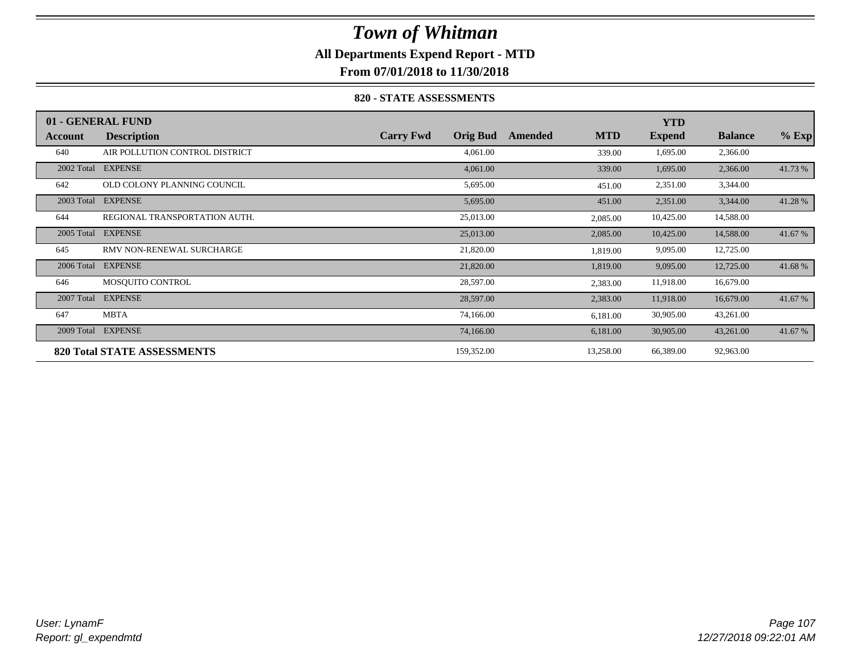## **All Departments Expend Report - MTD**

**From 07/01/2018 to 11/30/2018**

### **820 - STATE ASSESSMENTS**

|            | 01 - GENERAL FUND                  |                  |                 |         |            | <b>YTD</b>    |                |         |
|------------|------------------------------------|------------------|-----------------|---------|------------|---------------|----------------|---------|
| Account    | <b>Description</b>                 | <b>Carry Fwd</b> | <b>Orig Bud</b> | Amended | <b>MTD</b> | <b>Expend</b> | <b>Balance</b> | $%$ Exp |
| 640        | AIR POLLUTION CONTROL DISTRICT     |                  | 4,061.00        |         | 339.00     | 1,695.00      | 2,366.00       |         |
| 2002 Total | <b>EXPENSE</b>                     |                  | 4,061.00        |         | 339.00     | 1,695.00      | 2,366.00       | 41.73 % |
| 642        | OLD COLONY PLANNING COUNCIL        |                  | 5,695.00        |         | 451.00     | 2,351.00      | 3,344.00       |         |
| 2003 Total | <b>EXPENSE</b>                     |                  | 5,695.00        |         | 451.00     | 2,351.00      | 3,344.00       | 41.28 % |
| 644        | REGIONAL TRANSPORTATION AUTH.      |                  | 25,013.00       |         | 2,085.00   | 10,425.00     | 14,588.00      |         |
| 2005 Total | <b>EXPENSE</b>                     |                  | 25,013.00       |         | 2,085.00   | 10,425.00     | 14,588.00      | 41.67 % |
| 645        | RMV NON-RENEWAL SURCHARGE          |                  | 21,820.00       |         | 1,819.00   | 9,095.00      | 12,725.00      |         |
| 2006 Total | <b>EXPENSE</b>                     |                  | 21,820.00       |         | 1,819.00   | 9,095.00      | 12,725.00      | 41.68%  |
| 646        | MOSQUITO CONTROL                   |                  | 28,597.00       |         | 2,383.00   | 11,918.00     | 16,679.00      |         |
| 2007 Total | <b>EXPENSE</b>                     |                  | 28,597.00       |         | 2,383.00   | 11,918.00     | 16,679.00      | 41.67 % |
| 647        | <b>MBTA</b>                        |                  | 74,166.00       |         | 6,181.00   | 30,905.00     | 43,261.00      |         |
| 2009 Total | <b>EXPENSE</b>                     |                  | 74,166.00       |         | 6,181.00   | 30,905.00     | 43,261.00      | 41.67 % |
|            | <b>820 Total STATE ASSESSMENTS</b> |                  | 159,352.00      |         | 13,258.00  | 66,389.00     | 92,963.00      |         |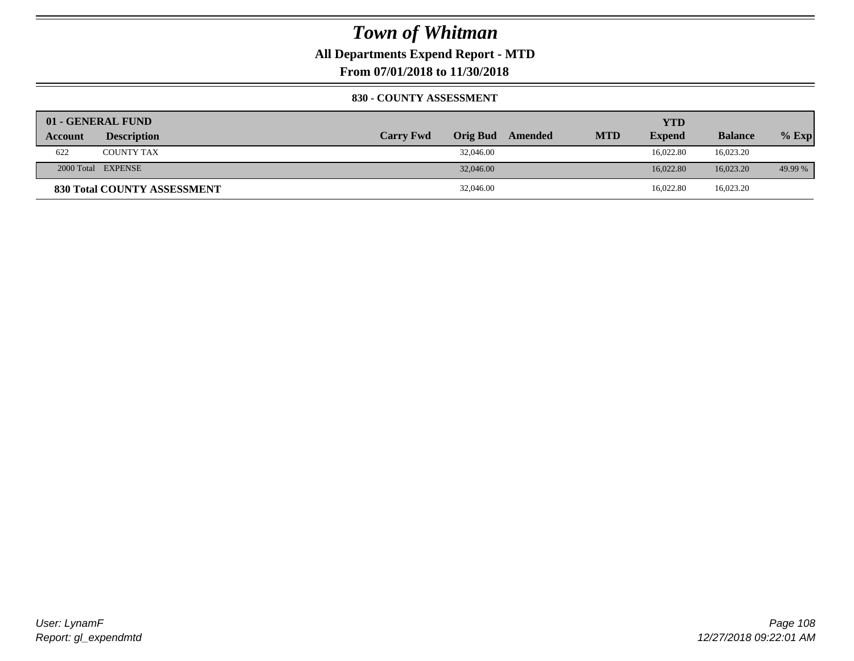**All Departments Expend Report - MTD**

**From 07/01/2018 to 11/30/2018**

### **830 - COUNTY ASSESSMENT**

|                | 01 - GENERAL FUND                  |                  |           |         |            | YTD           |                |         |
|----------------|------------------------------------|------------------|-----------|---------|------------|---------------|----------------|---------|
| <b>Account</b> | <b>Description</b>                 | <b>Carry Fwd</b> | Orig Bud  | Amended | <b>MTD</b> | <b>Expend</b> | <b>Balance</b> | $%$ Exp |
| 622            | <b>COUNTY TAX</b>                  |                  | 32,046.00 |         |            | 16.022.80     | 16,023.20      |         |
|                | 2000 Total EXPENSE                 |                  | 32,046.00 |         |            | 16.022.80     | 16,023.20      | 49.99 % |
|                | <b>830 Total COUNTY ASSESSMENT</b> |                  | 32,046.00 |         |            | 16,022.80     | 16,023.20      |         |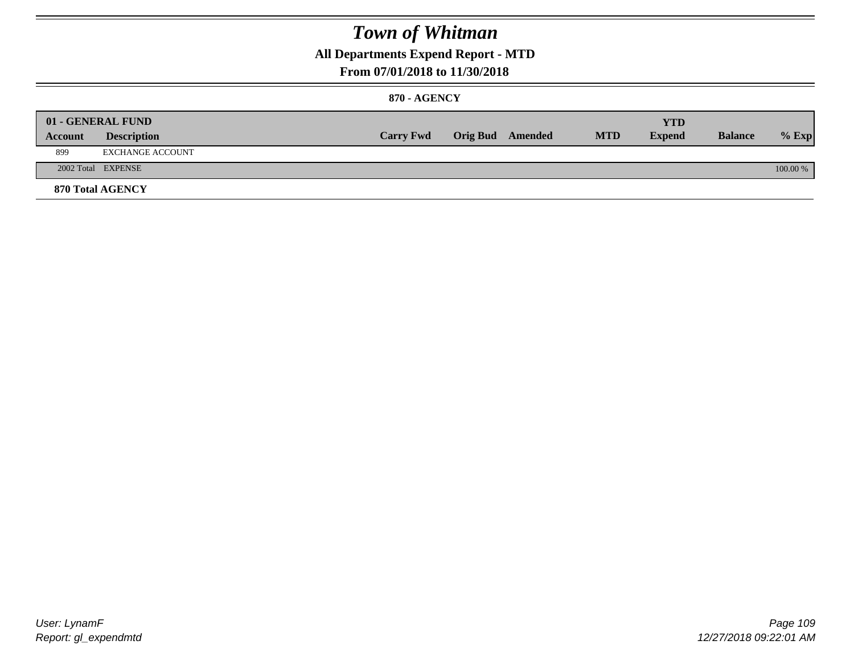### **All Departments Expend Report - MTD**

#### **From 07/01/2018 to 11/30/2018**

#### **870 - AGENCY**

| Account | 01 - GENERAL FUND<br><b>Description</b> | <b>Carry Fwd</b> | <b>Orig Bud</b> Amended | <b>MTD</b> | <b>YTD</b><br><b>Expend</b> | <b>Balance</b> | $%$ Exp  |
|---------|-----------------------------------------|------------------|-------------------------|------------|-----------------------------|----------------|----------|
| 899     | EXCHANGE ACCOUNT                        |                  |                         |            |                             |                |          |
|         | 2002 Total EXPENSE                      |                  |                         |            |                             |                | 100.00 % |
|         | <b>870 Total AGENCY</b>                 |                  |                         |            |                             |                |          |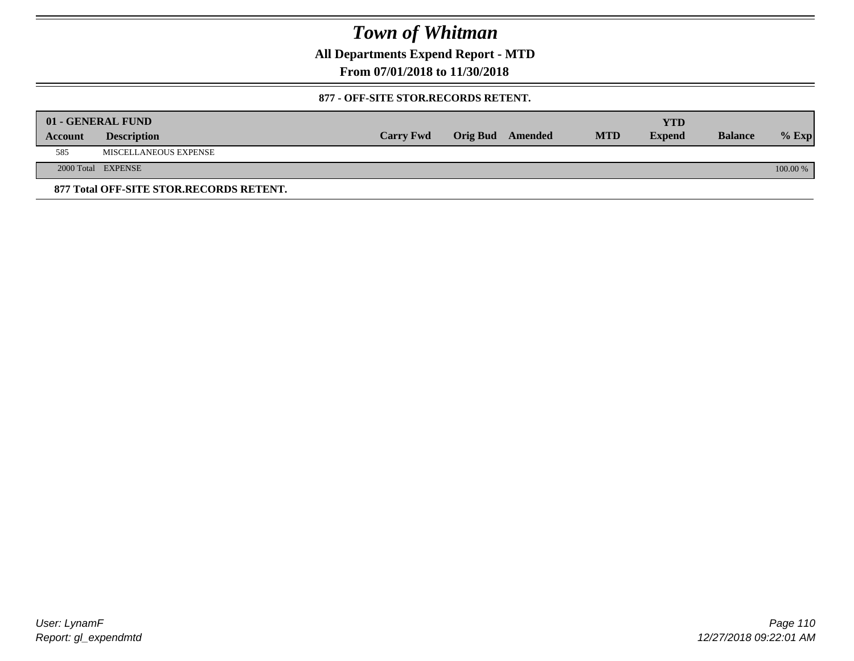**All Departments Expend Report - MTD**

**From 07/01/2018 to 11/30/2018**

#### **877 - OFF-SITE STOR.RECORDS RETENT.**

|         | 01 - GENERAL FUND                       |                  |                         |            | YTD           |                |          |
|---------|-----------------------------------------|------------------|-------------------------|------------|---------------|----------------|----------|
| Account | <b>Description</b>                      | <b>Carry Fwd</b> | <b>Orig Bud</b> Amended | <b>MTD</b> | <b>Expend</b> | <b>Balance</b> | $%$ Exp  |
| 585     | MISCELLANEOUS EXPENSE                   |                  |                         |            |               |                |          |
|         | 2000 Total EXPENSE                      |                  |                         |            |               |                | 100.00 % |
|         | 877 Total OFF-SITE STOR.RECORDS RETENT. |                  |                         |            |               |                |          |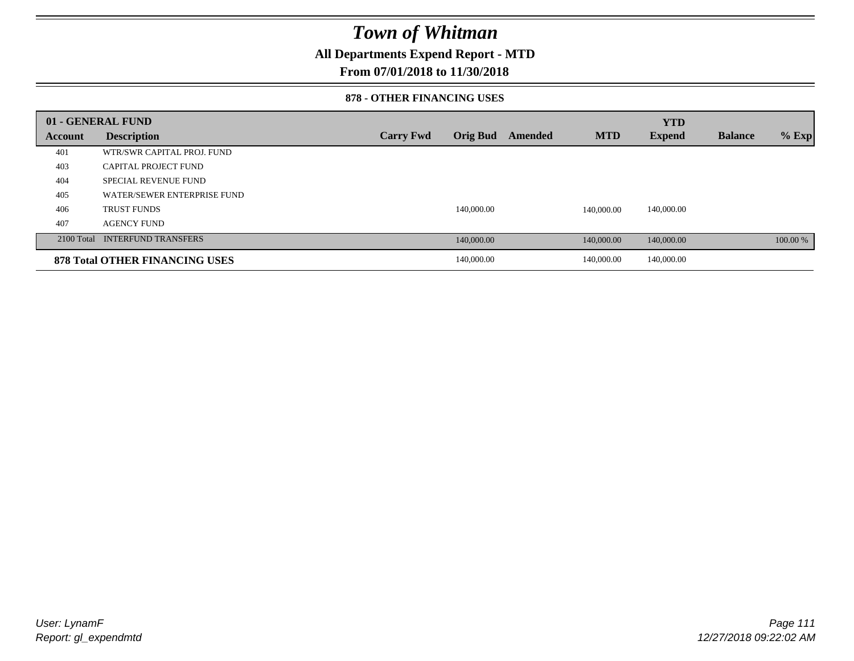### **All Departments Expend Report - MTD**

#### **From 07/01/2018 to 11/30/2018**

#### **878 - OTHER FINANCING USES**

|         | 01 - GENERAL FUND                     |                  |                 |         |            | <b>YTD</b>    |                |          |
|---------|---------------------------------------|------------------|-----------------|---------|------------|---------------|----------------|----------|
| Account | <b>Description</b>                    | <b>Carry Fwd</b> | <b>Orig Bud</b> | Amended | <b>MTD</b> | <b>Expend</b> | <b>Balance</b> | $%$ Exp  |
| 401     | WTR/SWR CAPITAL PROJ. FUND            |                  |                 |         |            |               |                |          |
| 403     | CAPITAL PROJECT FUND                  |                  |                 |         |            |               |                |          |
| 404     | <b>SPECIAL REVENUE FUND</b>           |                  |                 |         |            |               |                |          |
| 405     | WATER/SEWER ENTERPRISE FUND           |                  |                 |         |            |               |                |          |
| 406     | <b>TRUST FUNDS</b>                    |                  | 140,000.00      |         | 140,000.00 | 140,000.00    |                |          |
| 407     | <b>AGENCY FUND</b>                    |                  |                 |         |            |               |                |          |
|         | 2100 Total INTERFUND TRANSFERS        |                  | 140,000.00      |         | 140,000.00 | 140,000.00    |                | 100.00 % |
|         | <b>878 Total OTHER FINANCING USES</b> |                  | 140,000.00      |         | 140,000.00 | 140,000.00    |                |          |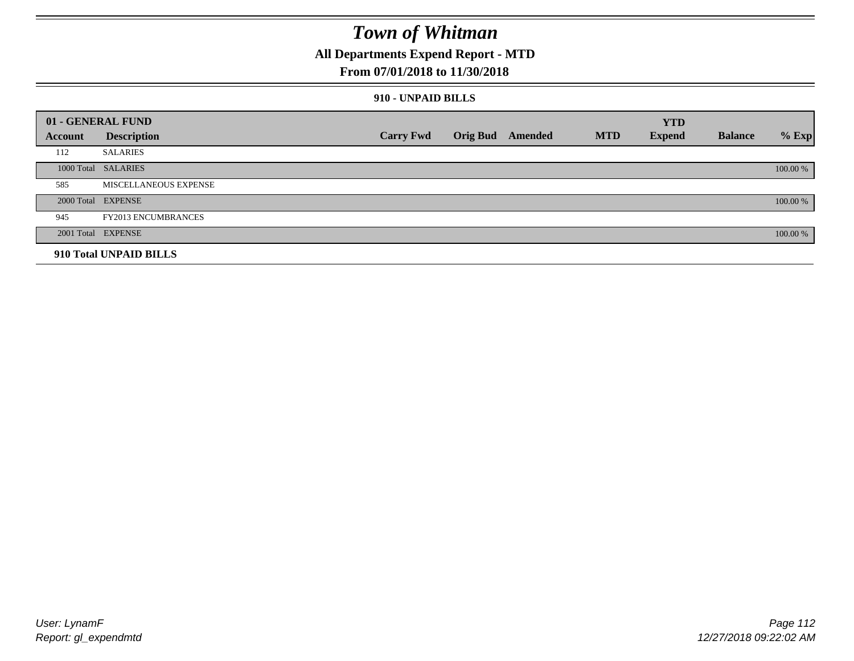### **All Departments Expend Report - MTD**

#### **From 07/01/2018 to 11/30/2018**

#### **910 - UNPAID BILLS**

|         | 01 - GENERAL FUND            |                  |                  |            | <b>YTD</b>    |                |          |
|---------|------------------------------|------------------|------------------|------------|---------------|----------------|----------|
| Account | <b>Description</b>           | <b>Carry Fwd</b> | Orig Bud Amended | <b>MTD</b> | <b>Expend</b> | <b>Balance</b> | $%$ Exp  |
| 112     | <b>SALARIES</b>              |                  |                  |            |               |                |          |
|         | 1000 Total SALARIES          |                  |                  |            |               |                | 100.00 % |
| 585     | <b>MISCELLANEOUS EXPENSE</b> |                  |                  |            |               |                |          |
|         | 2000 Total EXPENSE           |                  |                  |            |               |                | 100.00 % |
| 945     | <b>FY2013 ENCUMBRANCES</b>   |                  |                  |            |               |                |          |
|         | 2001 Total EXPENSE           |                  |                  |            |               |                | 100.00 % |
|         | 910 Total UNPAID BILLS       |                  |                  |            |               |                |          |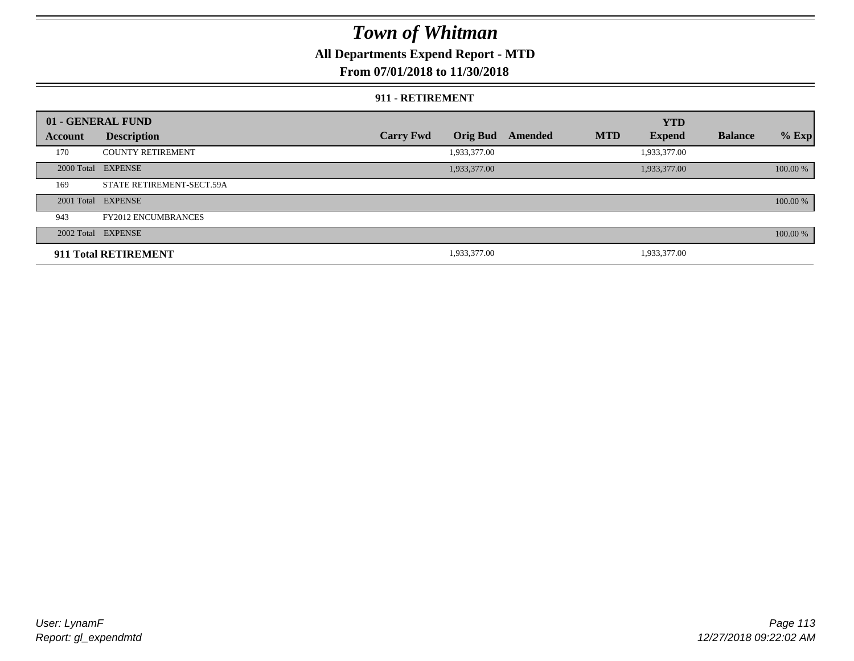### **All Departments Expend Report - MTD**

#### **From 07/01/2018 to 11/30/2018**

#### **911 - RETIREMENT**

|         | 01 - GENERAL FUND          |                  |                 |         |            | <b>YTD</b>    |                |          |
|---------|----------------------------|------------------|-----------------|---------|------------|---------------|----------------|----------|
| Account | <b>Description</b>         | <b>Carry Fwd</b> | <b>Orig Bud</b> | Amended | <b>MTD</b> | <b>Expend</b> | <b>Balance</b> | $%$ Exp  |
| 170     | <b>COUNTY RETIREMENT</b>   |                  | 1,933,377.00    |         |            | 1,933,377.00  |                |          |
|         | 2000 Total EXPENSE         |                  | 1,933,377.00    |         |            | 1,933,377.00  |                | 100.00 % |
| 169     | STATE RETIREMENT-SECT.59A  |                  |                 |         |            |               |                |          |
|         | 2001 Total EXPENSE         |                  |                 |         |            |               |                | 100.00 % |
| 943     | <b>FY2012 ENCUMBRANCES</b> |                  |                 |         |            |               |                |          |
|         | 2002 Total EXPENSE         |                  |                 |         |            |               |                | 100.00 % |
|         | 911 Total RETIREMENT       |                  | 1,933,377.00    |         |            | 1,933,377.00  |                |          |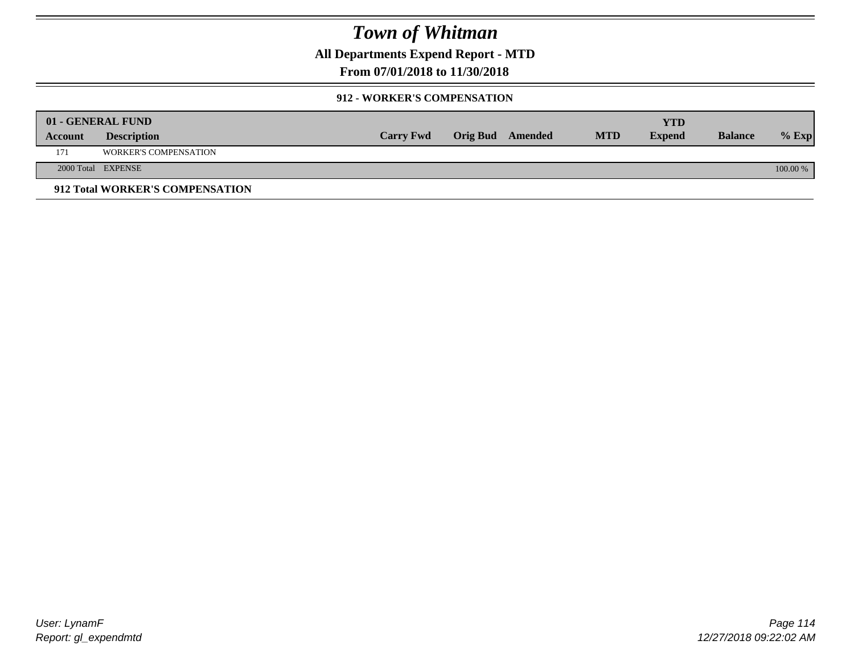**All Departments Expend Report - MTD**

**From 07/01/2018 to 11/30/2018**

#### **912 - WORKER'S COMPENSATION**

|         | 01 - GENERAL FUND               |                  |                  |            | <b>YTD</b>    |                |          |
|---------|---------------------------------|------------------|------------------|------------|---------------|----------------|----------|
| Account | <b>Description</b>              | <b>Carry Fwd</b> | Orig Bud Amended | <b>MTD</b> | <b>Expend</b> | <b>Balance</b> | $%$ Exp  |
| 171     | <b>WORKER'S COMPENSATION</b>    |                  |                  |            |               |                |          |
|         | 2000 Total EXPENSE              |                  |                  |            |               |                | 100.00 % |
|         | 912 Total WORKER'S COMPENSATION |                  |                  |            |               |                |          |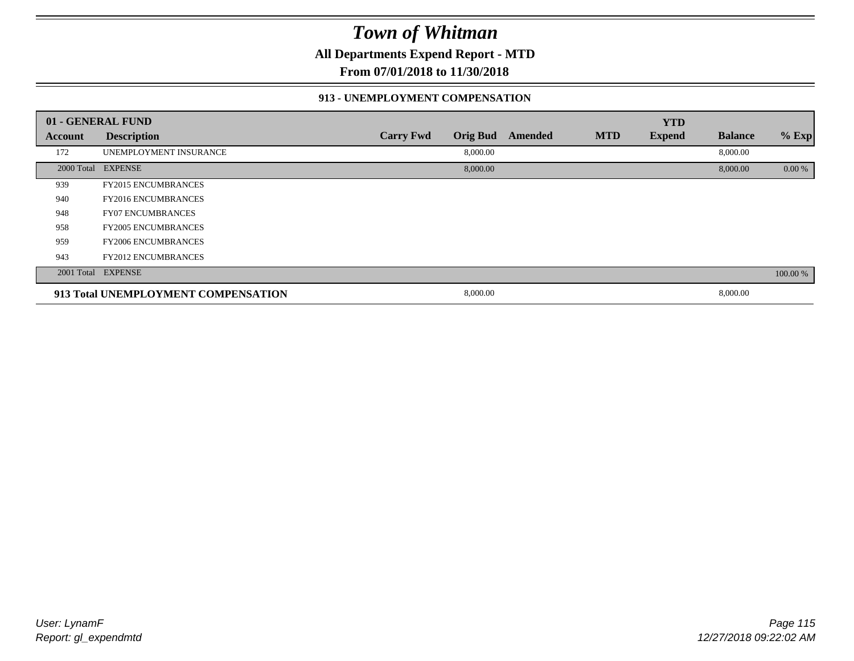**All Departments Expend Report - MTD**

**From 07/01/2018 to 11/30/2018**

#### **913 - UNEMPLOYMENT COMPENSATION**

|         | 01 - GENERAL FUND                   |                  |                 |         |            | <b>YTD</b>    |                |          |
|---------|-------------------------------------|------------------|-----------------|---------|------------|---------------|----------------|----------|
| Account | <b>Description</b>                  | <b>Carry Fwd</b> | <b>Orig Bud</b> | Amended | <b>MTD</b> | <b>Expend</b> | <b>Balance</b> | % Exp    |
| 172     | UNEMPLOYMENT INSURANCE              |                  | 8,000.00        |         |            |               | 8,000.00       |          |
|         | 2000 Total EXPENSE                  |                  | 8,000.00        |         |            |               | 8,000.00       | 0.00 %   |
| 939     | <b>FY2015 ENCUMBRANCES</b>          |                  |                 |         |            |               |                |          |
| 940     | <b>FY2016 ENCUMBRANCES</b>          |                  |                 |         |            |               |                |          |
| 948     | <b>FY07 ENCUMBRANCES</b>            |                  |                 |         |            |               |                |          |
| 958     | <b>FY2005 ENCUMBRANCES</b>          |                  |                 |         |            |               |                |          |
| 959     | <b>FY2006 ENCUMBRANCES</b>          |                  |                 |         |            |               |                |          |
| 943     | <b>FY2012 ENCUMBRANCES</b>          |                  |                 |         |            |               |                |          |
|         | 2001 Total EXPENSE                  |                  |                 |         |            |               |                | 100.00 % |
|         | 913 Total UNEMPLOYMENT COMPENSATION |                  | 8,000.00        |         |            |               | 8,000.00       |          |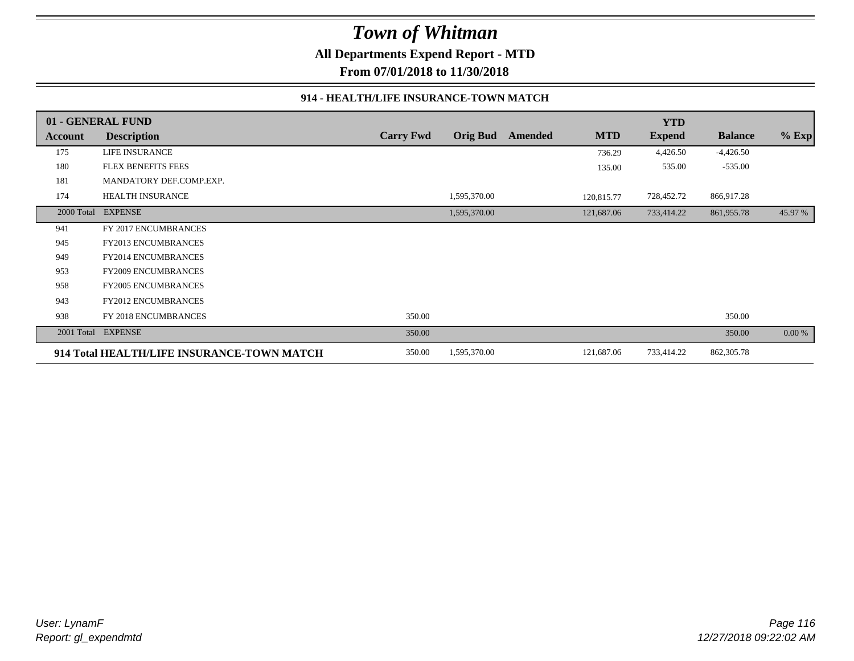**All Departments Expend Report - MTD**

**From 07/01/2018 to 11/30/2018**

#### **914 - HEALTH/LIFE INSURANCE-TOWN MATCH**

|            | 01 - GENERAL FUND                          |                  |                 |         |            | <b>YTD</b>    |                |         |
|------------|--------------------------------------------|------------------|-----------------|---------|------------|---------------|----------------|---------|
| Account    | <b>Description</b>                         | <b>Carry Fwd</b> | <b>Orig Bud</b> | Amended | <b>MTD</b> | <b>Expend</b> | <b>Balance</b> | $%$ Exp |
| 175        | <b>LIFE INSURANCE</b>                      |                  |                 |         | 736.29     | 4,426.50      | $-4,426.50$    |         |
| 180        | <b>FLEX BENEFITS FEES</b>                  |                  |                 |         | 135.00     | 535.00        | $-535.00$      |         |
| 181        | MANDATORY DEF.COMP.EXP.                    |                  |                 |         |            |               |                |         |
| 174        | HEALTH INSURANCE                           |                  | 1,595,370.00    |         | 120,815.77 | 728,452.72    | 866,917.28     |         |
| 2000 Total | <b>EXPENSE</b>                             |                  | 1,595,370.00    |         | 121,687.06 | 733,414.22    | 861,955.78     | 45.97 % |
| 941        | FY 2017 ENCUMBRANCES                       |                  |                 |         |            |               |                |         |
| 945        | <b>FY2013 ENCUMBRANCES</b>                 |                  |                 |         |            |               |                |         |
| 949        | <b>FY2014 ENCUMBRANCES</b>                 |                  |                 |         |            |               |                |         |
| 953        | FY2009 ENCUMBRANCES                        |                  |                 |         |            |               |                |         |
| 958        | <b>FY2005 ENCUMBRANCES</b>                 |                  |                 |         |            |               |                |         |
| 943        | <b>FY2012 ENCUMBRANCES</b>                 |                  |                 |         |            |               |                |         |
| 938        | FY 2018 ENCUMBRANCES                       | 350.00           |                 |         |            |               | 350.00         |         |
| 2001 Total | <b>EXPENSE</b>                             | 350.00           |                 |         |            |               | 350.00         | 0.00 %  |
|            | 914 Total HEALTH/LIFE INSURANCE-TOWN MATCH | 350.00           | 1,595,370.00    |         | 121,687.06 | 733,414.22    | 862, 305.78    |         |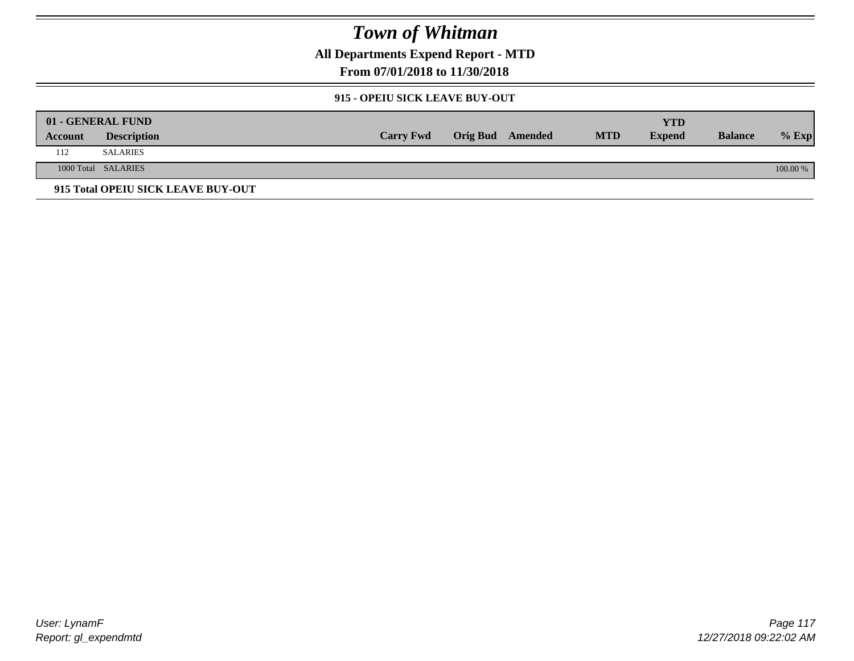**All Departments Expend Report - MTD**

**From 07/01/2018 to 11/30/2018**

#### **915 - OPEIU SICK LEAVE BUY-OUT**

|         | 01 - GENERAL FUND                  |                  |                         |            | YTD           |                |          |
|---------|------------------------------------|------------------|-------------------------|------------|---------------|----------------|----------|
| Account | <b>Description</b>                 | <b>Carry Fwd</b> | <b>Orig Bud</b> Amended | <b>MTD</b> | <b>Expend</b> | <b>Balance</b> | $%$ Exp  |
| 112     | SALARIES                           |                  |                         |            |               |                |          |
|         | 1000 Total SALARIES                |                  |                         |            |               |                | 100.00 % |
|         | 915 Total OPEIU SICK LEAVE BUY-OUT |                  |                         |            |               |                |          |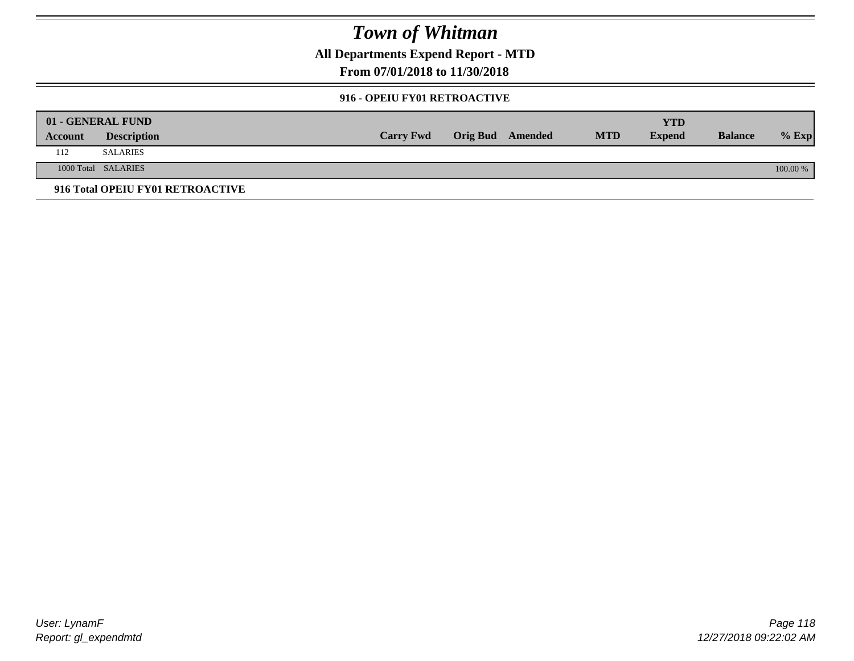**All Departments Expend Report - MTD**

**From 07/01/2018 to 11/30/2018**

#### **916 - OPEIU FY01 RETROACTIVE**

|         | 01 - GENERAL FUND                |                  |                         |            | YTD           |                |          |
|---------|----------------------------------|------------------|-------------------------|------------|---------------|----------------|----------|
| Account | <b>Description</b>               | <b>Carry Fwd</b> | <b>Orig Bud</b> Amended | <b>MTD</b> | <b>Expend</b> | <b>Balance</b> | $%$ Exp  |
| 112     | <b>SALARIES</b>                  |                  |                         |            |               |                |          |
|         | 1000 Total SALARIES              |                  |                         |            |               |                | 100.00 % |
|         | 916 Total OPEIU FY01 RETROACTIVE |                  |                         |            |               |                |          |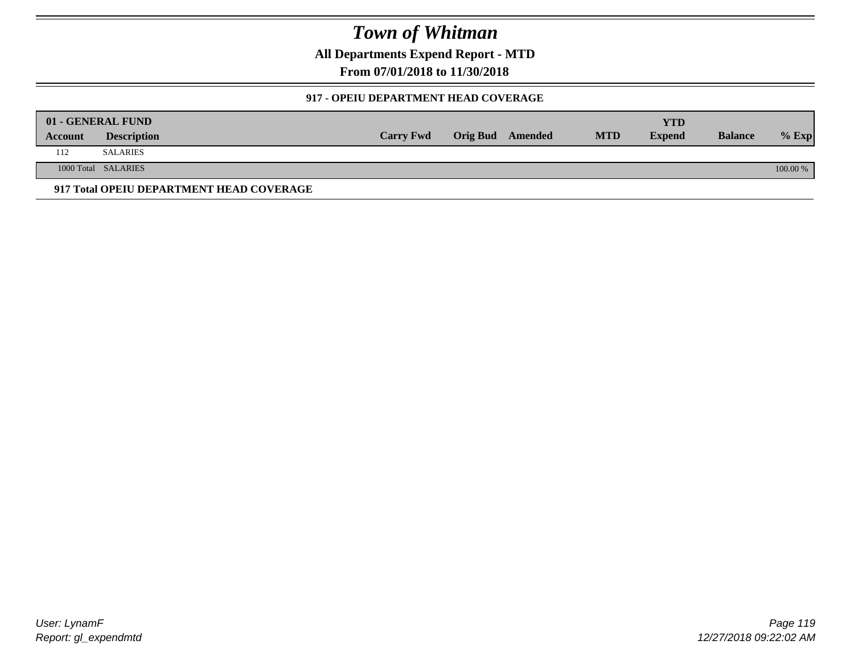**All Departments Expend Report - MTD**

**From 07/01/2018 to 11/30/2018**

#### **917 - OPEIU DEPARTMENT HEAD COVERAGE**

|         | 01 - GENERAL FUND                        |                  |                         |            | <b>YTD</b>    |                |          |
|---------|------------------------------------------|------------------|-------------------------|------------|---------------|----------------|----------|
| Account | <b>Description</b>                       | <b>Carry Fwd</b> | <b>Orig Bud</b> Amended | <b>MTD</b> | <b>Expend</b> | <b>Balance</b> | $%$ Exp  |
| 112     | <b>SALARIES</b>                          |                  |                         |            |               |                |          |
|         | 1000 Total SALARIES                      |                  |                         |            |               |                | 100.00 % |
|         | 917 Total OPEIU DEPARTMENT HEAD COVERAGE |                  |                         |            |               |                |          |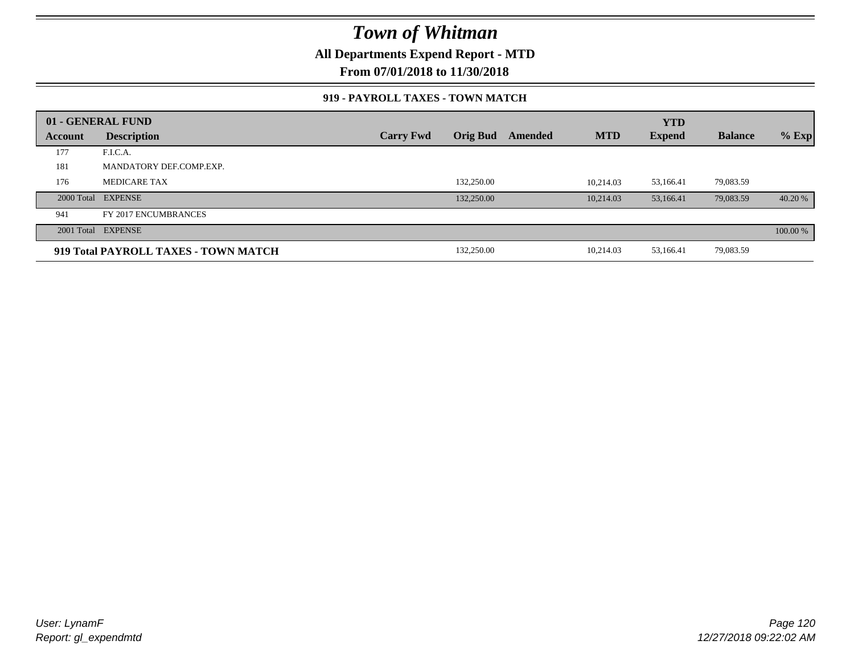**All Departments Expend Report - MTD**

**From 07/01/2018 to 11/30/2018**

#### **919 - PAYROLL TAXES - TOWN MATCH**

|         | 01 - GENERAL FUND                    |                  |                 |         |            | <b>YTD</b>    |                |          |
|---------|--------------------------------------|------------------|-----------------|---------|------------|---------------|----------------|----------|
| Account | <b>Description</b>                   | <b>Carry Fwd</b> | <b>Orig Bud</b> | Amended | <b>MTD</b> | <b>Expend</b> | <b>Balance</b> | $%$ Exp  |
| 177     | F.I.C.A.                             |                  |                 |         |            |               |                |          |
| 181     | MANDATORY DEF.COMP.EXP.              |                  |                 |         |            |               |                |          |
| 176     | <b>MEDICARE TAX</b>                  |                  | 132,250.00      |         | 10.214.03  | 53,166.41     | 79,083.59      |          |
|         | 2000 Total EXPENSE                   |                  | 132,250.00      |         | 10.214.03  | 53,166.41     | 79,083.59      | 40.20 %  |
| 941     | FY 2017 ENCUMBRANCES                 |                  |                 |         |            |               |                |          |
|         | 2001 Total EXPENSE                   |                  |                 |         |            |               |                | 100.00 % |
|         | 919 Total PAYROLL TAXES - TOWN MATCH |                  | 132,250.00      |         | 10,214.03  | 53,166.41     | 79,083.59      |          |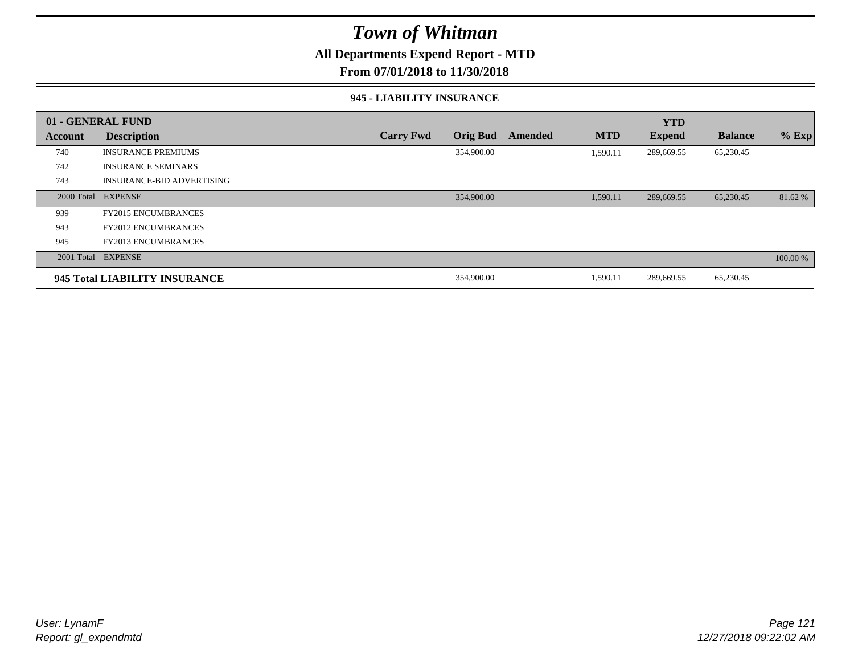### **All Departments Expend Report - MTD**

#### **From 07/01/2018 to 11/30/2018**

#### **945 - LIABILITY INSURANCE**

|         | 01 - GENERAL FUND                |                  |                 |         |            | <b>YTD</b>    |                |          |
|---------|----------------------------------|------------------|-----------------|---------|------------|---------------|----------------|----------|
| Account | <b>Description</b>               | <b>Carry Fwd</b> | <b>Orig Bud</b> | Amended | <b>MTD</b> | <b>Expend</b> | <b>Balance</b> | $%$ Exp  |
| 740     | <b>INSURANCE PREMIUMS</b>        |                  | 354,900.00      |         | 1,590.11   | 289,669.55    | 65,230.45      |          |
| 742     | <b>INSURANCE SEMINARS</b>        |                  |                 |         |            |               |                |          |
| 743     | <b>INSURANCE-BID ADVERTISING</b> |                  |                 |         |            |               |                |          |
|         | 2000 Total EXPENSE               |                  | 354,900.00      |         | 1,590.11   | 289,669.55    | 65,230.45      | 81.62 %  |
| 939     | <b>FY2015 ENCUMBRANCES</b>       |                  |                 |         |            |               |                |          |
| 943     | <b>FY2012 ENCUMBRANCES</b>       |                  |                 |         |            |               |                |          |
| 945     | <b>FY2013 ENCUMBRANCES</b>       |                  |                 |         |            |               |                |          |
|         | 2001 Total EXPENSE               |                  |                 |         |            |               |                | 100.00 % |
|         | 945 Total LIABILITY INSURANCE    |                  | 354,900.00      |         | 1,590.11   | 289,669.55    | 65,230.45      |          |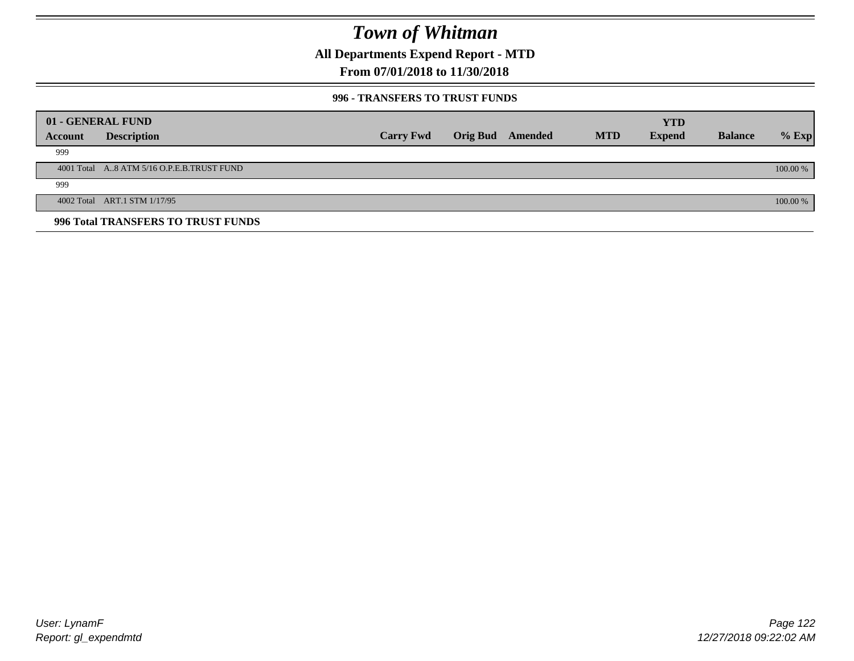**All Departments Expend Report - MTD**

### **From 07/01/2018 to 11/30/2018**

#### **996 - TRANSFERS TO TRUST FUNDS**

|         | 01 - GENERAL FUND                         |                  |                         |            | <b>YTD</b>    |                |            |
|---------|-------------------------------------------|------------------|-------------------------|------------|---------------|----------------|------------|
| Account | <b>Description</b>                        | <b>Carry Fwd</b> | <b>Orig Bud</b> Amended | <b>MTD</b> | <b>Expend</b> | <b>Balance</b> | $%$ Exp    |
| 999     |                                           |                  |                         |            |               |                |            |
|         | 4001 Total A8 ATM 5/16 O.P.E.B.TRUST FUND |                  |                         |            |               |                | $100.00\%$ |
| 999     |                                           |                  |                         |            |               |                |            |
|         | 4002 Total ART.1 STM 1/17/95              |                  |                         |            |               |                | 100.00 %   |
|         | 996 Total TRANSFERS TO TRUST FUNDS        |                  |                         |            |               |                |            |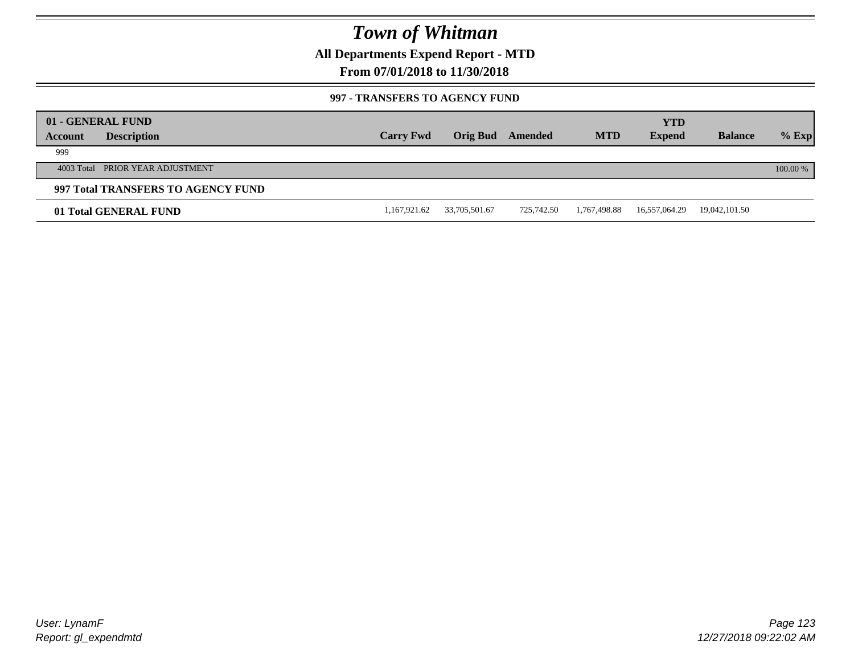**All Departments Expend Report - MTD**

### **From 07/01/2018 to 11/30/2018**

#### **997 - TRANSFERS TO AGENCY FUND**

| Account | 01 - GENERAL FUND<br><b>Description</b> | <b>Carry Fwd</b> | Orig Bud      | Amended    | <b>MTD</b>   | <b>YTD</b><br><b>Expend</b> | <b>Balance</b> | $%$ Exp  |
|---------|-----------------------------------------|------------------|---------------|------------|--------------|-----------------------------|----------------|----------|
| 999     |                                         |                  |               |            |              |                             |                |          |
|         | 4003 Total PRIOR YEAR ADJUSTMENT        |                  |               |            |              |                             |                | 100.00 % |
|         | 997 Total TRANSFERS TO AGENCY FUND      |                  |               |            |              |                             |                |          |
|         | 01 Total GENERAL FUND                   | 1,167,921.62     | 33,705,501.67 | 725.742.50 | 1,767,498.88 | 16,557,064.29               | 19,042,101.50  |          |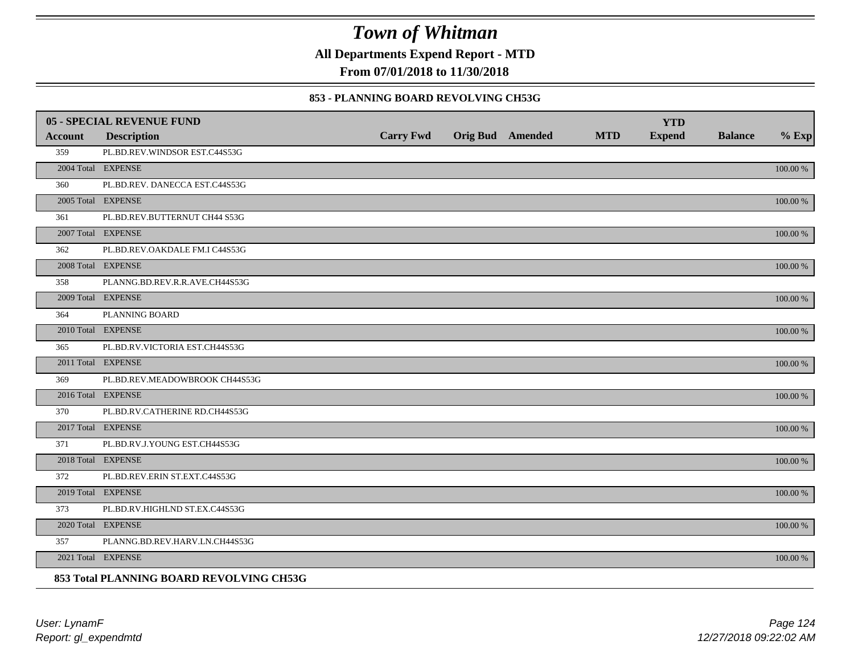**All Departments Expend Report - MTD**

**From 07/01/2018 to 11/30/2018**

#### **853 - PLANNING BOARD REVOLVING CH53G**

|                | <b>05 - SPECIAL REVENUE FUND</b>         |                  |                  |            | <b>YTD</b>    |                |             |
|----------------|------------------------------------------|------------------|------------------|------------|---------------|----------------|-------------|
| <b>Account</b> | <b>Description</b>                       | <b>Carry Fwd</b> | Orig Bud Amended | <b>MTD</b> | <b>Expend</b> | <b>Balance</b> | $%$ Exp     |
| 359            | PL.BD.REV.WINDSOR EST.C44S53G            |                  |                  |            |               |                |             |
|                | 2004 Total EXPENSE                       |                  |                  |            |               |                | 100.00 %    |
| 360            | PL.BD.REV. DANECCA EST.C44S53G           |                  |                  |            |               |                |             |
|                | 2005 Total EXPENSE                       |                  |                  |            |               |                | 100.00 %    |
| 361            | PL.BD.REV.BUTTERNUT CH44 S53G            |                  |                  |            |               |                |             |
|                | 2007 Total EXPENSE                       |                  |                  |            |               |                | 100.00 %    |
| 362            | PL.BD.REV.OAKDALE FM.I C44S53G           |                  |                  |            |               |                |             |
|                | 2008 Total EXPENSE                       |                  |                  |            |               |                | 100.00 %    |
| 358            | PLANNG.BD.REV.R.R.AVE.CH44S53G           |                  |                  |            |               |                |             |
|                | 2009 Total EXPENSE                       |                  |                  |            |               |                | $100.00~\%$ |
| 364            | PLANNING BOARD                           |                  |                  |            |               |                |             |
|                | 2010 Total EXPENSE                       |                  |                  |            |               |                | $100.00~\%$ |
| 365            | PL.BD.RV.VICTORIA EST.CH44S53G           |                  |                  |            |               |                |             |
|                | 2011 Total EXPENSE                       |                  |                  |            |               |                | 100.00 %    |
| 369            | PL.BD.REV.MEADOWBROOK CH44S53G           |                  |                  |            |               |                |             |
|                | 2016 Total EXPENSE                       |                  |                  |            |               |                | 100.00 %    |
| 370            | PL.BD.RV.CATHERINE RD.CH44S53G           |                  |                  |            |               |                |             |
|                | 2017 Total EXPENSE                       |                  |                  |            |               |                | 100.00 %    |
| 371            | PL.BD.RV.J.YOUNG EST.CH44S53G            |                  |                  |            |               |                |             |
|                | 2018 Total EXPENSE                       |                  |                  |            |               |                | 100.00 %    |
| 372            | PL.BD.REV.ERIN ST.EXT.C44S53G            |                  |                  |            |               |                |             |
|                | 2019 Total EXPENSE                       |                  |                  |            |               |                | $100.00~\%$ |
| 373            | PL.BD.RV.HIGHLND ST.EX.C44S53G           |                  |                  |            |               |                |             |
|                | 2020 Total EXPENSE                       |                  |                  |            |               |                | 100.00 %    |
| 357            | PLANNG.BD.REV.HARV.LN.CH44S53G           |                  |                  |            |               |                |             |
|                | 2021 Total EXPENSE                       |                  |                  |            |               |                | 100.00 %    |
|                | 853 Total PLANNING BOARD REVOLVING CH53G |                  |                  |            |               |                |             |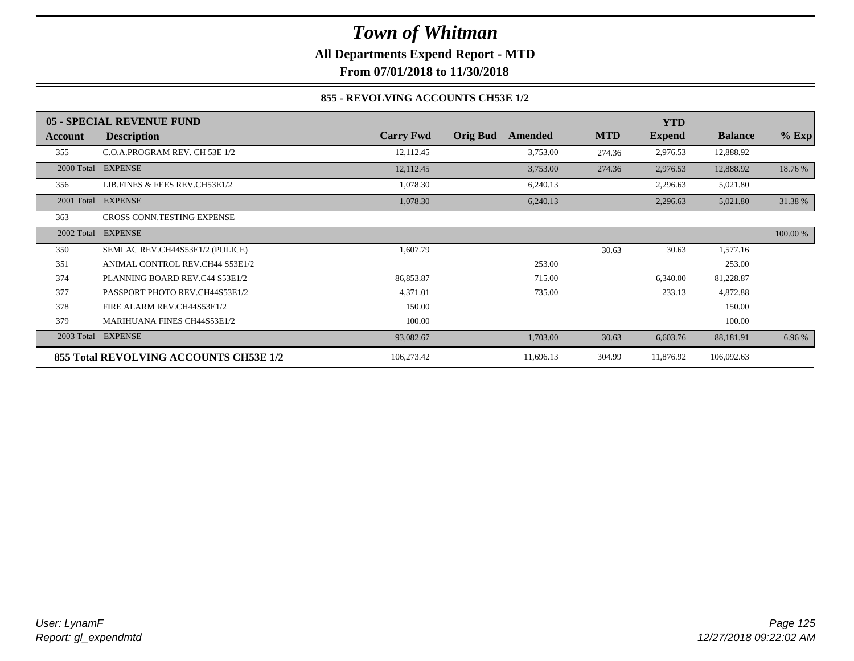### *Town of Whitman* **All Departments Expend Report - MTD**

**From 07/01/2018 to 11/30/2018**

#### **855 - REVOLVING ACCOUNTS CH53E 1/2**

|            | 05 - SPECIAL REVENUE FUND              |                  |                            |            | <b>YTD</b>    |                |          |
|------------|----------------------------------------|------------------|----------------------------|------------|---------------|----------------|----------|
| Account    | <b>Description</b>                     | <b>Carry Fwd</b> | <b>Orig Bud</b><br>Amended | <b>MTD</b> | <b>Expend</b> | <b>Balance</b> | $%$ Exp  |
| 355        | C.O.A.PROGRAM REV. CH 53E 1/2          | 12,112.45        | 3,753.00                   | 274.36     | 2,976.53      | 12,888.92      |          |
| 2000 Total | <b>EXPENSE</b>                         | 12,112.45        | 3,753.00                   | 274.36     | 2,976.53      | 12,888.92      | 18.76 %  |
| 356        | LIB.FINES & FEES REV.CH53E1/2          | 1,078.30         | 6,240.13                   |            | 2,296.63      | 5,021.80       |          |
|            | 2001 Total EXPENSE                     | 1,078.30         | 6,240.13                   |            | 2,296.63      | 5,021.80       | 31.38 %  |
| 363        | CROSS CONN.TESTING EXPENSE             |                  |                            |            |               |                |          |
| 2002 Total | <b>EXPENSE</b>                         |                  |                            |            |               |                | 100.00 % |
| 350        | SEMLAC REV.CH44S53E1/2 (POLICE)        | 1,607.79         |                            | 30.63      | 30.63         | 1,577.16       |          |
| 351        | ANIMAL CONTROL REV.CH44 S53E1/2        |                  | 253.00                     |            |               | 253.00         |          |
| 374        | PLANNING BOARD REV.C44 S53E1/2         | 86,853.87        | 715.00                     |            | 6,340.00      | 81,228.87      |          |
| 377        | PASSPORT PHOTO REV.CH44S53E1/2         | 4,371.01         | 735.00                     |            | 233.13        | 4,872.88       |          |
| 378        | FIRE ALARM REV.CH44S53E1/2             | 150.00           |                            |            |               | 150.00         |          |
| 379        | MARIHUANA FINES CH44S53E1/2            | 100.00           |                            |            |               | 100.00         |          |
| 2003 Total | <b>EXPENSE</b>                         | 93,082.67        | 1,703.00                   | 30.63      | 6,603.76      | 88,181.91      | 6.96 %   |
|            | 855 Total REVOLVING ACCOUNTS CH53E 1/2 | 106,273.42       | 11,696.13                  | 304.99     | 11,876.92     | 106,092.63     |          |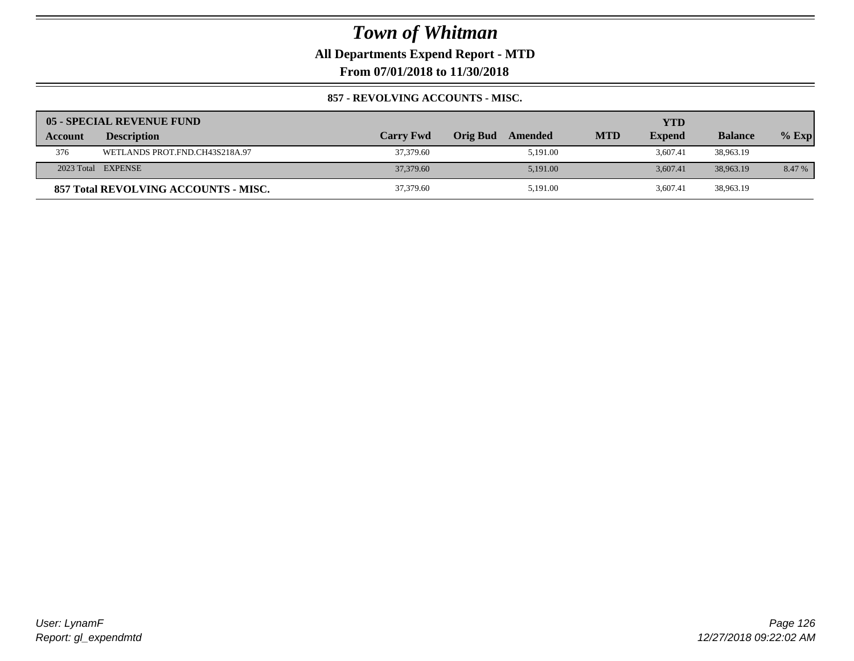**All Departments Expend Report - MTD**

**From 07/01/2018 to 11/30/2018**

#### **857 - REVOLVING ACCOUNTS - MISC.**

|         | 05 - SPECIAL REVENUE FUND            |                  |                     |            | YTD           |                |          |
|---------|--------------------------------------|------------------|---------------------|------------|---------------|----------------|----------|
| Account | <b>Description</b>                   | <b>Carry Fwd</b> | Orig Bud<br>Amended | <b>MTD</b> | <b>Expend</b> | <b>Balance</b> | $%$ Exp  |
| 376     | WETLANDS PROT.FND.CH43S218A.97       | 37,379.60        | 5.191.00            |            | 3.607.41      | 38,963.19      |          |
|         | 2023 Total EXPENSE                   | 37,379.60        | 5.191.00            |            | 3.607.41      | 38,963.19      | $8.47\%$ |
|         | 857 Total REVOLVING ACCOUNTS - MISC. | 37,379.60        | 5,191.00            |            | 3.607.41      | 38,963.19      |          |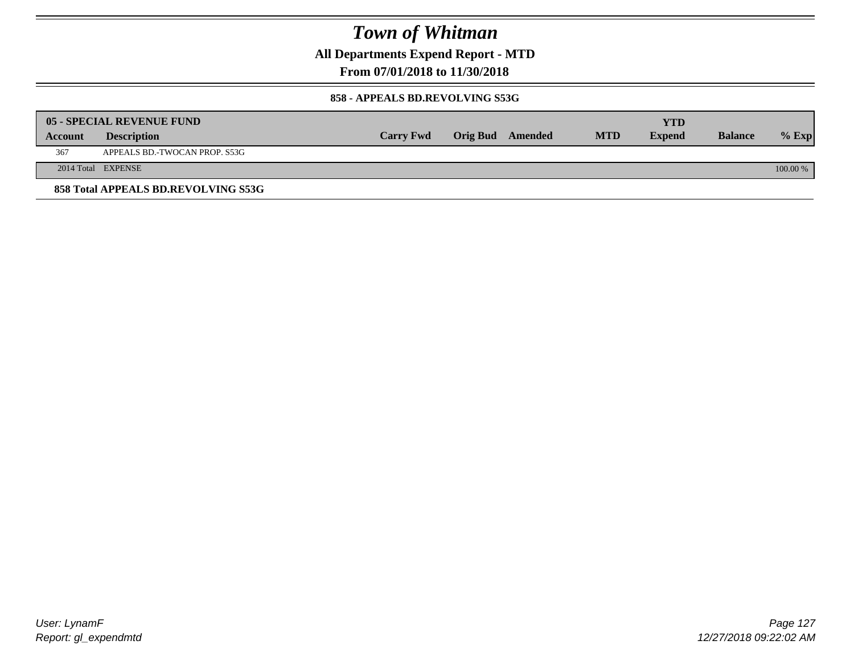**All Departments Expend Report - MTD**

**From 07/01/2018 to 11/30/2018**

#### **858 - APPEALS BD.REVOLVING S53G**

|         | 05 - SPECIAL REVENUE FUND           |                  |                  |            | YTD           |                |            |
|---------|-------------------------------------|------------------|------------------|------------|---------------|----------------|------------|
| Account | <b>Description</b>                  | <b>Carry Fwd</b> | Orig Bud Amended | <b>MTD</b> | <b>Expend</b> | <b>Balance</b> | $\%$ Exp   |
| 367     | APPEALS BD.-TWOCAN PROP. S53G       |                  |                  |            |               |                |            |
|         | 2014 Total EXPENSE                  |                  |                  |            |               |                | $100.00\%$ |
|         | 858 Total APPEALS BD.REVOLVING S53G |                  |                  |            |               |                |            |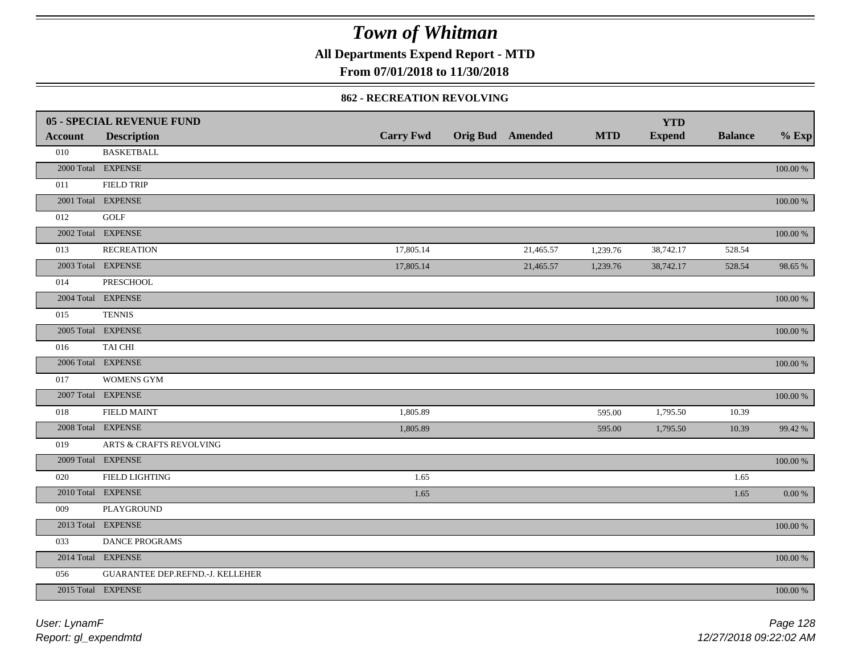**All Departments Expend Report - MTD**

### **From 07/01/2018 to 11/30/2018**

#### **862 - RECREATION REVOLVING**

|                | 05 - SPECIAL REVENUE FUND        |                  |                         |            | <b>YTD</b>    |                |             |
|----------------|----------------------------------|------------------|-------------------------|------------|---------------|----------------|-------------|
| <b>Account</b> | <b>Description</b>               | <b>Carry Fwd</b> | <b>Orig Bud Amended</b> | <b>MTD</b> | <b>Expend</b> | <b>Balance</b> | $%$ Exp     |
| 010            | <b>BASKETBALL</b>                |                  |                         |            |               |                |             |
|                | 2000 Total EXPENSE               |                  |                         |            |               |                | $100.00~\%$ |
| 011            | <b>FIELD TRIP</b>                |                  |                         |            |               |                |             |
|                | 2001 Total EXPENSE               |                  |                         |            |               |                | 100.00 %    |
| 012            | <b>GOLF</b>                      |                  |                         |            |               |                |             |
|                | 2002 Total EXPENSE               |                  |                         |            |               |                | 100.00 %    |
| 013            | <b>RECREATION</b>                | 17,805.14        | 21,465.57               | 1,239.76   | 38,742.17     | 528.54         |             |
|                | 2003 Total EXPENSE               | 17,805.14        | 21,465.57               | 1,239.76   | 38,742.17     | 528.54         | 98.65 %     |
| 014            | PRESCHOOL                        |                  |                         |            |               |                |             |
|                | 2004 Total EXPENSE               |                  |                         |            |               |                | 100.00 %    |
| 015            | <b>TENNIS</b>                    |                  |                         |            |               |                |             |
|                | 2005 Total EXPENSE               |                  |                         |            |               |                | 100.00 %    |
| 016            | TAI CHI                          |                  |                         |            |               |                |             |
|                | 2006 Total EXPENSE               |                  |                         |            |               |                | 100.00 %    |
| 017            | <b>WOMENS GYM</b>                |                  |                         |            |               |                |             |
|                | 2007 Total EXPENSE               |                  |                         |            |               |                | $100.00~\%$ |
| 018            | <b>FIELD MAINT</b>               | 1,805.89         |                         | 595.00     | 1,795.50      | 10.39          |             |
|                | 2008 Total EXPENSE               | 1,805.89         |                         | 595.00     | 1,795.50      | 10.39          | 99.42 %     |
| 019            | ARTS & CRAFTS REVOLVING          |                  |                         |            |               |                |             |
|                | 2009 Total EXPENSE               |                  |                         |            |               |                | $100.00~\%$ |
| 020            | FIELD LIGHTING                   | 1.65             |                         |            |               | 1.65           |             |
|                | 2010 Total EXPENSE               | 1.65             |                         |            |               | 1.65           | 0.00 %      |
| 009            | PLAYGROUND                       |                  |                         |            |               |                |             |
|                | 2013 Total EXPENSE               |                  |                         |            |               |                | $100.00~\%$ |
| 033            | DANCE PROGRAMS                   |                  |                         |            |               |                |             |
|                | 2014 Total EXPENSE               |                  |                         |            |               |                | 100.00 %    |
| 056            | GUARANTEE DEP.REFND.-J. KELLEHER |                  |                         |            |               |                |             |
|                | 2015 Total EXPENSE               |                  |                         |            |               |                | 100.00 %    |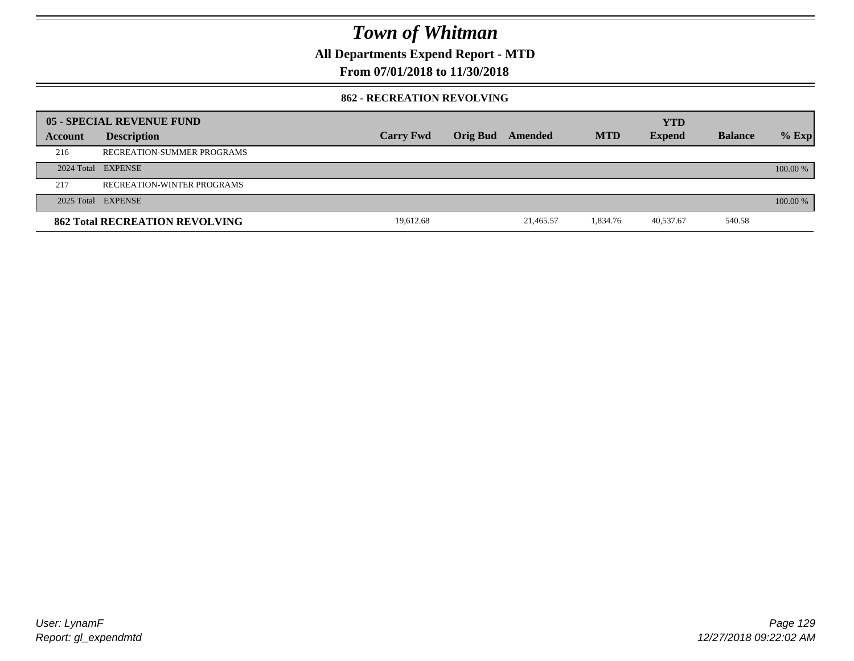**All Departments Expend Report - MTD**

### **From 07/01/2018 to 11/30/2018**

#### **862 - RECREATION REVOLVING**

|         | 05 - SPECIAL REVENUE FUND             |                  |                  |           |            | <b>YTD</b>    |                |          |
|---------|---------------------------------------|------------------|------------------|-----------|------------|---------------|----------------|----------|
| Account | <b>Description</b>                    | <b>Carry Fwd</b> | Orig Bud Amended |           | <b>MTD</b> | <b>Expend</b> | <b>Balance</b> | $%$ Exp  |
| 216     | RECREATION-SUMMER PROGRAMS            |                  |                  |           |            |               |                |          |
|         | 2024 Total EXPENSE                    |                  |                  |           |            |               |                | 100.00 % |
| 217     | RECREATION-WINTER PROGRAMS            |                  |                  |           |            |               |                |          |
|         | 2025 Total EXPENSE                    |                  |                  |           |            |               |                | 100.00 % |
|         | <b>862 Total RECREATION REVOLVING</b> | 19,612.68        |                  | 21.465.57 | 1,834.76   | 40,537.67     | 540.58         |          |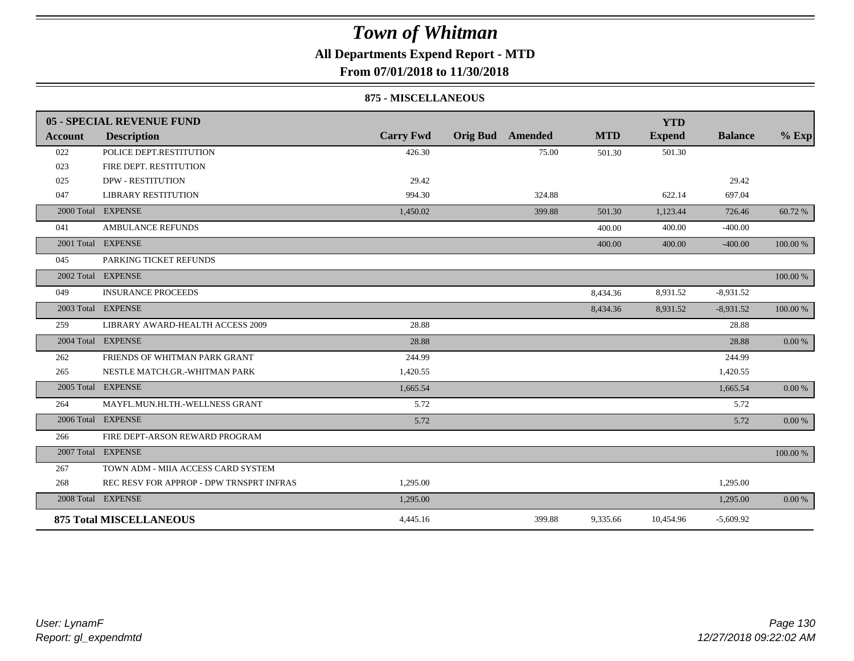### **All Departments Expend Report - MTD**

**From 07/01/2018 to 11/30/2018**

#### **875 - MISCELLANEOUS**

|                | 05 - SPECIAL REVENUE FUND                |                  |                         |            | <b>YTD</b>    |                |             |
|----------------|------------------------------------------|------------------|-------------------------|------------|---------------|----------------|-------------|
| <b>Account</b> | <b>Description</b>                       | <b>Carry Fwd</b> | <b>Orig Bud</b> Amended | <b>MTD</b> | <b>Expend</b> | <b>Balance</b> | $%$ Exp     |
| 022            | POLICE DEPT.RESTITUTION                  | 426.30           | 75.00                   | 501.30     | 501.30        |                |             |
| 023            | FIRE DEPT. RESTITUTION                   |                  |                         |            |               |                |             |
| 025            | <b>DPW - RESTITUTION</b>                 | 29.42            |                         |            |               | 29.42          |             |
| 047            | <b>LIBRARY RESTITUTION</b>               | 994.30           | 324.88                  |            | 622.14        | 697.04         |             |
| 2000 Total     | <b>EXPENSE</b>                           | 1,450.02         | 399.88                  | 501.30     | 1,123.44      | 726.46         | 60.72%      |
| 041            | <b>AMBULANCE REFUNDS</b>                 |                  |                         | 400.00     | 400.00        | $-400.00$      |             |
|                | 2001 Total EXPENSE                       |                  |                         | 400.00     | 400.00        | $-400.00$      | $100.00~\%$ |
| 045            | PARKING TICKET REFUNDS                   |                  |                         |            |               |                |             |
|                | 2002 Total EXPENSE                       |                  |                         |            |               |                | $100.00~\%$ |
| 049            | <b>INSURANCE PROCEEDS</b>                |                  |                         | 8,434.36   | 8,931.52      | $-8,931.52$    |             |
|                | 2003 Total EXPENSE                       |                  |                         | 8,434.36   | 8,931.52      | $-8,931.52$    | $100.00~\%$ |
| 259            | LIBRARY AWARD-HEALTH ACCESS 2009         | 28.88            |                         |            |               | 28.88          |             |
|                | 2004 Total EXPENSE                       | 28.88            |                         |            |               | 28.88          | $0.00\,\%$  |
| 262            | FRIENDS OF WHITMAN PARK GRANT            | 244.99           |                         |            |               | 244.99         |             |
| 265            | NESTLE MATCH.GR.-WHITMAN PARK            | 1,420.55         |                         |            |               | 1,420.55       |             |
| 2005 Total     | <b>EXPENSE</b>                           | 1,665.54         |                         |            |               | 1,665.54       | $0.00\,\%$  |
| 264            | MAYFL.MUN.HLTH.-WELLNESS GRANT           | 5.72             |                         |            |               | 5.72           |             |
|                | 2006 Total EXPENSE                       | 5.72             |                         |            |               | 5.72           | $0.00\ \%$  |
| 266            | FIRE DEPT-ARSON REWARD PROGRAM           |                  |                         |            |               |                |             |
|                | 2007 Total EXPENSE                       |                  |                         |            |               |                | $100.00~\%$ |
| 267            | TOWN ADM - MIIA ACCESS CARD SYSTEM       |                  |                         |            |               |                |             |
| 268            | REC RESV FOR APPROP - DPW TRNSPRT INFRAS | 1,295.00         |                         |            |               | 1,295.00       |             |
|                | 2008 Total EXPENSE                       | 1,295.00         |                         |            |               | 1,295.00       | 0.00 %      |
|                | <b>875 Total MISCELLANEOUS</b>           | 4,445.16         | 399.88                  | 9,335.66   | 10,454.96     | $-5,609.92$    |             |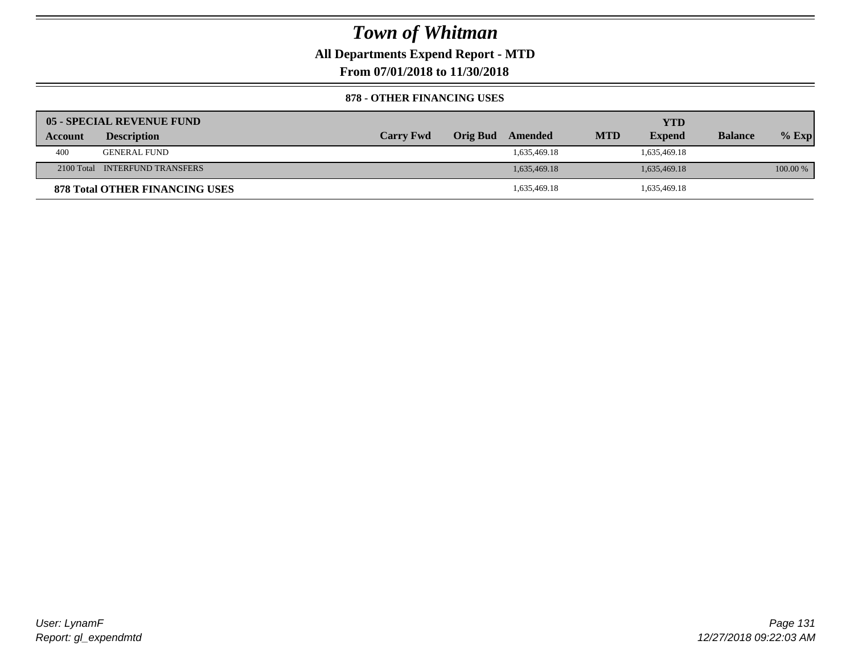**All Departments Expend Report - MTD**

**From 07/01/2018 to 11/30/2018**

#### **878 - OTHER FINANCING USES**

|         | 05 - SPECIAL REVENUE FUND             |                  |                 |              |            | YTD           |                |            |
|---------|---------------------------------------|------------------|-----------------|--------------|------------|---------------|----------------|------------|
| Account | <b>Description</b>                    | <b>Carry Fwd</b> | <b>Orig Bud</b> | Amended      | <b>MTD</b> | <b>Expend</b> | <b>Balance</b> | $%$ Exp    |
| 400     | GENERAL FUND                          |                  |                 | 1,635,469.18 |            | 1,635,469.18  |                |            |
|         | 2100 Total INTERFUND TRANSFERS        |                  |                 | 1,635,469.18 |            | 1,635,469.18  |                | $100.00\%$ |
|         | <b>878 Total OTHER FINANCING USES</b> |                  |                 | 1,635,469.18 |            | 1,635,469.18  |                |            |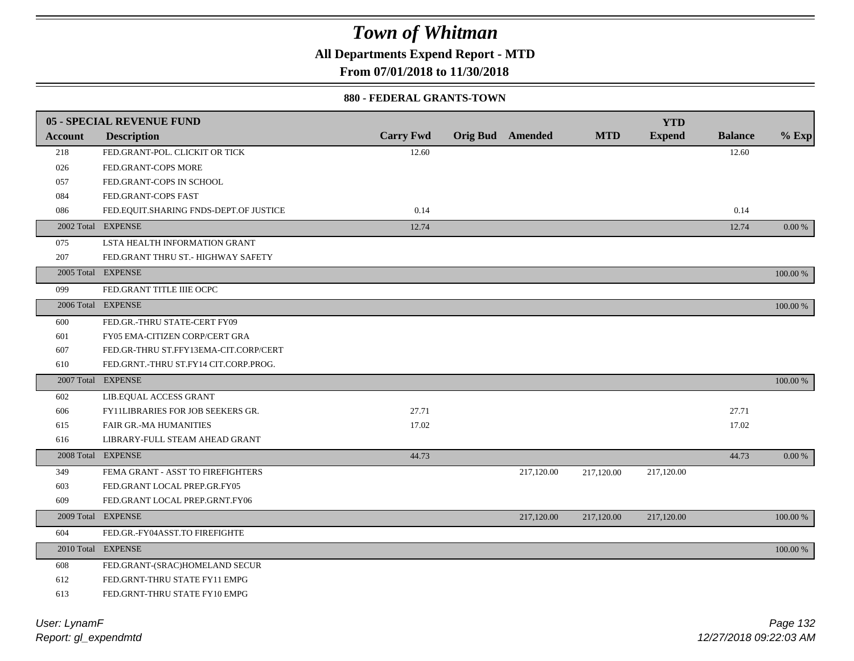**All Departments Expend Report - MTD**

**From 07/01/2018 to 11/30/2018**

#### **880 - FEDERAL GRANTS-TOWN**

|         | <b>05 - SPECIAL REVENUE FUND</b>       |                  |                         |            | <b>YTD</b>    |                |          |
|---------|----------------------------------------|------------------|-------------------------|------------|---------------|----------------|----------|
| Account | <b>Description</b>                     | <b>Carry Fwd</b> | <b>Orig Bud</b> Amended | <b>MTD</b> | <b>Expend</b> | <b>Balance</b> | $%$ Exp  |
| 218     | FED.GRANT-POL. CLICKIT OR TICK         | 12.60            |                         |            |               | 12.60          |          |
| 026     | FED.GRANT-COPS MORE                    |                  |                         |            |               |                |          |
| 057     | FED.GRANT-COPS IN SCHOOL               |                  |                         |            |               |                |          |
| 084     | FED.GRANT-COPS FAST                    |                  |                         |            |               |                |          |
| 086     | FED.EQUIT.SHARING FNDS-DEPT.OF JUSTICE | 0.14             |                         |            |               | 0.14           |          |
|         | 2002 Total EXPENSE                     | 12.74            |                         |            |               | 12.74          | 0.00 %   |
| 075     | LSTA HEALTH INFORMATION GRANT          |                  |                         |            |               |                |          |
| 207     | FED.GRANT THRU ST.- HIGHWAY SAFETY     |                  |                         |            |               |                |          |
|         | 2005 Total EXPENSE                     |                  |                         |            |               |                | 100.00 % |
| 099     | FED.GRANT TITLE IIIE OCPC              |                  |                         |            |               |                |          |
|         | 2006 Total EXPENSE                     |                  |                         |            |               |                | 100.00 % |
| 600     | FED.GR.-THRU STATE-CERT FY09           |                  |                         |            |               |                |          |
| 601     | FY05 EMA-CITIZEN CORP/CERT GRA         |                  |                         |            |               |                |          |
| 607     | FED.GR-THRU ST.FFY13EMA-CIT.CORP/CERT  |                  |                         |            |               |                |          |
| 610     | FED.GRNT.-THRU ST.FY14 CIT.CORP.PROG.  |                  |                         |            |               |                |          |
|         | 2007 Total EXPENSE                     |                  |                         |            |               |                | 100.00 % |
| 602     | LIB.EQUAL ACCESS GRANT                 |                  |                         |            |               |                |          |
| 606     | FY11LIBRARIES FOR JOB SEEKERS GR.      | 27.71            |                         |            |               | 27.71          |          |
| 615     | <b>FAIR GR.-MA HUMANITIES</b>          | 17.02            |                         |            |               | 17.02          |          |
| 616     | LIBRARY-FULL STEAM AHEAD GRANT         |                  |                         |            |               |                |          |
|         | 2008 Total EXPENSE                     | 44.73            |                         |            |               | 44.73          | 0.00 %   |
| 349     | FEMA GRANT - ASST TO FIREFIGHTERS      |                  | 217,120.00              | 217,120.00 | 217,120.00    |                |          |
| 603     | FED.GRANT LOCAL PREP.GR.FY05           |                  |                         |            |               |                |          |
| 609     | FED.GRANT LOCAL PREP.GRNT.FY06         |                  |                         |            |               |                |          |
|         | 2009 Total EXPENSE                     |                  | 217,120.00              | 217,120.00 | 217,120.00    |                | 100.00 % |
| 604     | FED.GR.-FY04ASST.TO FIREFIGHTE         |                  |                         |            |               |                |          |
|         | 2010 Total EXPENSE                     |                  |                         |            |               |                | 100.00 % |
| 608     | FED.GRANT-(SRAC)HOMELAND SECUR         |                  |                         |            |               |                |          |
| 612     | FED.GRNT-THRU STATE FY11 EMPG          |                  |                         |            |               |                |          |
| 613     | FED.GRNT-THRU STATE FY10 EMPG          |                  |                         |            |               |                |          |
|         |                                        |                  |                         |            |               |                |          |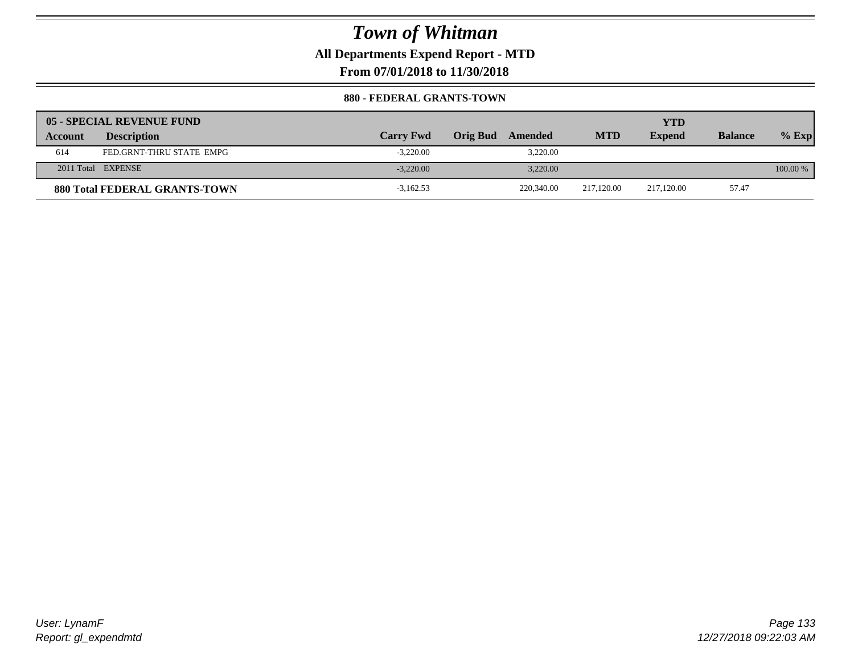**All Departments Expend Report - MTD**

**From 07/01/2018 to 11/30/2018**

#### **880 - FEDERAL GRANTS-TOWN**

|         | 05 - SPECIAL REVENUE FUND            |                  |                            |            | YTD           |                |          |
|---------|--------------------------------------|------------------|----------------------------|------------|---------------|----------------|----------|
| Account | <b>Description</b>                   | <b>Carry Fwd</b> | <b>Orig Bud</b><br>Amended | <b>MTD</b> | <b>Expend</b> | <b>Balance</b> | $%$ Exp  |
| 614     | FED.GRNT-THRU STATE EMPG             | $-3,220.00$      | 3,220.00                   |            |               |                |          |
|         | 2011 Total EXPENSE                   | $-3.220.00$      | 3.220.00                   |            |               |                | 100.00 % |
|         | <b>880 Total FEDERAL GRANTS-TOWN</b> | $-3,162.53$      | 220,340.00                 | 217.120.00 | 217,120.00    | 57.47          |          |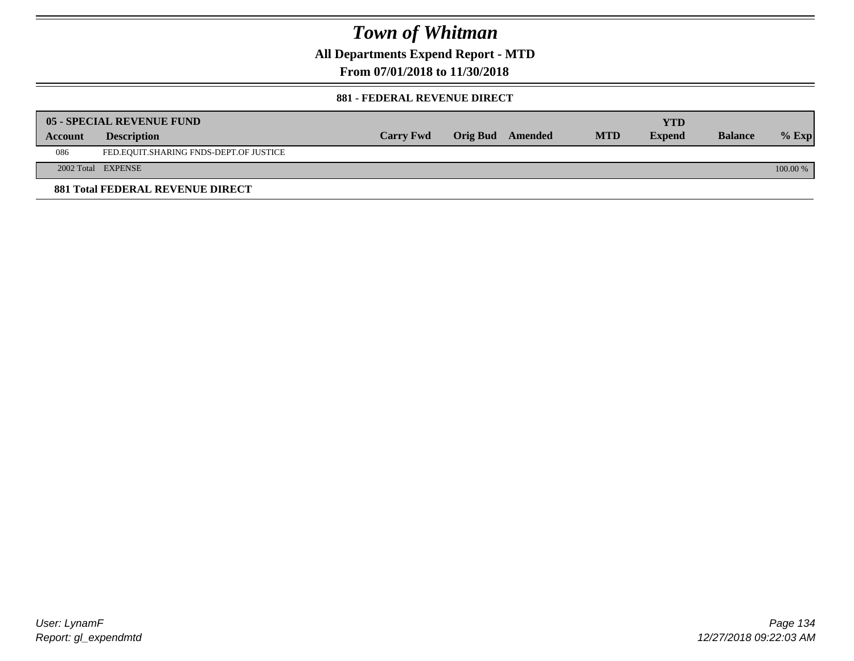**All Departments Expend Report - MTD**

**From 07/01/2018 to 11/30/2018**

#### **881 - FEDERAL REVENUE DIRECT**

|         | <b>05 - SPECIAL REVENUE FUND</b>        |                  |                  |            | YTD           |                |          |
|---------|-----------------------------------------|------------------|------------------|------------|---------------|----------------|----------|
| Account | <b>Description</b>                      | <b>Carry Fwd</b> | Orig Bud Amended | <b>MTD</b> | <b>Expend</b> | <b>Balance</b> | $%$ Exp  |
| 086     | FED.EQUIT.SHARING FNDS-DEPT.OF JUSTICE  |                  |                  |            |               |                |          |
|         | 2002 Total EXPENSE                      |                  |                  |            |               |                | 100.00 % |
|         | <b>881 Total FEDERAL REVENUE DIRECT</b> |                  |                  |            |               |                |          |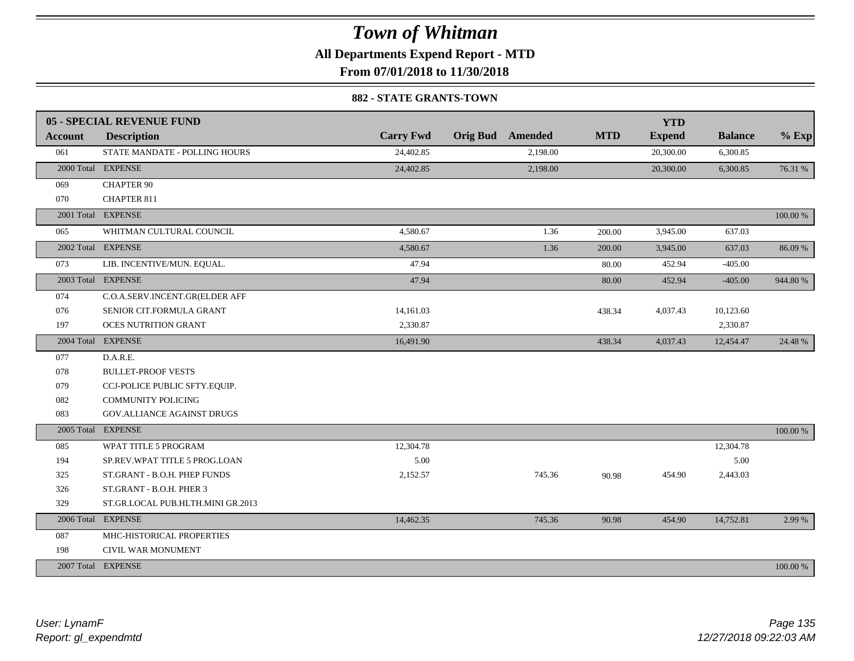**All Departments Expend Report - MTD**

**From 07/01/2018 to 11/30/2018**

#### **882 - STATE GRANTS-TOWN**

|                | 05 - SPECIAL REVENUE FUND         |                  |                         |            | <b>YTD</b>    |                |          |
|----------------|-----------------------------------|------------------|-------------------------|------------|---------------|----------------|----------|
| <b>Account</b> | <b>Description</b>                | <b>Carry Fwd</b> | <b>Orig Bud</b> Amended | <b>MTD</b> | <b>Expend</b> | <b>Balance</b> | $%$ Exp  |
| 061            | STATE MANDATE - POLLING HOURS     | 24,402.85        | 2,198.00                |            | 20,300.00     | 6,300.85       |          |
|                | 2000 Total EXPENSE                | 24,402.85        | 2,198.00                |            | 20,300.00     | 6,300.85       | 76.31 %  |
| 069            | <b>CHAPTER 90</b>                 |                  |                         |            |               |                |          |
| 070            | <b>CHAPTER 811</b>                |                  |                         |            |               |                |          |
|                | 2001 Total EXPENSE                |                  |                         |            |               |                | 100.00 % |
| 065            | WHITMAN CULTURAL COUNCIL          | 4,580.67         | 1.36                    | 200.00     | 3,945.00      | 637.03         |          |
|                | 2002 Total EXPENSE                | 4,580.67         | 1.36                    | 200.00     | 3,945.00      | 637.03         | 86.09 %  |
| 073            | LIB. INCENTIVE/MUN. EQUAL.        | 47.94            |                         | 80.00      | 452.94        | $-405.00$      |          |
|                | 2003 Total EXPENSE                | 47.94            |                         | 80.00      | 452.94        | $-405.00$      | 944.80%  |
| 074            | C.O.A.SERV.INCENT.GR(ELDER AFF    |                  |                         |            |               |                |          |
| 076            | SENIOR CIT.FORMULA GRANT          | 14,161.03        |                         | 438.34     | 4,037.43      | 10,123.60      |          |
| 197            | <b>OCES NUTRITION GRANT</b>       | 2,330.87         |                         |            |               | 2,330.87       |          |
|                | 2004 Total EXPENSE                | 16,491.90        |                         | 438.34     | 4,037.43      | 12,454.47      | 24.48 %  |
| 077            | D.A.R.E.                          |                  |                         |            |               |                |          |
| 078            | <b>BULLET-PROOF VESTS</b>         |                  |                         |            |               |                |          |
| 079            | CCJ-POLICE PUBLIC SFTY.EQUIP.     |                  |                         |            |               |                |          |
| 082            | <b>COMMUNITY POLICING</b>         |                  |                         |            |               |                |          |
| 083            | <b>GOV.ALLIANCE AGAINST DRUGS</b> |                  |                         |            |               |                |          |
| 2005 Total     | <b>EXPENSE</b>                    |                  |                         |            |               |                | 100.00 % |
| 085            | WPAT TITLE 5 PROGRAM              | 12,304.78        |                         |            |               | 12,304.78      |          |
| 194            | SP.REV.WPAT TITLE 5 PROG.LOAN     | 5.00             |                         |            |               | 5.00           |          |
| 325            | ST.GRANT - B.O.H. PHEP FUNDS      | 2,152.57         | 745.36                  | 90.98      | 454.90        | 2,443.03       |          |
| 326            | ST.GRANT - B.O.H. PHER 3          |                  |                         |            |               |                |          |
| 329            | ST.GR.LOCAL PUB.HLTH.MINI GR.2013 |                  |                         |            |               |                |          |
|                | 2006 Total EXPENSE                | 14,462.35        | 745.36                  | 90.98      | 454.90        | 14,752.81      | 2.99 %   |
| 087            | MHC-HISTORICAL PROPERTIES         |                  |                         |            |               |                |          |
| 198            | CIVIL WAR MONUMENT                |                  |                         |            |               |                |          |
|                | 2007 Total EXPENSE                |                  |                         |            |               |                | 100.00 % |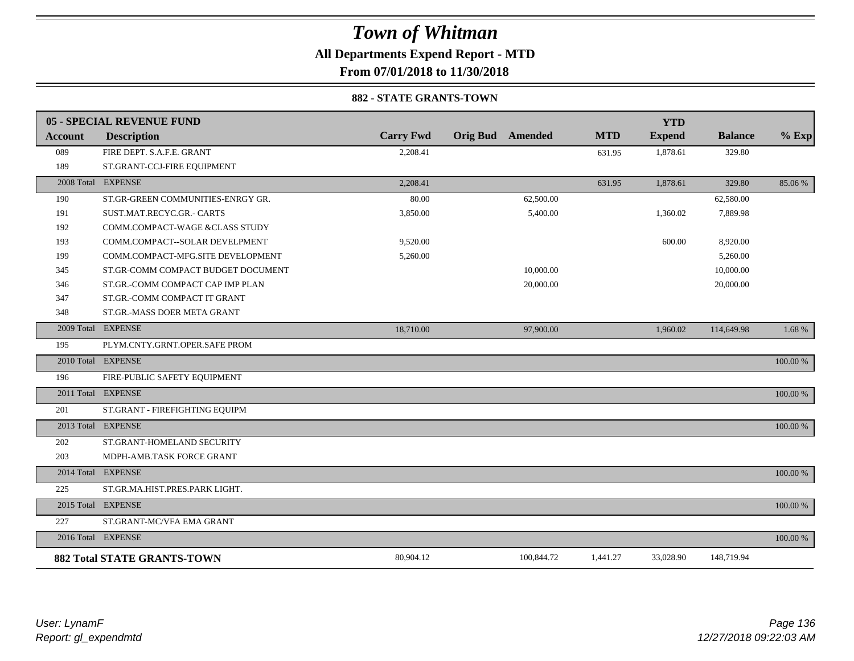**All Departments Expend Report - MTD**

**From 07/01/2018 to 11/30/2018**

#### **882 - STATE GRANTS-TOWN**

|         | 05 - SPECIAL REVENUE FUND          |                  |                         |            | <b>YTD</b>    |                |          |
|---------|------------------------------------|------------------|-------------------------|------------|---------------|----------------|----------|
| Account | <b>Description</b>                 | <b>Carry Fwd</b> | <b>Orig Bud</b> Amended | <b>MTD</b> | <b>Expend</b> | <b>Balance</b> | $%$ Exp  |
| 089     | FIRE DEPT. S.A.F.E. GRANT          | 2,208.41         |                         | 631.95     | 1,878.61      | 329.80         |          |
| 189     | ST.GRANT-CCJ-FIRE EQUIPMENT        |                  |                         |            |               |                |          |
|         | 2008 Total EXPENSE                 | 2,208.41         |                         | 631.95     | 1,878.61      | 329.80         | 85.06 %  |
| 190     | ST.GR-GREEN COMMUNITIES-ENRGY GR.  | 80.00            | 62,500.00               |            |               | 62,580.00      |          |
| 191     | SUST.MAT.RECYC.GR.- CARTS          | 3,850.00         | 5,400.00                |            | 1,360.02      | 7,889.98       |          |
| 192     | COMM.COMPACT-WAGE &CLASS STUDY     |                  |                         |            |               |                |          |
| 193     | COMM.COMPACT--SOLAR DEVELPMENT     | 9,520.00         |                         |            | 600.00        | 8,920.00       |          |
| 199     | COMM.COMPACT-MFG.SITE DEVELOPMENT  | 5,260.00         |                         |            |               | 5,260.00       |          |
| 345     | ST.GR-COMM COMPACT BUDGET DOCUMENT |                  | 10,000.00               |            |               | 10,000.00      |          |
| 346     | ST.GR.-COMM COMPACT CAP IMP PLAN   |                  | 20,000.00               |            |               | 20,000.00      |          |
| 347     | ST.GR.-COMM COMPACT IT GRANT       |                  |                         |            |               |                |          |
| 348     | ST.GR.-MASS DOER META GRANT        |                  |                         |            |               |                |          |
|         | 2009 Total EXPENSE                 | 18,710.00        | 97,900.00               |            | 1,960.02      | 114,649.98     | 1.68 %   |
| 195     | PLYM.CNTY.GRNT.OPER.SAFE PROM      |                  |                         |            |               |                |          |
|         | 2010 Total EXPENSE                 |                  |                         |            |               |                | 100.00 % |
| 196     | FIRE-PUBLIC SAFETY EQUIPMENT       |                  |                         |            |               |                |          |
|         | 2011 Total EXPENSE                 |                  |                         |            |               |                | 100.00 % |
| 201     | ST.GRANT - FIREFIGHTING EQUIPM     |                  |                         |            |               |                |          |
|         | 2013 Total EXPENSE                 |                  |                         |            |               |                | 100.00 % |
| 202     | ST.GRANT-HOMELAND SECURITY         |                  |                         |            |               |                |          |
| 203     | MDPH-AMB.TASK FORCE GRANT          |                  |                         |            |               |                |          |
|         | 2014 Total EXPENSE                 |                  |                         |            |               |                | 100.00 % |
| 225     | ST.GR.MA.HIST.PRES.PARK LIGHT.     |                  |                         |            |               |                |          |
|         | 2015 Total EXPENSE                 |                  |                         |            |               |                | 100.00 % |
| 227     | ST.GRANT-MC/VFA EMA GRANT          |                  |                         |            |               |                |          |
|         | 2016 Total EXPENSE                 |                  |                         |            |               |                | 100.00 % |
|         | <b>882 Total STATE GRANTS-TOWN</b> | 80,904.12        | 100,844.72              | 1,441.27   | 33,028.90     | 148,719.94     |          |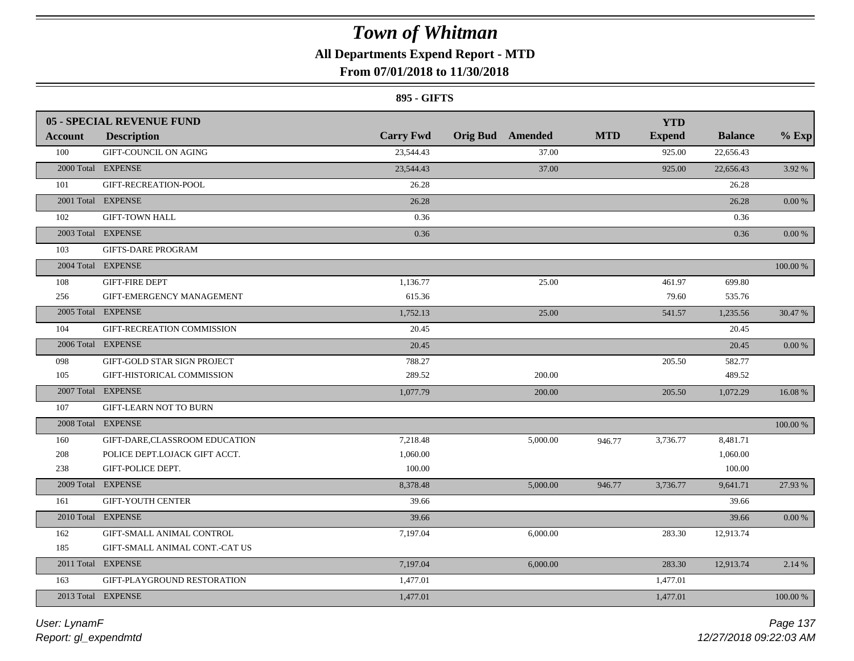### **All Departments Expend Report - MTD**

### **From 07/01/2018 to 11/30/2018**

#### **895 - GIFTS**

|                | <b>05 - SPECIAL REVENUE FUND</b> |                  |                         |            | <b>YTD</b>    |                |             |
|----------------|----------------------------------|------------------|-------------------------|------------|---------------|----------------|-------------|
| <b>Account</b> | <b>Description</b>               | <b>Carry Fwd</b> | <b>Orig Bud</b> Amended | <b>MTD</b> | <b>Expend</b> | <b>Balance</b> | $%$ Exp     |
| 100            | GIFT-COUNCIL ON AGING            | 23,544.43        | 37.00                   |            | 925.00        | 22,656.43      |             |
|                | 2000 Total EXPENSE               | 23,544.43        | 37.00                   |            | 925.00        | 22,656.43      | 3.92 %      |
| 101            | GIFT-RECREATION-POOL             | 26.28            |                         |            |               | 26.28          |             |
|                | 2001 Total EXPENSE               | 26.28            |                         |            |               | 26.28          | $0.00\,\%$  |
| 102            | <b>GIFT-TOWN HALL</b>            | 0.36             |                         |            |               | 0.36           |             |
|                | 2003 Total EXPENSE               | 0.36             |                         |            |               | 0.36           | $0.00\,\%$  |
| 103            | <b>GIFTS-DARE PROGRAM</b>        |                  |                         |            |               |                |             |
|                | 2004 Total EXPENSE               |                  |                         |            |               |                | $100.00~\%$ |
| 108            | <b>GIFT-FIRE DEPT</b>            | 1,136.77         | 25.00                   |            | 461.97        | 699.80         |             |
| 256            | GIFT-EMERGENCY MANAGEMENT        | 615.36           |                         |            | 79.60         | 535.76         |             |
|                | 2005 Total EXPENSE               | 1,752.13         | 25.00                   |            | 541.57        | 1,235.56       | 30.47 %     |
| 104            | GIFT-RECREATION COMMISSION       | 20.45            |                         |            |               | 20.45          |             |
|                | 2006 Total EXPENSE               | 20.45            |                         |            |               | 20.45          | 0.00 %      |
| 098            | GIFT-GOLD STAR SIGN PROJECT      | 788.27           |                         |            | 205.50        | 582.77         |             |
| 105            | GIFT-HISTORICAL COMMISSION       | 289.52           | 200.00                  |            |               | 489.52         |             |
|                | 2007 Total EXPENSE               | 1,077.79         | 200.00                  |            | 205.50        | 1,072.29       | 16.08%      |
| 107            | <b>GIFT-LEARN NOT TO BURN</b>    |                  |                         |            |               |                |             |
|                | 2008 Total EXPENSE               |                  |                         |            |               |                | 100.00 %    |
| 160            | GIFT-DARE,CLASSROOM EDUCATION    | 7,218.48         | 5,000.00                | 946.77     | 3,736.77      | 8,481.71       |             |
| 208            | POLICE DEPT.LOJACK GIFT ACCT.    | 1,060.00         |                         |            |               | 1,060.00       |             |
| 238            | GIFT-POLICE DEPT.                | 100.00           |                         |            |               | 100.00         |             |
|                | 2009 Total EXPENSE               | 8,378.48         | 5,000.00                | 946.77     | 3,736.77      | 9,641.71       | 27.93 %     |
| 161            | <b>GIFT-YOUTH CENTER</b>         | 39.66            |                         |            |               | 39.66          |             |
|                | 2010 Total EXPENSE               | 39.66            |                         |            |               | 39.66          | $0.00\,\%$  |
| 162            | GIFT-SMALL ANIMAL CONTROL        | 7,197.04         | 6,000.00                |            | 283.30        | 12,913.74      |             |
| 185            | GIFT-SMALL ANIMAL CONT.-CAT US   |                  |                         |            |               |                |             |
|                | 2011 Total EXPENSE               | 7,197.04         | 6,000.00                |            | 283.30        | 12,913.74      | 2.14 %      |
| 163            | GIFT-PLAYGROUND RESTORATION      | 1,477.01         |                         |            | 1,477.01      |                |             |
|                | 2013 Total EXPENSE               | 1,477.01         |                         |            | 1,477.01      |                | 100.00 %    |
|                |                                  |                  |                         |            |               |                |             |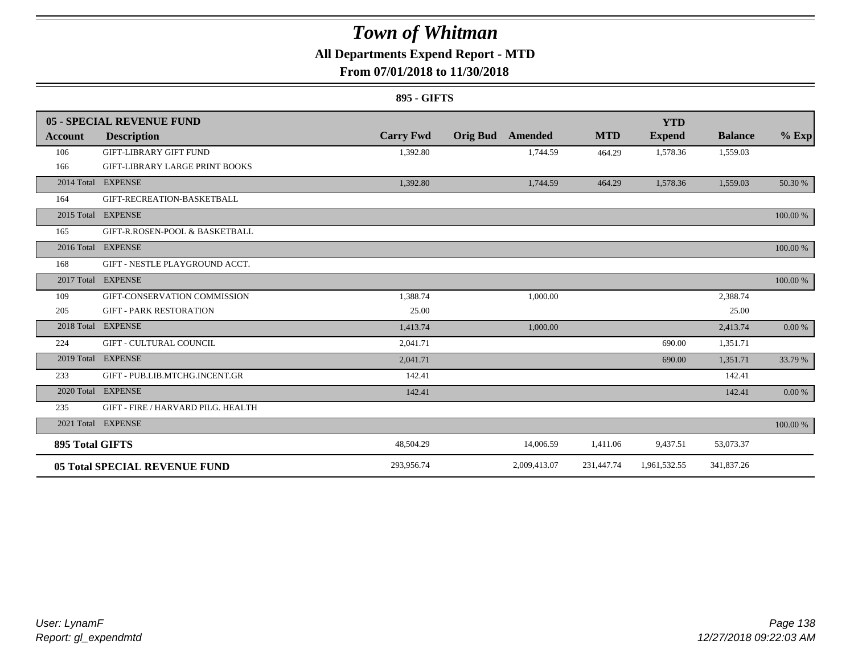### **All Departments Expend Report - MTD**

### **From 07/01/2018 to 11/30/2018**

#### **895 - GIFTS**

|                        | <b>05 - SPECIAL REVENUE FUND</b>      |                  |                 |                |            | <b>YTD</b>    |                |          |
|------------------------|---------------------------------------|------------------|-----------------|----------------|------------|---------------|----------------|----------|
| Account                | <b>Description</b>                    | <b>Carry Fwd</b> | <b>Orig Bud</b> | <b>Amended</b> | <b>MTD</b> | <b>Expend</b> | <b>Balance</b> | $%$ Exp  |
| 106                    | <b>GIFT-LIBRARY GIFT FUND</b>         | 1,392.80         |                 | 1,744.59       | 464.29     | 1,578.36      | 1,559.03       |          |
| 166                    | <b>GIFT-LIBRARY LARGE PRINT BOOKS</b> |                  |                 |                |            |               |                |          |
|                        | 2014 Total EXPENSE                    | 1,392.80         |                 | 1,744.59       | 464.29     | 1,578.36      | 1,559.03       | 50.30 %  |
| 164                    | GIFT-RECREATION-BASKETBALL            |                  |                 |                |            |               |                |          |
|                        | 2015 Total EXPENSE                    |                  |                 |                |            |               |                | 100.00 % |
| 165                    | GIFT-R.ROSEN-POOL & BASKETBALL        |                  |                 |                |            |               |                |          |
|                        | 2016 Total EXPENSE                    |                  |                 |                |            |               |                | 100.00 % |
| 168                    | GIFT - NESTLE PLAYGROUND ACCT.        |                  |                 |                |            |               |                |          |
|                        | 2017 Total EXPENSE                    |                  |                 |                |            |               |                | 100.00 % |
| 109                    | GIFT-CONSERVATION COMMISSION          | 1.388.74         |                 | 1,000.00       |            |               | 2,388.74       |          |
| 205                    | <b>GIFT - PARK RESTORATION</b>        | 25.00            |                 |                |            |               | 25.00          |          |
| 2018 Total             | <b>EXPENSE</b>                        | 1,413.74         |                 | 1,000.00       |            |               | 2,413.74       | 0.00 %   |
| 224                    | <b>GIFT - CULTURAL COUNCIL</b>        | 2,041.71         |                 |                |            | 690.00        | 1,351.71       |          |
|                        | 2019 Total EXPENSE                    | 2,041.71         |                 |                |            | 690.00        | 1,351.71       | 33.79 %  |
| 233                    | GIFT - PUB.LIB.MTCHG.INCENT.GR        | 142.41           |                 |                |            |               | 142.41         |          |
|                        | 2020 Total EXPENSE                    | 142.41           |                 |                |            |               | 142.41         | 0.00 %   |
| 235                    | GIFT - FIRE / HARVARD PILG. HEALTH    |                  |                 |                |            |               |                |          |
|                        | 2021 Total EXPENSE                    |                  |                 |                |            |               |                | 100.00 % |
| <b>895 Total GIFTS</b> |                                       | 48,504.29        |                 | 14,006.59      | 1,411.06   | 9,437.51      | 53,073.37      |          |
|                        | <b>05 Total SPECIAL REVENUE FUND</b>  | 293,956.74       |                 | 2,009,413.07   | 231,447.74 | 1,961,532.55  | 341,837.26     |          |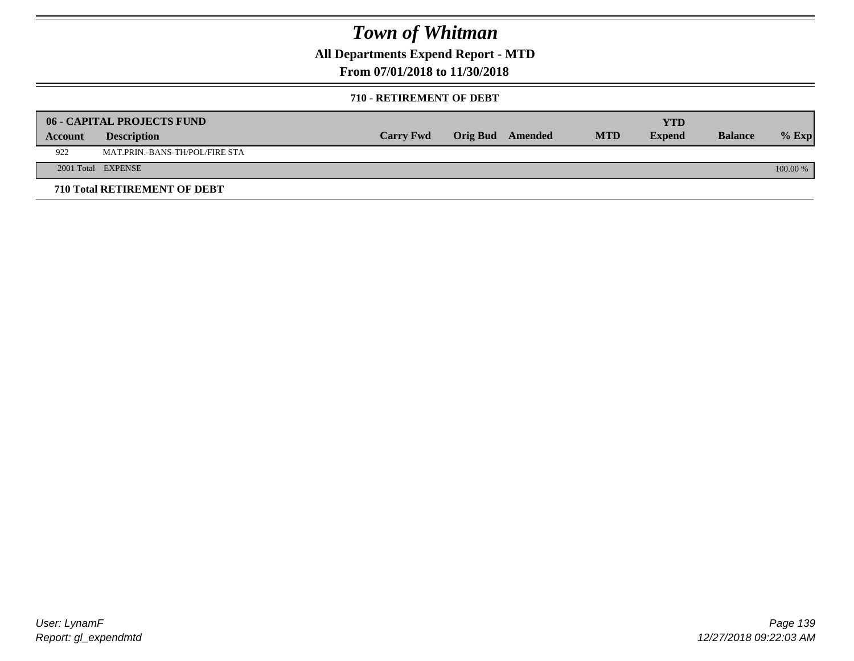**All Departments Expend Report - MTD**

### **From 07/01/2018 to 11/30/2018**

#### **710 - RETIREMENT OF DEBT**

|         | <b>06 - CAPITAL PROJECTS FUND</b> |                  |                  |            | YTD           |                |          |
|---------|-----------------------------------|------------------|------------------|------------|---------------|----------------|----------|
| Account | <b>Description</b>                | <b>Carry Fwd</b> | Orig Bud Amended | <b>MTD</b> | <b>Expend</b> | <b>Balance</b> | $%$ Exp  |
| 922     | MAT.PRIN.-BANS-TH/POL/FIRE STA    |                  |                  |            |               |                |          |
|         | 2001 Total EXPENSE                |                  |                  |            |               |                | 100.00 % |
|         | 710 Total RETIREMENT OF DEBT      |                  |                  |            |               |                |          |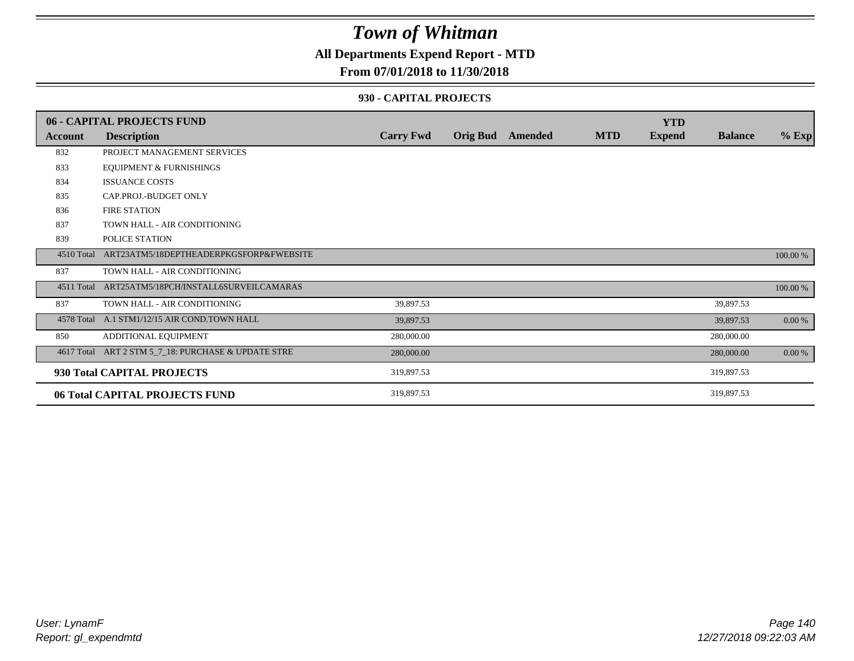### **All Departments Expend Report - MTD**

#### **From 07/01/2018 to 11/30/2018**

#### **930 - CAPITAL PROJECTS**

|            | 06 - CAPITAL PROJECTS FUND                          |                  |                  |            | <b>YTD</b>    |                |          |
|------------|-----------------------------------------------------|------------------|------------------|------------|---------------|----------------|----------|
| Account    | <b>Description</b>                                  | <b>Carry Fwd</b> | Orig Bud Amended | <b>MTD</b> | <b>Expend</b> | <b>Balance</b> | $%$ Exp  |
| 832        | PROJECT MANAGEMENT SERVICES                         |                  |                  |            |               |                |          |
| 833        | <b>EQUIPMENT &amp; FURNISHINGS</b>                  |                  |                  |            |               |                |          |
| 834        | <b>ISSUANCE COSTS</b>                               |                  |                  |            |               |                |          |
| 835        | CAP.PROJ.-BUDGET ONLY                               |                  |                  |            |               |                |          |
| 836        | FIRE STATION                                        |                  |                  |            |               |                |          |
| 837        | TOWN HALL - AIR CONDITIONING                        |                  |                  |            |               |                |          |
| 839        | POLICE STATION                                      |                  |                  |            |               |                |          |
| 4510 Total | ART23ATM5/18DEPTHEADERPKGSFORP&FWEBSITE             |                  |                  |            |               |                | 100.00 % |
| 837        | TOWN HALL - AIR CONDITIONING                        |                  |                  |            |               |                |          |
| 4511 Total | ART25ATM5/18PCH/INSTALL6SURVEILCAMARAS              |                  |                  |            |               |                | 100.00 % |
| 837        | TOWN HALL - AIR CONDITIONING                        | 39,897.53        |                  |            |               | 39,897.53      |          |
|            | 4578 Total A.1 STM1/12/15 AIR COND.TOWN HALL        | 39,897.53        |                  |            |               | 39,897.53      | $0.00\%$ |
| 850        | ADDITIONAL EQUIPMENT                                | 280,000.00       |                  |            |               | 280,000.00     |          |
|            | 4617 Total ART 2 STM 5_7_18: PURCHASE & UPDATE STRE | 280,000.00       |                  |            |               | 280,000.00     | $0.00\%$ |
|            | 930 Total CAPITAL PROJECTS                          | 319,897.53       |                  |            |               | 319,897.53     |          |
|            | 06 Total CAPITAL PROJECTS FUND                      | 319,897.53       |                  |            |               | 319,897.53     |          |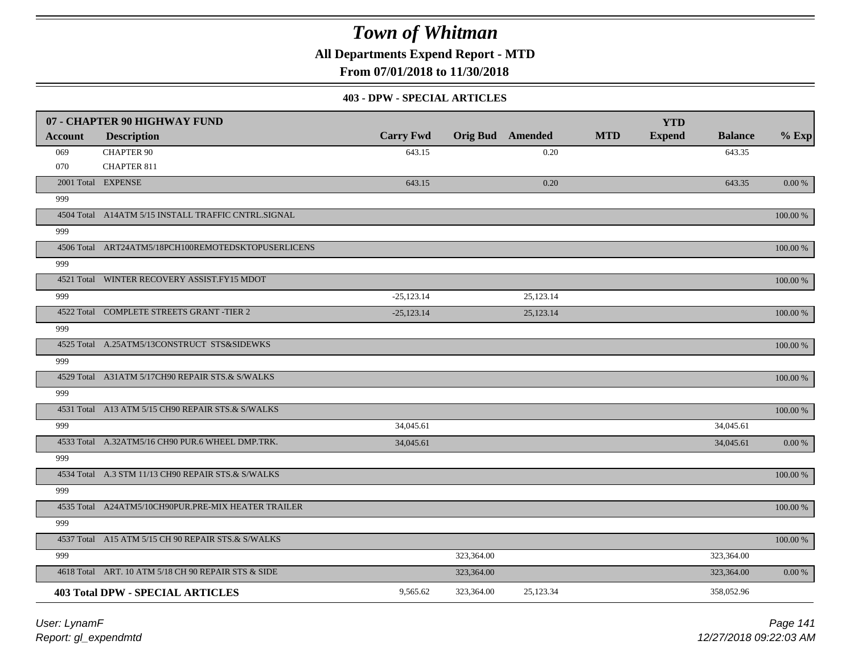**All Departments Expend Report - MTD**

**From 07/01/2018 to 11/30/2018**

#### **403 - DPW - SPECIAL ARTICLES**

|                | 07 - CHAPTER 90 HIGHWAY FUND                        |                  |                         |           |            | <b>YTD</b>    |                |             |
|----------------|-----------------------------------------------------|------------------|-------------------------|-----------|------------|---------------|----------------|-------------|
| <b>Account</b> | <b>Description</b>                                  | <b>Carry Fwd</b> | <b>Orig Bud</b> Amended |           | <b>MTD</b> | <b>Expend</b> | <b>Balance</b> | $%$ Exp     |
| 069            | <b>CHAPTER 90</b>                                   | 643.15           |                         | 0.20      |            |               | 643.35         |             |
| 070            | CHAPTER 811                                         |                  |                         |           |            |               |                |             |
|                | 2001 Total EXPENSE                                  | 643.15           |                         | 0.20      |            |               | 643.35         | 0.00 %      |
| 999            |                                                     |                  |                         |           |            |               |                |             |
|                | 4504 Total A14ATM 5/15 INSTALL TRAFFIC CNTRL.SIGNAL |                  |                         |           |            |               |                | 100.00 %    |
| 999            |                                                     |                  |                         |           |            |               |                |             |
|                | 4506 Total ART24ATM5/18PCH100REMOTEDSKTOPUSERLICENS |                  |                         |           |            |               |                | 100.00 %    |
| 999            |                                                     |                  |                         |           |            |               |                |             |
|                | 4521 Total WINTER RECOVERY ASSIST.FY15 MDOT         |                  |                         |           |            |               |                | 100.00 %    |
| 999            |                                                     | $-25,123.14$     |                         | 25,123.14 |            |               |                |             |
|                | 4522 Total COMPLETE STREETS GRANT -TIER 2           | $-25,123.14$     |                         | 25,123.14 |            |               |                | $100.00~\%$ |
| 999            |                                                     |                  |                         |           |            |               |                |             |
|                | 4525 Total A.25ATM5/13CONSTRUCT STS&SIDEWKS         |                  |                         |           |            |               |                | 100.00 %    |
| 999            |                                                     |                  |                         |           |            |               |                |             |
|                | 4529 Total A31ATM 5/17CH90 REPAIR STS.& S/WALKS     |                  |                         |           |            |               |                | 100.00 %    |
| 999            |                                                     |                  |                         |           |            |               |                |             |
|                | 4531 Total A13 ATM 5/15 CH90 REPAIR STS.& S/WALKS   |                  |                         |           |            |               |                | 100.00 %    |
| 999            |                                                     | 34,045.61        |                         |           |            |               | 34,045.61      |             |
|                | 4533 Total A.32ATM5/16 CH90 PUR.6 WHEEL DMP.TRK.    | 34,045.61        |                         |           |            |               | 34,045.61      | 0.00 %      |
| 999            |                                                     |                  |                         |           |            |               |                |             |
|                | 4534 Total A.3 STM 11/13 CH90 REPAIR STS.& S/WALKS  |                  |                         |           |            |               |                | 100.00 %    |
| 999            |                                                     |                  |                         |           |            |               |                |             |
|                | 4535 Total A24ATM5/10CH90PUR.PRE-MIX HEATER TRAILER |                  |                         |           |            |               |                | 100.00 %    |
| 999            |                                                     |                  |                         |           |            |               |                |             |
|                | 4537 Total A15 ATM 5/15 CH 90 REPAIR STS.& S/WALKS  |                  |                         |           |            |               |                | $100.00~\%$ |
| 999            |                                                     |                  | 323,364.00              |           |            |               | 323,364.00     |             |
|                | 4618 Total ART. 10 ATM 5/18 CH 90 REPAIR STS & SIDE |                  | 323,364.00              |           |            |               | 323,364.00     | 0.00 %      |
|                | <b>403 Total DPW - SPECIAL ARTICLES</b>             | 9,565.62         | 323,364.00              | 25,123.34 |            |               | 358,052.96     |             |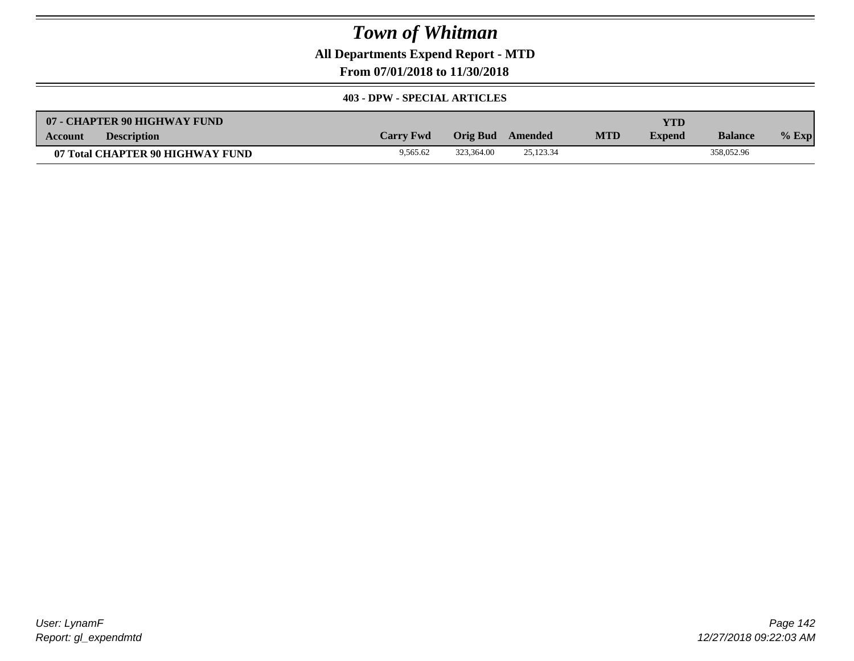**All Departments Expend Report - MTD**

**From 07/01/2018 to 11/30/2018**

#### **403 - DPW - SPECIAL ARTICLES**

| 07 - CHAPTER 90 HIGHWAY FUND         |                  |            |           |            | YTD           |                |         |
|--------------------------------------|------------------|------------|-----------|------------|---------------|----------------|---------|
| <b>Description</b><br><b>Account</b> | <b>Carry Fwd</b> | Orig Bud   | Amended   | <b>MTD</b> | <b>Expend</b> | <b>Balance</b> | $%$ Exp |
| 07 Total CHAPTER 90 HIGHWAY FUND     | 9.565.62         | 323.364.00 | 25.123.34 |            |               | 358,052.96     |         |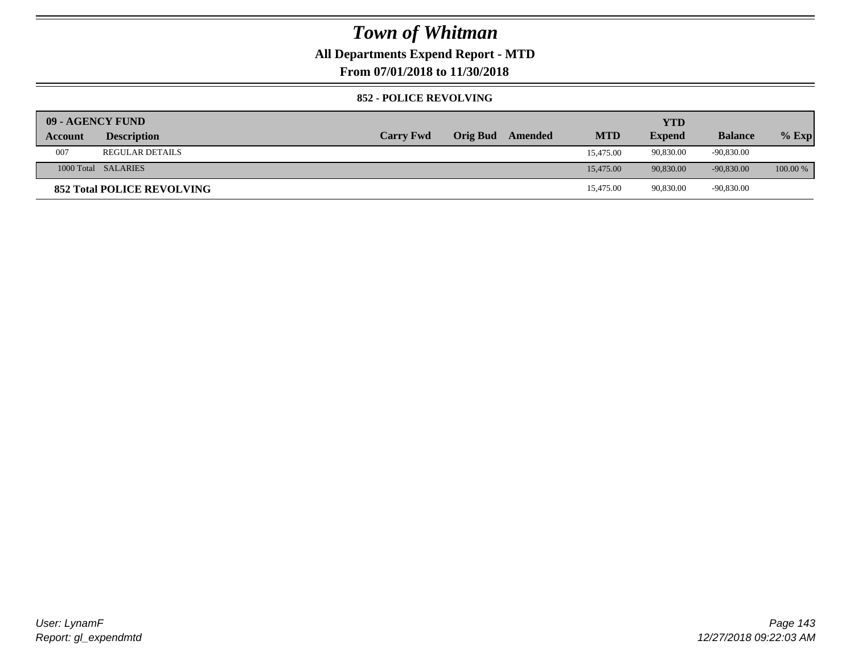### **All Departments Expend Report - MTD**

**From 07/01/2018 to 11/30/2018**

#### **852 - POLICE REVOLVING**

| 09 - AGENCY FUND |                                   |                  |          |         |            | YTD           |                |            |
|------------------|-----------------------------------|------------------|----------|---------|------------|---------------|----------------|------------|
| Account          | <b>Description</b>                | <b>Carry Fwd</b> | Orig Bud | Amended | <b>MTD</b> | <b>Expend</b> | <b>Balance</b> | $%$ Exp    |
| 007              | <b>REGULAR DETAILS</b>            |                  |          |         | 15,475.00  | 90,830.00     | -90,830.00     |            |
|                  | 1000 Total SALARIES               |                  |          |         | 15,475.00  | 90.830.00     | $-90.830.00$   | $100.00\%$ |
|                  | <b>852 Total POLICE REVOLVING</b> |                  |          |         | 15,475.00  | 90,830.00     | -90,830.00     |            |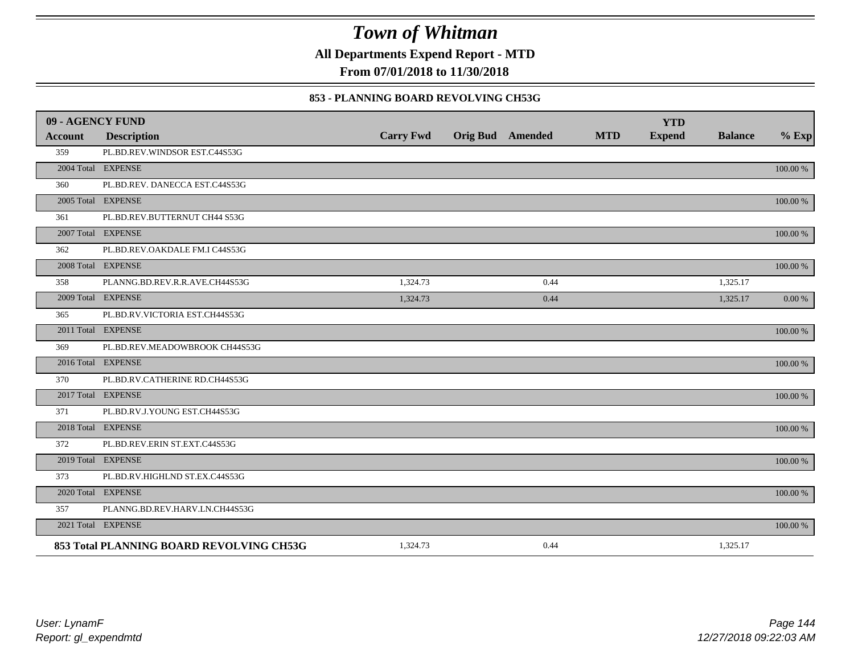**All Departments Expend Report - MTD**

**From 07/01/2018 to 11/30/2018**

#### **853 - PLANNING BOARD REVOLVING CH53G**

| 09 - AGENCY FUND |                                          |                  |                         |            | <b>YTD</b>    |                |          |
|------------------|------------------------------------------|------------------|-------------------------|------------|---------------|----------------|----------|
| <b>Account</b>   | <b>Description</b>                       | <b>Carry Fwd</b> | <b>Orig Bud</b> Amended | <b>MTD</b> | <b>Expend</b> | <b>Balance</b> | $%$ Exp  |
| 359              | PL.BD.REV.WINDSOR EST.C44S53G            |                  |                         |            |               |                |          |
|                  | 2004 Total EXPENSE                       |                  |                         |            |               |                | 100.00 % |
| 360              | PL.BD.REV. DANECCA EST.C44S53G           |                  |                         |            |               |                |          |
|                  | 2005 Total EXPENSE                       |                  |                         |            |               |                | 100.00 % |
| 361              | PL.BD.REV.BUTTERNUT CH44 S53G            |                  |                         |            |               |                |          |
|                  | 2007 Total EXPENSE                       |                  |                         |            |               |                | 100.00 % |
| 362              | PL.BD.REV.OAKDALE FM.I C44S53G           |                  |                         |            |               |                |          |
|                  | 2008 Total EXPENSE                       |                  |                         |            |               |                | 100.00 % |
| 358              | PLANNG.BD.REV.R.R.AVE.CH44S53G           | 1,324.73         | 0.44                    |            |               | 1,325.17       |          |
|                  | 2009 Total EXPENSE                       | 1,324.73         | 0.44                    |            |               | 1,325.17       | 0.00 %   |
| 365              | PL.BD.RV.VICTORIA EST.CH44S53G           |                  |                         |            |               |                |          |
|                  | 2011 Total EXPENSE                       |                  |                         |            |               |                | 100.00 % |
| 369              | PL.BD.REV.MEADOWBROOK CH44S53G           |                  |                         |            |               |                |          |
|                  | 2016 Total EXPENSE                       |                  |                         |            |               |                | 100.00 % |
| 370              | PL.BD.RV.CATHERINE RD.CH44S53G           |                  |                         |            |               |                |          |
|                  | 2017 Total EXPENSE                       |                  |                         |            |               |                | 100.00 % |
| 371              | PL.BD.RV.J.YOUNG EST.CH44S53G            |                  |                         |            |               |                |          |
|                  | 2018 Total EXPENSE                       |                  |                         |            |               |                | 100.00 % |
| 372              | PL.BD.REV.ERIN ST.EXT.C44S53G            |                  |                         |            |               |                |          |
|                  | 2019 Total EXPENSE                       |                  |                         |            |               |                | 100.00 % |
| 373              | PL.BD.RV.HIGHLND ST.EX.C44S53G           |                  |                         |            |               |                |          |
|                  | 2020 Total EXPENSE                       |                  |                         |            |               |                | 100.00 % |
| 357              | PLANNG.BD.REV.HARV.LN.CH44S53G           |                  |                         |            |               |                |          |
|                  | 2021 Total EXPENSE                       |                  |                         |            |               |                | 100.00 % |
|                  | 853 Total PLANNING BOARD REVOLVING CH53G | 1,324.73         | 0.44                    |            |               | 1,325.17       |          |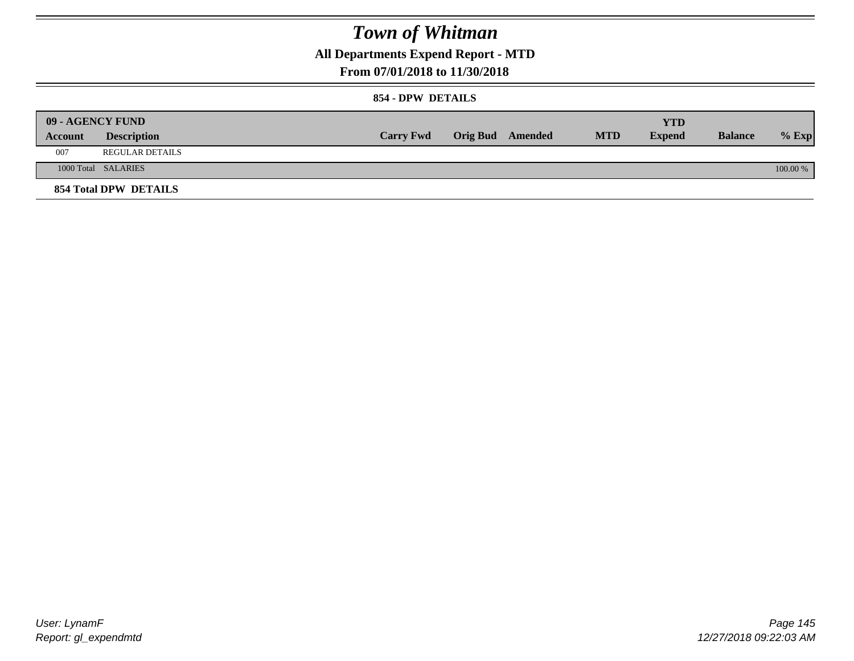**All Departments Expend Report - MTD**

### **From 07/01/2018 to 11/30/2018**

#### **854 - DPW DETAILS**

|                | <b>09 - AGENCY FUND</b> |                  |                         |            | YTD           |                |            |
|----------------|-------------------------|------------------|-------------------------|------------|---------------|----------------|------------|
| <b>Account</b> | <b>Description</b>      | <b>Carry Fwd</b> | <b>Orig Bud</b> Amended | <b>MTD</b> | <b>Expend</b> | <b>Balance</b> | $%$ Exp    |
| 007            | REGULAR DETAILS         |                  |                         |            |               |                |            |
|                | 1000 Total SALARIES     |                  |                         |            |               |                | $100.00\%$ |
|                | 854 Total DPW DETAILS   |                  |                         |            |               |                |            |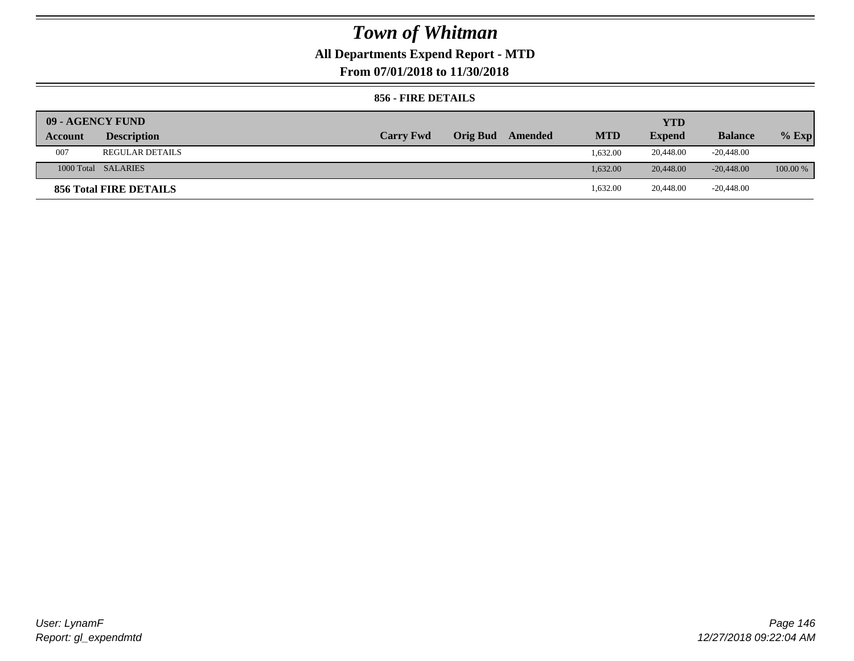## **All Departments Expend Report - MTD**

**From 07/01/2018 to 11/30/2018**

### **856 - FIRE DETAILS**

| 09 - AGENCY FUND |                        |                  |                 |         |            | <b>YTD</b>    |                |            |
|------------------|------------------------|------------------|-----------------|---------|------------|---------------|----------------|------------|
| Account          | <b>Description</b>     | <b>Carry Fwd</b> | <b>Orig Bud</b> | Amended | <b>MTD</b> | <b>Expend</b> | <b>Balance</b> | $%$ Exp    |
| 007              | <b>REGULAR DETAILS</b> |                  |                 |         | 1.632.00   | 20,448.00     | $-20,448.00$   |            |
|                  | 1000 Total SALARIES    |                  |                 |         | 1.632.00   | 20,448.00     | $-20.448.00$   | $100.00\%$ |
|                  | 856 Total FIRE DETAILS |                  |                 |         | 1,632.00   | 20,448.00     | $-20,448.00$   |            |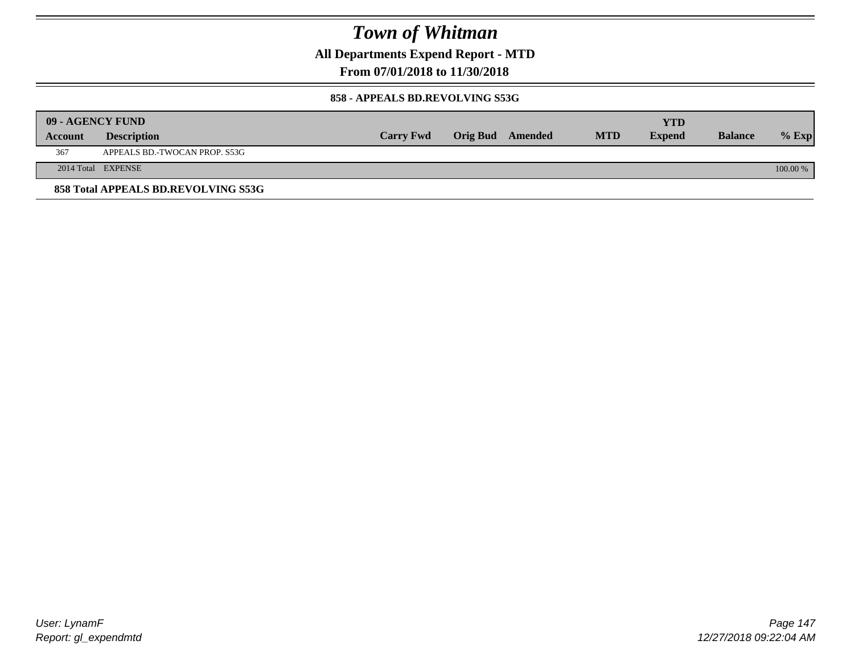**All Departments Expend Report - MTD**

### **From 07/01/2018 to 11/30/2018**

#### **858 - APPEALS BD.REVOLVING S53G**

|         | 09 - AGENCY FUND                    |                  |                         |            | <b>YTD</b>    |                |            |
|---------|-------------------------------------|------------------|-------------------------|------------|---------------|----------------|------------|
| Account | <b>Description</b>                  | <b>Carry Fwd</b> | <b>Orig Bud</b> Amended | <b>MTD</b> | <b>Expend</b> | <b>Balance</b> | $%$ Exp    |
| 367     | APPEALS BD.-TWOCAN PROP. S53G       |                  |                         |            |               |                |            |
|         | 2014 Total EXPENSE                  |                  |                         |            |               |                | $100.00\%$ |
|         | 858 Total APPEALS BD.REVOLVING S53G |                  |                         |            |               |                |            |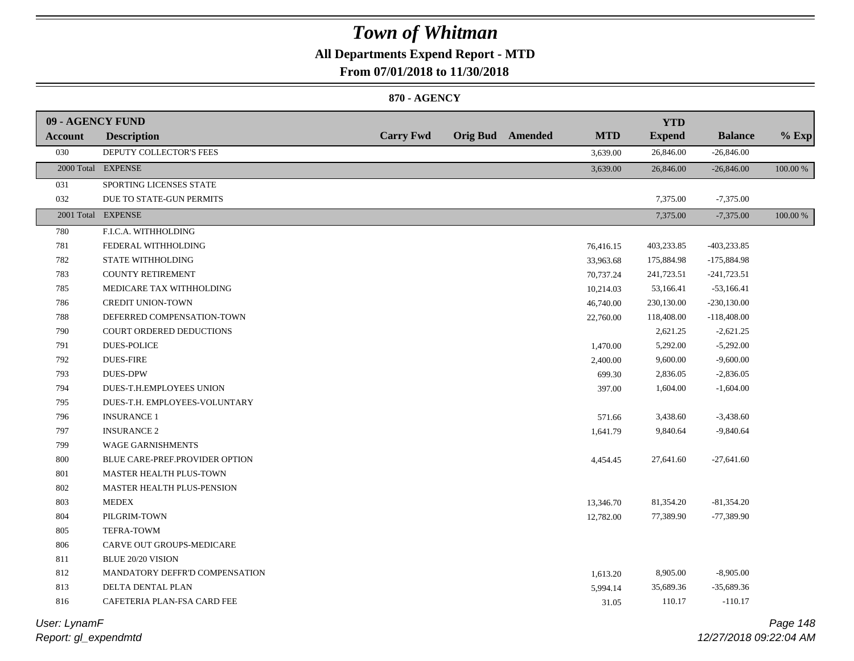## **All Departments Expend Report - MTD**

**From 07/01/2018 to 11/30/2018**

### **870 - AGENCY**

| 09 - AGENCY FUND |                                 |                  |                         |            | <b>YTD</b>    |                |          |
|------------------|---------------------------------|------------------|-------------------------|------------|---------------|----------------|----------|
| Account          | <b>Description</b>              | <b>Carry Fwd</b> | <b>Orig Bud</b> Amended | <b>MTD</b> | <b>Expend</b> | <b>Balance</b> | $%$ Exp  |
| 030              | DEPUTY COLLECTOR'S FEES         |                  |                         | 3,639.00   | 26,846.00     | $-26,846.00$   |          |
|                  | 2000 Total EXPENSE              |                  |                         | 3,639.00   | 26,846.00     | $-26,846.00$   | 100.00 % |
| 031              | SPORTING LICENSES STATE         |                  |                         |            |               |                |          |
| 032              | DUE TO STATE-GUN PERMITS        |                  |                         |            | 7,375.00      | $-7,375.00$    |          |
|                  | 2001 Total EXPENSE              |                  |                         |            | 7,375.00      | $-7,375.00$    | 100.00 % |
| 780              | F.I.C.A. WITHHOLDING            |                  |                         |            |               |                |          |
| 781              | FEDERAL WITHHOLDING             |                  |                         | 76,416.15  | 403,233.85    | $-403,233.85$  |          |
| 782              | <b>STATE WITHHOLDING</b>        |                  |                         | 33,963.68  | 175,884.98    | $-175,884.98$  |          |
| 783              | <b>COUNTY RETIREMENT</b>        |                  |                         | 70,737.24  | 241,723.51    | $-241,723.51$  |          |
| 785              | MEDICARE TAX WITHHOLDING        |                  |                         | 10,214.03  | 53,166.41     | $-53,166.41$   |          |
| 786              | <b>CREDIT UNION-TOWN</b>        |                  |                         | 46,740.00  | 230,130.00    | $-230,130.00$  |          |
| 788              | DEFERRED COMPENSATION-TOWN      |                  |                         | 22,760.00  | 118,408.00    | $-118,408.00$  |          |
| 790              | <b>COURT ORDERED DEDUCTIONS</b> |                  |                         |            | 2,621.25      | $-2,621.25$    |          |
| 791              | <b>DUES-POLICE</b>              |                  |                         | 1,470.00   | 5,292.00      | $-5,292.00$    |          |
| 792              | <b>DUES-FIRE</b>                |                  |                         | 2,400.00   | 9,600.00      | $-9,600.00$    |          |
| 793              | <b>DUES-DPW</b>                 |                  |                         | 699.30     | 2,836.05      | $-2,836.05$    |          |
| 794              | DUES-T.H.EMPLOYEES UNION        |                  |                         | 397.00     | 1,604.00      | $-1,604.00$    |          |
| 795              | DUES-T.H. EMPLOYEES-VOLUNTARY   |                  |                         |            |               |                |          |
| 796              | <b>INSURANCE 1</b>              |                  |                         | 571.66     | 3,438.60      | $-3,438.60$    |          |
| 797              | <b>INSURANCE 2</b>              |                  |                         | 1,641.79   | 9,840.64      | $-9,840.64$    |          |
| 799              | <b>WAGE GARNISHMENTS</b>        |                  |                         |            |               |                |          |
| 800              | BLUE CARE-PREF.PROVIDER OPTION  |                  |                         | 4,454.45   | 27,641.60     | $-27,641.60$   |          |
| 801              | MASTER HEALTH PLUS-TOWN         |                  |                         |            |               |                |          |
| 802              | MASTER HEALTH PLUS-PENSION      |                  |                         |            |               |                |          |
| 803              | <b>MEDEX</b>                    |                  |                         | 13,346.70  | 81,354.20     | $-81,354.20$   |          |
| 804              | PILGRIM-TOWN                    |                  |                         | 12,782.00  | 77,389.90     | $-77,389.90$   |          |
| 805              | TEFRA-TOWM                      |                  |                         |            |               |                |          |
| 806              | CARVE OUT GROUPS-MEDICARE       |                  |                         |            |               |                |          |
| 811              | <b>BLUE 20/20 VISION</b>        |                  |                         |            |               |                |          |
| 812              | MANDATORY DEFFR'D COMPENSATION  |                  |                         | 1,613.20   | 8,905.00      | $-8,905.00$    |          |
| 813              | DELTA DENTAL PLAN               |                  |                         | 5,994.14   | 35,689.36     | $-35,689.36$   |          |
| 816              | CAFETERIA PLAN-FSA CARD FEE     |                  |                         | 31.05      | 110.17        | $-110.17$      |          |
|                  |                                 |                  |                         |            |               |                |          |

*Report: gl\_expendmtd User: LynamF*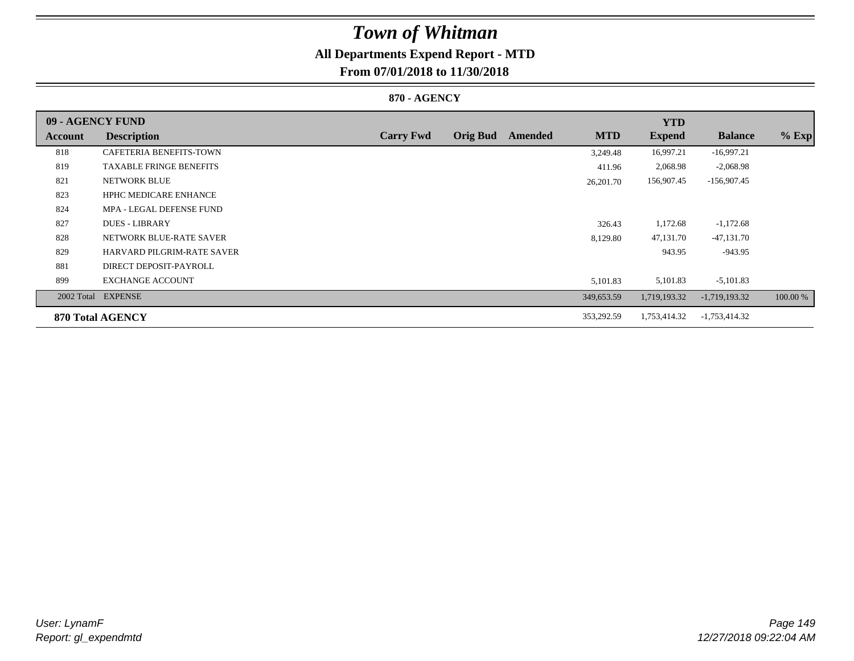## **All Departments Expend Report - MTD**

### **From 07/01/2018 to 11/30/2018**

### **870 - AGENCY**

| 09 - AGENCY FUND |                                   |                  |                 |         |            | <b>YTD</b>    |                 |          |
|------------------|-----------------------------------|------------------|-----------------|---------|------------|---------------|-----------------|----------|
| <b>Account</b>   | <b>Description</b>                | <b>Carry Fwd</b> | <b>Orig Bud</b> | Amended | <b>MTD</b> | <b>Expend</b> | <b>Balance</b>  | $%$ Exp  |
| 818              | CAFETERIA BENEFITS-TOWN           |                  |                 |         | 3,249.48   | 16,997.21     | $-16,997.21$    |          |
| 819              | <b>TAXABLE FRINGE BENEFITS</b>    |                  |                 |         | 411.96     | 2,068.98      | $-2,068.98$     |          |
| 821              | <b>NETWORK BLUE</b>               |                  |                 |         | 26,201.70  | 156,907.45    | $-156,907.45$   |          |
| 823              | <b>HPHC MEDICARE ENHANCE</b>      |                  |                 |         |            |               |                 |          |
| 824              | MPA - LEGAL DEFENSE FUND          |                  |                 |         |            |               |                 |          |
| 827              | <b>DUES - LIBRARY</b>             |                  |                 |         | 326.43     | 1,172.68      | $-1,172.68$     |          |
| 828              | NETWORK BLUE-RATE SAVER           |                  |                 |         | 8,129.80   | 47,131.70     | $-47,131.70$    |          |
| 829              | <b>HARVARD PILGRIM-RATE SAVER</b> |                  |                 |         |            | 943.95        | $-943.95$       |          |
| 881              | DIRECT DEPOSIT-PAYROLL            |                  |                 |         |            |               |                 |          |
| 899              | <b>EXCHANGE ACCOUNT</b>           |                  |                 |         | 5,101.83   | 5,101.83      | $-5,101.83$     |          |
|                  | 2002 Total EXPENSE                |                  |                 |         | 349,653.59 | 1,719,193.32  | $-1,719,193.32$ | 100.00 % |
|                  | 870 Total AGENCY                  |                  |                 |         | 353,292.59 | 1,753,414.32  | $-1,753,414.32$ |          |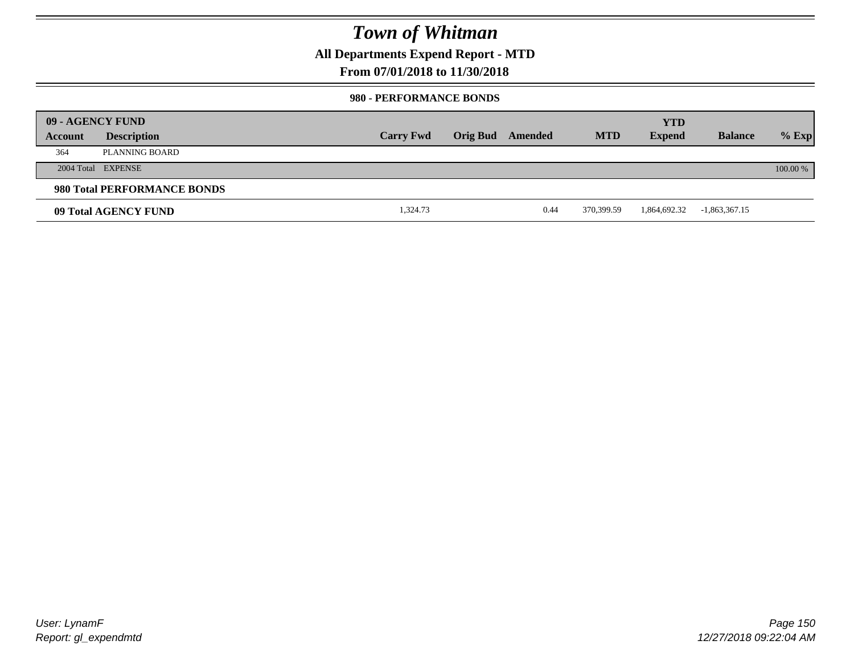**All Departments Expend Report - MTD**

### **From 07/01/2018 to 11/30/2018**

#### **980 - PERFORMANCE BONDS**

|         | 09 - AGENCY FUND            |                  |                 |         |            | <b>YTD</b>    |                 |          |
|---------|-----------------------------|------------------|-----------------|---------|------------|---------------|-----------------|----------|
| Account | <b>Description</b>          | <b>Carry Fwd</b> | <b>Orig Bud</b> | Amended | <b>MTD</b> | <b>Expend</b> | <b>Balance</b>  | $%$ Exp  |
| 364     | PLANNING BOARD              |                  |                 |         |            |               |                 |          |
|         | 2004 Total EXPENSE          |                  |                 |         |            |               |                 | 100.00 % |
|         | 980 Total PERFORMANCE BONDS |                  |                 |         |            |               |                 |          |
|         | 09 Total AGENCY FUND        | 1,324.73         |                 | 0.44    | 370.399.59 | 1,864,692.32  | $-1,863,367.15$ |          |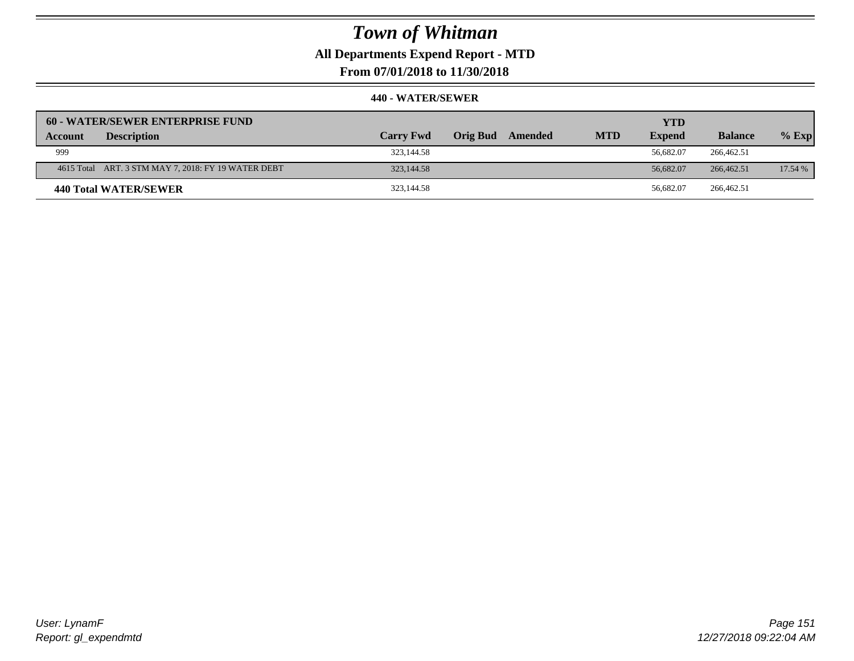**All Departments Expend Report - MTD**

**From 07/01/2018 to 11/30/2018**

|         | <b>60 - WATER/SEWER ENTERPRISE FUND</b>             |                  |          |         |            | <b>YTD</b>    |                |         |
|---------|-----------------------------------------------------|------------------|----------|---------|------------|---------------|----------------|---------|
| Account | <b>Description</b>                                  | <b>Carry Fwd</b> | Orig Bud | Amended | <b>MTD</b> | <b>Expend</b> | <b>Balance</b> | $%$ Exp |
| 999     |                                                     | 323,144.58       |          |         |            | 56.682.07     | 266,462.51     |         |
|         | 4615 Total ART. 3 STM MAY 7, 2018: FY 19 WATER DEBT | 323,144.58       |          |         |            | 56,682.07     | 266,462.51     | 17.54 % |
|         | 440 Total WATER/SEWER                               | 323,144.58       |          |         |            | 56.682.07     | 266,462.51     |         |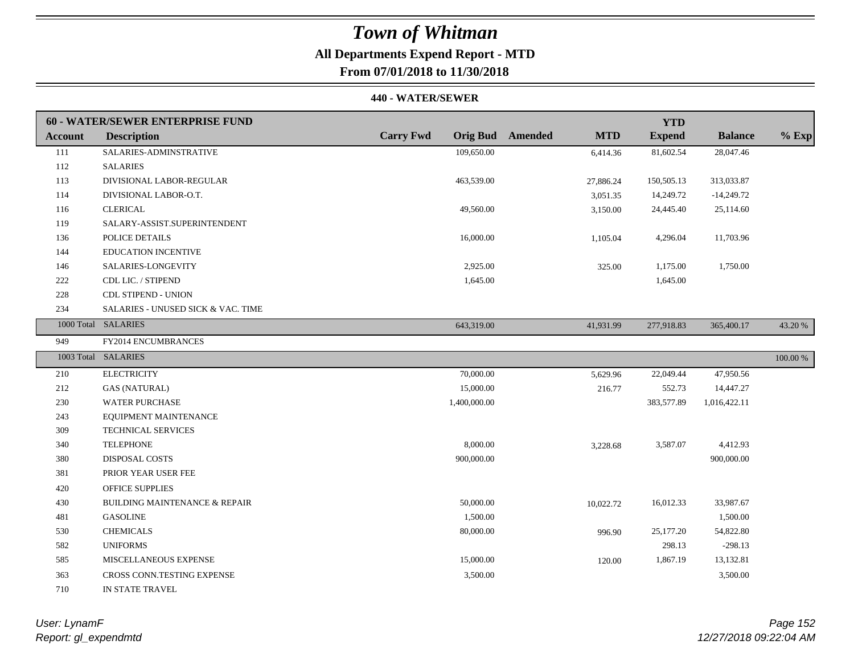## **All Departments Expend Report - MTD**

**From 07/01/2018 to 11/30/2018**

#### **440 - WATER/SEWER**

|                | <b>60 - WATER/SEWER ENTERPRISE FUND</b>  |                  |                                       | <b>YTD</b>    |                |          |
|----------------|------------------------------------------|------------------|---------------------------------------|---------------|----------------|----------|
| <b>Account</b> | <b>Description</b>                       | <b>Carry Fwd</b> | <b>MTD</b><br><b>Orig Bud</b> Amended | <b>Expend</b> | <b>Balance</b> | $%$ Exp  |
| 111            | SALARIES-ADMINSTRATIVE                   | 109,650.00       | 6,414.36                              | 81,602.54     | 28,047.46      |          |
| 112            | <b>SALARIES</b>                          |                  |                                       |               |                |          |
| 113            | DIVISIONAL LABOR-REGULAR                 | 463,539.00       | 27,886.24                             | 150,505.13    | 313,033.87     |          |
| 114            | DIVISIONAL LABOR-O.T.                    |                  | 3,051.35                              | 14,249.72     | $-14,249.72$   |          |
| 116            | <b>CLERICAL</b>                          | 49,560.00        | 3,150.00                              | 24,445.40     | 25,114.60      |          |
| 119            | SALARY-ASSIST.SUPERINTENDENT             |                  |                                       |               |                |          |
| 136            | POLICE DETAILS                           | 16,000.00        | 1,105.04                              | 4,296.04      | 11,703.96      |          |
| 144            | EDUCATION INCENTIVE                      |                  |                                       |               |                |          |
| 146            | SALARIES-LONGEVITY                       | 2,925.00         | 325.00                                | 1,175.00      | 1,750.00       |          |
| 222            | CDL LIC. / STIPEND                       | 1,645.00         |                                       | 1,645.00      |                |          |
| 228            | <b>CDL STIPEND - UNION</b>               |                  |                                       |               |                |          |
| 234            | SALARIES - UNUSED SICK & VAC. TIME       |                  |                                       |               |                |          |
|                | 1000 Total SALARIES                      | 643,319.00       | 41,931.99                             | 277,918.83    | 365,400.17     | 43.20 %  |
| 949            | FY2014 ENCUMBRANCES                      |                  |                                       |               |                |          |
|                | 1003 Total SALARIES                      |                  |                                       |               |                | 100.00 % |
| 210            | <b>ELECTRICITY</b>                       | 70,000.00        | 5,629.96                              | 22,049.44     | 47,950.56      |          |
| 212            | <b>GAS (NATURAL)</b>                     | 15,000.00        | 216.77                                | 552.73        | 14,447.27      |          |
| 230            | <b>WATER PURCHASE</b>                    | 1,400,000.00     |                                       | 383,577.89    | 1,016,422.11   |          |
| 243            | EQUIPMENT MAINTENANCE                    |                  |                                       |               |                |          |
| 309            | <b>TECHNICAL SERVICES</b>                |                  |                                       |               |                |          |
| 340            | <b>TELEPHONE</b>                         | 8,000.00         | 3,228.68                              | 3,587.07      | 4,412.93       |          |
| 380            | <b>DISPOSAL COSTS</b>                    | 900,000.00       |                                       |               | 900,000.00     |          |
| 381            | PRIOR YEAR USER FEE                      |                  |                                       |               |                |          |
| 420            | <b>OFFICE SUPPLIES</b>                   |                  |                                       |               |                |          |
| 430            | <b>BUILDING MAINTENANCE &amp; REPAIR</b> | 50,000.00        | 10,022.72                             | 16,012.33     | 33,987.67      |          |
| 481            | <b>GASOLINE</b>                          | 1,500.00         |                                       |               | 1,500.00       |          |
| 530            | <b>CHEMICALS</b>                         | 80,000.00        | 996.90                                | 25,177.20     | 54,822.80      |          |
| 582            | <b>UNIFORMS</b>                          |                  |                                       | 298.13        | $-298.13$      |          |
| 585            | MISCELLANEOUS EXPENSE                    | 15,000.00        | 120.00                                | 1,867.19      | 13,132.81      |          |
| 363            | CROSS CONN.TESTING EXPENSE               | 3,500.00         |                                       |               | 3,500.00       |          |
| 710            | IN STATE TRAVEL                          |                  |                                       |               |                |          |

*Report: gl\_expendmtd User: LynamF*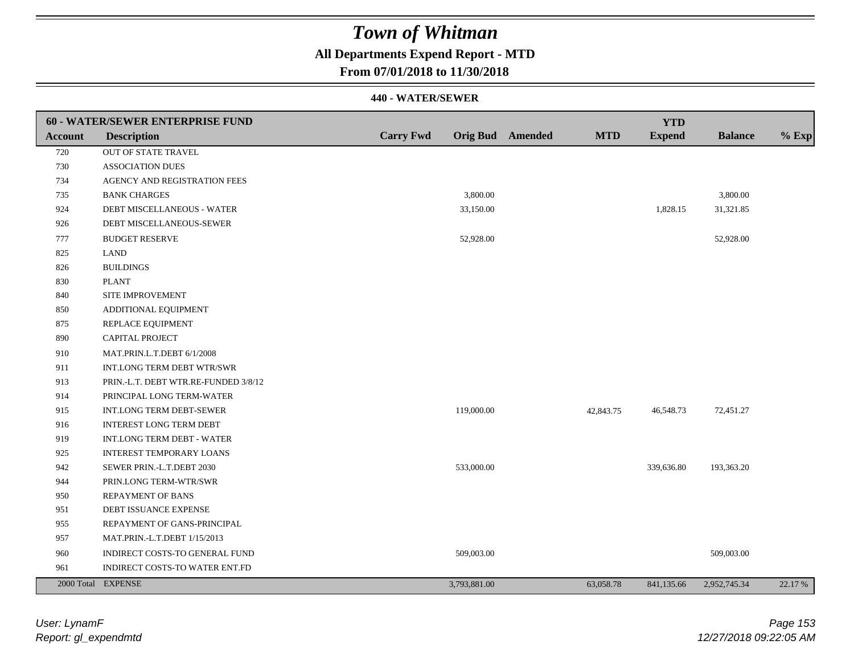## **All Departments Expend Report - MTD**

### **From 07/01/2018 to 11/30/2018**

|                | <b>60 - WATER/SEWER ENTERPRISE FUND</b> |                  |              |                         |            | <b>YTD</b>    |                |         |
|----------------|-----------------------------------------|------------------|--------------|-------------------------|------------|---------------|----------------|---------|
| <b>Account</b> | <b>Description</b>                      | <b>Carry Fwd</b> |              | <b>Orig Bud</b> Amended | <b>MTD</b> | <b>Expend</b> | <b>Balance</b> | $%$ Exp |
| 720            | OUT OF STATE TRAVEL                     |                  |              |                         |            |               |                |         |
| 730            | <b>ASSOCIATION DUES</b>                 |                  |              |                         |            |               |                |         |
| 734            | AGENCY AND REGISTRATION FEES            |                  |              |                         |            |               |                |         |
| 735            | <b>BANK CHARGES</b>                     |                  | 3,800.00     |                         |            |               | 3,800.00       |         |
| 924            | DEBT MISCELLANEOUS - WATER              |                  | 33,150.00    |                         |            | 1,828.15      | 31,321.85      |         |
| 926            | DEBT MISCELLANEOUS-SEWER                |                  |              |                         |            |               |                |         |
| 777            | <b>BUDGET RESERVE</b>                   |                  | 52,928.00    |                         |            |               | 52,928.00      |         |
| 825            | <b>LAND</b>                             |                  |              |                         |            |               |                |         |
| 826            | <b>BUILDINGS</b>                        |                  |              |                         |            |               |                |         |
| 830            | <b>PLANT</b>                            |                  |              |                         |            |               |                |         |
| 840            | SITE IMPROVEMENT                        |                  |              |                         |            |               |                |         |
| 850            | ADDITIONAL EQUIPMENT                    |                  |              |                         |            |               |                |         |
| 875            | REPLACE EQUIPMENT                       |                  |              |                         |            |               |                |         |
| 890            | CAPITAL PROJECT                         |                  |              |                         |            |               |                |         |
| 910            | MAT.PRIN.L.T.DEBT 6/1/2008              |                  |              |                         |            |               |                |         |
| 911            | INT.LONG TERM DEBT WTR/SWR              |                  |              |                         |            |               |                |         |
| 913            | PRIN.-L.T. DEBT WTR.RE-FUNDED 3/8/12    |                  |              |                         |            |               |                |         |
| 914            | PRINCIPAL LONG TERM-WATER               |                  |              |                         |            |               |                |         |
| 915            | INT.LONG TERM DEBT-SEWER                |                  | 119,000.00   |                         | 42,843.75  | 46,548.73     | 72,451.27      |         |
| 916            | INTEREST LONG TERM DEBT                 |                  |              |                         |            |               |                |         |
| 919            | INT.LONG TERM DEBT - WATER              |                  |              |                         |            |               |                |         |
| 925            | <b>INTEREST TEMPORARY LOANS</b>         |                  |              |                         |            |               |                |         |
| 942            | SEWER PRIN.-L.T.DEBT 2030               |                  | 533,000.00   |                         |            | 339,636.80    | 193,363.20     |         |
| 944            | PRIN.LONG TERM-WTR/SWR                  |                  |              |                         |            |               |                |         |
| 950            | <b>REPAYMENT OF BANS</b>                |                  |              |                         |            |               |                |         |
| 951            | DEBT ISSUANCE EXPENSE                   |                  |              |                         |            |               |                |         |
| 955            | REPAYMENT OF GANS-PRINCIPAL             |                  |              |                         |            |               |                |         |
| 957            | MAT.PRIN.-L.T.DEBT 1/15/2013            |                  |              |                         |            |               |                |         |
| 960            | INDIRECT COSTS-TO GENERAL FUND          |                  | 509,003.00   |                         |            |               | 509,003.00     |         |
| 961            | INDIRECT COSTS-TO WATER ENT.FD          |                  |              |                         |            |               |                |         |
|                | 2000 Total EXPENSE                      |                  | 3,793,881.00 |                         | 63,058.78  | 841,135.66    | 2,952,745.34   | 22.17 % |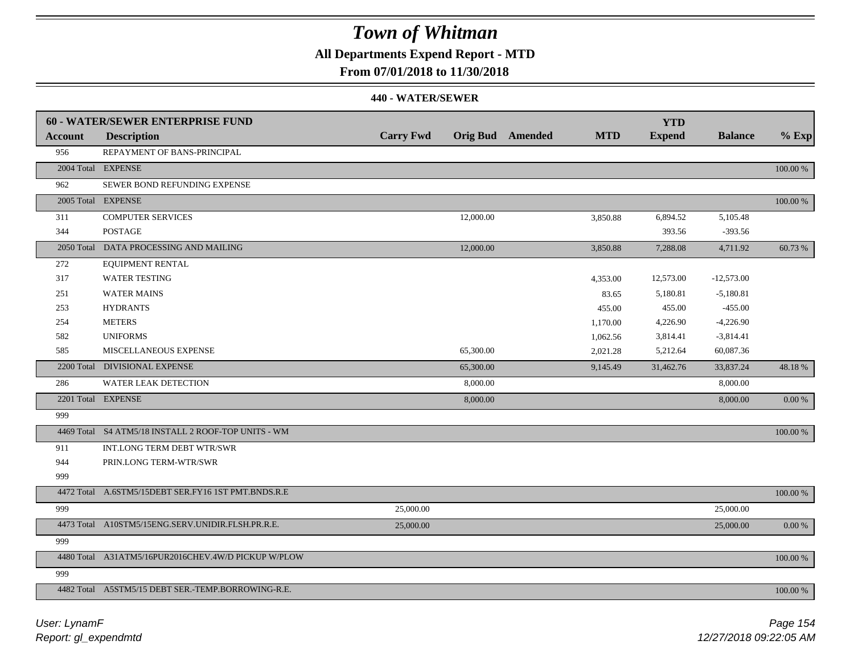## **All Departments Expend Report - MTD**

### **From 07/01/2018 to 11/30/2018**

|                | 60 - WATER/SEWER ENTERPRISE FUND                    |                  |           |                         |            | <b>YTD</b>    |                |             |
|----------------|-----------------------------------------------------|------------------|-----------|-------------------------|------------|---------------|----------------|-------------|
| <b>Account</b> | <b>Description</b>                                  | <b>Carry Fwd</b> |           | <b>Orig Bud</b> Amended | <b>MTD</b> | <b>Expend</b> | <b>Balance</b> | $%$ Exp     |
| 956            | REPAYMENT OF BANS-PRINCIPAL                         |                  |           |                         |            |               |                |             |
|                | 2004 Total EXPENSE                                  |                  |           |                         |            |               |                | $100.00~\%$ |
| 962            | SEWER BOND REFUNDING EXPENSE                        |                  |           |                         |            |               |                |             |
|                | 2005 Total EXPENSE                                  |                  |           |                         |            |               |                | $100.00~\%$ |
| 311            | <b>COMPUTER SERVICES</b>                            |                  | 12,000.00 |                         | 3,850.88   | 6,894.52      | 5,105.48       |             |
| 344            | <b>POSTAGE</b>                                      |                  |           |                         |            | 393.56        | $-393.56$      |             |
|                | 2050 Total DATA PROCESSING AND MAILING              |                  | 12,000.00 |                         | 3,850.88   | 7,288.08      | 4,711.92       | 60.73 %     |
| 272            | EQUIPMENT RENTAL                                    |                  |           |                         |            |               |                |             |
| 317            | <b>WATER TESTING</b>                                |                  |           |                         | 4,353.00   | 12,573.00     | $-12,573.00$   |             |
| 251            | <b>WATER MAINS</b>                                  |                  |           |                         | 83.65      | 5,180.81      | $-5,180.81$    |             |
| 253            | <b>HYDRANTS</b>                                     |                  |           |                         | 455.00     | 455.00        | $-455.00$      |             |
| 254            | <b>METERS</b>                                       |                  |           |                         | 1,170.00   | 4,226.90      | $-4,226.90$    |             |
| 582            | <b>UNIFORMS</b>                                     |                  |           |                         | 1,062.56   | 3,814.41      | $-3,814.41$    |             |
| 585            | <b>MISCELLANEOUS EXPENSE</b>                        |                  | 65,300.00 |                         | 2,021.28   | 5,212.64      | 60,087.36      |             |
|                | 2200 Total DIVISIONAL EXPENSE                       |                  | 65,300.00 |                         | 9,145.49   | 31,462.76     | 33,837.24      | 48.18 %     |
| 286            | WATER LEAK DETECTION                                |                  | 8,000.00  |                         |            |               | 8,000.00       |             |
|                | 2201 Total EXPENSE                                  |                  | 8,000.00  |                         |            |               | 8,000.00       | 0.00 %      |
| 999            |                                                     |                  |           |                         |            |               |                |             |
|                | 4469 Total S4 ATM5/18 INSTALL 2 ROOF-TOP UNITS - WM |                  |           |                         |            |               |                | 100.00 %    |
| 911            | INT.LONG TERM DEBT WTR/SWR                          |                  |           |                         |            |               |                |             |
| 944            | PRIN.LONG TERM-WTR/SWR                              |                  |           |                         |            |               |                |             |
| 999            |                                                     |                  |           |                         |            |               |                |             |
|                | 4472 Total A.6STM5/15DEBT SER.FY16 1ST PMT.BNDS.R.E |                  |           |                         |            |               |                | 100.00 %    |
| 999            |                                                     | 25,000.00        |           |                         |            |               | 25,000.00      |             |
|                | 4473 Total A10STM5/15ENG.SERV.UNIDIR.FLSH.PR.R.E.   | 25,000.00        |           |                         |            |               | 25,000.00      | 0.00 %      |
| 999            |                                                     |                  |           |                         |            |               |                |             |
|                | 4480 Total A31ATM5/16PUR2016CHEV.4W/D PICKUP W/PLOW |                  |           |                         |            |               |                | 100.00 %    |
| 999            |                                                     |                  |           |                         |            |               |                |             |
|                | 4482 Total A5STM5/15 DEBT SER.-TEMP.BORROWING-R.E.  |                  |           |                         |            |               |                | 100.00 %    |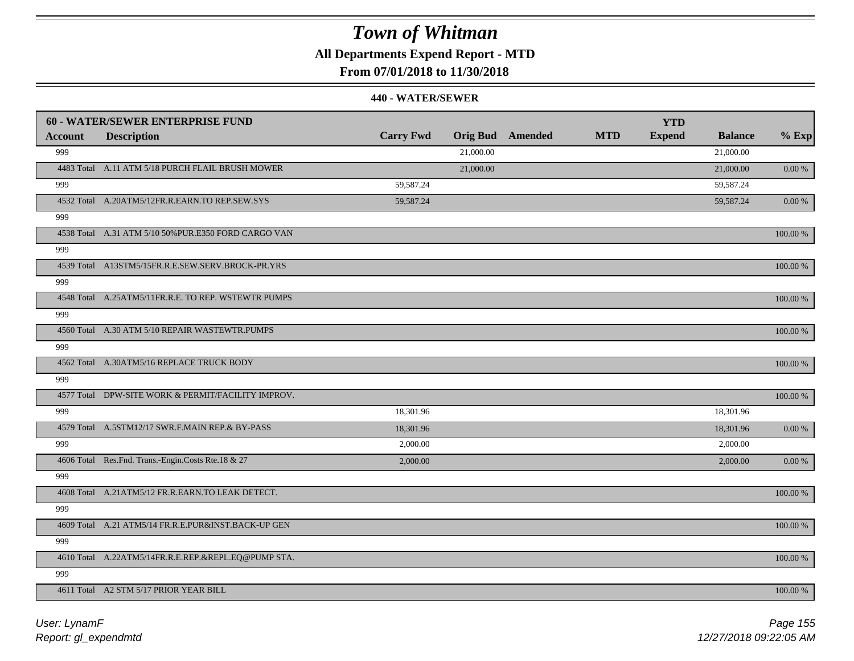**All Departments Expend Report - MTD**

### **From 07/01/2018 to 11/30/2018**

|                | <b>60 - WATER/SEWER ENTERPRISE FUND</b>              |                  |           |                         |            | <b>YTD</b>    |                |             |
|----------------|------------------------------------------------------|------------------|-----------|-------------------------|------------|---------------|----------------|-------------|
| <b>Account</b> | <b>Description</b>                                   | <b>Carry Fwd</b> |           | <b>Orig Bud</b> Amended | <b>MTD</b> | <b>Expend</b> | <b>Balance</b> | $%$ Exp     |
| 999            |                                                      |                  | 21,000.00 |                         |            |               | 21,000.00      |             |
|                | 4483 Total A.11 ATM 5/18 PURCH FLAIL BRUSH MOWER     |                  | 21,000.00 |                         |            |               | 21,000.00      | 0.00 %      |
| 999            |                                                      | 59,587.24        |           |                         |            |               | 59,587.24      |             |
|                | 4532 Total A.20ATM5/12FR.R.EARN.TO REP.SEW.SYS       | 59,587.24        |           |                         |            |               | 59,587.24      | 0.00 %      |
| 999            |                                                      |                  |           |                         |            |               |                |             |
|                | 4538 Total A.31 ATM 5/10 50% PUR.E350 FORD CARGO VAN |                  |           |                         |            |               |                | 100.00 %    |
| 999            |                                                      |                  |           |                         |            |               |                |             |
|                | 4539 Total A13STM5/15FR.R.E.SEW.SERV.BROCK-PR.YRS    |                  |           |                         |            |               |                | 100.00 %    |
| 999            |                                                      |                  |           |                         |            |               |                |             |
|                | 4548 Total A.25ATM5/11FR.R.E. TO REP. WSTEWTR PUMPS  |                  |           |                         |            |               |                | 100.00 %    |
| 999            |                                                      |                  |           |                         |            |               |                |             |
|                | 4560 Total A.30 ATM 5/10 REPAIR WASTEWTR.PUMPS       |                  |           |                         |            |               |                | 100.00 %    |
| 999            |                                                      |                  |           |                         |            |               |                |             |
|                | 4562 Total A.30ATM5/16 REPLACE TRUCK BODY            |                  |           |                         |            |               |                | 100.00 %    |
| 999            |                                                      |                  |           |                         |            |               |                |             |
|                | 4577 Total DPW-SITE WORK & PERMIT/FACILITY IMPROV.   |                  |           |                         |            |               |                | $100.00~\%$ |
| 999            |                                                      | 18,301.96        |           |                         |            |               | 18,301.96      |             |
|                | 4579 Total A.5STM12/17 SWR.F.MAIN REP.& BY-PASS      | 18,301.96        |           |                         |            |               | 18,301.96      | $0.00\,\%$  |
| 999            |                                                      | 2,000.00         |           |                         |            |               | 2,000.00       |             |
|                | 4606 Total Res.Fnd. Trans.-Engin.Costs Rte.18 & 27   | 2,000.00         |           |                         |            |               | 2,000.00       | $0.00\,\%$  |
| 999            |                                                      |                  |           |                         |            |               |                |             |
|                | 4608 Total A.21ATM5/12 FR.R.EARN.TO LEAK DETECT.     |                  |           |                         |            |               |                | $100.00~\%$ |
| 999            |                                                      |                  |           |                         |            |               |                |             |
|                | 4609 Total A.21 ATM5/14 FR.R.E.PUR&INST.BACK-UP GEN  |                  |           |                         |            |               |                | 100.00 %    |
| 999            |                                                      |                  |           |                         |            |               |                |             |
|                | 4610 Total A.22ATM5/14FR.R.E.REP.&REPL.EQ@PUMP STA.  |                  |           |                         |            |               |                | 100.00 %    |
| 999            |                                                      |                  |           |                         |            |               |                |             |
|                | 4611 Total A2 STM 5/17 PRIOR YEAR BILL               |                  |           |                         |            |               |                | 100.00 %    |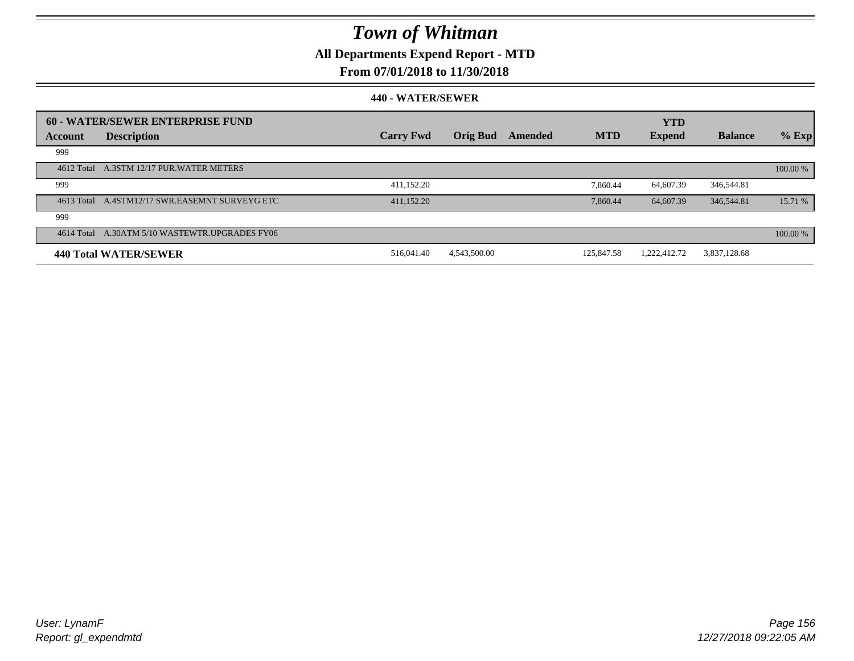**All Departments Expend Report - MTD**

### **From 07/01/2018 to 11/30/2018**

|         | 60 - WATER/SEWER ENTERPRISE FUND               |                  |                 |         |            | <b>YTD</b>    |                |          |
|---------|------------------------------------------------|------------------|-----------------|---------|------------|---------------|----------------|----------|
| Account | <b>Description</b>                             | <b>Carry Fwd</b> | <b>Orig Bud</b> | Amended | <b>MTD</b> | <b>Expend</b> | <b>Balance</b> | $%$ Exp  |
| 999     |                                                |                  |                 |         |            |               |                |          |
|         | 4612 Total A.3STM 12/17 PUR. WATER METERS      |                  |                 |         |            |               |                | 100.00 % |
| 999     |                                                | 411,152.20       |                 |         | 7.860.44   | 64,607.39     | 346,544.81     |          |
|         | 4613 Total A.4STM12/17 SWR.EASEMNT SURVEYG ETC | 411,152.20       |                 |         | 7.860.44   | 64,607.39     | 346,544.81     | 15.71 %  |
| 999     |                                                |                  |                 |         |            |               |                |          |
|         | 4614 Total A.30ATM 5/10 WASTEWTR.UPGRADES FY06 |                  |                 |         |            |               |                | 100.00 % |
|         | <b>440 Total WATER/SEWER</b>                   | 516,041.40       | 4,543,500.00    |         | 125,847.58 | 1.222.412.72  | 3,837,128.68   |          |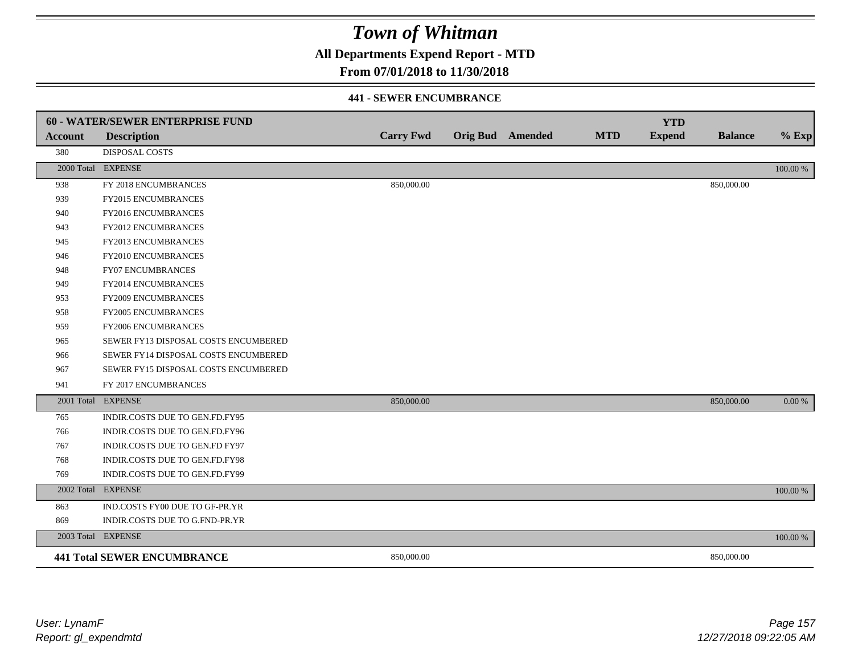**All Departments Expend Report - MTD**

### **From 07/01/2018 to 11/30/2018**

#### **441 - SEWER ENCUMBRANCE**

|            | <b>60 - WATER/SEWER ENTERPRISE FUND</b> |                  |                  |            | <b>YTD</b>    |                |          |
|------------|-----------------------------------------|------------------|------------------|------------|---------------|----------------|----------|
| Account    | <b>Description</b>                      | <b>Carry Fwd</b> | Orig Bud Amended | <b>MTD</b> | <b>Expend</b> | <b>Balance</b> | $%$ Exp  |
| 380        | <b>DISPOSAL COSTS</b>                   |                  |                  |            |               |                |          |
|            | 2000 Total EXPENSE                      |                  |                  |            |               |                | 100.00 % |
| 938        | FY 2018 ENCUMBRANCES                    | 850,000.00       |                  |            |               | 850,000.00     |          |
| 939        | FY2015 ENCUMBRANCES                     |                  |                  |            |               |                |          |
| 940        | FY2016 ENCUMBRANCES                     |                  |                  |            |               |                |          |
| 943        | <b>FY2012 ENCUMBRANCES</b>              |                  |                  |            |               |                |          |
| 945        | FY2013 ENCUMBRANCES                     |                  |                  |            |               |                |          |
| 946        | FY2010 ENCUMBRANCES                     |                  |                  |            |               |                |          |
| 948        | <b>FY07 ENCUMBRANCES</b>                |                  |                  |            |               |                |          |
| 949        | FY2014 ENCUMBRANCES                     |                  |                  |            |               |                |          |
| 953        | FY2009 ENCUMBRANCES                     |                  |                  |            |               |                |          |
| 958        | <b>FY2005 ENCUMBRANCES</b>              |                  |                  |            |               |                |          |
| 959        | <b>FY2006 ENCUMBRANCES</b>              |                  |                  |            |               |                |          |
| 965        | SEWER FY13 DISPOSAL COSTS ENCUMBERED    |                  |                  |            |               |                |          |
| 966        | SEWER FY14 DISPOSAL COSTS ENCUMBERED    |                  |                  |            |               |                |          |
| 967        | SEWER FY15 DISPOSAL COSTS ENCUMBERED    |                  |                  |            |               |                |          |
| 941        | FY 2017 ENCUMBRANCES                    |                  |                  |            |               |                |          |
|            | 2001 Total EXPENSE                      | 850,000.00       |                  |            |               | 850,000.00     | 0.00 %   |
| 765        | INDIR.COSTS DUE TO GEN.FD.FY95          |                  |                  |            |               |                |          |
| 766        | INDIR.COSTS DUE TO GEN.FD.FY96          |                  |                  |            |               |                |          |
| 767        | INDIR.COSTS DUE TO GEN.FD FY97          |                  |                  |            |               |                |          |
| 768        | INDIR.COSTS DUE TO GEN.FD.FY98          |                  |                  |            |               |                |          |
| 769        | INDIR.COSTS DUE TO GEN.FD.FY99          |                  |                  |            |               |                |          |
| 2002 Total | <b>EXPENSE</b>                          |                  |                  |            |               |                | 100.00 % |
| 863        | IND.COSTS FY00 DUE TO GF-PR.YR          |                  |                  |            |               |                |          |
| 869        | INDIR.COSTS DUE TO G.FND-PR.YR          |                  |                  |            |               |                |          |
|            | 2003 Total EXPENSE                      |                  |                  |            |               |                | 100.00 % |
|            | <b>441 Total SEWER ENCUMBRANCE</b>      | 850,000.00       |                  |            |               | 850,000.00     |          |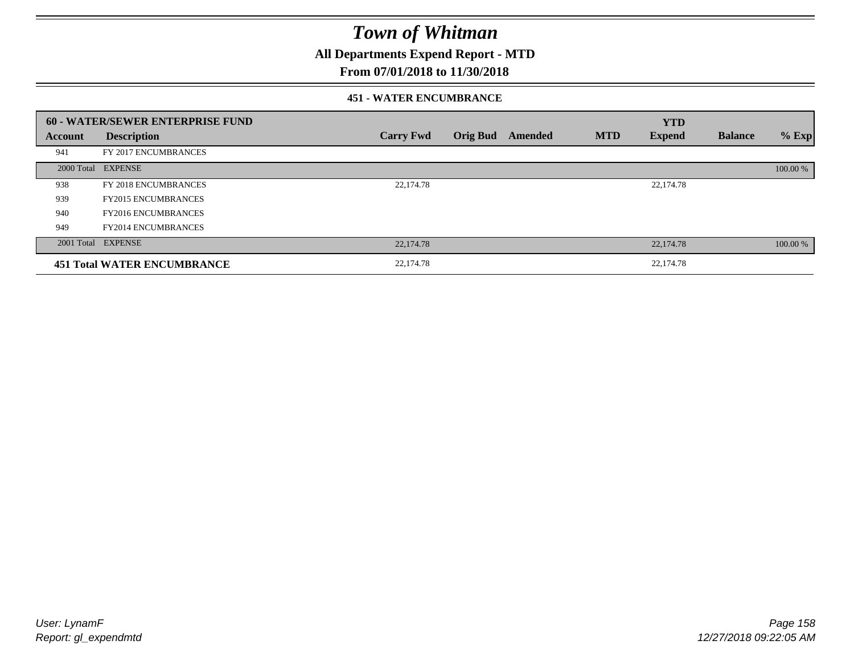**All Departments Expend Report - MTD**

### **From 07/01/2018 to 11/30/2018**

#### **451 - WATER ENCUMBRANCE**

|         | <b>60 - WATER/SEWER ENTERPRISE FUND</b> |                  |                 |         |            | <b>YTD</b>    |                |          |
|---------|-----------------------------------------|------------------|-----------------|---------|------------|---------------|----------------|----------|
| Account | <b>Description</b>                      | <b>Carry Fwd</b> | <b>Orig Bud</b> | Amended | <b>MTD</b> | <b>Expend</b> | <b>Balance</b> | $%$ Exp  |
| 941     | FY 2017 ENCUMBRANCES                    |                  |                 |         |            |               |                |          |
|         | 2000 Total EXPENSE                      |                  |                 |         |            |               |                | 100.00 % |
| 938     | FY 2018 ENCUMBRANCES                    | 22,174.78        |                 |         |            | 22,174.78     |                |          |
| 939     | <b>FY2015 ENCUMBRANCES</b>              |                  |                 |         |            |               |                |          |
| 940     | <b>FY2016 ENCUMBRANCES</b>              |                  |                 |         |            |               |                |          |
| 949     | <b>FY2014 ENCUMBRANCES</b>              |                  |                 |         |            |               |                |          |
|         | 2001 Total EXPENSE                      | 22,174.78        |                 |         |            | 22,174.78     |                | 100.00 % |
|         | <b>451 Total WATER ENCUMBRANCE</b>      | 22,174.78        |                 |         |            | 22,174.78     |                |          |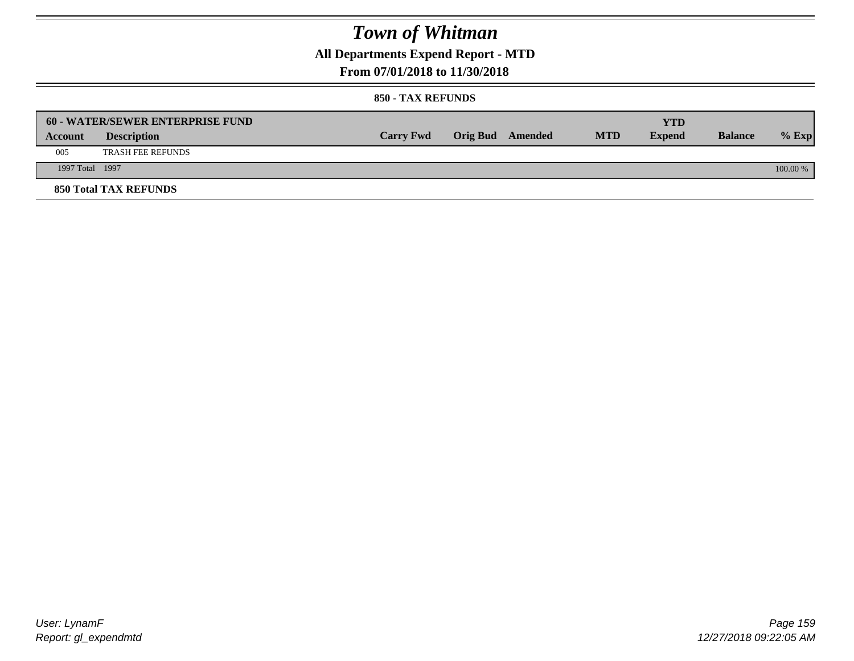**All Departments Expend Report - MTD**

### **From 07/01/2018 to 11/30/2018**

|                 | <b>60 - WATER/SEWER ENTERPRISE FUND</b> |                  |                         |            | YTD           |                |            |
|-----------------|-----------------------------------------|------------------|-------------------------|------------|---------------|----------------|------------|
| Account         | <b>Description</b>                      | <b>Carry Fwd</b> | <b>Orig Bud</b> Amended | <b>MTD</b> | <b>Expend</b> | <b>Balance</b> | $%$ Exp    |
| 005             | <b>TRASH FEE REFUNDS</b>                |                  |                         |            |               |                |            |
| 1997 Total 1997 |                                         |                  |                         |            |               |                | $100.00\%$ |
|                 | <b>850 Total TAX REFUNDS</b>            |                  |                         |            |               |                |            |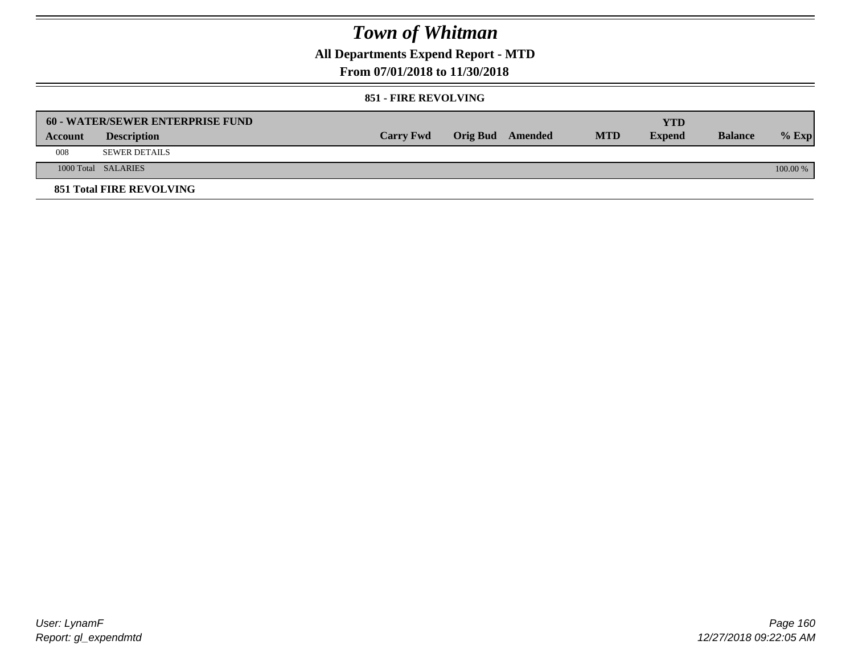**All Departments Expend Report - MTD**

### **From 07/01/2018 to 11/30/2018**

#### **851 - FIRE REVOLVING**

|         | 60 - WATER/SEWER ENTERPRISE FUND |                  |                  |            | YTD           |                |            |
|---------|----------------------------------|------------------|------------------|------------|---------------|----------------|------------|
| Account | <b>Description</b>               | <b>Carry Fwd</b> | Orig Bud Amended | <b>MTD</b> | <b>Expend</b> | <b>Balance</b> | $%$ Exp    |
| 008     | <b>SEWER DETAILS</b>             |                  |                  |            |               |                |            |
|         | 1000 Total SALARIES              |                  |                  |            |               |                | $100.00\%$ |
|         | <b>851 Total FIRE REVOLVING</b>  |                  |                  |            |               |                |            |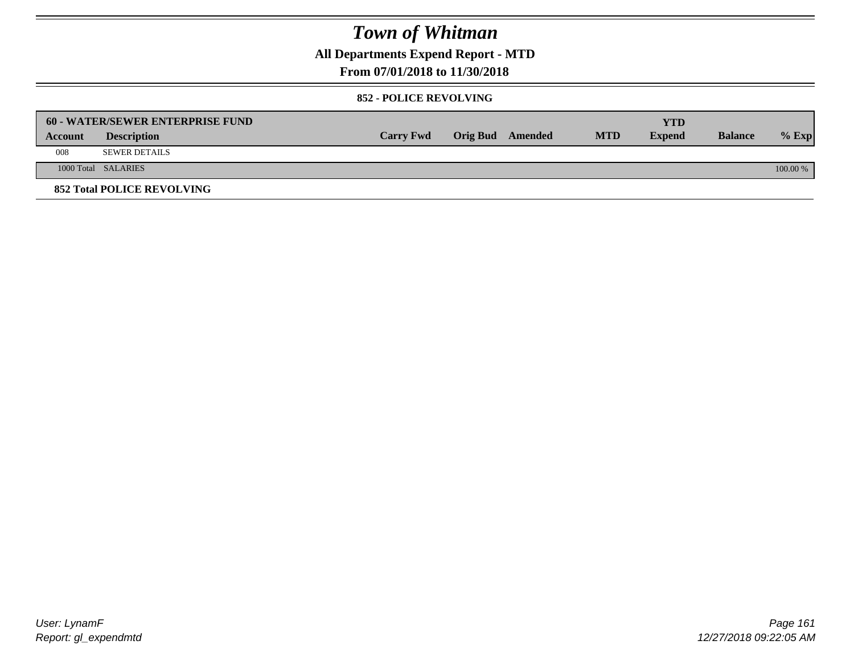**All Departments Expend Report - MTD**

### **From 07/01/2018 to 11/30/2018**

#### **852 - POLICE REVOLVING**

|         | 60 - WATER/SEWER ENTERPRISE FUND  |                  |                  |            | YTD           |                |            |
|---------|-----------------------------------|------------------|------------------|------------|---------------|----------------|------------|
| Account | <b>Description</b>                | <b>Carry Fwd</b> | Orig Bud Amended | <b>MTD</b> | <b>Expend</b> | <b>Balance</b> | $%$ Exp    |
| 008     | <b>SEWER DETAILS</b>              |                  |                  |            |               |                |            |
|         | 1000 Total SALARIES               |                  |                  |            |               |                | $100.00\%$ |
|         | <b>852 Total POLICE REVOLVING</b> |                  |                  |            |               |                |            |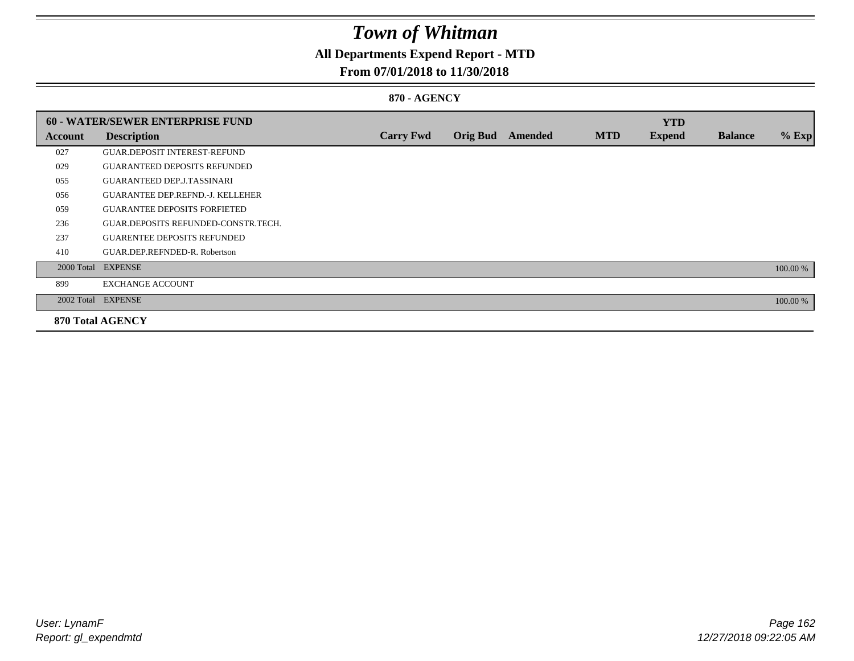## **All Departments Expend Report - MTD**

### **From 07/01/2018 to 11/30/2018**

### **870 - AGENCY**

|         | <b>60 - WATER/SEWER ENTERPRISE FUND</b> |                  |                 |         |            | <b>YTD</b>    |                |          |
|---------|-----------------------------------------|------------------|-----------------|---------|------------|---------------|----------------|----------|
| Account | <b>Description</b>                      | <b>Carry Fwd</b> | <b>Orig Bud</b> | Amended | <b>MTD</b> | <b>Expend</b> | <b>Balance</b> | $%$ Exp  |
| 027     | <b>GUAR.DEPOSIT INTEREST-REFUND</b>     |                  |                 |         |            |               |                |          |
| 029     | <b>GUARANTEED DEPOSITS REFUNDED</b>     |                  |                 |         |            |               |                |          |
| 055     | <b>GUARANTEED DEP.J.TASSINARI</b>       |                  |                 |         |            |               |                |          |
| 056     | <b>GUARANTEE DEP.REFND.-J. KELLEHER</b> |                  |                 |         |            |               |                |          |
| 059     | <b>GUARANTEE DEPOSITS FORFIETED</b>     |                  |                 |         |            |               |                |          |
| 236     | GUAR.DEPOSITS REFUNDED-CONSTR.TECH.     |                  |                 |         |            |               |                |          |
| 237     | <b>GUARENTEE DEPOSITS REFUNDED</b>      |                  |                 |         |            |               |                |          |
| 410     | GUAR.DEP.REFNDED-R. Robertson           |                  |                 |         |            |               |                |          |
|         | 2000 Total EXPENSE                      |                  |                 |         |            |               |                | 100.00 % |
| 899     | <b>EXCHANGE ACCOUNT</b>                 |                  |                 |         |            |               |                |          |
|         | 2002 Total EXPENSE                      |                  |                 |         |            |               |                | 100.00 % |
|         | <b>870 Total AGENCY</b>                 |                  |                 |         |            |               |                |          |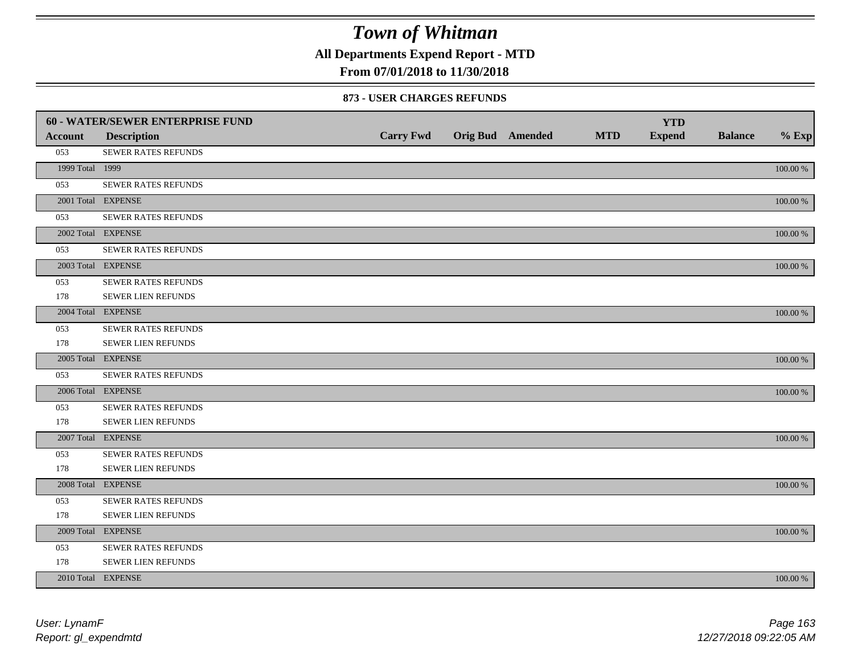**All Departments Expend Report - MTD**

### **From 07/01/2018 to 11/30/2018**

#### **873 - USER CHARGES REFUNDS**

|                 | 60 - WATER/SEWER ENTERPRISE FUND |                  |                         |            | <b>YTD</b>    |                |             |
|-----------------|----------------------------------|------------------|-------------------------|------------|---------------|----------------|-------------|
| <b>Account</b>  | <b>Description</b>               | <b>Carry Fwd</b> | <b>Orig Bud</b> Amended | <b>MTD</b> | <b>Expend</b> | <b>Balance</b> | $%$ Exp     |
| 053             | SEWER RATES REFUNDS              |                  |                         |            |               |                |             |
| 1999 Total 1999 |                                  |                  |                         |            |               |                | 100.00 %    |
| 053             | SEWER RATES REFUNDS              |                  |                         |            |               |                |             |
|                 | 2001 Total EXPENSE               |                  |                         |            |               |                | 100.00 %    |
| 053             | SEWER RATES REFUNDS              |                  |                         |            |               |                |             |
|                 | 2002 Total EXPENSE               |                  |                         |            |               |                | 100.00 %    |
| 053             | <b>SEWER RATES REFUNDS</b>       |                  |                         |            |               |                |             |
|                 | 2003 Total EXPENSE               |                  |                         |            |               |                | 100.00 %    |
| 053             | SEWER RATES REFUNDS              |                  |                         |            |               |                |             |
| 178             | SEWER LIEN REFUNDS               |                  |                         |            |               |                |             |
|                 | 2004 Total EXPENSE               |                  |                         |            |               |                | 100.00 %    |
| 053             | <b>SEWER RATES REFUNDS</b>       |                  |                         |            |               |                |             |
| 178             | SEWER LIEN REFUNDS               |                  |                         |            |               |                |             |
|                 | 2005 Total EXPENSE               |                  |                         |            |               |                | 100.00 %    |
| 053             | SEWER RATES REFUNDS              |                  |                         |            |               |                |             |
|                 | 2006 Total EXPENSE               |                  |                         |            |               |                | 100.00 %    |
| 053             | <b>SEWER RATES REFUNDS</b>       |                  |                         |            |               |                |             |
| 178             | SEWER LIEN REFUNDS               |                  |                         |            |               |                |             |
|                 | 2007 Total EXPENSE               |                  |                         |            |               |                | 100.00 %    |
| 053             | SEWER RATES REFUNDS              |                  |                         |            |               |                |             |
| 178             | SEWER LIEN REFUNDS               |                  |                         |            |               |                |             |
|                 | 2008 Total EXPENSE               |                  |                         |            |               |                | 100.00 %    |
| 053             | SEWER RATES REFUNDS              |                  |                         |            |               |                |             |
| 178             | SEWER LIEN REFUNDS               |                  |                         |            |               |                |             |
|                 | 2009 Total EXPENSE               |                  |                         |            |               |                | 100.00 %    |
| 053             | SEWER RATES REFUNDS              |                  |                         |            |               |                |             |
| 178             | SEWER LIEN REFUNDS               |                  |                         |            |               |                |             |
|                 | 2010 Total EXPENSE               |                  |                         |            |               |                | $100.00~\%$ |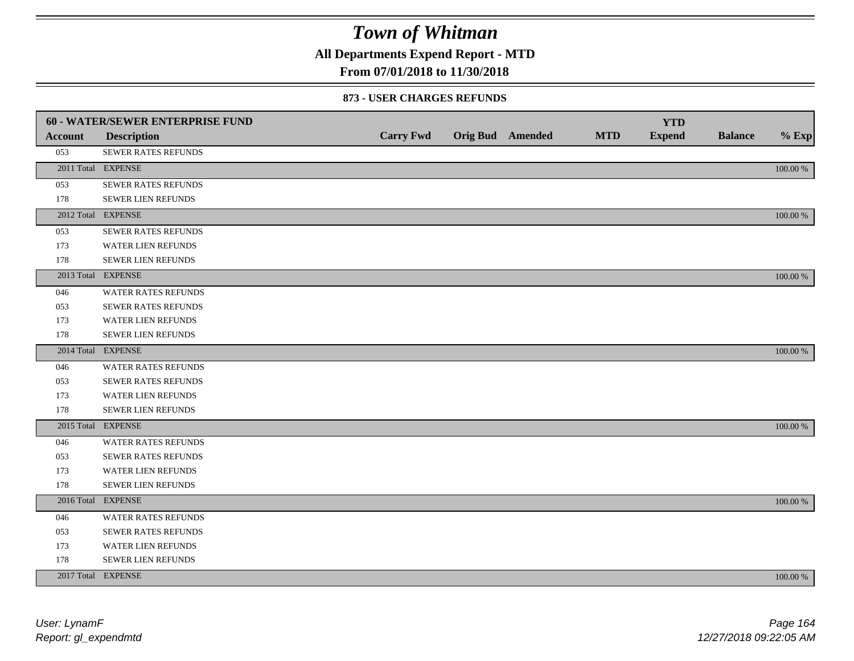**All Departments Expend Report - MTD**

### **From 07/01/2018 to 11/30/2018**

#### **873 - USER CHARGES REFUNDS**

|         | <b>60 - WATER/SEWER ENTERPRISE FUND</b> |                  |                         |            | <b>YTD</b>    |                |          |
|---------|-----------------------------------------|------------------|-------------------------|------------|---------------|----------------|----------|
| Account | <b>Description</b>                      | <b>Carry Fwd</b> | <b>Orig Bud</b> Amended | <b>MTD</b> | <b>Expend</b> | <b>Balance</b> | $%$ Exp  |
| 053     | SEWER RATES REFUNDS                     |                  |                         |            |               |                |          |
|         | 2011 Total EXPENSE                      |                  |                         |            |               |                | 100.00 % |
| 053     | SEWER RATES REFUNDS                     |                  |                         |            |               |                |          |
| 178     | SEWER LIEN REFUNDS                      |                  |                         |            |               |                |          |
|         | 2012 Total EXPENSE                      |                  |                         |            |               |                | 100.00 % |
| 053     | SEWER RATES REFUNDS                     |                  |                         |            |               |                |          |
| 173     | <b>WATER LIEN REFUNDS</b>               |                  |                         |            |               |                |          |
| 178     | SEWER LIEN REFUNDS                      |                  |                         |            |               |                |          |
|         | 2013 Total EXPENSE                      |                  |                         |            |               |                | 100.00 % |
| 046     | WATER RATES REFUNDS                     |                  |                         |            |               |                |          |
| 053     | <b>SEWER RATES REFUNDS</b>              |                  |                         |            |               |                |          |
| 173     | WATER LIEN REFUNDS                      |                  |                         |            |               |                |          |
| 178     | <b>SEWER LIEN REFUNDS</b>               |                  |                         |            |               |                |          |
|         | 2014 Total EXPENSE                      |                  |                         |            |               |                | 100.00 % |
| 046     | <b>WATER RATES REFUNDS</b>              |                  |                         |            |               |                |          |
| 053     | SEWER RATES REFUNDS                     |                  |                         |            |               |                |          |
| 173     | WATER LIEN REFUNDS                      |                  |                         |            |               |                |          |
| 178     | SEWER LIEN REFUNDS                      |                  |                         |            |               |                |          |
|         | 2015 Total EXPENSE                      |                  |                         |            |               |                | 100.00 % |
| 046     | WATER RATES REFUNDS                     |                  |                         |            |               |                |          |
| 053     | SEWER RATES REFUNDS                     |                  |                         |            |               |                |          |
| 173     | <b>WATER LIEN REFUNDS</b>               |                  |                         |            |               |                |          |
| 178     | SEWER LIEN REFUNDS                      |                  |                         |            |               |                |          |
|         | 2016 Total EXPENSE                      |                  |                         |            |               |                | 100.00 % |
| 046     | <b>WATER RATES REFUNDS</b>              |                  |                         |            |               |                |          |
| 053     | SEWER RATES REFUNDS                     |                  |                         |            |               |                |          |
| 173     | WATER LIEN REFUNDS                      |                  |                         |            |               |                |          |
| 178     | SEWER LIEN REFUNDS                      |                  |                         |            |               |                |          |
|         | 2017 Total EXPENSE                      |                  |                         |            |               |                | 100.00 % |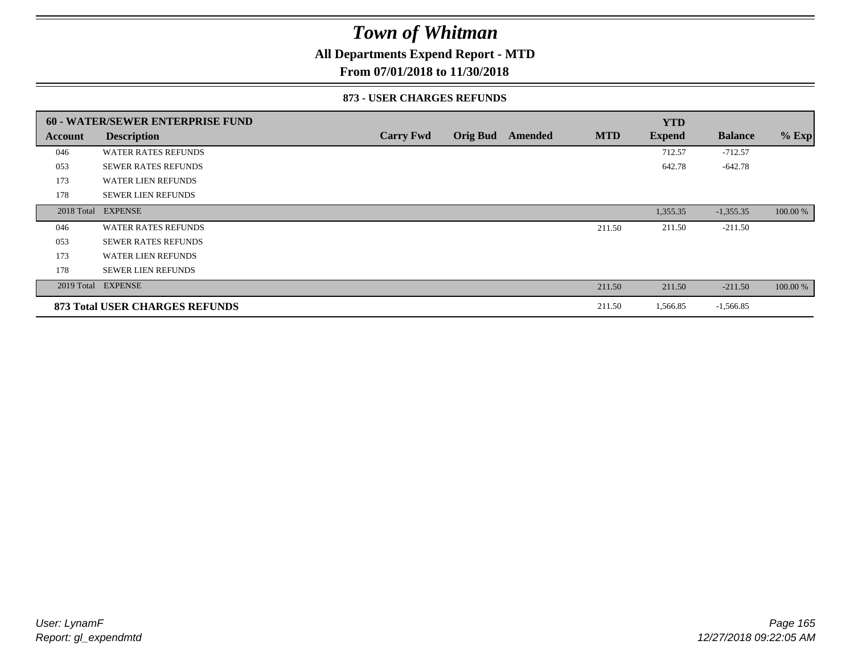### **All Departments Expend Report - MTD**

**From 07/01/2018 to 11/30/2018**

#### **873 - USER CHARGES REFUNDS**

|            | <b>60 - WATER/SEWER ENTERPRISE FUND</b> |                  |                 |         |            | <b>YTD</b>    |                |          |
|------------|-----------------------------------------|------------------|-----------------|---------|------------|---------------|----------------|----------|
| Account    | <b>Description</b>                      | <b>Carry Fwd</b> | <b>Orig Bud</b> | Amended | <b>MTD</b> | <b>Expend</b> | <b>Balance</b> | $%$ Exp  |
| 046        | <b>WATER RATES REFUNDS</b>              |                  |                 |         |            | 712.57        | $-712.57$      |          |
| 053        | <b>SEWER RATES REFUNDS</b>              |                  |                 |         |            | 642.78        | $-642.78$      |          |
| 173        | <b>WATER LIEN REFUNDS</b>               |                  |                 |         |            |               |                |          |
| 178        | <b>SEWER LIEN REFUNDS</b>               |                  |                 |         |            |               |                |          |
| 2018 Total | <b>EXPENSE</b>                          |                  |                 |         |            | 1,355.35      | $-1,355.35$    | 100.00 % |
| 046        | <b>WATER RATES REFUNDS</b>              |                  |                 |         | 211.50     | 211.50        | $-211.50$      |          |
| 053        | <b>SEWER RATES REFUNDS</b>              |                  |                 |         |            |               |                |          |
| 173        | <b>WATER LIEN REFUNDS</b>               |                  |                 |         |            |               |                |          |
| 178        | <b>SEWER LIEN REFUNDS</b>               |                  |                 |         |            |               |                |          |
| 2019 Total | <b>EXPENSE</b>                          |                  |                 |         | 211.50     | 211.50        | $-211.50$      | 100.00 % |
|            | 873 Total USER CHARGES REFUNDS          |                  |                 |         | 211.50     | 1,566.85      | $-1,566.85$    |          |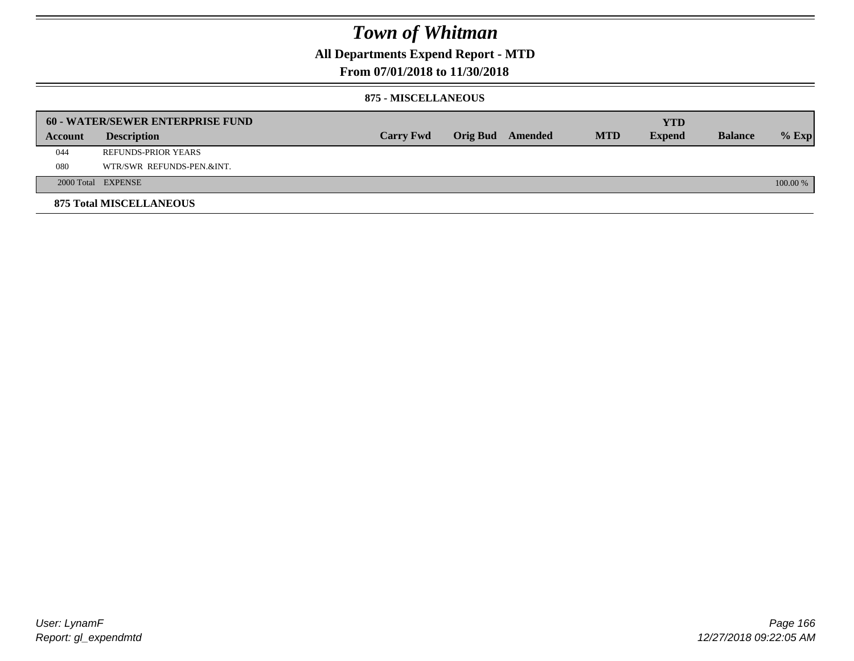**All Departments Expend Report - MTD**

### **From 07/01/2018 to 11/30/2018**

#### **875 - MISCELLANEOUS**

|         | <b>60 - WATER/SEWER ENTERPRISE FUND</b> |                  |                 |         |            | <b>YTD</b>    |                |            |
|---------|-----------------------------------------|------------------|-----------------|---------|------------|---------------|----------------|------------|
| Account | <b>Description</b>                      | <b>Carry Fwd</b> | <b>Orig Bud</b> | Amended | <b>MTD</b> | <b>Expend</b> | <b>Balance</b> | $%$ Exp    |
| 044     | REFUNDS-PRIOR YEARS                     |                  |                 |         |            |               |                |            |
| 080     | WTR/SWR REFUNDS-PEN.&INT.               |                  |                 |         |            |               |                |            |
|         | 2000 Total EXPENSE                      |                  |                 |         |            |               |                | $100.00\%$ |
|         | <b>875 Total MISCELLANEOUS</b>          |                  |                 |         |            |               |                |            |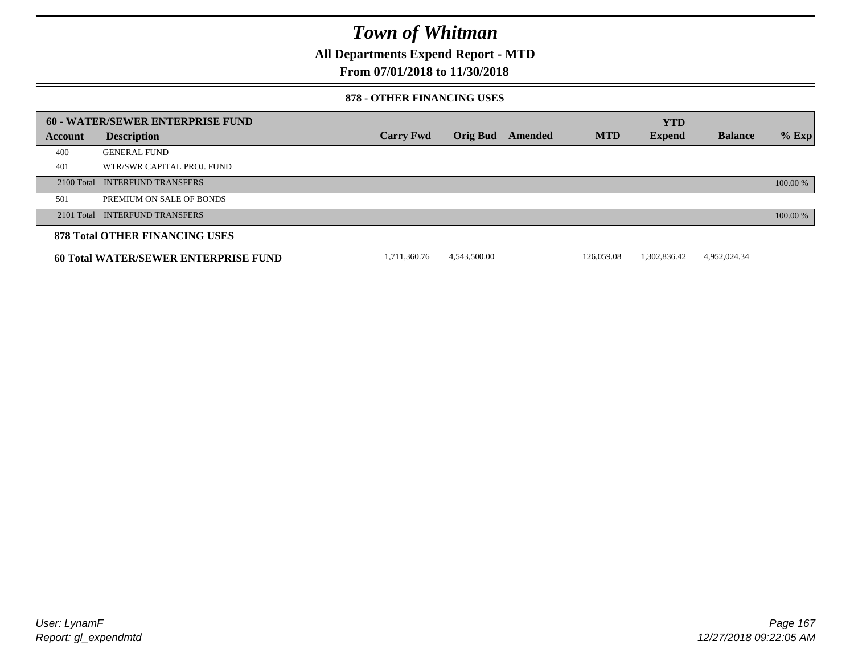**All Departments Expend Report - MTD**

### **From 07/01/2018 to 11/30/2018**

#### **878 - OTHER FINANCING USES**

|         | 60 - WATER/SEWER ENTERPRISE FUND            |                  |                 |         |            | <b>YTD</b>    |                |          |
|---------|---------------------------------------------|------------------|-----------------|---------|------------|---------------|----------------|----------|
| Account | <b>Description</b>                          | <b>Carry Fwd</b> | <b>Orig Bud</b> | Amended | <b>MTD</b> | <b>Expend</b> | <b>Balance</b> | $%$ Exp  |
| 400     | <b>GENERAL FUND</b>                         |                  |                 |         |            |               |                |          |
| 401     | WTR/SWR CAPITAL PROJ. FUND                  |                  |                 |         |            |               |                |          |
|         | 2100 Total INTERFUND TRANSFERS              |                  |                 |         |            |               |                | 100.00 % |
| 501     | PREMIUM ON SALE OF BONDS                    |                  |                 |         |            |               |                |          |
|         | 2101 Total INTERFUND TRANSFERS              |                  |                 |         |            |               |                | 100.00 % |
|         | <b>878 Total OTHER FINANCING USES</b>       |                  |                 |         |            |               |                |          |
|         | <b>60 Total WATER/SEWER ENTERPRISE FUND</b> | 1.711.360.76     | 4.543.500.00    |         | 126,059.08 | 1.302.836.42  | 4,952,024.34   |          |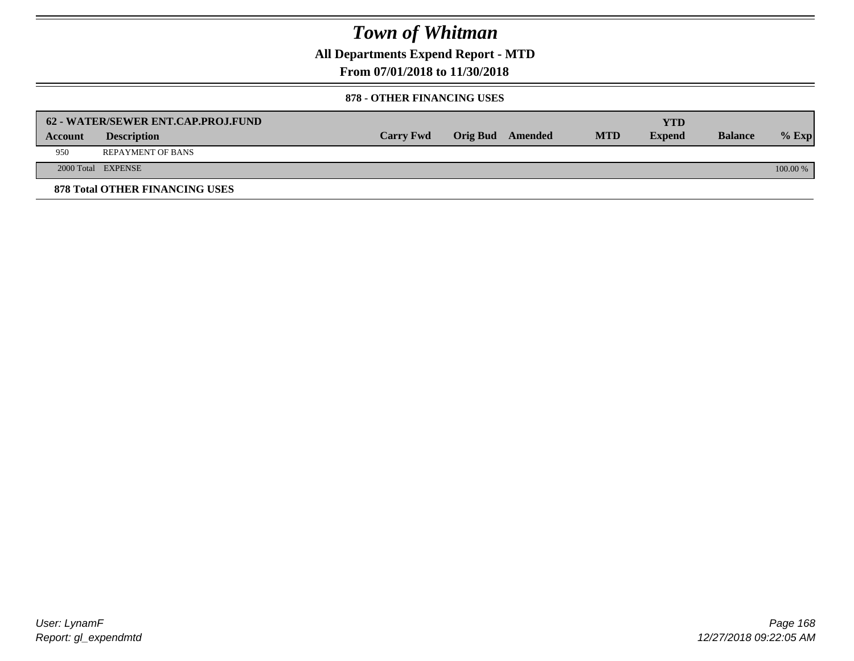**All Departments Expend Report - MTD**

**From 07/01/2018 to 11/30/2018**

#### **878 - OTHER FINANCING USES**

|                | 62 - WATER/SEWER ENT.CAP.PROJ.FUND    |                  |                  |            | YTD           |                |            |
|----------------|---------------------------------------|------------------|------------------|------------|---------------|----------------|------------|
| <b>Account</b> | <b>Description</b>                    | <b>Carry Fwd</b> | Orig Bud Amended | <b>MTD</b> | <b>Expend</b> | <b>Balance</b> | $%$ Exp    |
| 950            | <b>REPAYMENT OF BANS</b>              |                  |                  |            |               |                |            |
|                | 2000 Total EXPENSE                    |                  |                  |            |               |                | $100.00\%$ |
|                | <b>878 Total OTHER FINANCING USES</b> |                  |                  |            |               |                |            |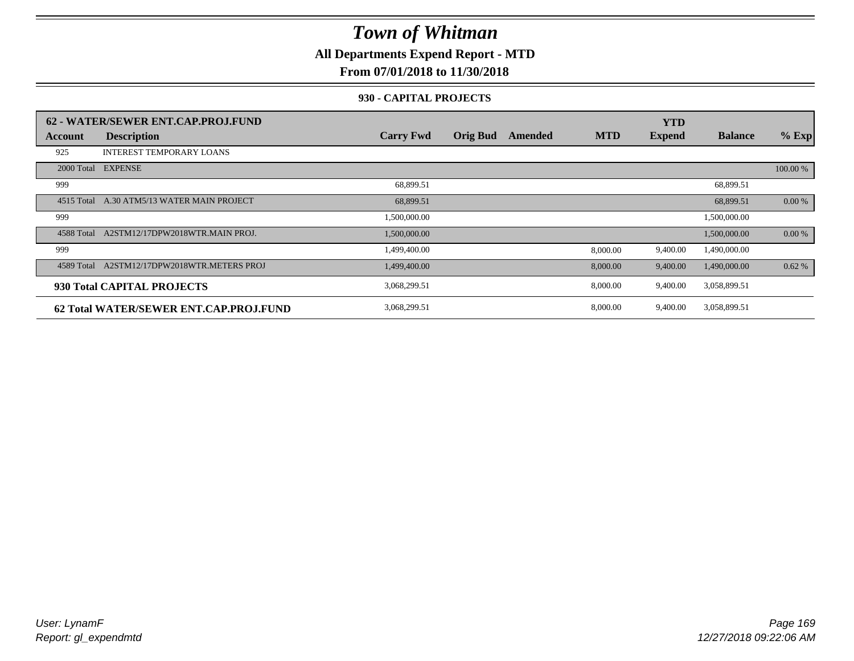**All Departments Expend Report - MTD**

### **From 07/01/2018 to 11/30/2018**

### **930 - CAPITAL PROJECTS**

|            | 62 - WATER/SEWER ENT.CAP.PROJ.FUND     |                  |                 |         |            | <b>YTD</b>    |                |          |
|------------|----------------------------------------|------------------|-----------------|---------|------------|---------------|----------------|----------|
| Account    | <b>Description</b>                     | <b>Carry Fwd</b> | <b>Orig Bud</b> | Amended | <b>MTD</b> | <b>Expend</b> | <b>Balance</b> | $%$ Exp  |
| 925        | <b>INTEREST TEMPORARY LOANS</b>        |                  |                 |         |            |               |                |          |
| 2000 Total | <b>EXPENSE</b>                         |                  |                 |         |            |               |                | 100.00 % |
| 999        |                                        | 68,899.51        |                 |         |            |               | 68,899.51      |          |
| 4515 Total | A.30 ATM5/13 WATER MAIN PROJECT        | 68,899.51        |                 |         |            |               | 68,899.51      | 0.00 %   |
| 999        |                                        | 1,500,000.00     |                 |         |            |               | 1,500,000.00   |          |
| 4588 Total | A2STM12/17DPW2018WTR.MAIN PROJ.        | 1,500,000.00     |                 |         |            |               | 1,500,000.00   | 0.00 %   |
| 999        |                                        | 1,499,400.00     |                 |         | 8,000.00   | 9,400.00      | 1,490,000.00   |          |
| 4589 Total | A2STM12/17DPW2018WTR.METERS PROJ       | 1,499,400.00     |                 |         | 8,000.00   | 9,400.00      | 1,490,000.00   | 0.62%    |
|            | 930 Total CAPITAL PROJECTS             | 3,068,299.51     |                 |         | 8,000.00   | 9,400.00      | 3,058,899.51   |          |
|            | 62 Total WATER/SEWER ENT.CAP.PROJ.FUND | 3,068,299.51     |                 |         | 8,000.00   | 9,400.00      | 3,058,899.51   |          |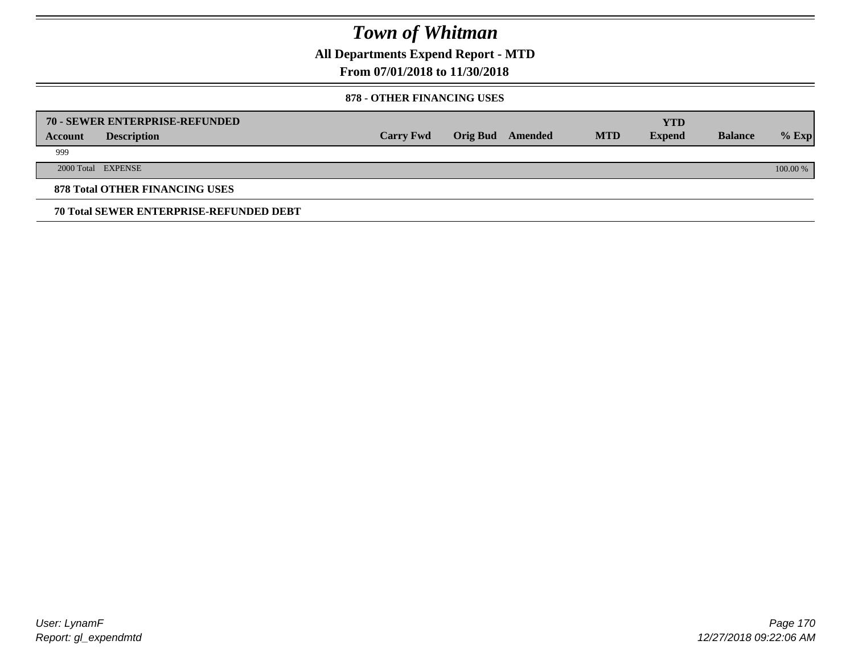**All Departments Expend Report - MTD**

### **From 07/01/2018 to 11/30/2018**

#### **878 - OTHER FINANCING USES**

|         | 70 - SEWER ENTERPRISE-REFUNDED                 |                  |                 |         |            | <b>YTD</b>    |                |          |
|---------|------------------------------------------------|------------------|-----------------|---------|------------|---------------|----------------|----------|
| Account | <b>Description</b>                             | <b>Carry Fwd</b> | <b>Orig Bud</b> | Amended | <b>MTD</b> | <b>Expend</b> | <b>Balance</b> | $%$ Exp  |
| 999     |                                                |                  |                 |         |            |               |                |          |
|         | 2000 Total EXPENSE                             |                  |                 |         |            |               |                | 100.00 % |
|         | <b>878 Total OTHER FINANCING USES</b>          |                  |                 |         |            |               |                |          |
|         | <b>70 Total SEWER ENTERPRISE-REFUNDED DEBT</b> |                  |                 |         |            |               |                |          |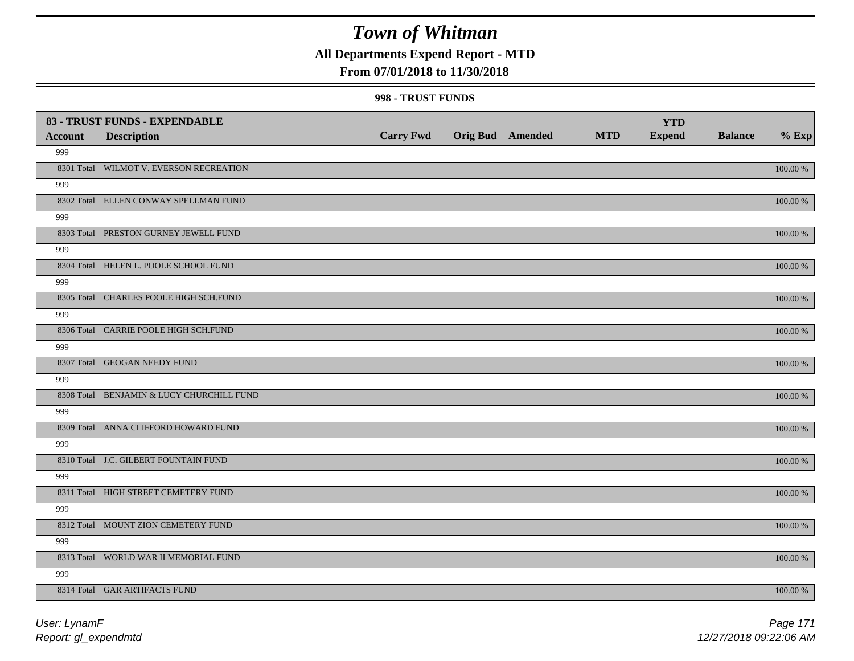## **All Departments Expend Report - MTD**

### **From 07/01/2018 to 11/30/2018**

#### **998 - TRUST FUNDS**

| <b>Account</b> | 83 - TRUST FUNDS - EXPENDABLE<br><b>Description</b> | <b>Carry Fwd</b> | <b>Orig Bud</b> Amended | <b>MTD</b> | <b>YTD</b><br><b>Expend</b> | <b>Balance</b> | $%$ Exp     |
|----------------|-----------------------------------------------------|------------------|-------------------------|------------|-----------------------------|----------------|-------------|
| 999            |                                                     |                  |                         |            |                             |                |             |
|                | 8301 Total WILMOT V. EVERSON RECREATION             |                  |                         |            |                             |                | 100.00 %    |
| 999            |                                                     |                  |                         |            |                             |                |             |
|                | 8302 Total ELLEN CONWAY SPELLMAN FUND               |                  |                         |            |                             |                | 100.00 %    |
| 999            |                                                     |                  |                         |            |                             |                |             |
|                | 8303 Total PRESTON GURNEY JEWELL FUND               |                  |                         |            |                             |                | 100.00 %    |
| 999            |                                                     |                  |                         |            |                             |                |             |
|                | 8304 Total HELEN L. POOLE SCHOOL FUND               |                  |                         |            |                             |                | 100.00 %    |
| 999            |                                                     |                  |                         |            |                             |                |             |
|                | 8305 Total CHARLES POOLE HIGH SCH.FUND              |                  |                         |            |                             |                | 100.00 %    |
| 999            |                                                     |                  |                         |            |                             |                |             |
|                | 8306 Total CARRIE POOLE HIGH SCH.FUND               |                  |                         |            |                             |                | 100.00 %    |
| 999            |                                                     |                  |                         |            |                             |                |             |
|                | 8307 Total GEOGAN NEEDY FUND                        |                  |                         |            |                             |                | 100.00 %    |
| 999            |                                                     |                  |                         |            |                             |                |             |
|                | 8308 Total BENJAMIN & LUCY CHURCHILL FUND           |                  |                         |            |                             |                | 100.00 %    |
| 999            | 8309 Total ANNA CLIFFORD HOWARD FUND                |                  |                         |            |                             |                |             |
| 999            |                                                     |                  |                         |            |                             |                | 100.00 %    |
|                | 8310 Total J.C. GILBERT FOUNTAIN FUND               |                  |                         |            |                             |                | $100.00~\%$ |
| 999            |                                                     |                  |                         |            |                             |                |             |
|                | 8311 Total HIGH STREET CEMETERY FUND                |                  |                         |            |                             |                | $100.00~\%$ |
| 999            |                                                     |                  |                         |            |                             |                |             |
|                | 8312 Total MOUNT ZION CEMETERY FUND                 |                  |                         |            |                             |                | 100.00 %    |
| 999            |                                                     |                  |                         |            |                             |                |             |
|                | 8313 Total WORLD WAR II MEMORIAL FUND               |                  |                         |            |                             |                | 100.00 %    |
| 999            |                                                     |                  |                         |            |                             |                |             |
|                | 8314 Total GAR ARTIFACTS FUND                       |                  |                         |            |                             |                | 100.00 %    |
|                |                                                     |                  |                         |            |                             |                |             |

*Report: gl\_expendmtd User: LynamF*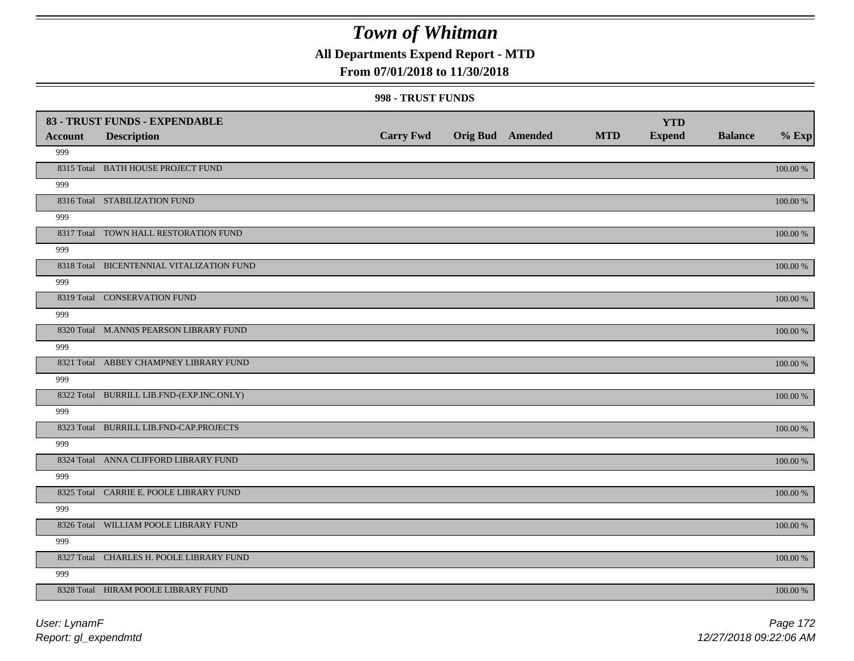### **All Departments Expend Report - MTD**

### **From 07/01/2018 to 11/30/2018**

#### **998 - TRUST FUNDS**

|                | 83 - TRUST FUNDS - EXPENDABLE             |                  |                         |            | <b>YTD</b>    |                |             |
|----------------|-------------------------------------------|------------------|-------------------------|------------|---------------|----------------|-------------|
| <b>Account</b> | <b>Description</b>                        | <b>Carry Fwd</b> | <b>Orig Bud</b> Amended | <b>MTD</b> | <b>Expend</b> | <b>Balance</b> | $%$ Exp     |
| 999            |                                           |                  |                         |            |               |                |             |
|                | 8315 Total BATH HOUSE PROJECT FUND        |                  |                         |            |               |                | $100.00~\%$ |
| 999            |                                           |                  |                         |            |               |                |             |
|                | 8316 Total STABILIZATION FUND             |                  |                         |            |               |                | 100.00 %    |
| 999            |                                           |                  |                         |            |               |                |             |
|                | 8317 Total TOWN HALL RESTORATION FUND     |                  |                         |            |               |                | $100.00~\%$ |
| 999            |                                           |                  |                         |            |               |                |             |
|                | 8318 Total BICENTENNIAL VITALIZATION FUND |                  |                         |            |               |                | 100.00 %    |
| 999            |                                           |                  |                         |            |               |                |             |
|                | 8319 Total CONSERVATION FUND              |                  |                         |            |               |                | 100.00 %    |
| 999            |                                           |                  |                         |            |               |                |             |
|                | 8320 Total M.ANNIS PEARSON LIBRARY FUND   |                  |                         |            |               |                | 100.00 %    |
| 999            |                                           |                  |                         |            |               |                |             |
|                | 8321 Total ABBEY CHAMPNEY LIBRARY FUND    |                  |                         |            |               |                | 100.00 %    |
| 999            |                                           |                  |                         |            |               |                |             |
|                | 8322 Total BURRILL LIB.FND-(EXP.INC.ONLY) |                  |                         |            |               |                | 100.00 %    |
| 999            |                                           |                  |                         |            |               |                |             |
|                | 8323 Total BURRILL LIB.FND-CAP.PROJECTS   |                  |                         |            |               |                | 100.00 %    |
| 999            |                                           |                  |                         |            |               |                |             |
|                | 8324 Total ANNA CLIFFORD LIBRARY FUND     |                  |                         |            |               |                | $100.00~\%$ |
| 999            |                                           |                  |                         |            |               |                |             |
|                | 8325 Total CARRIE E. POOLE LIBRARY FUND   |                  |                         |            |               |                | $100.00~\%$ |
| 999            |                                           |                  |                         |            |               |                |             |
|                | 8326 Total WILLIAM POOLE LIBRARY FUND     |                  |                         |            |               |                | $100.00~\%$ |
| 999            |                                           |                  |                         |            |               |                |             |
|                | 8327 Total CHARLES H. POOLE LIBRARY FUND  |                  |                         |            |               |                | 100.00 %    |
| 999            |                                           |                  |                         |            |               |                |             |
|                | 8328 Total HIRAM POOLE LIBRARY FUND       |                  |                         |            |               |                | 100.00 %    |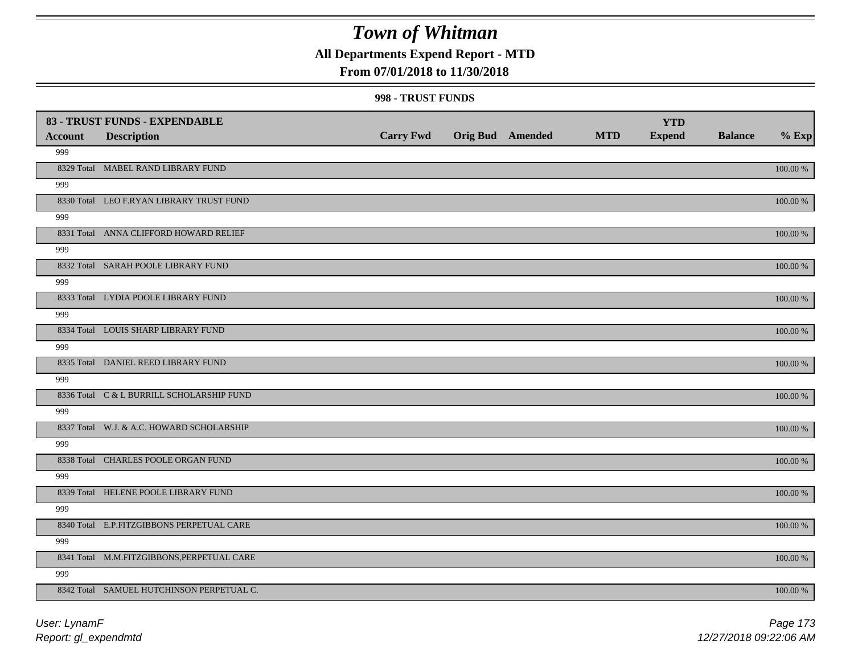### **All Departments Expend Report - MTD**

### **From 07/01/2018 to 11/30/2018**

#### **998 - TRUST FUNDS**

| <b>Account</b> | 83 - TRUST FUNDS - EXPENDABLE<br><b>Description</b> | <b>Carry Fwd</b> | <b>Orig Bud</b> Amended | <b>MTD</b> | <b>YTD</b><br><b>Expend</b> | <b>Balance</b> | $%$ Exp     |
|----------------|-----------------------------------------------------|------------------|-------------------------|------------|-----------------------------|----------------|-------------|
| 999            |                                                     |                  |                         |            |                             |                |             |
|                | 8329 Total MABEL RAND LIBRARY FUND                  |                  |                         |            |                             |                | 100.00 %    |
| 999            |                                                     |                  |                         |            |                             |                |             |
|                | 8330 Total LEO F.RYAN LIBRARY TRUST FUND            |                  |                         |            |                             |                | 100.00 %    |
| 999            |                                                     |                  |                         |            |                             |                |             |
|                | 8331 Total ANNA CLIFFORD HOWARD RELIEF              |                  |                         |            |                             |                | 100.00 %    |
| 999            |                                                     |                  |                         |            |                             |                |             |
|                | 8332 Total SARAH POOLE LIBRARY FUND                 |                  |                         |            |                             |                | 100.00 %    |
| 999            |                                                     |                  |                         |            |                             |                |             |
|                | 8333 Total LYDIA POOLE LIBRARY FUND                 |                  |                         |            |                             |                | 100.00 %    |
| 999            |                                                     |                  |                         |            |                             |                |             |
|                | 8334 Total LOUIS SHARP LIBRARY FUND                 |                  |                         |            |                             |                | 100.00 %    |
| 999            |                                                     |                  |                         |            |                             |                |             |
|                | 8335 Total DANIEL REED LIBRARY FUND                 |                  |                         |            |                             |                | 100.00 %    |
| 999            |                                                     |                  |                         |            |                             |                |             |
|                | 8336 Total C & L BURRILL SCHOLARSHIP FUND           |                  |                         |            |                             |                | 100.00 %    |
| 999            |                                                     |                  |                         |            |                             |                |             |
|                | 8337 Total W.J. & A.C. HOWARD SCHOLARSHIP           |                  |                         |            |                             |                | 100.00 %    |
| 999            |                                                     |                  |                         |            |                             |                |             |
|                | 8338 Total CHARLES POOLE ORGAN FUND                 |                  |                         |            |                             |                | $100.00~\%$ |
| 999            |                                                     |                  |                         |            |                             |                |             |
|                | 8339 Total HELENE POOLE LIBRARY FUND                |                  |                         |            |                             |                | $100.00~\%$ |
| 999            |                                                     |                  |                         |            |                             |                |             |
|                | 8340 Total E.P.FITZGIBBONS PERPETUAL CARE           |                  |                         |            |                             |                | 100.00 %    |
| 999            |                                                     |                  |                         |            |                             |                |             |
|                | 8341 Total M.M.FITZGIBBONS, PERPETUAL CARE          |                  |                         |            |                             |                | 100.00 %    |
| 999            |                                                     |                  |                         |            |                             |                |             |
|                | 8342 Total SAMUEL HUTCHINSON PERPETUAL C.           |                  |                         |            |                             |                | 100.00 %    |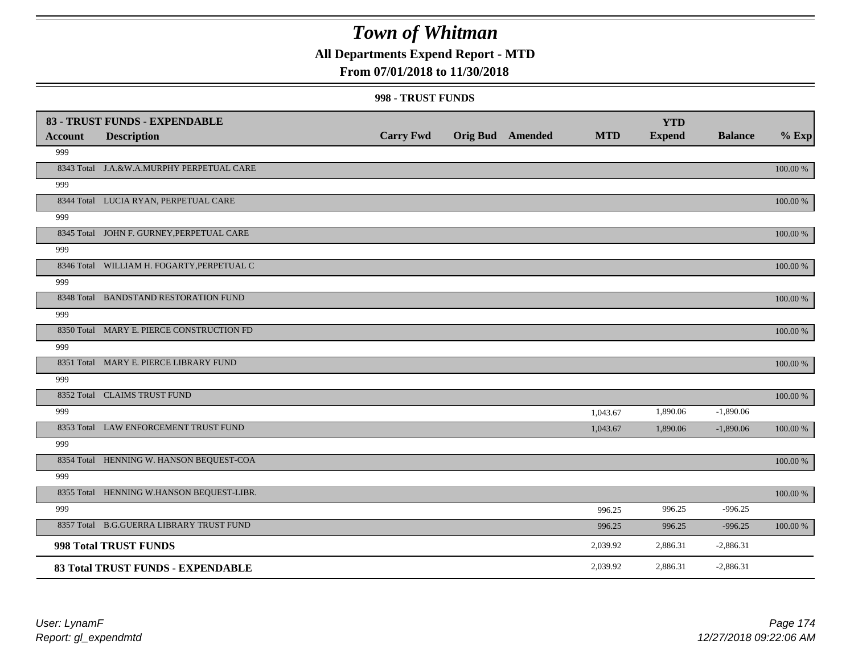## **All Departments Expend Report - MTD**

### **From 07/01/2018 to 11/30/2018**

#### **998 - TRUST FUNDS**

|                | 83 - TRUST FUNDS - EXPENDABLE              |                  |                         |            | <b>YTD</b>    |                |             |
|----------------|--------------------------------------------|------------------|-------------------------|------------|---------------|----------------|-------------|
| <b>Account</b> | <b>Description</b>                         | <b>Carry Fwd</b> | <b>Orig Bud</b> Amended | <b>MTD</b> | <b>Expend</b> | <b>Balance</b> | $%$ Exp     |
| 999            |                                            |                  |                         |            |               |                |             |
|                | 8343 Total J.A.&W.A.MURPHY PERPETUAL CARE  |                  |                         |            |               |                | 100.00 %    |
| 999            |                                            |                  |                         |            |               |                |             |
|                | 8344 Total LUCIA RYAN, PERPETUAL CARE      |                  |                         |            |               |                | 100.00 %    |
| 999            |                                            |                  |                         |            |               |                |             |
|                | 8345 Total JOHN F. GURNEY, PERPETUAL CARE  |                  |                         |            |               |                | 100.00 %    |
| 999            |                                            |                  |                         |            |               |                |             |
|                | 8346 Total WILLIAM H. FOGARTY, PERPETUAL C |                  |                         |            |               |                | 100.00 %    |
| 999            |                                            |                  |                         |            |               |                |             |
|                | 8348 Total BANDSTAND RESTORATION FUND      |                  |                         |            |               |                | 100.00 %    |
| 999            |                                            |                  |                         |            |               |                |             |
|                | 8350 Total MARY E. PIERCE CONSTRUCTION FD  |                  |                         |            |               |                | 100.00 %    |
| 999            |                                            |                  |                         |            |               |                |             |
|                | 8351 Total MARY E. PIERCE LIBRARY FUND     |                  |                         |            |               |                | 100.00 %    |
| 999            |                                            |                  |                         |            |               |                |             |
|                | 8352 Total CLAIMS TRUST FUND               |                  |                         |            |               |                | 100.00 %    |
| 999            |                                            |                  |                         | 1,043.67   | 1,890.06      | $-1,890.06$    |             |
|                | 8353 Total LAW ENFORCEMENT TRUST FUND      |                  |                         | 1,043.67   | 1,890.06      | $-1,890.06$    | 100.00 %    |
| 999            |                                            |                  |                         |            |               |                |             |
|                | 8354 Total HENNING W. HANSON BEQUEST-COA   |                  |                         |            |               |                | $100.00~\%$ |
| 999            |                                            |                  |                         |            |               |                |             |
|                | 8355 Total HENNING W.HANSON BEQUEST-LIBR.  |                  |                         |            |               |                | 100.00 %    |
| 999            |                                            |                  |                         | 996.25     | 996.25        | $-996.25$      |             |
|                | 8357 Total B.G.GUERRA LIBRARY TRUST FUND   |                  |                         | 996.25     | 996.25        | $-996.25$      | 100.00 %    |
|                | 998 Total TRUST FUNDS                      |                  |                         | 2,039.92   | 2,886.31      | $-2,886.31$    |             |
|                | 83 Total TRUST FUNDS - EXPENDABLE          |                  |                         | 2,039.92   | 2,886.31      | $-2,886.31$    |             |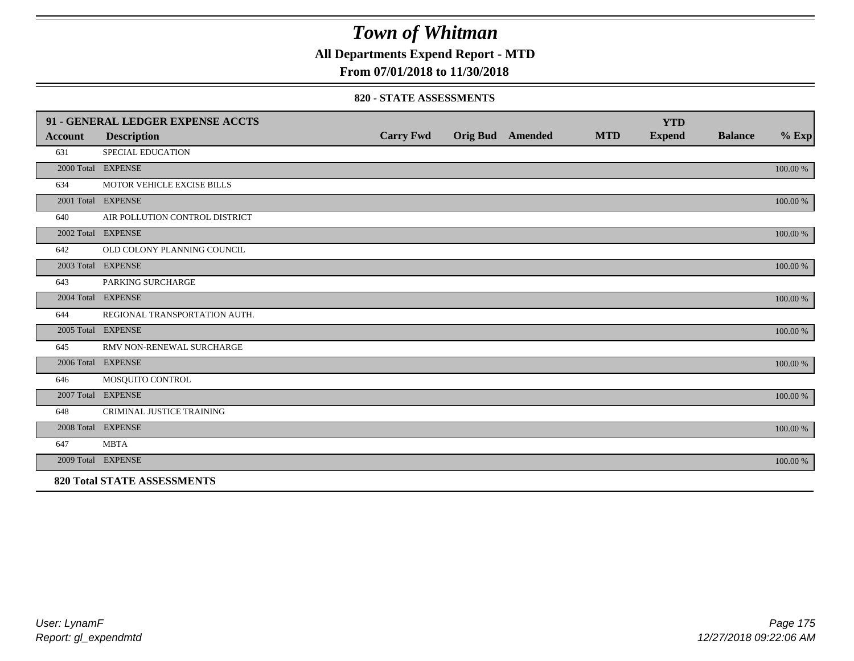**All Departments Expend Report - MTD**

### **From 07/01/2018 to 11/30/2018**

#### **820 - STATE ASSESSMENTS**

|                | 91 - GENERAL LEDGER EXPENSE ACCTS  |                  |                         |            | <b>YTD</b>    |                |          |
|----------------|------------------------------------|------------------|-------------------------|------------|---------------|----------------|----------|
| <b>Account</b> | <b>Description</b>                 | <b>Carry Fwd</b> | <b>Orig Bud</b> Amended | <b>MTD</b> | <b>Expend</b> | <b>Balance</b> | $%$ Exp  |
| 631            | <b>SPECIAL EDUCATION</b>           |                  |                         |            |               |                |          |
|                | 2000 Total EXPENSE                 |                  |                         |            |               |                | 100.00 % |
| 634            | MOTOR VEHICLE EXCISE BILLS         |                  |                         |            |               |                |          |
|                | 2001 Total EXPENSE                 |                  |                         |            |               |                | 100.00 % |
| 640            | AIR POLLUTION CONTROL DISTRICT     |                  |                         |            |               |                |          |
|                | 2002 Total EXPENSE                 |                  |                         |            |               |                | 100.00 % |
| 642            | OLD COLONY PLANNING COUNCIL        |                  |                         |            |               |                |          |
|                | 2003 Total EXPENSE                 |                  |                         |            |               |                | 100.00 % |
| 643            | PARKING SURCHARGE                  |                  |                         |            |               |                |          |
|                | 2004 Total EXPENSE                 |                  |                         |            |               |                | 100.00 % |
| 644            | REGIONAL TRANSPORTATION AUTH.      |                  |                         |            |               |                |          |
|                | 2005 Total EXPENSE                 |                  |                         |            |               |                | 100.00 % |
| 645            | RMV NON-RENEWAL SURCHARGE          |                  |                         |            |               |                |          |
|                | 2006 Total EXPENSE                 |                  |                         |            |               |                | 100.00 % |
| 646            | MOSQUITO CONTROL                   |                  |                         |            |               |                |          |
|                | 2007 Total EXPENSE                 |                  |                         |            |               |                | 100.00 % |
| 648            | CRIMINAL JUSTICE TRAINING          |                  |                         |            |               |                |          |
|                | 2008 Total EXPENSE                 |                  |                         |            |               |                | 100.00 % |
| 647            | <b>MBTA</b>                        |                  |                         |            |               |                |          |
|                | 2009 Total EXPENSE                 |                  |                         |            |               |                | 100.00 % |
|                | <b>820 Total STATE ASSESSMENTS</b> |                  |                         |            |               |                |          |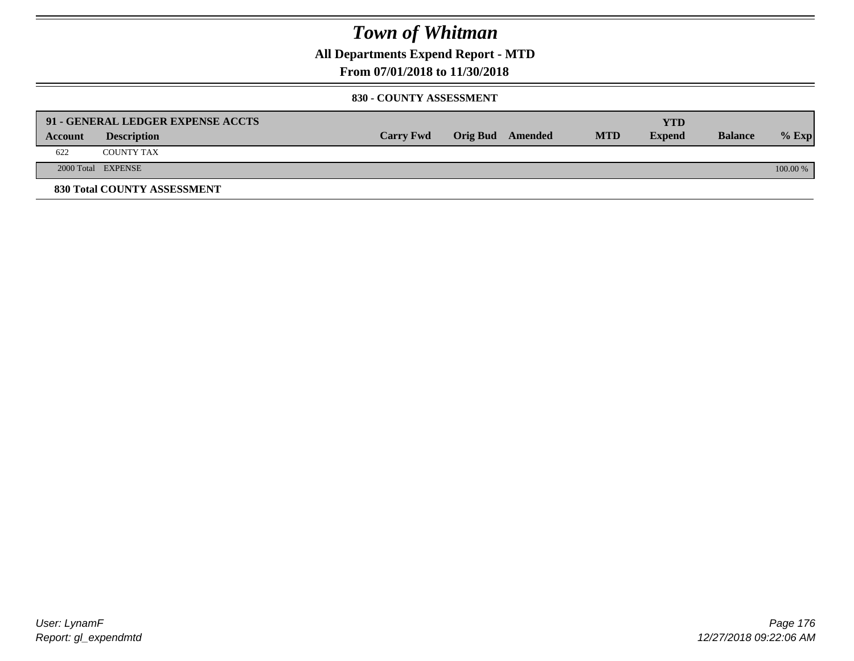**All Departments Expend Report - MTD**

### **From 07/01/2018 to 11/30/2018**

#### **830 - COUNTY ASSESSMENT**

|         | 91 - GENERAL LEDGER EXPENSE ACCTS |                  |                  |            | YTD           |                |            |
|---------|-----------------------------------|------------------|------------------|------------|---------------|----------------|------------|
| Account | <b>Description</b>                | <b>Carry Fwd</b> | Orig Bud Amended | <b>MTD</b> | <b>Expend</b> | <b>Balance</b> | $%$ Exp    |
| 622     | <b>COUNTY TAX</b>                 |                  |                  |            |               |                |            |
|         | 2000 Total EXPENSE                |                  |                  |            |               |                | $100.00\%$ |
|         | 830 Total COUNTY ASSESSMENT       |                  |                  |            |               |                |            |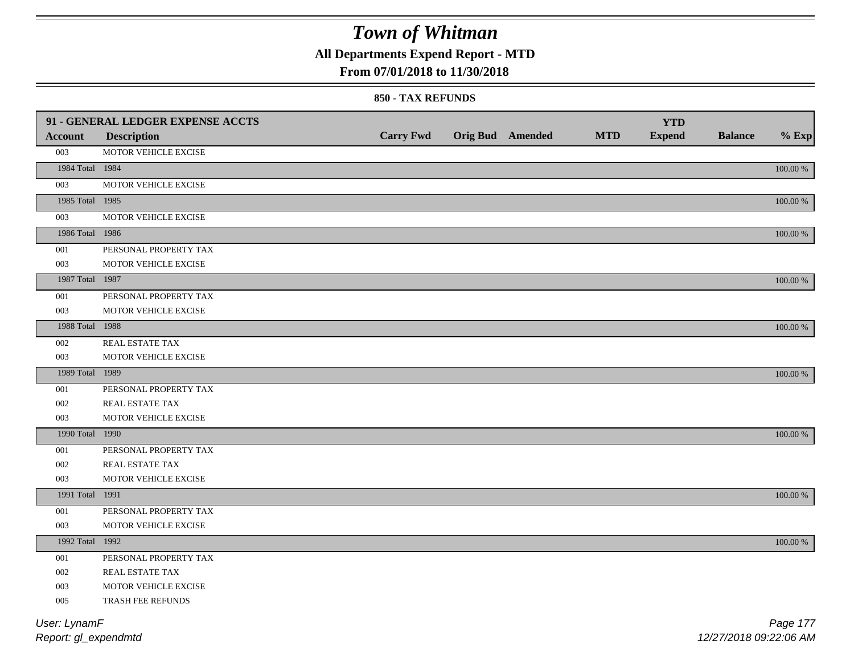**All Departments Expend Report - MTD**

### **From 07/01/2018 to 11/30/2018**

#### **850 - TAX REFUNDS**

|                 | 91 - GENERAL LEDGER EXPENSE ACCTS |                  |                         |            | <b>YTD</b>    |                |             |
|-----------------|-----------------------------------|------------------|-------------------------|------------|---------------|----------------|-------------|
| <b>Account</b>  | <b>Description</b>                | <b>Carry Fwd</b> | <b>Orig Bud</b> Amended | <b>MTD</b> | <b>Expend</b> | <b>Balance</b> | $%$ Exp     |
| 003             | MOTOR VEHICLE EXCISE              |                  |                         |            |               |                |             |
| 1984 Total 1984 |                                   |                  |                         |            |               |                | 100.00 %    |
| 003             | MOTOR VEHICLE EXCISE              |                  |                         |            |               |                |             |
| 1985 Total 1985 |                                   |                  |                         |            |               |                | 100.00 %    |
| 003             | MOTOR VEHICLE EXCISE              |                  |                         |            |               |                |             |
| 1986 Total 1986 |                                   |                  |                         |            |               |                | 100.00 %    |
| 001             | PERSONAL PROPERTY TAX             |                  |                         |            |               |                |             |
| 003             | MOTOR VEHICLE EXCISE              |                  |                         |            |               |                |             |
| 1987 Total 1987 |                                   |                  |                         |            |               |                | $100.00~\%$ |
| 001             | PERSONAL PROPERTY TAX             |                  |                         |            |               |                |             |
| 003             | MOTOR VEHICLE EXCISE              |                  |                         |            |               |                |             |
| 1988 Total 1988 |                                   |                  |                         |            |               |                | 100.00 %    |
| 002             | REAL ESTATE TAX                   |                  |                         |            |               |                |             |
| 003             | MOTOR VEHICLE EXCISE              |                  |                         |            |               |                |             |
| 1989 Total 1989 |                                   |                  |                         |            |               |                | 100.00 %    |
| 001             | PERSONAL PROPERTY TAX             |                  |                         |            |               |                |             |
| 002             | REAL ESTATE TAX                   |                  |                         |            |               |                |             |
| 003             | MOTOR VEHICLE EXCISE              |                  |                         |            |               |                |             |
| 1990 Total 1990 |                                   |                  |                         |            |               |                | 100.00 %    |
| 001             | PERSONAL PROPERTY TAX             |                  |                         |            |               |                |             |
| 002             | REAL ESTATE TAX                   |                  |                         |            |               |                |             |
| 003             | MOTOR VEHICLE EXCISE              |                  |                         |            |               |                |             |
| 1991 Total 1991 |                                   |                  |                         |            |               |                | 100.00 %    |
| 001             | PERSONAL PROPERTY TAX             |                  |                         |            |               |                |             |
| 003             | MOTOR VEHICLE EXCISE              |                  |                         |            |               |                |             |
| 1992 Total 1992 |                                   |                  |                         |            |               |                | $100.00~\%$ |
| 001             | PERSONAL PROPERTY TAX             |                  |                         |            |               |                |             |
| 002             | <b>REAL ESTATE TAX</b>            |                  |                         |            |               |                |             |
| 003             | MOTOR VEHICLE EXCISE              |                  |                         |            |               |                |             |
| 005             | TRASH FEE REFUNDS                 |                  |                         |            |               |                |             |
| User: LynamF    |                                   |                  |                         |            |               |                | Page 177    |

*Report: gl\_expendmtd*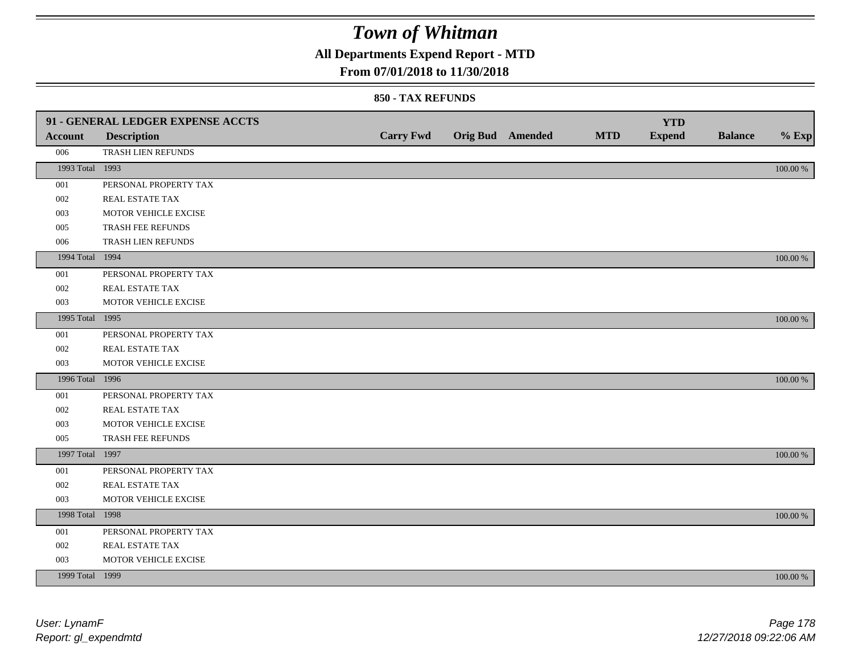## **All Departments Expend Report - MTD**

### **From 07/01/2018 to 11/30/2018**

|                 | 91 - GENERAL LEDGER EXPENSE ACCTS |                  |                  |            | <b>YTD</b>    |                |             |
|-----------------|-----------------------------------|------------------|------------------|------------|---------------|----------------|-------------|
| <b>Account</b>  | <b>Description</b>                | <b>Carry Fwd</b> | Orig Bud Amended | <b>MTD</b> | <b>Expend</b> | <b>Balance</b> | $%$ Exp     |
| 006             | TRASH LIEN REFUNDS                |                  |                  |            |               |                |             |
| 1993 Total 1993 |                                   |                  |                  |            |               |                | $100.00~\%$ |
| 001             | PERSONAL PROPERTY TAX             |                  |                  |            |               |                |             |
| 002             | REAL ESTATE TAX                   |                  |                  |            |               |                |             |
| 003             | MOTOR VEHICLE EXCISE              |                  |                  |            |               |                |             |
| 005             | TRASH FEE REFUNDS                 |                  |                  |            |               |                |             |
| 006             | TRASH LIEN REFUNDS                |                  |                  |            |               |                |             |
| 1994 Total 1994 |                                   |                  |                  |            |               |                | 100.00 %    |
| 001             | PERSONAL PROPERTY TAX             |                  |                  |            |               |                |             |
| 002             | REAL ESTATE TAX                   |                  |                  |            |               |                |             |
| 003             | MOTOR VEHICLE EXCISE              |                  |                  |            |               |                |             |
| 1995 Total 1995 |                                   |                  |                  |            |               |                | 100.00 %    |
| 001             | PERSONAL PROPERTY TAX             |                  |                  |            |               |                |             |
| 002             | REAL ESTATE TAX                   |                  |                  |            |               |                |             |
| 003             | MOTOR VEHICLE EXCISE              |                  |                  |            |               |                |             |
| 1996 Total 1996 |                                   |                  |                  |            |               |                | 100.00 %    |
| 001             | PERSONAL PROPERTY TAX             |                  |                  |            |               |                |             |
| 002             | REAL ESTATE TAX                   |                  |                  |            |               |                |             |
| 003             | MOTOR VEHICLE EXCISE              |                  |                  |            |               |                |             |
| 005             | TRASH FEE REFUNDS                 |                  |                  |            |               |                |             |
| 1997 Total 1997 |                                   |                  |                  |            |               |                | 100.00 %    |
| 001             | PERSONAL PROPERTY TAX             |                  |                  |            |               |                |             |
| 002             | REAL ESTATE TAX                   |                  |                  |            |               |                |             |
| 003             | MOTOR VEHICLE EXCISE              |                  |                  |            |               |                |             |
| 1998 Total 1998 |                                   |                  |                  |            |               |                | 100.00 %    |
| 001             | PERSONAL PROPERTY TAX             |                  |                  |            |               |                |             |
| 002             | REAL ESTATE TAX                   |                  |                  |            |               |                |             |
| 003             | MOTOR VEHICLE EXCISE              |                  |                  |            |               |                |             |
| 1999 Total 1999 |                                   |                  |                  |            |               |                | 100.00 %    |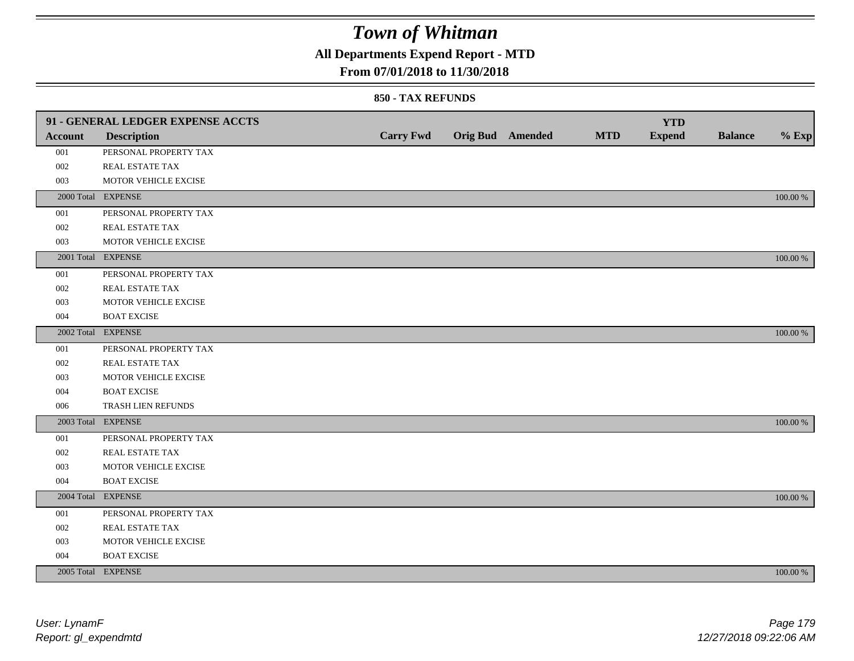## **All Departments Expend Report - MTD**

### **From 07/01/2018 to 11/30/2018**

|                | 91 - GENERAL LEDGER EXPENSE ACCTS |                  |                  |            | <b>YTD</b>    |                |          |
|----------------|-----------------------------------|------------------|------------------|------------|---------------|----------------|----------|
| <b>Account</b> | <b>Description</b>                | <b>Carry Fwd</b> | Orig Bud Amended | <b>MTD</b> | <b>Expend</b> | <b>Balance</b> | $%$ Exp  |
| 001            | PERSONAL PROPERTY TAX             |                  |                  |            |               |                |          |
| 002            | REAL ESTATE TAX                   |                  |                  |            |               |                |          |
| 003            | MOTOR VEHICLE EXCISE              |                  |                  |            |               |                |          |
|                | 2000 Total EXPENSE                |                  |                  |            |               |                | 100.00 % |
| 001            | PERSONAL PROPERTY TAX             |                  |                  |            |               |                |          |
| 002            | REAL ESTATE TAX                   |                  |                  |            |               |                |          |
| 003            | MOTOR VEHICLE EXCISE              |                  |                  |            |               |                |          |
|                | 2001 Total EXPENSE                |                  |                  |            |               |                | 100.00 % |
| 001            | PERSONAL PROPERTY TAX             |                  |                  |            |               |                |          |
| 002            | REAL ESTATE TAX                   |                  |                  |            |               |                |          |
| 003            | MOTOR VEHICLE EXCISE              |                  |                  |            |               |                |          |
| 004            | <b>BOAT EXCISE</b>                |                  |                  |            |               |                |          |
|                | 2002 Total EXPENSE                |                  |                  |            |               |                | 100.00 % |
| 001            | PERSONAL PROPERTY TAX             |                  |                  |            |               |                |          |
| 002            | <b>REAL ESTATE TAX</b>            |                  |                  |            |               |                |          |
| 003            | MOTOR VEHICLE EXCISE              |                  |                  |            |               |                |          |
| 004            | <b>BOAT EXCISE</b>                |                  |                  |            |               |                |          |
| 006            | TRASH LIEN REFUNDS                |                  |                  |            |               |                |          |
|                | 2003 Total EXPENSE                |                  |                  |            |               |                | 100.00 % |
| 001            | PERSONAL PROPERTY TAX             |                  |                  |            |               |                |          |
| 002            | REAL ESTATE TAX                   |                  |                  |            |               |                |          |
| 003            | MOTOR VEHICLE EXCISE              |                  |                  |            |               |                |          |
| 004            | <b>BOAT EXCISE</b>                |                  |                  |            |               |                |          |
|                | 2004 Total EXPENSE                |                  |                  |            |               |                | 100.00 % |
| 001            | PERSONAL PROPERTY TAX             |                  |                  |            |               |                |          |
| 002            | REAL ESTATE TAX                   |                  |                  |            |               |                |          |
| 003            | MOTOR VEHICLE EXCISE              |                  |                  |            |               |                |          |
| 004            | <b>BOAT EXCISE</b>                |                  |                  |            |               |                |          |
|                | 2005 Total EXPENSE                |                  |                  |            |               |                | 100.00 % |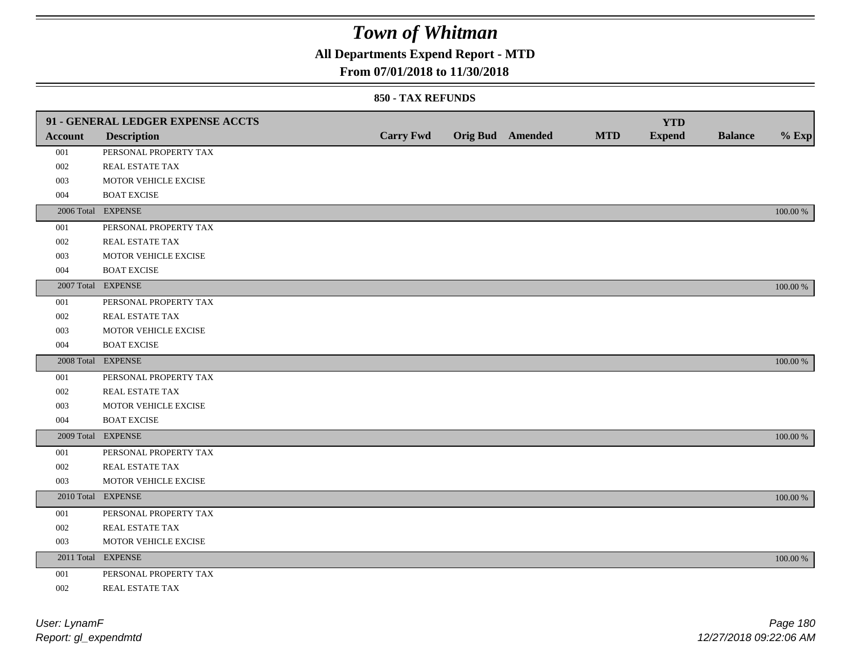## **All Departments Expend Report - MTD**

### **From 07/01/2018 to 11/30/2018**

|         | 91 - GENERAL LEDGER EXPENSE ACCTS |                  |                         |            | <b>YTD</b>    |                |             |
|---------|-----------------------------------|------------------|-------------------------|------------|---------------|----------------|-------------|
| Account | <b>Description</b>                | <b>Carry Fwd</b> | <b>Orig Bud</b> Amended | <b>MTD</b> | <b>Expend</b> | <b>Balance</b> | $%$ Exp     |
| 001     | PERSONAL PROPERTY TAX             |                  |                         |            |               |                |             |
| 002     | REAL ESTATE TAX                   |                  |                         |            |               |                |             |
| 003     | MOTOR VEHICLE EXCISE              |                  |                         |            |               |                |             |
| 004     | <b>BOAT EXCISE</b>                |                  |                         |            |               |                |             |
|         | 2006 Total EXPENSE                |                  |                         |            |               |                | 100.00 %    |
| 001     | PERSONAL PROPERTY TAX             |                  |                         |            |               |                |             |
| 002     | REAL ESTATE TAX                   |                  |                         |            |               |                |             |
| 003     | MOTOR VEHICLE EXCISE              |                  |                         |            |               |                |             |
| 004     | <b>BOAT EXCISE</b>                |                  |                         |            |               |                |             |
|         | 2007 Total EXPENSE                |                  |                         |            |               |                | 100.00 %    |
| 001     | PERSONAL PROPERTY TAX             |                  |                         |            |               |                |             |
| 002     | REAL ESTATE TAX                   |                  |                         |            |               |                |             |
| 003     | MOTOR VEHICLE EXCISE              |                  |                         |            |               |                |             |
| 004     | <b>BOAT EXCISE</b>                |                  |                         |            |               |                |             |
|         | 2008 Total EXPENSE                |                  |                         |            |               |                | 100.00 %    |
| 001     | PERSONAL PROPERTY TAX             |                  |                         |            |               |                |             |
| 002     | <b>REAL ESTATE TAX</b>            |                  |                         |            |               |                |             |
| 003     | MOTOR VEHICLE EXCISE              |                  |                         |            |               |                |             |
| 004     | <b>BOAT EXCISE</b>                |                  |                         |            |               |                |             |
|         | 2009 Total EXPENSE                |                  |                         |            |               |                | 100.00 %    |
| 001     | PERSONAL PROPERTY TAX             |                  |                         |            |               |                |             |
| 002     | REAL ESTATE TAX                   |                  |                         |            |               |                |             |
| 003     | MOTOR VEHICLE EXCISE              |                  |                         |            |               |                |             |
|         | 2010 Total EXPENSE                |                  |                         |            |               |                | 100.00 %    |
| 001     | PERSONAL PROPERTY TAX             |                  |                         |            |               |                |             |
| 002     | REAL ESTATE TAX                   |                  |                         |            |               |                |             |
| 003     | MOTOR VEHICLE EXCISE              |                  |                         |            |               |                |             |
|         | 2011 Total EXPENSE                |                  |                         |            |               |                | $100.00~\%$ |
| 001     | PERSONAL PROPERTY TAX             |                  |                         |            |               |                |             |
| 002     | REAL ESTATE TAX                   |                  |                         |            |               |                |             |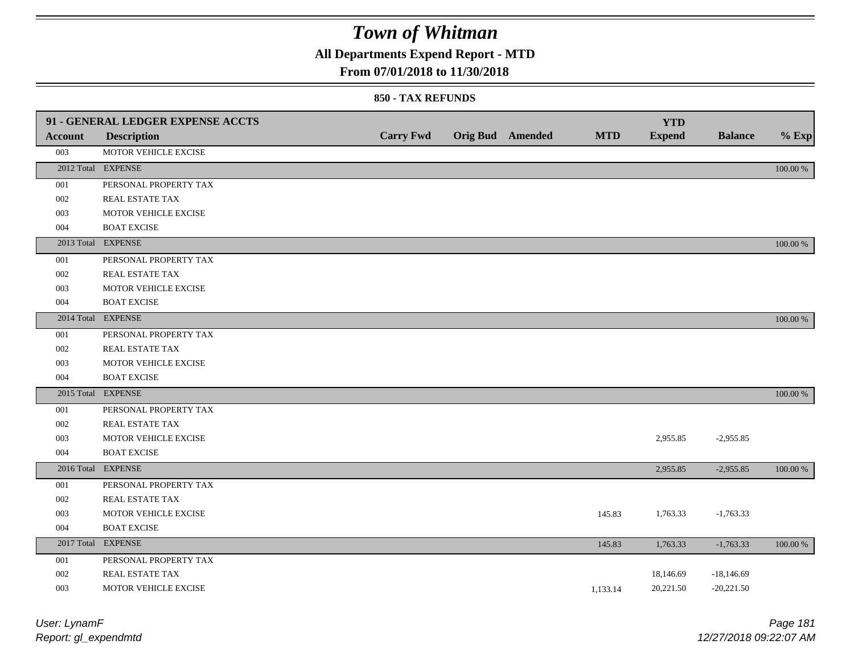## **All Departments Expend Report - MTD**

### **From 07/01/2018 to 11/30/2018**

#### **850 - TAX REFUNDS**

| <b>Account</b> | 91 - GENERAL LEDGER EXPENSE ACCTS<br><b>Description</b> | <b>Carry Fwd</b> | <b>Orig Bud</b> Amended | <b>MTD</b> | <b>YTD</b><br><b>Expend</b> | <b>Balance</b> | $%$ Exp  |
|----------------|---------------------------------------------------------|------------------|-------------------------|------------|-----------------------------|----------------|----------|
| 003            | MOTOR VEHICLE EXCISE                                    |                  |                         |            |                             |                |          |
|                | 2012 Total EXPENSE                                      |                  |                         |            |                             |                | 100.00 % |
| 001            | PERSONAL PROPERTY TAX                                   |                  |                         |            |                             |                |          |
| 002            | REAL ESTATE TAX                                         |                  |                         |            |                             |                |          |
| 003            | MOTOR VEHICLE EXCISE                                    |                  |                         |            |                             |                |          |
| 004            | <b>BOAT EXCISE</b>                                      |                  |                         |            |                             |                |          |
|                | 2013 Total EXPENSE                                      |                  |                         |            |                             |                | 100.00 % |
| 001            | PERSONAL PROPERTY TAX                                   |                  |                         |            |                             |                |          |
| 002            | REAL ESTATE TAX                                         |                  |                         |            |                             |                |          |
| 003            | MOTOR VEHICLE EXCISE                                    |                  |                         |            |                             |                |          |
| 004            | <b>BOAT EXCISE</b>                                      |                  |                         |            |                             |                |          |
|                | 2014 Total EXPENSE                                      |                  |                         |            |                             |                | 100.00 % |
| 001            | PERSONAL PROPERTY TAX                                   |                  |                         |            |                             |                |          |
| 002            | <b>REAL ESTATE TAX</b>                                  |                  |                         |            |                             |                |          |
| 003            | MOTOR VEHICLE EXCISE                                    |                  |                         |            |                             |                |          |
| 004            | <b>BOAT EXCISE</b>                                      |                  |                         |            |                             |                |          |
|                | 2015 Total EXPENSE                                      |                  |                         |            |                             |                | 100.00 % |
| 001            | PERSONAL PROPERTY TAX                                   |                  |                         |            |                             |                |          |
| 002            | REAL ESTATE TAX                                         |                  |                         |            |                             |                |          |
| 003            | MOTOR VEHICLE EXCISE                                    |                  |                         |            | 2,955.85                    | $-2,955.85$    |          |
| 004            | <b>BOAT EXCISE</b>                                      |                  |                         |            |                             |                |          |
|                | 2016 Total EXPENSE                                      |                  |                         |            | 2,955.85                    | $-2,955.85$    | 100.00 % |
| 001            | PERSONAL PROPERTY TAX                                   |                  |                         |            |                             |                |          |
| 002            | <b>REAL ESTATE TAX</b>                                  |                  |                         |            |                             |                |          |
| 003            | MOTOR VEHICLE EXCISE                                    |                  |                         | 145.83     | 1,763.33                    | $-1,763.33$    |          |
| 004            | <b>BOAT EXCISE</b>                                      |                  |                         |            |                             |                |          |
|                | 2017 Total EXPENSE                                      |                  |                         | 145.83     | 1,763.33                    | $-1,763.33$    | 100.00 % |
| 001            | PERSONAL PROPERTY TAX                                   |                  |                         |            |                             |                |          |
| 002            | REAL ESTATE TAX                                         |                  |                         |            | 18,146.69                   | $-18,146.69$   |          |
| 003            | MOTOR VEHICLE EXCISE                                    |                  |                         | 1,133.14   | 20,221.50                   | $-20,221.50$   |          |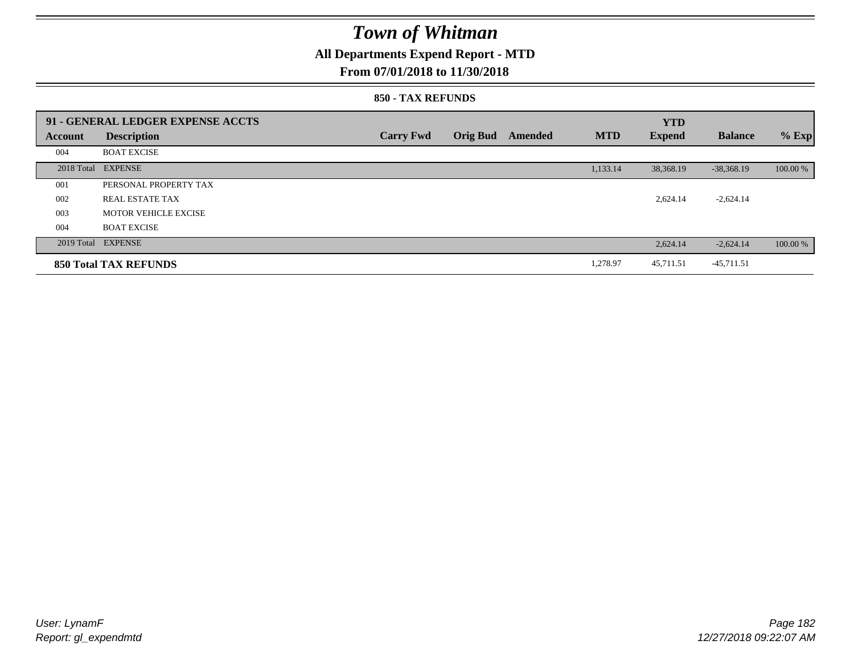## **All Departments Expend Report - MTD**

### **From 07/01/2018 to 11/30/2018**

#### **850 - TAX REFUNDS**

|                | 91 - GENERAL LEDGER EXPENSE ACCTS |                  |                 |         |            | <b>YTD</b>    |                |          |
|----------------|-----------------------------------|------------------|-----------------|---------|------------|---------------|----------------|----------|
| <b>Account</b> | <b>Description</b>                | <b>Carry Fwd</b> | <b>Orig Bud</b> | Amended | <b>MTD</b> | <b>Expend</b> | <b>Balance</b> | $%$ Exp  |
| 004            | <b>BOAT EXCISE</b>                |                  |                 |         |            |               |                |          |
|                | 2018 Total EXPENSE                |                  |                 |         | 1,133.14   | 38,368.19     | $-38,368.19$   | 100.00 % |
| 001            | PERSONAL PROPERTY TAX             |                  |                 |         |            |               |                |          |
| 002            | REAL ESTATE TAX                   |                  |                 |         |            | 2,624.14      | $-2,624.14$    |          |
| 003            | <b>MOTOR VEHICLE EXCISE</b>       |                  |                 |         |            |               |                |          |
| 004            | <b>BOAT EXCISE</b>                |                  |                 |         |            |               |                |          |
|                | 2019 Total EXPENSE                |                  |                 |         |            | 2,624.14      | $-2,624.14$    | 100.00 % |
|                | <b>850 Total TAX REFUNDS</b>      |                  |                 |         | 1,278.97   | 45,711.51     | -45,711.51     |          |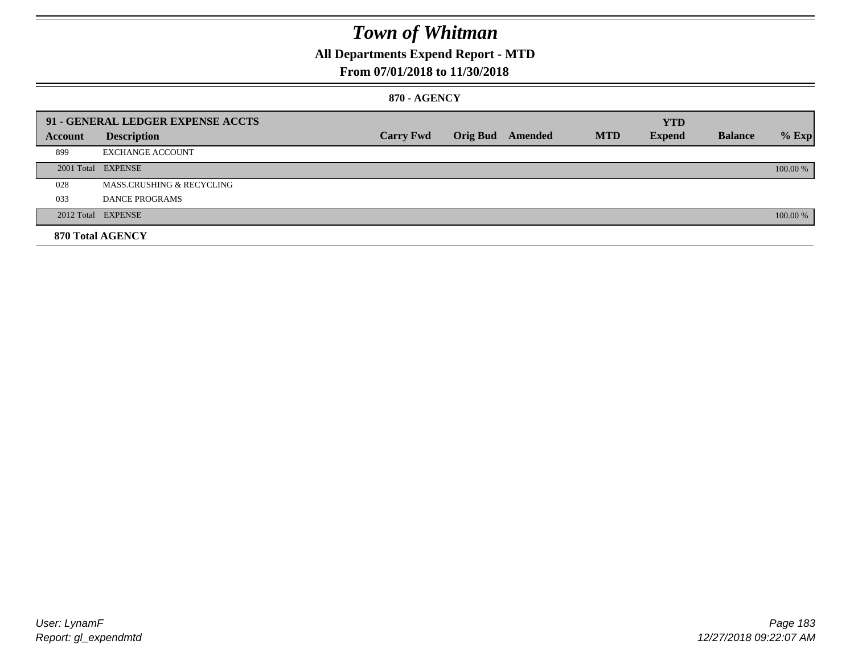## **All Departments Expend Report - MTD**

### **From 07/01/2018 to 11/30/2018**

#### **870 - AGENCY**

|         | 91 - GENERAL LEDGER EXPENSE ACCTS |                  |                         |            | <b>YTD</b>    |                |          |
|---------|-----------------------------------|------------------|-------------------------|------------|---------------|----------------|----------|
| Account | <b>Description</b>                | <b>Carry Fwd</b> | <b>Orig Bud</b> Amended | <b>MTD</b> | <b>Expend</b> | <b>Balance</b> | $%$ Exp  |
| 899     | <b>EXCHANGE ACCOUNT</b>           |                  |                         |            |               |                |          |
|         | 2001 Total EXPENSE                |                  |                         |            |               |                | 100.00 % |
| 028     | MASS.CRUSHING & RECYCLING         |                  |                         |            |               |                |          |
| 033     | <b>DANCE PROGRAMS</b>             |                  |                         |            |               |                |          |
|         | 2012 Total EXPENSE                |                  |                         |            |               |                | 100.00 % |
|         | 870 Total AGENCY                  |                  |                         |            |               |                |          |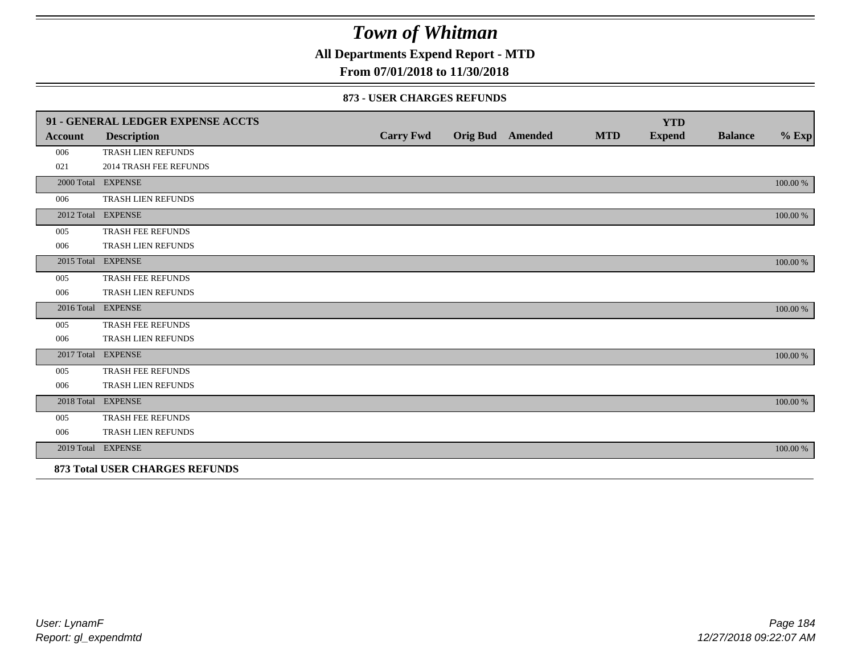**All Departments Expend Report - MTD**

### **From 07/01/2018 to 11/30/2018**

#### **873 - USER CHARGES REFUNDS**

|                | 91 - GENERAL LEDGER EXPENSE ACCTS     |                  |                         |            | <b>YTD</b>    |                |          |
|----------------|---------------------------------------|------------------|-------------------------|------------|---------------|----------------|----------|
| <b>Account</b> | <b>Description</b>                    | <b>Carry Fwd</b> | <b>Orig Bud</b> Amended | <b>MTD</b> | <b>Expend</b> | <b>Balance</b> | $\%$ Exp |
| 006            | <b>TRASH LIEN REFUNDS</b>             |                  |                         |            |               |                |          |
| 021            | <b>2014 TRASH FEE REFUNDS</b>         |                  |                         |            |               |                |          |
|                | 2000 Total EXPENSE                    |                  |                         |            |               |                | 100.00 % |
| 006            | TRASH LIEN REFUNDS                    |                  |                         |            |               |                |          |
|                | 2012 Total EXPENSE                    |                  |                         |            |               |                | 100.00 % |
| 005            | TRASH FEE REFUNDS                     |                  |                         |            |               |                |          |
| 006            | TRASH LIEN REFUNDS                    |                  |                         |            |               |                |          |
|                | 2015 Total EXPENSE                    |                  |                         |            |               |                | 100.00 % |
| 005            | <b>TRASH FEE REFUNDS</b>              |                  |                         |            |               |                |          |
| 006            | TRASH LIEN REFUNDS                    |                  |                         |            |               |                |          |
|                | 2016 Total EXPENSE                    |                  |                         |            |               |                | 100.00 % |
| 005            | TRASH FEE REFUNDS                     |                  |                         |            |               |                |          |
| 006            | TRASH LIEN REFUNDS                    |                  |                         |            |               |                |          |
|                | 2017 Total EXPENSE                    |                  |                         |            |               |                | 100.00 % |
| 005            | <b>TRASH FEE REFUNDS</b>              |                  |                         |            |               |                |          |
| 006            | TRASH LIEN REFUNDS                    |                  |                         |            |               |                |          |
|                | 2018 Total EXPENSE                    |                  |                         |            |               |                | 100.00 % |
| 005            | TRASH FEE REFUNDS                     |                  |                         |            |               |                |          |
| 006            | TRASH LIEN REFUNDS                    |                  |                         |            |               |                |          |
|                | 2019 Total EXPENSE                    |                  |                         |            |               |                | 100.00 % |
|                | <b>873 Total USER CHARGES REFUNDS</b> |                  |                         |            |               |                |          |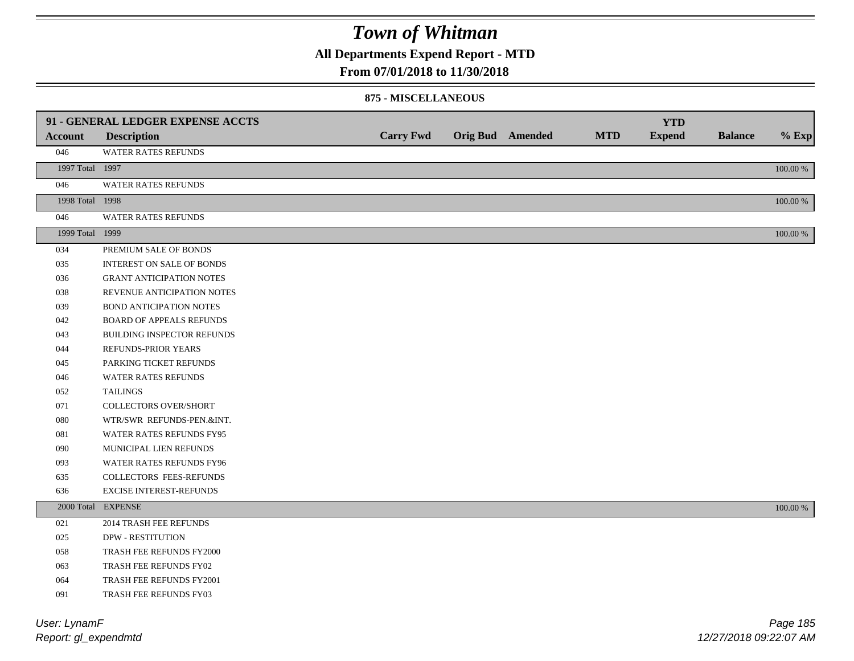**All Departments Expend Report - MTD**

#### **From 07/01/2018 to 11/30/2018**

#### **875 - MISCELLANEOUS**

|                 | 91 - GENERAL LEDGER EXPENSE ACCTS |                  |                         |            | <b>YTD</b>    |                |             |
|-----------------|-----------------------------------|------------------|-------------------------|------------|---------------|----------------|-------------|
| <b>Account</b>  | <b>Description</b>                | <b>Carry Fwd</b> | <b>Orig Bud</b> Amended | <b>MTD</b> | <b>Expend</b> | <b>Balance</b> | $%$ Exp     |
| 046             | WATER RATES REFUNDS               |                  |                         |            |               |                |             |
| 1997 Total 1997 |                                   |                  |                         |            |               |                | $100.00~\%$ |
| 046             | <b>WATER RATES REFUNDS</b>        |                  |                         |            |               |                |             |
| 1998 Total 1998 |                                   |                  |                         |            |               |                | 100.00 %    |
| 046             | WATER RATES REFUNDS               |                  |                         |            |               |                |             |
| 1999 Total 1999 |                                   |                  |                         |            |               |                | $100.00~\%$ |
| 034             | PREMIUM SALE OF BONDS             |                  |                         |            |               |                |             |
| 035             | <b>INTEREST ON SALE OF BONDS</b>  |                  |                         |            |               |                |             |
| 036             | <b>GRANT ANTICIPATION NOTES</b>   |                  |                         |            |               |                |             |
| 038             | REVENUE ANTICIPATION NOTES        |                  |                         |            |               |                |             |
| 039             | <b>BOND ANTICIPATION NOTES</b>    |                  |                         |            |               |                |             |
| 042             | <b>BOARD OF APPEALS REFUNDS</b>   |                  |                         |            |               |                |             |
| 043             | BUILDING INSPECTOR REFUNDS        |                  |                         |            |               |                |             |
| 044             | REFUNDS-PRIOR YEARS               |                  |                         |            |               |                |             |
| 045             | PARKING TICKET REFUNDS            |                  |                         |            |               |                |             |
| 046             | WATER RATES REFUNDS               |                  |                         |            |               |                |             |
| 052             | <b>TAILINGS</b>                   |                  |                         |            |               |                |             |
| 071             | <b>COLLECTORS OVER/SHORT</b>      |                  |                         |            |               |                |             |
| 080             | WTR/SWR REFUNDS-PEN.&INT.         |                  |                         |            |               |                |             |
| 081             | WATER RATES REFUNDS FY95          |                  |                         |            |               |                |             |
| 090             | MUNICIPAL LIEN REFUNDS            |                  |                         |            |               |                |             |
| 093             | WATER RATES REFUNDS FY96          |                  |                         |            |               |                |             |
| 635             | COLLECTORS FEES-REFUNDS           |                  |                         |            |               |                |             |
| 636             | <b>EXCISE INTEREST-REFUNDS</b>    |                  |                         |            |               |                |             |
|                 | 2000 Total EXPENSE                |                  |                         |            |               |                | 100.00 %    |
| 021             | 2014 TRASH FEE REFUNDS            |                  |                         |            |               |                |             |
| 025             | <b>DPW - RESTITUTION</b>          |                  |                         |            |               |                |             |
| 058             | TRASH FEE REFUNDS FY2000          |                  |                         |            |               |                |             |
| 063             | TRASH FEE REFUNDS FY02            |                  |                         |            |               |                |             |
| 064             | TRASH FEE REFUNDS FY2001          |                  |                         |            |               |                |             |
| 091             | TRASH FEE REFUNDS FY03            |                  |                         |            |               |                |             |

*Report: gl\_expendmtd User: LynamF*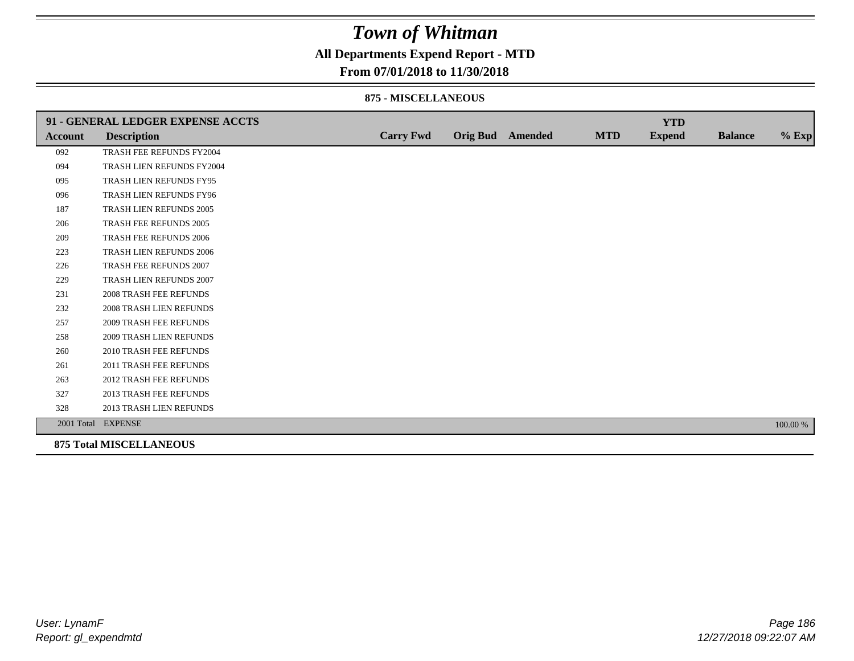**All Departments Expend Report - MTD**

### **From 07/01/2018 to 11/30/2018**

#### **875 - MISCELLANEOUS**

|                | 91 - GENERAL LEDGER EXPENSE ACCTS |                  |                         |            | <b>YTD</b>    |                |          |
|----------------|-----------------------------------|------------------|-------------------------|------------|---------------|----------------|----------|
| <b>Account</b> | <b>Description</b>                | <b>Carry Fwd</b> | <b>Orig Bud</b> Amended | <b>MTD</b> | <b>Expend</b> | <b>Balance</b> | $%$ Exp  |
| 092            | TRASH FEE REFUNDS FY2004          |                  |                         |            |               |                |          |
| 094            | TRASH LIEN REFUNDS FY2004         |                  |                         |            |               |                |          |
| 095            | TRASH LIEN REFUNDS FY95           |                  |                         |            |               |                |          |
| 096            | TRASH LIEN REFUNDS FY96           |                  |                         |            |               |                |          |
| 187            | TRASH LIEN REFUNDS 2005           |                  |                         |            |               |                |          |
| 206            | TRASH FEE REFUNDS 2005            |                  |                         |            |               |                |          |
| 209            | <b>TRASH FEE REFUNDS 2006</b>     |                  |                         |            |               |                |          |
| 223            | <b>TRASH LIEN REFUNDS 2006</b>    |                  |                         |            |               |                |          |
| 226            | TRASH FEE REFUNDS 2007            |                  |                         |            |               |                |          |
| 229            | TRASH LIEN REFUNDS 2007           |                  |                         |            |               |                |          |
| 231            | <b>2008 TRASH FEE REFUNDS</b>     |                  |                         |            |               |                |          |
| 232            | <b>2008 TRASH LIEN REFUNDS</b>    |                  |                         |            |               |                |          |
| 257            | 2009 TRASH FEE REFUNDS            |                  |                         |            |               |                |          |
| 258            | <b>2009 TRASH LIEN REFUNDS</b>    |                  |                         |            |               |                |          |
| 260            | 2010 TRASH FEE REFUNDS            |                  |                         |            |               |                |          |
| 261            | 2011 TRASH FEE REFUNDS            |                  |                         |            |               |                |          |
| 263            | <b>2012 TRASH FEE REFUNDS</b>     |                  |                         |            |               |                |          |
| 327            | 2013 TRASH FEE REFUNDS            |                  |                         |            |               |                |          |
| 328            | 2013 TRASH LIEN REFUNDS           |                  |                         |            |               |                |          |
|                | 2001 Total EXPENSE                |                  |                         |            |               |                | 100.00 % |
|                | <b>875 Total MISCELLANEOUS</b>    |                  |                         |            |               |                |          |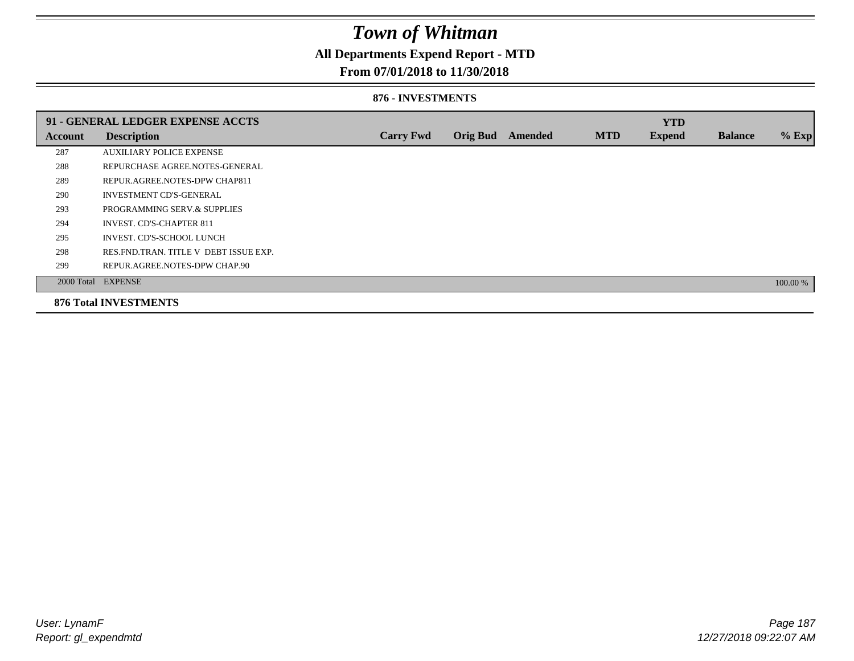## **All Departments Expend Report - MTD**

### **From 07/01/2018 to 11/30/2018**

#### **876 - INVESTMENTS**

|         | 91 - GENERAL LEDGER EXPENSE ACCTS       |                  |                 |                |            | <b>YTD</b>    |                |          |
|---------|-----------------------------------------|------------------|-----------------|----------------|------------|---------------|----------------|----------|
| Account | <b>Description</b>                      | <b>Carry Fwd</b> | <b>Orig Bud</b> | <b>Amended</b> | <b>MTD</b> | <b>Expend</b> | <b>Balance</b> | % Exp    |
| 287     | <b>AUXILIARY POLICE EXPENSE</b>         |                  |                 |                |            |               |                |          |
| 288     | REPURCHASE AGREE.NOTES-GENERAL          |                  |                 |                |            |               |                |          |
| 289     | REPUR.AGREE.NOTES-DPW CHAP811           |                  |                 |                |            |               |                |          |
| 290     | <b>INVESTMENT CD'S-GENERAL</b>          |                  |                 |                |            |               |                |          |
| 293     | PROGRAMMING SERV.& SUPPLIES             |                  |                 |                |            |               |                |          |
| 294     | <b>INVEST. CD'S-CHAPTER 811</b>         |                  |                 |                |            |               |                |          |
| 295     | INVEST. CD'S-SCHOOL LUNCH               |                  |                 |                |            |               |                |          |
| 298     | RES. FND. TRAN. TITLE V DEBT ISSUE EXP. |                  |                 |                |            |               |                |          |
| 299     | REPUR.AGREE.NOTES-DPW CHAP.90           |                  |                 |                |            |               |                |          |
|         | 2000 Total EXPENSE                      |                  |                 |                |            |               |                | 100.00 % |
|         | <b>876 Total INVESTMENTS</b>            |                  |                 |                |            |               |                |          |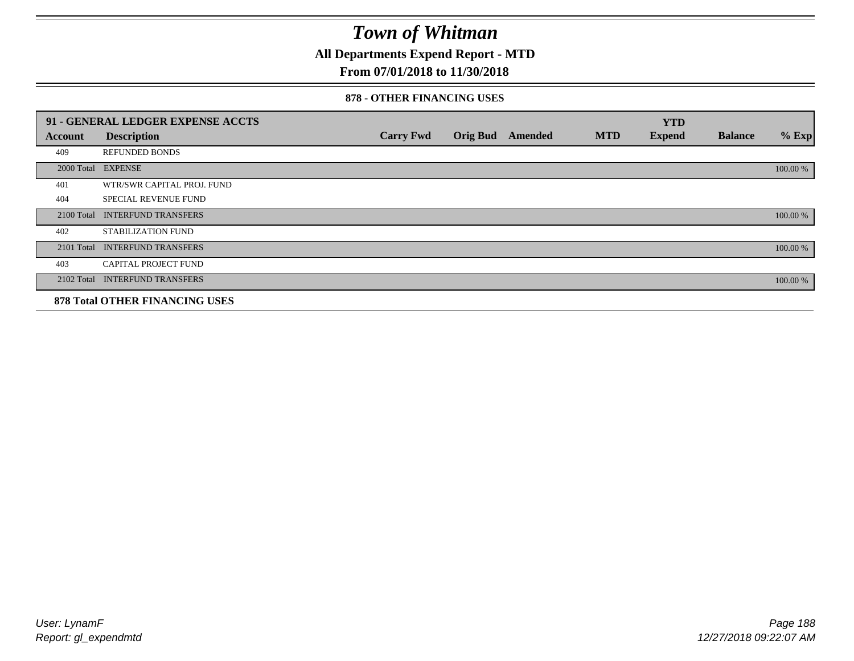**All Departments Expend Report - MTD**

### **From 07/01/2018 to 11/30/2018**

#### **878 - OTHER FINANCING USES**

|            | 91 - GENERAL LEDGER EXPENSE ACCTS     |                  |                 |         |            | <b>YTD</b>    |                |          |
|------------|---------------------------------------|------------------|-----------------|---------|------------|---------------|----------------|----------|
| Account    | <b>Description</b>                    | <b>Carry Fwd</b> | <b>Orig Bud</b> | Amended | <b>MTD</b> | <b>Expend</b> | <b>Balance</b> | $%$ Exp  |
| 409        | <b>REFUNDED BONDS</b>                 |                  |                 |         |            |               |                |          |
| 2000 Total | <b>EXPENSE</b>                        |                  |                 |         |            |               |                | 100.00 % |
| 401        | WTR/SWR CAPITAL PROJ. FUND            |                  |                 |         |            |               |                |          |
| 404        | <b>SPECIAL REVENUE FUND</b>           |                  |                 |         |            |               |                |          |
| 2100 Total | <b>INTERFUND TRANSFERS</b>            |                  |                 |         |            |               |                | 100.00 % |
| 402        | STABILIZATION FUND                    |                  |                 |         |            |               |                |          |
| 2101 Total | <b>INTERFUND TRANSFERS</b>            |                  |                 |         |            |               |                | 100.00 % |
| 403        | CAPITAL PROJECT FUND                  |                  |                 |         |            |               |                |          |
| 2102 Total | <b>INTERFUND TRANSFERS</b>            |                  |                 |         |            |               |                | 100.00 % |
|            | <b>878 Total OTHER FINANCING USES</b> |                  |                 |         |            |               |                |          |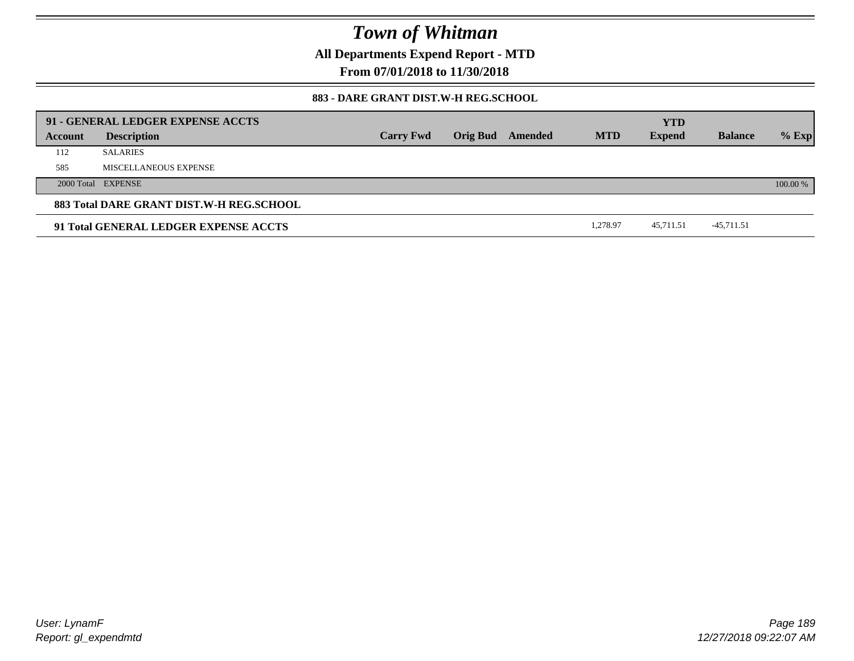**All Departments Expend Report - MTD**

**From 07/01/2018 to 11/30/2018**

### **883 - DARE GRANT DIST.W-H REG.SCHOOL**

|         | 91 - GENERAL LEDGER EXPENSE ACCTS        |                  |                         |            | <b>YTD</b>    |                |          |
|---------|------------------------------------------|------------------|-------------------------|------------|---------------|----------------|----------|
| Account | <b>Description</b>                       | <b>Carry Fwd</b> | <b>Orig Bud</b> Amended | <b>MTD</b> | <b>Expend</b> | <b>Balance</b> | $%$ Exp  |
| 112     | <b>SALARIES</b>                          |                  |                         |            |               |                |          |
| 585     | MISCELLANEOUS EXPENSE                    |                  |                         |            |               |                |          |
|         | 2000 Total EXPENSE                       |                  |                         |            |               |                | 100.00 % |
|         | 883 Total DARE GRANT DIST.W-H REG.SCHOOL |                  |                         |            |               |                |          |
|         | 91 Total GENERAL LEDGER EXPENSE ACCTS    |                  |                         | 1,278.97   | 45,711.51     | -45,711.51     |          |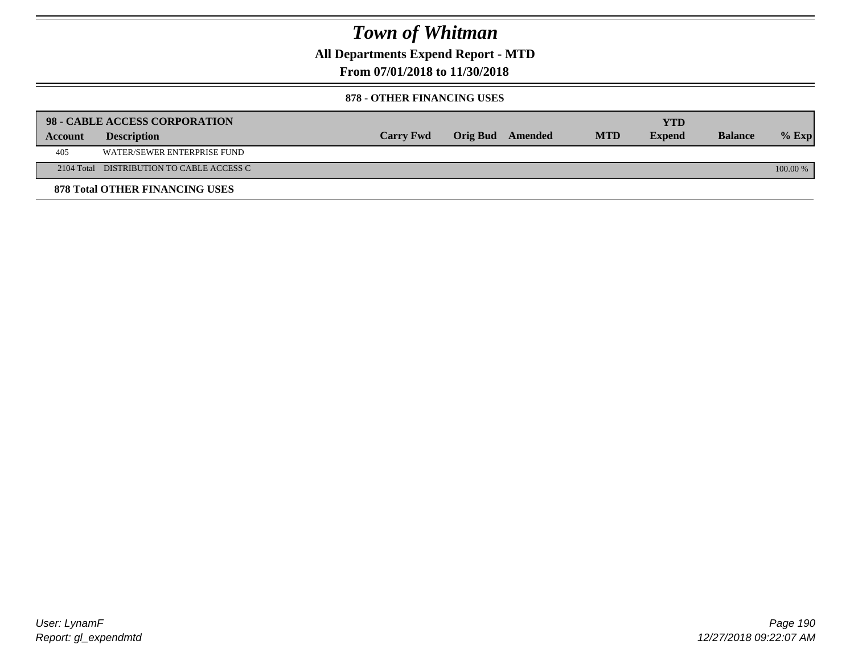**All Departments Expend Report - MTD**

**From 07/01/2018 to 11/30/2018**

#### **878 - OTHER FINANCING USES**

|         | 98 - CABLE ACCESS CORPORATION             |                  |                  |            | YTD           |                |            |
|---------|-------------------------------------------|------------------|------------------|------------|---------------|----------------|------------|
| Account | <b>Description</b>                        | <b>Carry Fwd</b> | Orig Bud Amended | <b>MTD</b> | <b>Expend</b> | <b>Balance</b> | $%$ Exp    |
| 405     | WATER/SEWER ENTERPRISE FUND               |                  |                  |            |               |                |            |
|         | 2104 Total DISTRIBUTION TO CABLE ACCESS C |                  |                  |            |               |                | $100.00\%$ |
|         | <b>878 Total OTHER FINANCING USES</b>     |                  |                  |            |               |                |            |